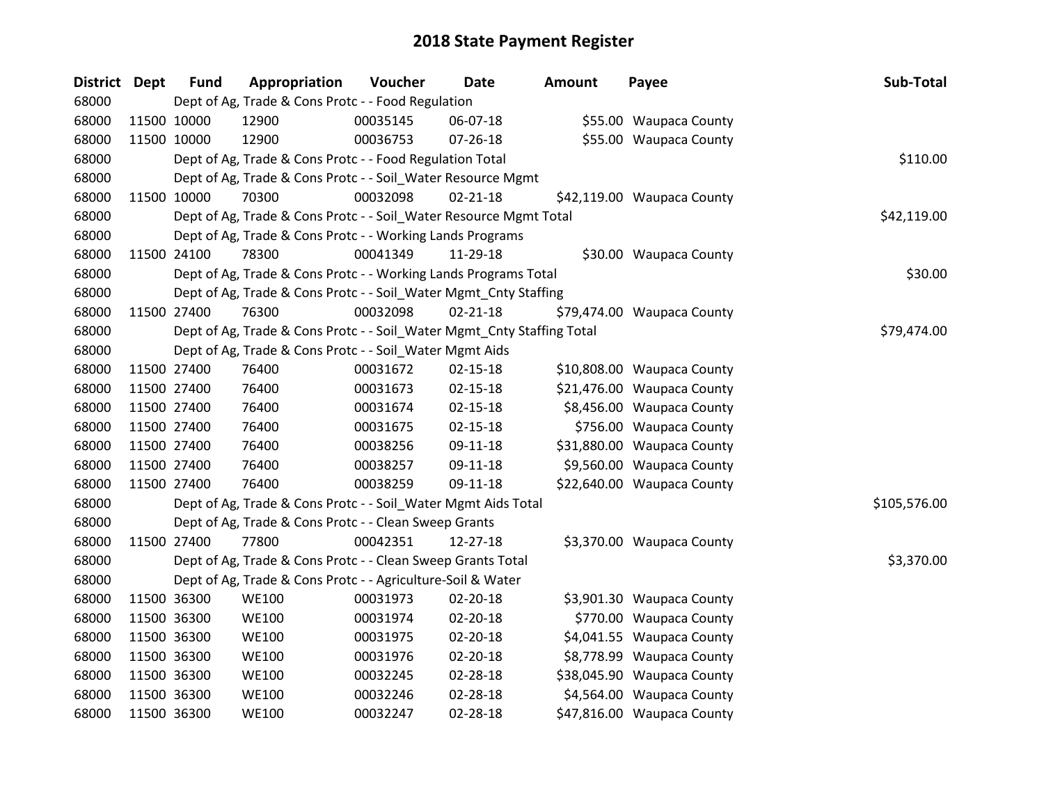| <b>District</b> | <b>Dept</b> | <b>Fund</b> | Appropriation                                                          | Voucher  | Date           | <b>Amount</b> | Payee                      | Sub-Total    |
|-----------------|-------------|-------------|------------------------------------------------------------------------|----------|----------------|---------------|----------------------------|--------------|
| 68000           |             |             | Dept of Ag, Trade & Cons Protc - - Food Regulation                     |          |                |               |                            |              |
| 68000           | 11500 10000 |             | 12900                                                                  | 00035145 | 06-07-18       |               | \$55.00 Waupaca County     |              |
| 68000           | 11500 10000 |             | 12900                                                                  | 00036753 | 07-26-18       |               | \$55.00 Waupaca County     |              |
| 68000           |             |             | Dept of Ag, Trade & Cons Protc - - Food Regulation Total               |          |                |               |                            | \$110.00     |
| 68000           |             |             | Dept of Ag, Trade & Cons Protc - - Soil_Water Resource Mgmt            |          |                |               |                            |              |
| 68000           | 11500 10000 |             | 70300                                                                  | 00032098 | $02 - 21 - 18$ |               | \$42,119.00 Waupaca County |              |
| 68000           |             |             | Dept of Ag, Trade & Cons Protc - - Soil_Water Resource Mgmt Total      |          |                |               |                            | \$42,119.00  |
| 68000           |             |             | Dept of Ag, Trade & Cons Protc - - Working Lands Programs              |          |                |               |                            |              |
| 68000           |             | 11500 24100 | 78300                                                                  | 00041349 | 11-29-18       |               | \$30.00 Waupaca County     |              |
| 68000           |             |             | Dept of Ag, Trade & Cons Protc - - Working Lands Programs Total        |          |                |               |                            | \$30.00      |
| 68000           |             |             | Dept of Ag, Trade & Cons Protc - - Soil_Water Mgmt_Cnty Staffing       |          |                |               |                            |              |
| 68000           | 11500 27400 |             | 76300                                                                  | 00032098 | $02 - 21 - 18$ |               | \$79,474.00 Waupaca County |              |
| 68000           |             |             | Dept of Ag, Trade & Cons Protc - - Soil_Water Mgmt_Cnty Staffing Total |          |                |               |                            | \$79,474.00  |
| 68000           |             |             | Dept of Ag, Trade & Cons Protc - - Soil_Water Mgmt Aids                |          |                |               |                            |              |
| 68000           | 11500 27400 |             | 76400                                                                  | 00031672 | 02-15-18       |               | \$10,808.00 Waupaca County |              |
| 68000           |             | 11500 27400 | 76400                                                                  | 00031673 | 02-15-18       |               | \$21,476.00 Waupaca County |              |
| 68000           | 11500 27400 |             | 76400                                                                  | 00031674 | $02 - 15 - 18$ |               | \$8,456.00 Waupaca County  |              |
| 68000           | 11500 27400 |             | 76400                                                                  | 00031675 | $02 - 15 - 18$ |               | \$756.00 Waupaca County    |              |
| 68000           | 11500 27400 |             | 76400                                                                  | 00038256 | 09-11-18       |               | \$31,880.00 Waupaca County |              |
| 68000           |             | 11500 27400 | 76400                                                                  | 00038257 | 09-11-18       |               | \$9,560.00 Waupaca County  |              |
| 68000           | 11500 27400 |             | 76400                                                                  | 00038259 | 09-11-18       |               | \$22,640.00 Waupaca County |              |
| 68000           |             |             | Dept of Ag, Trade & Cons Protc - - Soil_Water Mgmt Aids Total          |          |                |               |                            | \$105,576.00 |
| 68000           |             |             | Dept of Ag, Trade & Cons Protc - - Clean Sweep Grants                  |          |                |               |                            |              |
| 68000           | 11500 27400 |             | 77800                                                                  | 00042351 | 12-27-18       |               | \$3,370.00 Waupaca County  |              |
| 68000           |             |             | Dept of Ag, Trade & Cons Protc - - Clean Sweep Grants Total            |          |                |               |                            | \$3,370.00   |
| 68000           |             |             | Dept of Ag, Trade & Cons Protc - - Agriculture-Soil & Water            |          |                |               |                            |              |
| 68000           | 11500 36300 |             | <b>WE100</b>                                                           | 00031973 | 02-20-18       |               | \$3,901.30 Waupaca County  |              |
| 68000           | 11500 36300 |             | <b>WE100</b>                                                           | 00031974 | $02 - 20 - 18$ |               | \$770.00 Waupaca County    |              |
| 68000           | 11500 36300 |             | <b>WE100</b>                                                           | 00031975 | 02-20-18       |               | \$4,041.55 Waupaca County  |              |
| 68000           | 11500 36300 |             | <b>WE100</b>                                                           | 00031976 | 02-20-18       |               | \$8,778.99 Waupaca County  |              |
| 68000           |             | 11500 36300 | <b>WE100</b>                                                           | 00032245 | 02-28-18       |               | \$38,045.90 Waupaca County |              |
| 68000           | 11500 36300 |             | <b>WE100</b>                                                           | 00032246 | 02-28-18       |               | \$4,564.00 Waupaca County  |              |
| 68000           | 11500 36300 |             | <b>WE100</b>                                                           | 00032247 | 02-28-18       |               | \$47,816.00 Waupaca County |              |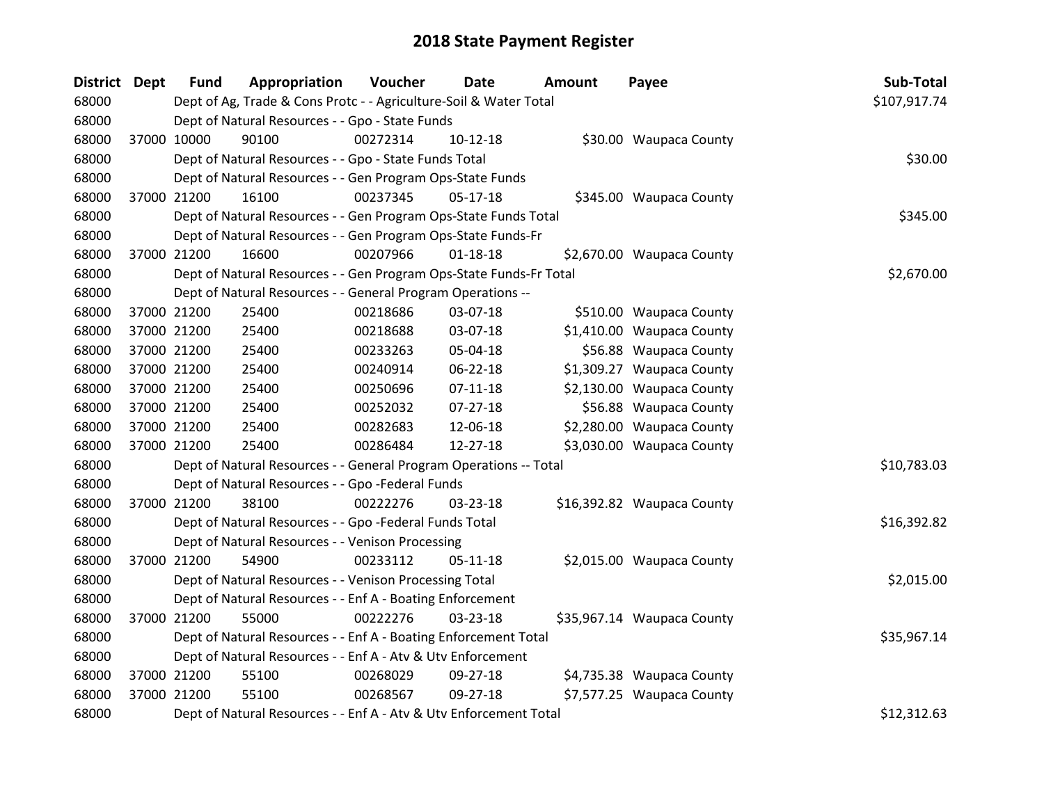| District Dept |             | <b>Fund</b> | Appropriation                                                      | Voucher  | Date           | <b>Amount</b> | Payee                      | Sub-Total    |
|---------------|-------------|-------------|--------------------------------------------------------------------|----------|----------------|---------------|----------------------------|--------------|
| 68000         |             |             | Dept of Ag, Trade & Cons Protc - - Agriculture-Soil & Water Total  |          |                |               |                            | \$107,917.74 |
| 68000         |             |             | Dept of Natural Resources - - Gpo - State Funds                    |          |                |               |                            |              |
| 68000         | 37000 10000 |             | 90100                                                              | 00272314 | $10-12-18$     |               | \$30.00 Waupaca County     |              |
| 68000         |             |             | Dept of Natural Resources - - Gpo - State Funds Total              |          |                |               |                            | \$30.00      |
| 68000         |             |             | Dept of Natural Resources - - Gen Program Ops-State Funds          |          |                |               |                            |              |
| 68000         | 37000 21200 |             | 16100                                                              | 00237345 | $05 - 17 - 18$ |               | \$345.00 Waupaca County    |              |
| 68000         |             |             | Dept of Natural Resources - - Gen Program Ops-State Funds Total    |          |                |               |                            | \$345.00     |
| 68000         |             |             | Dept of Natural Resources - - Gen Program Ops-State Funds-Fr       |          |                |               |                            |              |
| 68000         | 37000 21200 |             | 16600                                                              | 00207966 | $01 - 18 - 18$ |               | \$2,670.00 Waupaca County  |              |
| 68000         |             |             | Dept of Natural Resources - - Gen Program Ops-State Funds-Fr Total |          |                |               |                            | \$2,670.00   |
| 68000         |             |             | Dept of Natural Resources - - General Program Operations --        |          |                |               |                            |              |
| 68000         | 37000 21200 |             | 25400                                                              | 00218686 | 03-07-18       |               | \$510.00 Waupaca County    |              |
| 68000         | 37000 21200 |             | 25400                                                              | 00218688 | 03-07-18       |               | \$1,410.00 Waupaca County  |              |
| 68000         | 37000 21200 |             | 25400                                                              | 00233263 | 05-04-18       |               | \$56.88 Waupaca County     |              |
| 68000         | 37000 21200 |             | 25400                                                              | 00240914 | 06-22-18       |               | \$1,309.27 Waupaca County  |              |
| 68000         | 37000 21200 |             | 25400                                                              | 00250696 | $07-11-18$     |               | \$2,130.00 Waupaca County  |              |
| 68000         | 37000 21200 |             | 25400                                                              | 00252032 | 07-27-18       |               | \$56.88 Waupaca County     |              |
| 68000         | 37000 21200 |             | 25400                                                              | 00282683 | 12-06-18       |               | \$2,280.00 Waupaca County  |              |
| 68000         | 37000 21200 |             | 25400                                                              | 00286484 | 12-27-18       |               | \$3,030.00 Waupaca County  |              |
| 68000         |             |             | Dept of Natural Resources - - General Program Operations -- Total  |          |                |               |                            | \$10,783.03  |
| 68000         |             |             | Dept of Natural Resources - - Gpo -Federal Funds                   |          |                |               |                            |              |
| 68000         | 37000 21200 |             | 38100                                                              | 00222276 | 03-23-18       |               | \$16,392.82 Waupaca County |              |
| 68000         |             |             | Dept of Natural Resources - - Gpo -Federal Funds Total             |          |                |               |                            | \$16,392.82  |
| 68000         |             |             | Dept of Natural Resources - - Venison Processing                   |          |                |               |                            |              |
| 68000         | 37000 21200 |             | 54900                                                              | 00233112 | $05 - 11 - 18$ |               | \$2,015.00 Waupaca County  |              |
| 68000         |             |             | Dept of Natural Resources - - Venison Processing Total             |          |                |               |                            | \$2,015.00   |
| 68000         |             |             | Dept of Natural Resources - - Enf A - Boating Enforcement          |          |                |               |                            |              |
| 68000         | 37000 21200 |             | 55000                                                              | 00222276 | 03-23-18       |               | \$35,967.14 Waupaca County |              |
| 68000         |             |             | Dept of Natural Resources - - Enf A - Boating Enforcement Total    |          |                |               |                            | \$35,967.14  |
| 68000         |             |             | Dept of Natural Resources - - Enf A - Atv & Utv Enforcement        |          |                |               |                            |              |
| 68000         | 37000 21200 |             | 55100                                                              | 00268029 | 09-27-18       |               | \$4,735.38 Waupaca County  |              |
| 68000         | 37000 21200 |             | 55100                                                              | 00268567 | 09-27-18       |               | \$7,577.25 Waupaca County  |              |
| 68000         |             |             | Dept of Natural Resources - - Enf A - Atv & Utv Enforcement Total  |          |                |               |                            | \$12,312.63  |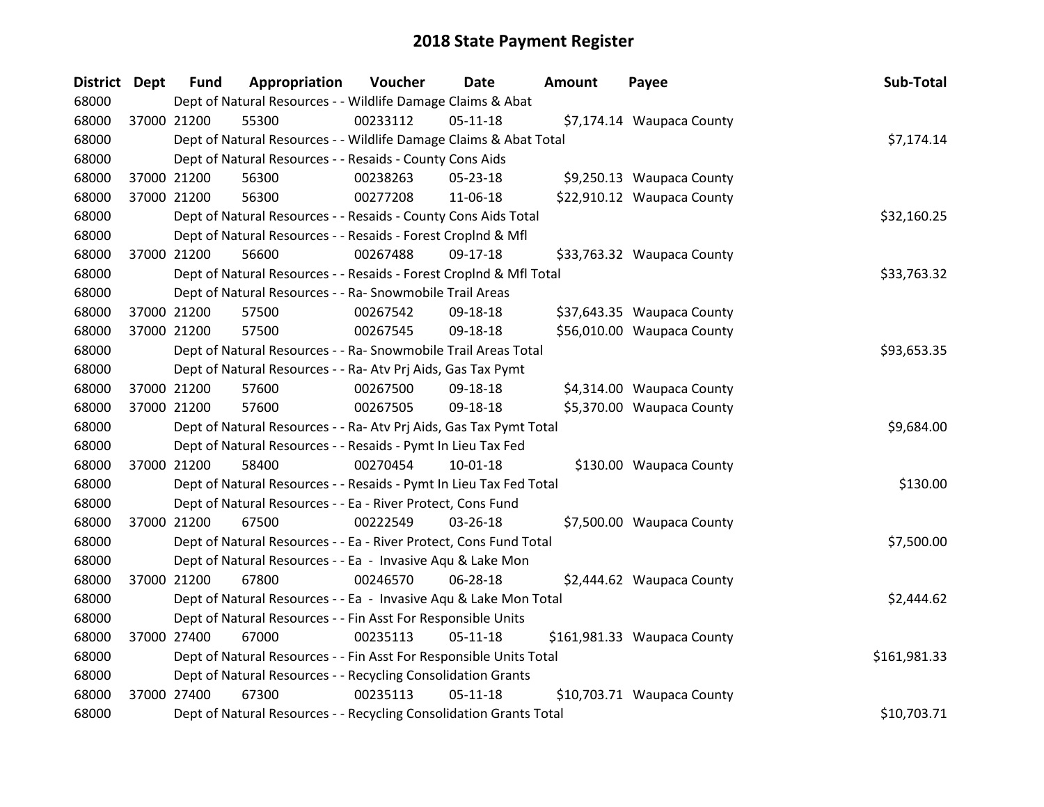| <b>District</b> | Dept | <b>Fund</b> | Appropriation                                                      | Voucher  | Date           | <b>Amount</b> | Payee                       | Sub-Total    |
|-----------------|------|-------------|--------------------------------------------------------------------|----------|----------------|---------------|-----------------------------|--------------|
| 68000           |      |             | Dept of Natural Resources - - Wildlife Damage Claims & Abat        |          |                |               |                             |              |
| 68000           |      | 37000 21200 | 55300                                                              | 00233112 | $05-11-18$     |               | \$7,174.14 Waupaca County   |              |
| 68000           |      |             | Dept of Natural Resources - - Wildlife Damage Claims & Abat Total  |          |                |               |                             | \$7,174.14   |
| 68000           |      |             | Dept of Natural Resources - - Resaids - County Cons Aids           |          |                |               |                             |              |
| 68000           |      | 37000 21200 | 56300                                                              | 00238263 | 05-23-18       |               | \$9,250.13 Waupaca County   |              |
| 68000           |      | 37000 21200 | 56300                                                              | 00277208 | 11-06-18       |               | \$22,910.12 Waupaca County  |              |
| 68000           |      |             | Dept of Natural Resources - - Resaids - County Cons Aids Total     |          |                |               |                             | \$32,160.25  |
| 68000           |      |             | Dept of Natural Resources - - Resaids - Forest CropInd & Mfl       |          |                |               |                             |              |
| 68000           |      | 37000 21200 | 56600                                                              | 00267488 | 09-17-18       |               | \$33,763.32 Waupaca County  |              |
| 68000           |      |             | Dept of Natural Resources - - Resaids - Forest CropInd & Mfl Total |          |                |               |                             | \$33,763.32  |
| 68000           |      |             | Dept of Natural Resources - - Ra- Snowmobile Trail Areas           |          |                |               |                             |              |
| 68000           |      | 37000 21200 | 57500                                                              | 00267542 | 09-18-18       |               | \$37,643.35 Waupaca County  |              |
| 68000           |      | 37000 21200 | 57500                                                              | 00267545 | 09-18-18       |               | \$56,010.00 Waupaca County  |              |
| 68000           |      |             | Dept of Natural Resources - - Ra- Snowmobile Trail Areas Total     |          |                |               |                             | \$93,653.35  |
| 68000           |      |             | Dept of Natural Resources - - Ra- Atv Prj Aids, Gas Tax Pymt       |          |                |               |                             |              |
| 68000           |      | 37000 21200 | 57600                                                              | 00267500 | 09-18-18       |               | \$4,314.00 Waupaca County   |              |
| 68000           |      | 37000 21200 | 57600                                                              | 00267505 | 09-18-18       |               | \$5,370.00 Waupaca County   |              |
| 68000           |      |             | Dept of Natural Resources - - Ra- Atv Prj Aids, Gas Tax Pymt Total |          |                |               |                             | \$9,684.00   |
| 68000           |      |             | Dept of Natural Resources - - Resaids - Pymt In Lieu Tax Fed       |          |                |               |                             |              |
| 68000           |      | 37000 21200 | 58400                                                              | 00270454 | $10-01-18$     |               | \$130.00 Waupaca County     |              |
| 68000           |      |             | Dept of Natural Resources - - Resaids - Pymt In Lieu Tax Fed Total |          |                |               |                             | \$130.00     |
| 68000           |      |             | Dept of Natural Resources - - Ea - River Protect, Cons Fund        |          |                |               |                             |              |
| 68000           |      | 37000 21200 | 67500                                                              | 00222549 | 03-26-18       |               | \$7,500.00 Waupaca County   |              |
| 68000           |      |             | Dept of Natural Resources - - Ea - River Protect, Cons Fund Total  |          |                |               |                             | \$7,500.00   |
| 68000           |      |             | Dept of Natural Resources - - Ea - Invasive Aqu & Lake Mon         |          |                |               |                             |              |
| 68000           |      | 37000 21200 | 67800                                                              | 00246570 | 06-28-18       |               | \$2,444.62 Waupaca County   |              |
| 68000           |      |             | Dept of Natural Resources - - Ea - Invasive Aqu & Lake Mon Total   |          |                |               |                             | \$2,444.62   |
| 68000           |      |             | Dept of Natural Resources - - Fin Asst For Responsible Units       |          |                |               |                             |              |
| 68000           |      | 37000 27400 | 67000                                                              | 00235113 | 05-11-18       |               | \$161,981.33 Waupaca County |              |
| 68000           |      |             | Dept of Natural Resources - - Fin Asst For Responsible Units Total |          |                |               |                             | \$161,981.33 |
| 68000           |      |             | Dept of Natural Resources - - Recycling Consolidation Grants       |          |                |               |                             |              |
| 68000           |      | 37000 27400 | 67300                                                              | 00235113 | $05 - 11 - 18$ |               | \$10,703.71 Waupaca County  |              |
| 68000           |      |             | Dept of Natural Resources - - Recycling Consolidation Grants Total |          |                |               |                             | \$10,703.71  |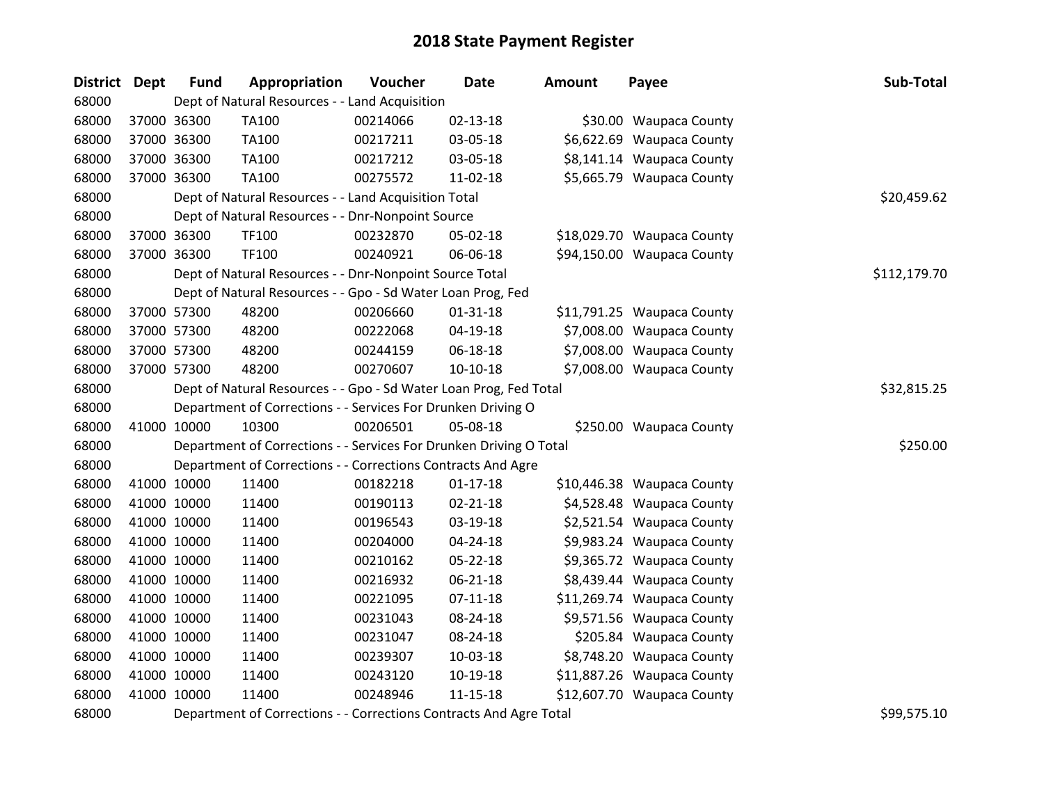| <b>District</b> | Dept | <b>Fund</b> | Appropriation                                                      | Voucher     | Date           | <b>Amount</b> | Payee                      | Sub-Total    |
|-----------------|------|-------------|--------------------------------------------------------------------|-------------|----------------|---------------|----------------------------|--------------|
| 68000           |      |             | Dept of Natural Resources - - Land Acquisition                     |             |                |               |                            |              |
| 68000           |      | 37000 36300 | TA100                                                              | 00214066    | $02 - 13 - 18$ |               | \$30.00 Waupaca County     |              |
| 68000           |      | 37000 36300 | TA100                                                              | 00217211    | 03-05-18       |               | \$6,622.69 Waupaca County  |              |
| 68000           |      | 37000 36300 | TA100                                                              | 00217212    | 03-05-18       |               | \$8,141.14 Waupaca County  |              |
| 68000           |      | 37000 36300 | <b>TA100</b>                                                       | 00275572    | $11-02-18$     |               | \$5,665.79 Waupaca County  |              |
| 68000           |      |             | Dept of Natural Resources - - Land Acquisition Total               |             |                |               |                            | \$20,459.62  |
| 68000           |      |             | Dept of Natural Resources - - Dnr-Nonpoint Source                  |             |                |               |                            |              |
| 68000           |      | 37000 36300 | TF100                                                              | 00232870    | 05-02-18       |               | \$18,029.70 Waupaca County |              |
| 68000           |      | 37000 36300 | TF100                                                              | 00240921    | 06-06-18       |               | \$94,150.00 Waupaca County |              |
| 68000           |      |             | Dept of Natural Resources - - Dnr-Nonpoint Source Total            |             |                |               |                            | \$112,179.70 |
| 68000           |      |             | Dept of Natural Resources - - Gpo - Sd Water Loan Prog, Fed        |             |                |               |                            |              |
| 68000           |      | 37000 57300 | 48200                                                              | 00206660    | $01 - 31 - 18$ |               | \$11,791.25 Waupaca County |              |
| 68000           |      | 37000 57300 | 48200                                                              | 00222068    | 04-19-18       |               | \$7,008.00 Waupaca County  |              |
| 68000           |      | 37000 57300 | 48200                                                              | 00244159    | 06-18-18       |               | \$7,008.00 Waupaca County  |              |
| 68000           |      | 37000 57300 | 48200                                                              | 00270607    | 10-10-18       |               | \$7,008.00 Waupaca County  |              |
| 68000           |      |             | Dept of Natural Resources - - Gpo - Sd Water Loan Prog, Fed Total  | \$32,815.25 |                |               |                            |              |
| 68000           |      |             | Department of Corrections - - Services For Drunken Driving O       |             |                |               |                            |              |
| 68000           |      | 41000 10000 | 10300                                                              | 00206501    | 05-08-18       |               | \$250.00 Waupaca County    |              |
| 68000           |      |             | Department of Corrections - - Services For Drunken Driving O Total |             |                |               |                            | \$250.00     |
| 68000           |      |             | Department of Corrections - - Corrections Contracts And Agre       |             |                |               |                            |              |
| 68000           |      | 41000 10000 | 11400                                                              | 00182218    | $01 - 17 - 18$ |               | \$10,446.38 Waupaca County |              |
| 68000           |      | 41000 10000 | 11400                                                              | 00190113    | 02-21-18       |               | \$4,528.48 Waupaca County  |              |
| 68000           |      | 41000 10000 | 11400                                                              | 00196543    | 03-19-18       |               | \$2,521.54 Waupaca County  |              |
| 68000           |      | 41000 10000 | 11400                                                              | 00204000    | 04-24-18       |               | \$9,983.24 Waupaca County  |              |
| 68000           |      | 41000 10000 | 11400                                                              | 00210162    | $05 - 22 - 18$ |               | \$9,365.72 Waupaca County  |              |
| 68000           |      | 41000 10000 | 11400                                                              | 00216932    | $06 - 21 - 18$ |               | \$8,439.44 Waupaca County  |              |
| 68000           |      | 41000 10000 | 11400                                                              | 00221095    | $07 - 11 - 18$ |               | \$11,269.74 Waupaca County |              |
| 68000           |      | 41000 10000 | 11400                                                              | 00231043    | 08-24-18       |               | \$9,571.56 Waupaca County  |              |
| 68000           |      | 41000 10000 | 11400                                                              | 00231047    | 08-24-18       |               | \$205.84 Waupaca County    |              |
| 68000           |      | 41000 10000 | 11400                                                              | 00239307    | 10-03-18       |               | \$8,748.20 Waupaca County  |              |
| 68000           |      | 41000 10000 | 11400                                                              | 00243120    | 10-19-18       |               | \$11,887.26 Waupaca County |              |
| 68000           |      | 41000 10000 | 11400                                                              | 00248946    | $11 - 15 - 18$ |               | \$12,607.70 Waupaca County |              |
| 68000           |      |             | Department of Corrections - - Corrections Contracts And Agre Total |             |                |               |                            | \$99,575.10  |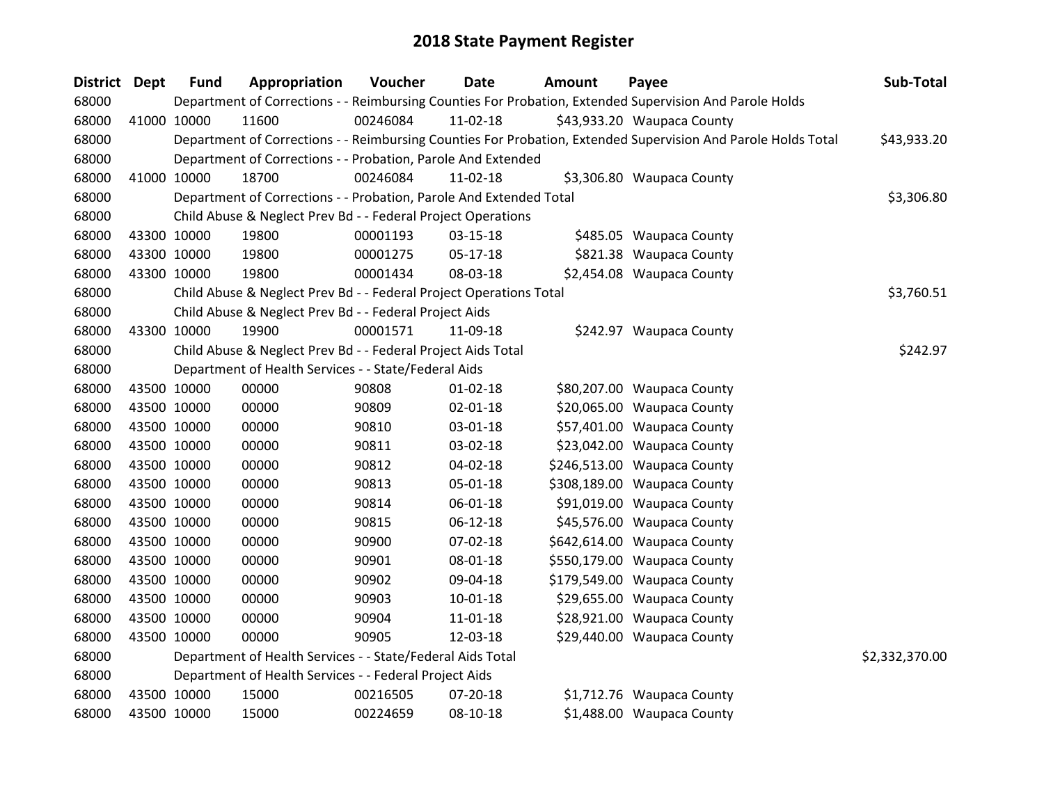| District Dept | <b>Fund</b> | Appropriation                                                      | Voucher  | Date           | Amount | Payee                                                                                                         | Sub-Total      |
|---------------|-------------|--------------------------------------------------------------------|----------|----------------|--------|---------------------------------------------------------------------------------------------------------------|----------------|
| 68000         |             |                                                                    |          |                |        | Department of Corrections - - Reimbursing Counties For Probation, Extended Supervision And Parole Holds       |                |
| 68000         | 41000 10000 | 11600                                                              | 00246084 | $11-02-18$     |        | \$43,933.20 Waupaca County                                                                                    |                |
| 68000         |             |                                                                    |          |                |        | Department of Corrections - - Reimbursing Counties For Probation, Extended Supervision And Parole Holds Total | \$43,933.20    |
| 68000         |             | Department of Corrections - - Probation, Parole And Extended       |          |                |        |                                                                                                               |                |
| 68000         | 41000 10000 | 18700                                                              | 00246084 | 11-02-18       |        | \$3,306.80 Waupaca County                                                                                     |                |
| 68000         |             | Department of Corrections - - Probation, Parole And Extended Total |          |                |        |                                                                                                               | \$3,306.80     |
| 68000         |             | Child Abuse & Neglect Prev Bd - - Federal Project Operations       |          |                |        |                                                                                                               |                |
| 68000         | 43300 10000 | 19800                                                              | 00001193 | 03-15-18       |        | \$485.05 Waupaca County                                                                                       |                |
| 68000         | 43300 10000 | 19800                                                              | 00001275 | $05-17-18$     |        | \$821.38 Waupaca County                                                                                       |                |
| 68000         | 43300 10000 | 19800                                                              | 00001434 | 08-03-18       |        | \$2,454.08 Waupaca County                                                                                     |                |
| 68000         |             | Child Abuse & Neglect Prev Bd - - Federal Project Operations Total |          |                |        |                                                                                                               | \$3,760.51     |
| 68000         |             | Child Abuse & Neglect Prev Bd - - Federal Project Aids             |          |                |        |                                                                                                               |                |
| 68000         | 43300 10000 | 19900                                                              | 00001571 | 11-09-18       |        | \$242.97 Waupaca County                                                                                       |                |
| 68000         |             | Child Abuse & Neglect Prev Bd - - Federal Project Aids Total       |          |                |        |                                                                                                               | \$242.97       |
| 68000         |             | Department of Health Services - - State/Federal Aids               |          |                |        |                                                                                                               |                |
| 68000         | 43500 10000 | 00000                                                              | 90808    | $01 - 02 - 18$ |        | \$80,207.00 Waupaca County                                                                                    |                |
| 68000         | 43500 10000 | 00000                                                              | 90809    | $02 - 01 - 18$ |        | \$20,065.00 Waupaca County                                                                                    |                |
| 68000         | 43500 10000 | 00000                                                              | 90810    | 03-01-18       |        | \$57,401.00 Waupaca County                                                                                    |                |
| 68000         | 43500 10000 | 00000                                                              | 90811    | 03-02-18       |        | \$23,042.00 Waupaca County                                                                                    |                |
| 68000         | 43500 10000 | 00000                                                              | 90812    | 04-02-18       |        | \$246,513.00 Waupaca County                                                                                   |                |
| 68000         | 43500 10000 | 00000                                                              | 90813    | 05-01-18       |        | \$308,189.00 Waupaca County                                                                                   |                |
| 68000         | 43500 10000 | 00000                                                              | 90814    | 06-01-18       |        | \$91,019.00 Waupaca County                                                                                    |                |
| 68000         | 43500 10000 | 00000                                                              | 90815    | 06-12-18       |        | \$45,576.00 Waupaca County                                                                                    |                |
| 68000         | 43500 10000 | 00000                                                              | 90900    | 07-02-18       |        | \$642,614.00 Waupaca County                                                                                   |                |
| 68000         | 43500 10000 | 00000                                                              | 90901    | 08-01-18       |        | \$550,179.00 Waupaca County                                                                                   |                |
| 68000         | 43500 10000 | 00000                                                              | 90902    | 09-04-18       |        | \$179,549.00 Waupaca County                                                                                   |                |
| 68000         | 43500 10000 | 00000                                                              | 90903    | $10 - 01 - 18$ |        | \$29,655.00 Waupaca County                                                                                    |                |
| 68000         | 43500 10000 | 00000                                                              | 90904    | 11-01-18       |        | \$28,921.00 Waupaca County                                                                                    |                |
| 68000         | 43500 10000 | 00000                                                              | 90905    | 12-03-18       |        | \$29,440.00 Waupaca County                                                                                    |                |
| 68000         |             | Department of Health Services - - State/Federal Aids Total         |          |                |        |                                                                                                               | \$2,332,370.00 |
| 68000         |             | Department of Health Services - - Federal Project Aids             |          |                |        |                                                                                                               |                |
| 68000         | 43500 10000 | 15000                                                              | 00216505 | 07-20-18       |        | \$1,712.76 Waupaca County                                                                                     |                |
| 68000         | 43500 10000 | 15000                                                              | 00224659 | 08-10-18       |        | \$1,488.00 Waupaca County                                                                                     |                |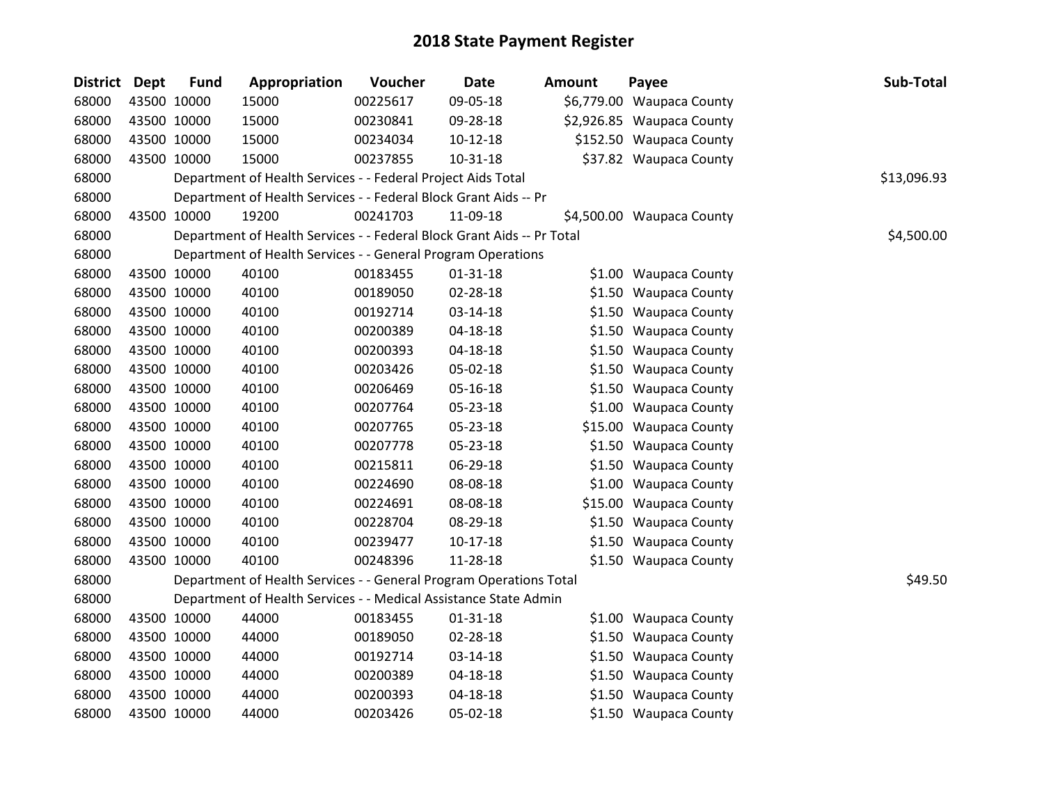| <b>District Dept</b> | <b>Fund</b> | Appropriation                                                          | Voucher  | <b>Date</b>    | Amount | Payee                     | Sub-Total   |
|----------------------|-------------|------------------------------------------------------------------------|----------|----------------|--------|---------------------------|-------------|
| 68000                | 43500 10000 | 15000                                                                  | 00225617 | 09-05-18       |        | \$6,779.00 Waupaca County |             |
| 68000                | 43500 10000 | 15000                                                                  | 00230841 | 09-28-18       |        | \$2,926.85 Waupaca County |             |
| 68000                | 43500 10000 | 15000                                                                  | 00234034 | $10-12-18$     |        | \$152.50 Waupaca County   |             |
| 68000                | 43500 10000 | 15000                                                                  | 00237855 | 10-31-18       |        | \$37.82 Waupaca County    |             |
| 68000                |             | Department of Health Services - - Federal Project Aids Total           |          |                |        |                           | \$13,096.93 |
| 68000                |             | Department of Health Services - - Federal Block Grant Aids -- Pr       |          |                |        |                           |             |
| 68000                | 43500 10000 | 19200                                                                  | 00241703 | 11-09-18       |        | \$4,500.00 Waupaca County |             |
| 68000                |             | Department of Health Services - - Federal Block Grant Aids -- Pr Total |          |                |        |                           | \$4,500.00  |
| 68000                |             | Department of Health Services - - General Program Operations           |          |                |        |                           |             |
| 68000                | 43500 10000 | 40100                                                                  | 00183455 | $01 - 31 - 18$ |        | \$1.00 Waupaca County     |             |
| 68000                | 43500 10000 | 40100                                                                  | 00189050 | 02-28-18       |        | \$1.50 Waupaca County     |             |
| 68000                | 43500 10000 | 40100                                                                  | 00192714 | 03-14-18       |        | \$1.50 Waupaca County     |             |
| 68000                | 43500 10000 | 40100                                                                  | 00200389 | 04-18-18       |        | \$1.50 Waupaca County     |             |
| 68000                | 43500 10000 | 40100                                                                  | 00200393 | 04-18-18       |        | \$1.50 Waupaca County     |             |
| 68000                | 43500 10000 | 40100                                                                  | 00203426 | 05-02-18       |        | \$1.50 Waupaca County     |             |
| 68000                | 43500 10000 | 40100                                                                  | 00206469 | 05-16-18       |        | \$1.50 Waupaca County     |             |
| 68000                | 43500 10000 | 40100                                                                  | 00207764 | 05-23-18       |        | \$1.00 Waupaca County     |             |
| 68000                | 43500 10000 | 40100                                                                  | 00207765 | 05-23-18       |        | \$15.00 Waupaca County    |             |
| 68000                | 43500 10000 | 40100                                                                  | 00207778 | 05-23-18       |        | \$1.50 Waupaca County     |             |
| 68000                | 43500 10000 | 40100                                                                  | 00215811 | 06-29-18       |        | \$1.50 Waupaca County     |             |
| 68000                | 43500 10000 | 40100                                                                  | 00224690 | 08-08-18       |        | \$1.00 Waupaca County     |             |
| 68000                | 43500 10000 | 40100                                                                  | 00224691 | 08-08-18       |        | \$15.00 Waupaca County    |             |
| 68000                | 43500 10000 | 40100                                                                  | 00228704 | 08-29-18       |        | \$1.50 Waupaca County     |             |
| 68000                | 43500 10000 | 40100                                                                  | 00239477 | $10-17-18$     |        | \$1.50 Waupaca County     |             |
| 68000                | 43500 10000 | 40100                                                                  | 00248396 | 11-28-18       |        | \$1.50 Waupaca County     |             |
| 68000                |             | Department of Health Services - - General Program Operations Total     |          |                |        |                           | \$49.50     |
| 68000                |             | Department of Health Services - - Medical Assistance State Admin       |          |                |        |                           |             |
| 68000                | 43500 10000 | 44000                                                                  | 00183455 | $01 - 31 - 18$ |        | \$1.00 Waupaca County     |             |
| 68000                | 43500 10000 | 44000                                                                  | 00189050 | 02-28-18       |        | \$1.50 Waupaca County     |             |
| 68000                | 43500 10000 | 44000                                                                  | 00192714 | 03-14-18       |        | \$1.50 Waupaca County     |             |
| 68000                | 43500 10000 | 44000                                                                  | 00200389 | 04-18-18       |        | \$1.50 Waupaca County     |             |
| 68000                | 43500 10000 | 44000                                                                  | 00200393 | 04-18-18       |        | \$1.50 Waupaca County     |             |
| 68000                | 43500 10000 | 44000                                                                  | 00203426 | 05-02-18       |        | \$1.50 Waupaca County     |             |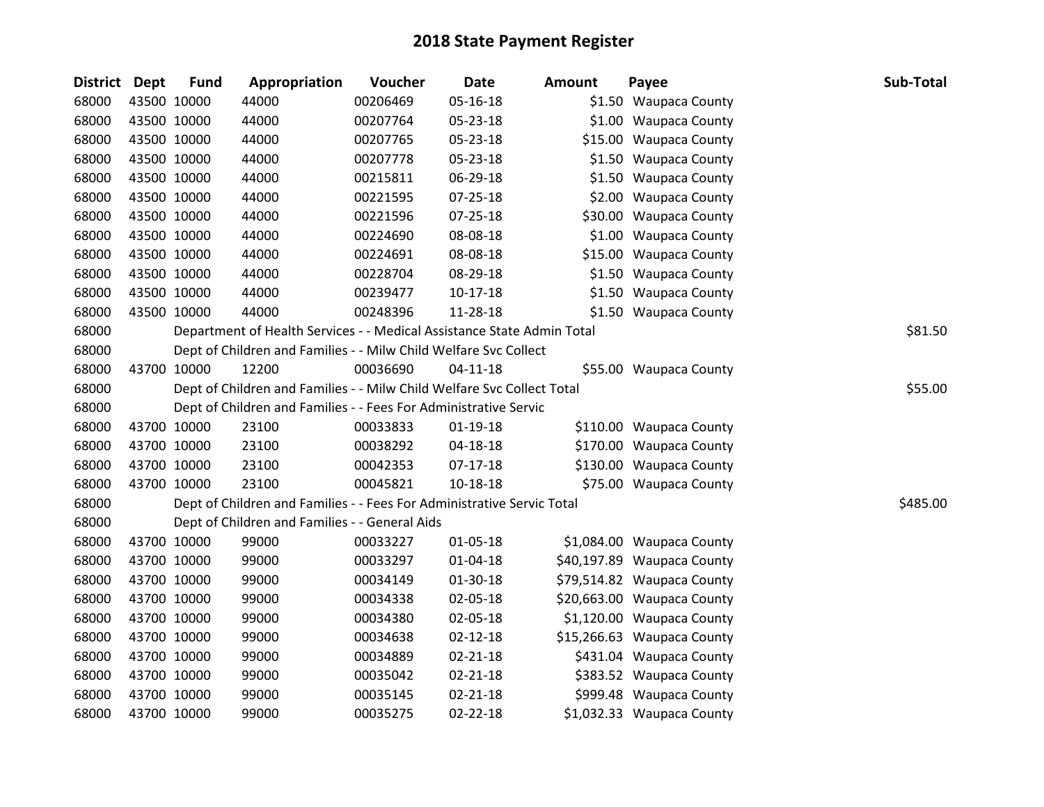| District Dept |             | <b>Fund</b> | Appropriation                                                          | Voucher  | Date           | <b>Amount</b> | Payee                      | Sub-Total |
|---------------|-------------|-------------|------------------------------------------------------------------------|----------|----------------|---------------|----------------------------|-----------|
| 68000         | 43500 10000 |             | 44000                                                                  | 00206469 | 05-16-18       |               | \$1.50 Waupaca County      |           |
| 68000         | 43500 10000 |             | 44000                                                                  | 00207764 | 05-23-18       |               | \$1.00 Waupaca County      |           |
| 68000         | 43500 10000 |             | 44000                                                                  | 00207765 | 05-23-18       |               | \$15.00 Waupaca County     |           |
| 68000         | 43500 10000 |             | 44000                                                                  | 00207778 | 05-23-18       |               | \$1.50 Waupaca County      |           |
| 68000         | 43500 10000 |             | 44000                                                                  | 00215811 | 06-29-18       |               | \$1.50 Waupaca County      |           |
| 68000         | 43500 10000 |             | 44000                                                                  | 00221595 | 07-25-18       |               | \$2.00 Waupaca County      |           |
| 68000         |             | 43500 10000 | 44000                                                                  | 00221596 | 07-25-18       |               | \$30.00 Waupaca County     |           |
| 68000         |             | 43500 10000 | 44000                                                                  | 00224690 | 08-08-18       |               | \$1.00 Waupaca County      |           |
| 68000         | 43500 10000 |             | 44000                                                                  | 00224691 | 08-08-18       |               | \$15.00 Waupaca County     |           |
| 68000         | 43500 10000 |             | 44000                                                                  | 00228704 | 08-29-18       |               | \$1.50 Waupaca County      |           |
| 68000         |             | 43500 10000 | 44000                                                                  | 00239477 | $10-17-18$     |               | \$1.50 Waupaca County      |           |
| 68000         |             | 43500 10000 | 44000                                                                  | 00248396 | 11-28-18       |               | \$1.50 Waupaca County      |           |
| 68000         |             |             | Department of Health Services - - Medical Assistance State Admin Total |          |                |               |                            | \$81.50   |
| 68000         |             |             | Dept of Children and Families - - Milw Child Welfare Svc Collect       |          |                |               |                            |           |
| 68000         | 43700 10000 |             | 12200                                                                  | 00036690 | $04 - 11 - 18$ |               | \$55.00 Waupaca County     |           |
| 68000         |             |             | Dept of Children and Families - - Milw Child Welfare Svc Collect Total |          |                |               |                            | \$55.00   |
| 68000         |             |             | Dept of Children and Families - - Fees For Administrative Servic       |          |                |               |                            |           |
| 68000         |             | 43700 10000 | 23100                                                                  | 00033833 | $01 - 19 - 18$ |               | \$110.00 Waupaca County    |           |
| 68000         | 43700 10000 |             | 23100                                                                  | 00038292 | 04-18-18       |               | \$170.00 Waupaca County    |           |
| 68000         | 43700 10000 |             | 23100                                                                  | 00042353 | $07-17-18$     |               | \$130.00 Waupaca County    |           |
| 68000         | 43700 10000 |             | 23100                                                                  | 00045821 | $10 - 18 - 18$ |               | \$75.00 Waupaca County     |           |
| 68000         |             |             | Dept of Children and Families - - Fees For Administrative Servic Total |          |                |               |                            | \$485.00  |
| 68000         |             |             | Dept of Children and Families - - General Aids                         |          |                |               |                            |           |
| 68000         |             | 43700 10000 | 99000                                                                  | 00033227 | 01-05-18       |               | \$1,084.00 Waupaca County  |           |
| 68000         |             | 43700 10000 | 99000                                                                  | 00033297 | 01-04-18       |               | \$40,197.89 Waupaca County |           |
| 68000         |             | 43700 10000 | 99000                                                                  | 00034149 | 01-30-18       |               | \$79,514.82 Waupaca County |           |
| 68000         | 43700 10000 |             | 99000                                                                  | 00034338 | 02-05-18       |               | \$20,663.00 Waupaca County |           |
| 68000         | 43700 10000 |             | 99000                                                                  | 00034380 | 02-05-18       |               | \$1,120.00 Waupaca County  |           |
| 68000         | 43700 10000 |             | 99000                                                                  | 00034638 | 02-12-18       |               | \$15,266.63 Waupaca County |           |
| 68000         |             | 43700 10000 | 99000                                                                  | 00034889 | 02-21-18       |               | \$431.04 Waupaca County    |           |
| 68000         | 43700 10000 |             | 99000                                                                  | 00035042 | $02 - 21 - 18$ |               | \$383.52 Waupaca County    |           |
| 68000         | 43700 10000 |             | 99000                                                                  | 00035145 | $02 - 21 - 18$ |               | \$999.48 Waupaca County    |           |
| 68000         | 43700 10000 |             | 99000                                                                  | 00035275 | $02 - 22 - 18$ |               | \$1,032.33 Waupaca County  |           |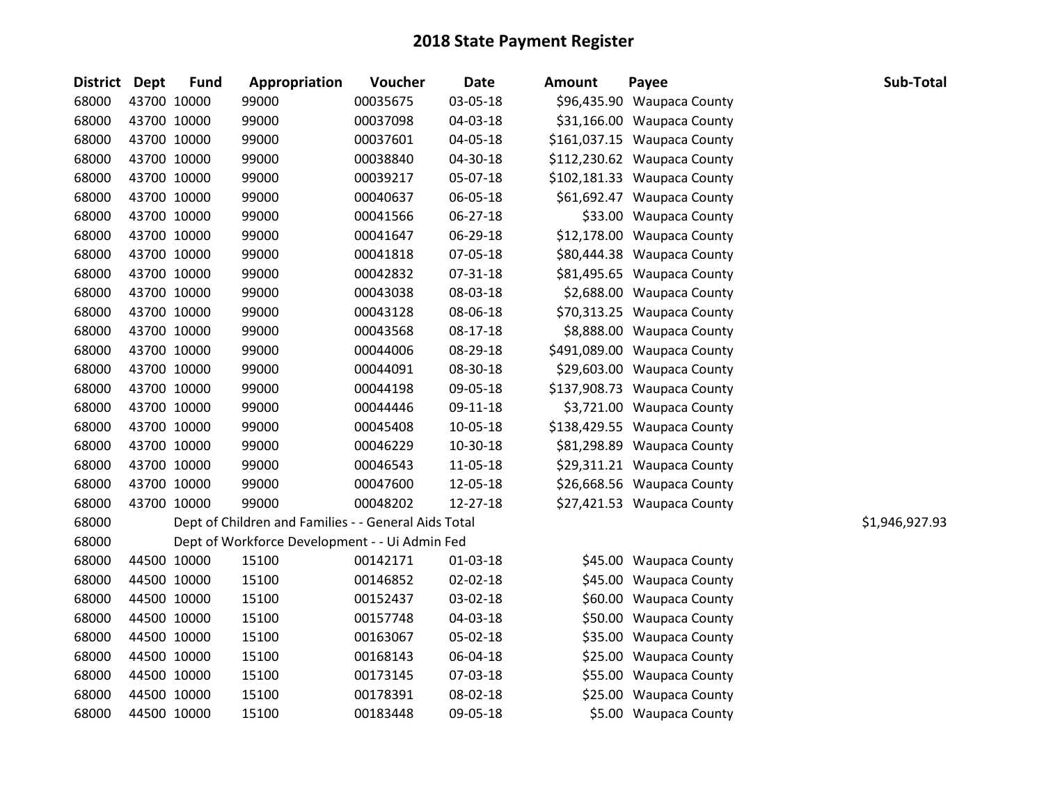| Dept | <b>Fund</b>     | Appropriation                                                                                                                                                                                                                                                                                                                                                                                                                                                                 | Voucher  | <b>Date</b> | <b>Amount</b>                                                                                          | Payee | Sub-Total                                                                                                                                                                                                                                                                                                                                                                                                                                                                                                                                                                                                                                                                                                                                                                                                                                                                                                                |
|------|-----------------|-------------------------------------------------------------------------------------------------------------------------------------------------------------------------------------------------------------------------------------------------------------------------------------------------------------------------------------------------------------------------------------------------------------------------------------------------------------------------------|----------|-------------|--------------------------------------------------------------------------------------------------------|-------|--------------------------------------------------------------------------------------------------------------------------------------------------------------------------------------------------------------------------------------------------------------------------------------------------------------------------------------------------------------------------------------------------------------------------------------------------------------------------------------------------------------------------------------------------------------------------------------------------------------------------------------------------------------------------------------------------------------------------------------------------------------------------------------------------------------------------------------------------------------------------------------------------------------------------|
|      |                 | 99000                                                                                                                                                                                                                                                                                                                                                                                                                                                                         | 00035675 | 03-05-18    |                                                                                                        |       |                                                                                                                                                                                                                                                                                                                                                                                                                                                                                                                                                                                                                                                                                                                                                                                                                                                                                                                          |
|      |                 | 99000                                                                                                                                                                                                                                                                                                                                                                                                                                                                         | 00037098 | 04-03-18    |                                                                                                        |       |                                                                                                                                                                                                                                                                                                                                                                                                                                                                                                                                                                                                                                                                                                                                                                                                                                                                                                                          |
|      |                 | 99000                                                                                                                                                                                                                                                                                                                                                                                                                                                                         | 00037601 | 04-05-18    |                                                                                                        |       |                                                                                                                                                                                                                                                                                                                                                                                                                                                                                                                                                                                                                                                                                                                                                                                                                                                                                                                          |
|      |                 | 99000                                                                                                                                                                                                                                                                                                                                                                                                                                                                         | 00038840 | 04-30-18    |                                                                                                        |       |                                                                                                                                                                                                                                                                                                                                                                                                                                                                                                                                                                                                                                                                                                                                                                                                                                                                                                                          |
|      |                 | 99000                                                                                                                                                                                                                                                                                                                                                                                                                                                                         | 00039217 | 05-07-18    |                                                                                                        |       |                                                                                                                                                                                                                                                                                                                                                                                                                                                                                                                                                                                                                                                                                                                                                                                                                                                                                                                          |
|      |                 | 99000                                                                                                                                                                                                                                                                                                                                                                                                                                                                         | 00040637 | 06-05-18    |                                                                                                        |       |                                                                                                                                                                                                                                                                                                                                                                                                                                                                                                                                                                                                                                                                                                                                                                                                                                                                                                                          |
|      |                 | 99000                                                                                                                                                                                                                                                                                                                                                                                                                                                                         | 00041566 | 06-27-18    |                                                                                                        |       |                                                                                                                                                                                                                                                                                                                                                                                                                                                                                                                                                                                                                                                                                                                                                                                                                                                                                                                          |
|      |                 | 99000                                                                                                                                                                                                                                                                                                                                                                                                                                                                         | 00041647 | 06-29-18    |                                                                                                        |       |                                                                                                                                                                                                                                                                                                                                                                                                                                                                                                                                                                                                                                                                                                                                                                                                                                                                                                                          |
|      |                 | 99000                                                                                                                                                                                                                                                                                                                                                                                                                                                                         | 00041818 | 07-05-18    |                                                                                                        |       |                                                                                                                                                                                                                                                                                                                                                                                                                                                                                                                                                                                                                                                                                                                                                                                                                                                                                                                          |
|      |                 | 99000                                                                                                                                                                                                                                                                                                                                                                                                                                                                         | 00042832 | 07-31-18    |                                                                                                        |       |                                                                                                                                                                                                                                                                                                                                                                                                                                                                                                                                                                                                                                                                                                                                                                                                                                                                                                                          |
|      |                 | 99000                                                                                                                                                                                                                                                                                                                                                                                                                                                                         | 00043038 | 08-03-18    |                                                                                                        |       |                                                                                                                                                                                                                                                                                                                                                                                                                                                                                                                                                                                                                                                                                                                                                                                                                                                                                                                          |
|      |                 | 99000                                                                                                                                                                                                                                                                                                                                                                                                                                                                         | 00043128 | 08-06-18    |                                                                                                        |       |                                                                                                                                                                                                                                                                                                                                                                                                                                                                                                                                                                                                                                                                                                                                                                                                                                                                                                                          |
|      |                 | 99000                                                                                                                                                                                                                                                                                                                                                                                                                                                                         | 00043568 | 08-17-18    |                                                                                                        |       |                                                                                                                                                                                                                                                                                                                                                                                                                                                                                                                                                                                                                                                                                                                                                                                                                                                                                                                          |
|      |                 | 99000                                                                                                                                                                                                                                                                                                                                                                                                                                                                         | 00044006 | 08-29-18    |                                                                                                        |       |                                                                                                                                                                                                                                                                                                                                                                                                                                                                                                                                                                                                                                                                                                                                                                                                                                                                                                                          |
|      |                 | 99000                                                                                                                                                                                                                                                                                                                                                                                                                                                                         | 00044091 | 08-30-18    |                                                                                                        |       |                                                                                                                                                                                                                                                                                                                                                                                                                                                                                                                                                                                                                                                                                                                                                                                                                                                                                                                          |
|      |                 | 99000                                                                                                                                                                                                                                                                                                                                                                                                                                                                         | 00044198 | 09-05-18    |                                                                                                        |       |                                                                                                                                                                                                                                                                                                                                                                                                                                                                                                                                                                                                                                                                                                                                                                                                                                                                                                                          |
|      |                 | 99000                                                                                                                                                                                                                                                                                                                                                                                                                                                                         | 00044446 | 09-11-18    |                                                                                                        |       |                                                                                                                                                                                                                                                                                                                                                                                                                                                                                                                                                                                                                                                                                                                                                                                                                                                                                                                          |
|      |                 | 99000                                                                                                                                                                                                                                                                                                                                                                                                                                                                         | 00045408 | 10-05-18    |                                                                                                        |       |                                                                                                                                                                                                                                                                                                                                                                                                                                                                                                                                                                                                                                                                                                                                                                                                                                                                                                                          |
|      |                 | 99000                                                                                                                                                                                                                                                                                                                                                                                                                                                                         | 00046229 | 10-30-18    |                                                                                                        |       |                                                                                                                                                                                                                                                                                                                                                                                                                                                                                                                                                                                                                                                                                                                                                                                                                                                                                                                          |
|      |                 | 99000                                                                                                                                                                                                                                                                                                                                                                                                                                                                         | 00046543 | 11-05-18    |                                                                                                        |       |                                                                                                                                                                                                                                                                                                                                                                                                                                                                                                                                                                                                                                                                                                                                                                                                                                                                                                                          |
|      |                 | 99000                                                                                                                                                                                                                                                                                                                                                                                                                                                                         | 00047600 | 12-05-18    |                                                                                                        |       |                                                                                                                                                                                                                                                                                                                                                                                                                                                                                                                                                                                                                                                                                                                                                                                                                                                                                                                          |
|      |                 | 99000                                                                                                                                                                                                                                                                                                                                                                                                                                                                         | 00048202 | 12-27-18    |                                                                                                        |       |                                                                                                                                                                                                                                                                                                                                                                                                                                                                                                                                                                                                                                                                                                                                                                                                                                                                                                                          |
|      |                 |                                                                                                                                                                                                                                                                                                                                                                                                                                                                               |          |             |                                                                                                        |       | \$1,946,927.93                                                                                                                                                                                                                                                                                                                                                                                                                                                                                                                                                                                                                                                                                                                                                                                                                                                                                                           |
|      |                 |                                                                                                                                                                                                                                                                                                                                                                                                                                                                               |          |             |                                                                                                        |       |                                                                                                                                                                                                                                                                                                                                                                                                                                                                                                                                                                                                                                                                                                                                                                                                                                                                                                                          |
|      |                 | 15100                                                                                                                                                                                                                                                                                                                                                                                                                                                                         | 00142171 | 01-03-18    |                                                                                                        |       |                                                                                                                                                                                                                                                                                                                                                                                                                                                                                                                                                                                                                                                                                                                                                                                                                                                                                                                          |
|      |                 | 15100                                                                                                                                                                                                                                                                                                                                                                                                                                                                         | 00146852 | 02-02-18    |                                                                                                        |       |                                                                                                                                                                                                                                                                                                                                                                                                                                                                                                                                                                                                                                                                                                                                                                                                                                                                                                                          |
|      |                 | 15100                                                                                                                                                                                                                                                                                                                                                                                                                                                                         | 00152437 | 03-02-18    |                                                                                                        |       |                                                                                                                                                                                                                                                                                                                                                                                                                                                                                                                                                                                                                                                                                                                                                                                                                                                                                                                          |
|      |                 | 15100                                                                                                                                                                                                                                                                                                                                                                                                                                                                         | 00157748 | 04-03-18    |                                                                                                        |       |                                                                                                                                                                                                                                                                                                                                                                                                                                                                                                                                                                                                                                                                                                                                                                                                                                                                                                                          |
|      |                 | 15100                                                                                                                                                                                                                                                                                                                                                                                                                                                                         | 00163067 | 05-02-18    |                                                                                                        |       |                                                                                                                                                                                                                                                                                                                                                                                                                                                                                                                                                                                                                                                                                                                                                                                                                                                                                                                          |
|      |                 | 15100                                                                                                                                                                                                                                                                                                                                                                                                                                                                         | 00168143 | 06-04-18    |                                                                                                        |       |                                                                                                                                                                                                                                                                                                                                                                                                                                                                                                                                                                                                                                                                                                                                                                                                                                                                                                                          |
|      |                 | 15100                                                                                                                                                                                                                                                                                                                                                                                                                                                                         | 00173145 | 07-03-18    |                                                                                                        |       |                                                                                                                                                                                                                                                                                                                                                                                                                                                                                                                                                                                                                                                                                                                                                                                                                                                                                                                          |
|      |                 | 15100                                                                                                                                                                                                                                                                                                                                                                                                                                                                         | 00178391 | 08-02-18    |                                                                                                        |       |                                                                                                                                                                                                                                                                                                                                                                                                                                                                                                                                                                                                                                                                                                                                                                                                                                                                                                                          |
|      |                 | 15100                                                                                                                                                                                                                                                                                                                                                                                                                                                                         | 00183448 | 09-05-18    |                                                                                                        |       |                                                                                                                                                                                                                                                                                                                                                                                                                                                                                                                                                                                                                                                                                                                                                                                                                                                                                                                          |
|      | <b>District</b> | 43700 10000<br>43700 10000<br>43700 10000<br>43700 10000<br>43700 10000<br>43700 10000<br>43700 10000<br>43700 10000<br>43700 10000<br>43700 10000<br>43700 10000<br>43700 10000<br>43700 10000<br>43700 10000<br>43700 10000<br>43700 10000<br>43700 10000<br>43700 10000<br>43700 10000<br>43700 10000<br>43700 10000<br>43700 10000<br>44500 10000<br>44500 10000<br>44500 10000<br>44500 10000<br>44500 10000<br>44500 10000<br>44500 10000<br>44500 10000<br>44500 10000 |          |             | Dept of Children and Families - - General Aids Total<br>Dept of Workforce Development - - Ui Admin Fed |       | \$96,435.90 Waupaca County<br>\$31,166.00 Waupaca County<br>\$161,037.15 Waupaca County<br>\$112,230.62 Waupaca County<br>\$102,181.33 Waupaca County<br>\$61,692.47 Waupaca County<br>\$33.00 Waupaca County<br>\$12,178.00 Waupaca County<br>\$80,444.38 Waupaca County<br>\$81,495.65 Waupaca County<br>\$2,688.00 Waupaca County<br>\$70,313.25 Waupaca County<br>\$8,888.00 Waupaca County<br>\$491,089.00 Waupaca County<br>\$29,603.00 Waupaca County<br>\$137,908.73 Waupaca County<br>\$3,721.00 Waupaca County<br>\$138,429.55 Waupaca County<br>\$81,298.89 Waupaca County<br>\$29,311.21 Waupaca County<br>\$26,668.56 Waupaca County<br>\$27,421.53 Waupaca County<br>\$45.00 Waupaca County<br>\$45.00 Waupaca County<br>\$60.00 Waupaca County<br>\$50.00 Waupaca County<br>\$35.00 Waupaca County<br>\$25.00 Waupaca County<br>\$55.00 Waupaca County<br>\$25.00 Waupaca County<br>\$5.00 Waupaca County |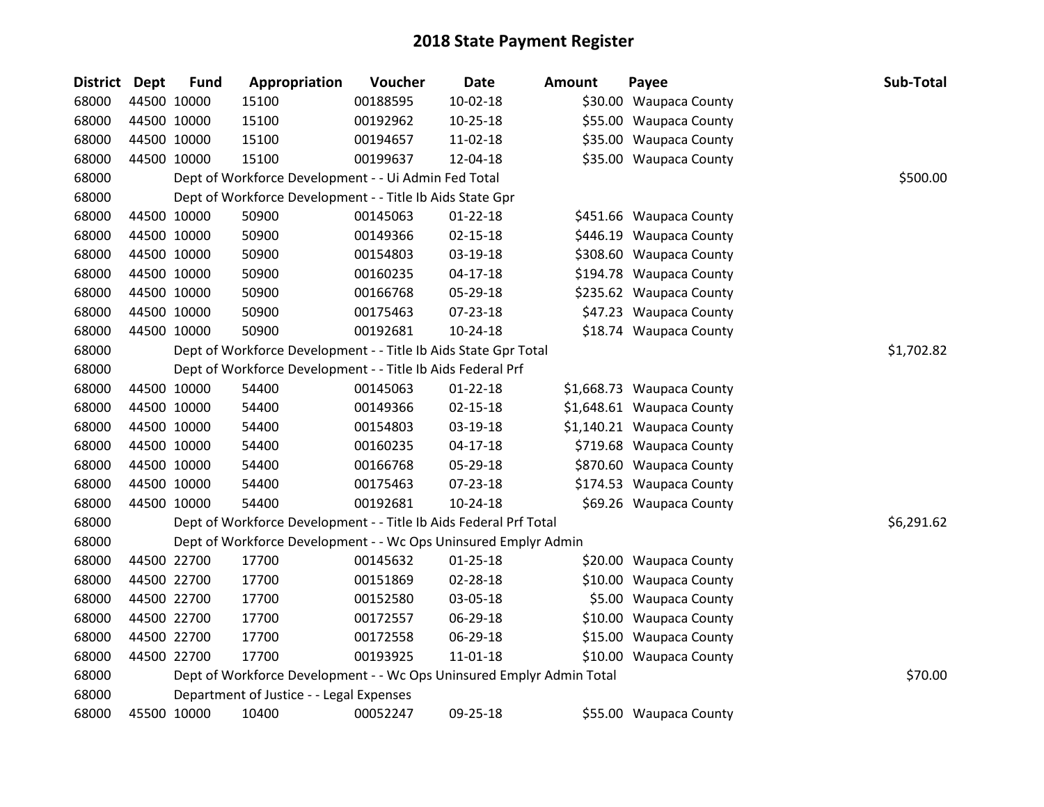| <b>District</b> | <b>Dept</b> | <b>Fund</b> | Appropriation                                                         | Voucher  | Date           | Amount | Payee                     | Sub-Total  |
|-----------------|-------------|-------------|-----------------------------------------------------------------------|----------|----------------|--------|---------------------------|------------|
| 68000           |             | 44500 10000 | 15100                                                                 | 00188595 | $10-02-18$     |        | \$30.00 Waupaca County    |            |
| 68000           |             | 44500 10000 | 15100                                                                 | 00192962 | $10 - 25 - 18$ |        | \$55.00 Waupaca County    |            |
| 68000           |             | 44500 10000 | 15100                                                                 | 00194657 | 11-02-18       |        | \$35.00 Waupaca County    |            |
| 68000           |             | 44500 10000 | 15100                                                                 | 00199637 | 12-04-18       |        | \$35.00 Waupaca County    |            |
| 68000           |             |             | Dept of Workforce Development - - Ui Admin Fed Total                  |          |                |        |                           | \$500.00   |
| 68000           |             |             | Dept of Workforce Development - - Title Ib Aids State Gpr             |          |                |        |                           |            |
| 68000           |             | 44500 10000 | 50900                                                                 | 00145063 | $01 - 22 - 18$ |        | \$451.66 Waupaca County   |            |
| 68000           |             | 44500 10000 | 50900                                                                 | 00149366 | $02 - 15 - 18$ |        | \$446.19 Waupaca County   |            |
| 68000           |             | 44500 10000 | 50900                                                                 | 00154803 | 03-19-18       |        | \$308.60 Waupaca County   |            |
| 68000           |             | 44500 10000 | 50900                                                                 | 00160235 | $04 - 17 - 18$ |        | \$194.78 Waupaca County   |            |
| 68000           |             | 44500 10000 | 50900                                                                 | 00166768 | 05-29-18       |        | \$235.62 Waupaca County   |            |
| 68000           |             | 44500 10000 | 50900                                                                 | 00175463 | 07-23-18       |        | \$47.23 Waupaca County    |            |
| 68000           |             | 44500 10000 | 50900                                                                 | 00192681 | $10-24-18$     |        | \$18.74 Waupaca County    |            |
| 68000           |             |             | Dept of Workforce Development - - Title Ib Aids State Gpr Total       |          |                |        |                           | \$1,702.82 |
| 68000           |             |             | Dept of Workforce Development - - Title Ib Aids Federal Prf           |          |                |        |                           |            |
| 68000           |             | 44500 10000 | 54400                                                                 | 00145063 | $01 - 22 - 18$ |        | \$1,668.73 Waupaca County |            |
| 68000           |             | 44500 10000 | 54400                                                                 | 00149366 | $02 - 15 - 18$ |        | \$1,648.61 Waupaca County |            |
| 68000           |             | 44500 10000 | 54400                                                                 | 00154803 | 03-19-18       |        | \$1,140.21 Waupaca County |            |
| 68000           |             | 44500 10000 | 54400                                                                 | 00160235 | 04-17-18       |        | \$719.68 Waupaca County   |            |
| 68000           |             | 44500 10000 | 54400                                                                 | 00166768 | 05-29-18       |        | \$870.60 Waupaca County   |            |
| 68000           |             | 44500 10000 | 54400                                                                 | 00175463 | 07-23-18       |        | \$174.53 Waupaca County   |            |
| 68000           |             | 44500 10000 | 54400                                                                 | 00192681 | 10-24-18       |        | \$69.26 Waupaca County    |            |
| 68000           |             |             | Dept of Workforce Development - - Title Ib Aids Federal Prf Total     |          |                |        |                           | \$6,291.62 |
| 68000           |             |             | Dept of Workforce Development - - Wc Ops Uninsured Emplyr Admin       |          |                |        |                           |            |
| 68000           |             | 44500 22700 | 17700                                                                 | 00145632 | $01 - 25 - 18$ |        | \$20.00 Waupaca County    |            |
| 68000           |             | 44500 22700 | 17700                                                                 | 00151869 | 02-28-18       |        | \$10.00 Waupaca County    |            |
| 68000           |             | 44500 22700 | 17700                                                                 | 00152580 | 03-05-18       |        | \$5.00 Waupaca County     |            |
| 68000           |             | 44500 22700 | 17700                                                                 | 00172557 | 06-29-18       |        | \$10.00 Waupaca County    |            |
| 68000           |             | 44500 22700 | 17700                                                                 | 00172558 | 06-29-18       |        | \$15.00 Waupaca County    |            |
| 68000           |             | 44500 22700 | 17700                                                                 | 00193925 | 11-01-18       |        | \$10.00 Waupaca County    |            |
| 68000           |             |             | Dept of Workforce Development - - Wc Ops Uninsured Emplyr Admin Total |          |                |        |                           | \$70.00    |
| 68000           |             |             | Department of Justice - - Legal Expenses                              |          |                |        |                           |            |
| 68000           |             | 45500 10000 | 10400                                                                 | 00052247 | 09-25-18       |        | \$55.00 Waupaca County    |            |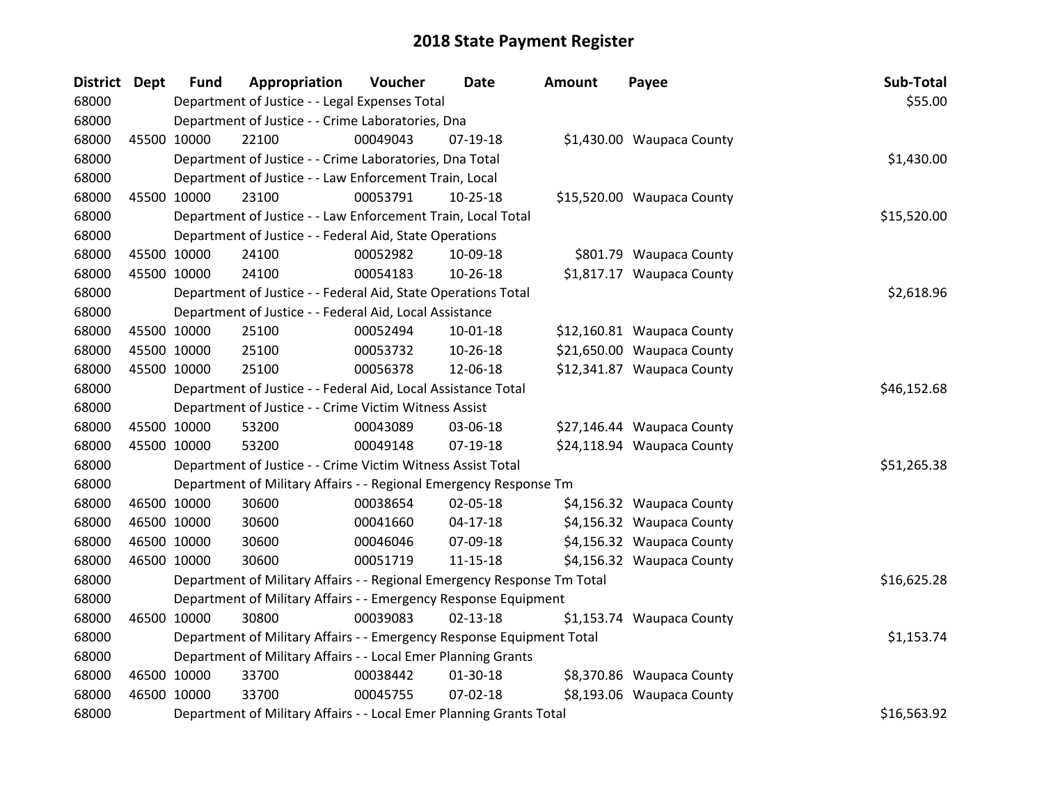| District Dept | <b>Fund</b> | Appropriation                                                           | Voucher  | <b>Date</b>    | <b>Amount</b> | Payee                      | Sub-Total   |
|---------------|-------------|-------------------------------------------------------------------------|----------|----------------|---------------|----------------------------|-------------|
| 68000         |             | Department of Justice - - Legal Expenses Total                          |          |                |               |                            | \$55.00     |
| 68000         |             | Department of Justice - - Crime Laboratories, Dna                       |          |                |               |                            |             |
| 68000         | 45500 10000 | 22100                                                                   | 00049043 | 07-19-18       |               | \$1,430.00 Waupaca County  |             |
| 68000         |             | Department of Justice - - Crime Laboratories, Dna Total                 |          |                |               |                            | \$1,430.00  |
| 68000         |             | Department of Justice - - Law Enforcement Train, Local                  |          |                |               |                            |             |
| 68000         | 45500 10000 | 23100                                                                   | 00053791 | $10-25-18$     |               | \$15,520.00 Waupaca County |             |
| 68000         |             | Department of Justice - - Law Enforcement Train, Local Total            |          |                |               |                            | \$15,520.00 |
| 68000         |             | Department of Justice - - Federal Aid, State Operations                 |          |                |               |                            |             |
| 68000         | 45500 10000 | 24100                                                                   | 00052982 | 10-09-18       |               | \$801.79 Waupaca County    |             |
| 68000         | 45500 10000 | 24100                                                                   | 00054183 | $10-26-18$     |               | \$1,817.17 Waupaca County  |             |
| 68000         |             | Department of Justice - - Federal Aid, State Operations Total           |          |                |               |                            | \$2,618.96  |
| 68000         |             | Department of Justice - - Federal Aid, Local Assistance                 |          |                |               |                            |             |
| 68000         | 45500 10000 | 25100                                                                   | 00052494 | 10-01-18       |               | \$12,160.81 Waupaca County |             |
| 68000         | 45500 10000 | 25100                                                                   | 00053732 | 10-26-18       |               | \$21,650.00 Waupaca County |             |
| 68000         | 45500 10000 | 25100                                                                   | 00056378 | 12-06-18       |               | \$12,341.87 Waupaca County |             |
| 68000         |             | Department of Justice - - Federal Aid, Local Assistance Total           |          |                |               |                            | \$46,152.68 |
| 68000         |             | Department of Justice - - Crime Victim Witness Assist                   |          |                |               |                            |             |
| 68000         | 45500 10000 | 53200                                                                   | 00043089 | 03-06-18       |               | \$27,146.44 Waupaca County |             |
| 68000         | 45500 10000 | 53200                                                                   | 00049148 | $07-19-18$     |               | \$24,118.94 Waupaca County |             |
| 68000         |             | Department of Justice - - Crime Victim Witness Assist Total             |          |                |               |                            | \$51,265.38 |
| 68000         |             | Department of Military Affairs - - Regional Emergency Response Tm       |          |                |               |                            |             |
| 68000         | 46500 10000 | 30600                                                                   | 00038654 | 02-05-18       |               | \$4,156.32 Waupaca County  |             |
| 68000         | 46500 10000 | 30600                                                                   | 00041660 | $04 - 17 - 18$ |               | \$4,156.32 Waupaca County  |             |
| 68000         | 46500 10000 | 30600                                                                   | 00046046 | 07-09-18       |               | \$4,156.32 Waupaca County  |             |
| 68000         | 46500 10000 | 30600                                                                   | 00051719 | $11 - 15 - 18$ |               | \$4,156.32 Waupaca County  |             |
| 68000         |             | Department of Military Affairs - - Regional Emergency Response Tm Total |          |                |               |                            | \$16,625.28 |
| 68000         |             | Department of Military Affairs - - Emergency Response Equipment         |          |                |               |                            |             |
| 68000         | 46500 10000 | 30800                                                                   | 00039083 | $02 - 13 - 18$ |               | \$1,153.74 Waupaca County  |             |
| 68000         |             | Department of Military Affairs - - Emergency Response Equipment Total   |          |                |               |                            | \$1,153.74  |
| 68000         |             | Department of Military Affairs - - Local Emer Planning Grants           |          |                |               |                            |             |
| 68000         | 46500 10000 | 33700                                                                   | 00038442 | 01-30-18       |               | \$8,370.86 Waupaca County  |             |
| 68000         | 46500 10000 | 33700                                                                   | 00045755 | $07 - 02 - 18$ |               | \$8,193.06 Waupaca County  |             |
| 68000         |             | Department of Military Affairs - - Local Emer Planning Grants Total     |          |                |               |                            | \$16,563.92 |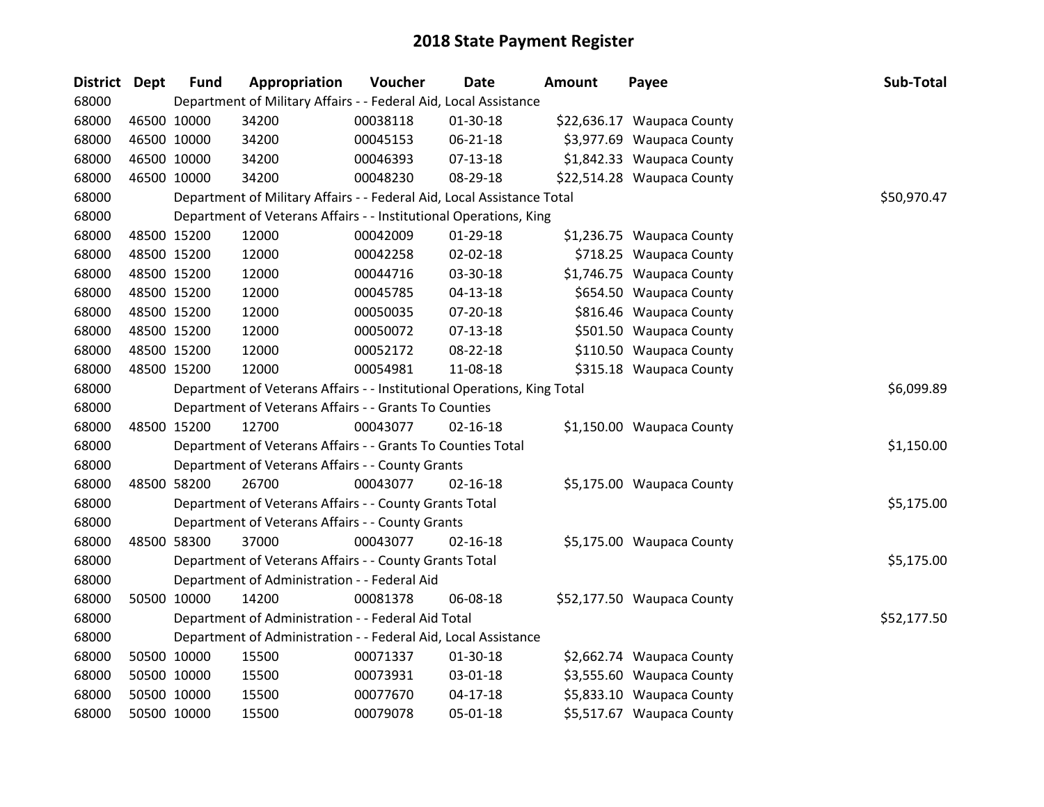| District Dept |             | <b>Fund</b> | Appropriation                                                           | Voucher  | Date           | <b>Amount</b> | Payee                      | Sub-Total   |
|---------------|-------------|-------------|-------------------------------------------------------------------------|----------|----------------|---------------|----------------------------|-------------|
| 68000         |             |             | Department of Military Affairs - - Federal Aid, Local Assistance        |          |                |               |                            |             |
| 68000         | 46500 10000 |             | 34200                                                                   | 00038118 | 01-30-18       |               | \$22,636.17 Waupaca County |             |
| 68000         | 46500 10000 |             | 34200                                                                   | 00045153 | $06 - 21 - 18$ |               | \$3,977.69 Waupaca County  |             |
| 68000         | 46500 10000 |             | 34200                                                                   | 00046393 | 07-13-18       |               | \$1,842.33 Waupaca County  |             |
| 68000         | 46500 10000 |             | 34200                                                                   | 00048230 | 08-29-18       |               | \$22,514.28 Waupaca County |             |
| 68000         |             |             | Department of Military Affairs - - Federal Aid, Local Assistance Total  |          |                |               |                            | \$50,970.47 |
| 68000         |             |             | Department of Veterans Affairs - - Institutional Operations, King       |          |                |               |                            |             |
| 68000         | 48500 15200 |             | 12000                                                                   | 00042009 | 01-29-18       |               | \$1,236.75 Waupaca County  |             |
| 68000         | 48500 15200 |             | 12000                                                                   | 00042258 | 02-02-18       |               | \$718.25 Waupaca County    |             |
| 68000         | 48500 15200 |             | 12000                                                                   | 00044716 | 03-30-18       |               | \$1,746.75 Waupaca County  |             |
| 68000         | 48500 15200 |             | 12000                                                                   | 00045785 | 04-13-18       |               | \$654.50 Waupaca County    |             |
| 68000         | 48500 15200 |             | 12000                                                                   | 00050035 | 07-20-18       |               | \$816.46 Waupaca County    |             |
| 68000         | 48500 15200 |             | 12000                                                                   | 00050072 | $07 - 13 - 18$ |               | \$501.50 Waupaca County    |             |
| 68000         | 48500 15200 |             | 12000                                                                   | 00052172 | 08-22-18       |               | \$110.50 Waupaca County    |             |
| 68000         | 48500 15200 |             | 12000                                                                   | 00054981 | 11-08-18       |               | \$315.18 Waupaca County    |             |
| 68000         |             |             | Department of Veterans Affairs - - Institutional Operations, King Total |          | \$6,099.89     |               |                            |             |
| 68000         |             |             | Department of Veterans Affairs - - Grants To Counties                   |          |                |               |                            |             |
| 68000         | 48500 15200 |             | 12700                                                                   | 00043077 | $02 - 16 - 18$ |               | \$1,150.00 Waupaca County  |             |
| 68000         |             |             | Department of Veterans Affairs - - Grants To Counties Total             |          |                |               |                            | \$1,150.00  |
| 68000         |             |             | Department of Veterans Affairs - - County Grants                        |          |                |               |                            |             |
| 68000         | 48500 58200 |             | 26700                                                                   | 00043077 | $02 - 16 - 18$ |               | \$5,175.00 Waupaca County  |             |
| 68000         |             |             | Department of Veterans Affairs - - County Grants Total                  |          |                |               |                            | \$5,175.00  |
| 68000         |             |             | Department of Veterans Affairs - - County Grants                        |          |                |               |                            |             |
| 68000         | 48500 58300 |             | 37000                                                                   | 00043077 | $02 - 16 - 18$ |               | \$5,175.00 Waupaca County  |             |
| 68000         |             |             | Department of Veterans Affairs - - County Grants Total                  |          |                |               |                            | \$5,175.00  |
| 68000         |             |             | Department of Administration - - Federal Aid                            |          |                |               |                            |             |
| 68000         | 50500 10000 |             | 14200                                                                   | 00081378 | 06-08-18       |               | \$52,177.50 Waupaca County |             |
| 68000         |             |             | Department of Administration - - Federal Aid Total                      |          |                |               |                            | \$52,177.50 |
| 68000         |             |             | Department of Administration - - Federal Aid, Local Assistance          |          |                |               |                            |             |
| 68000         | 50500 10000 |             | 15500                                                                   | 00071337 | 01-30-18       |               | \$2,662.74 Waupaca County  |             |
| 68000         | 50500 10000 |             | 15500                                                                   | 00073931 | 03-01-18       |               | \$3,555.60 Waupaca County  |             |
| 68000         | 50500 10000 |             | 15500                                                                   | 00077670 | $04-17-18$     |               | \$5,833.10 Waupaca County  |             |
| 68000         | 50500 10000 |             | 15500                                                                   | 00079078 | 05-01-18       |               | \$5,517.67 Waupaca County  |             |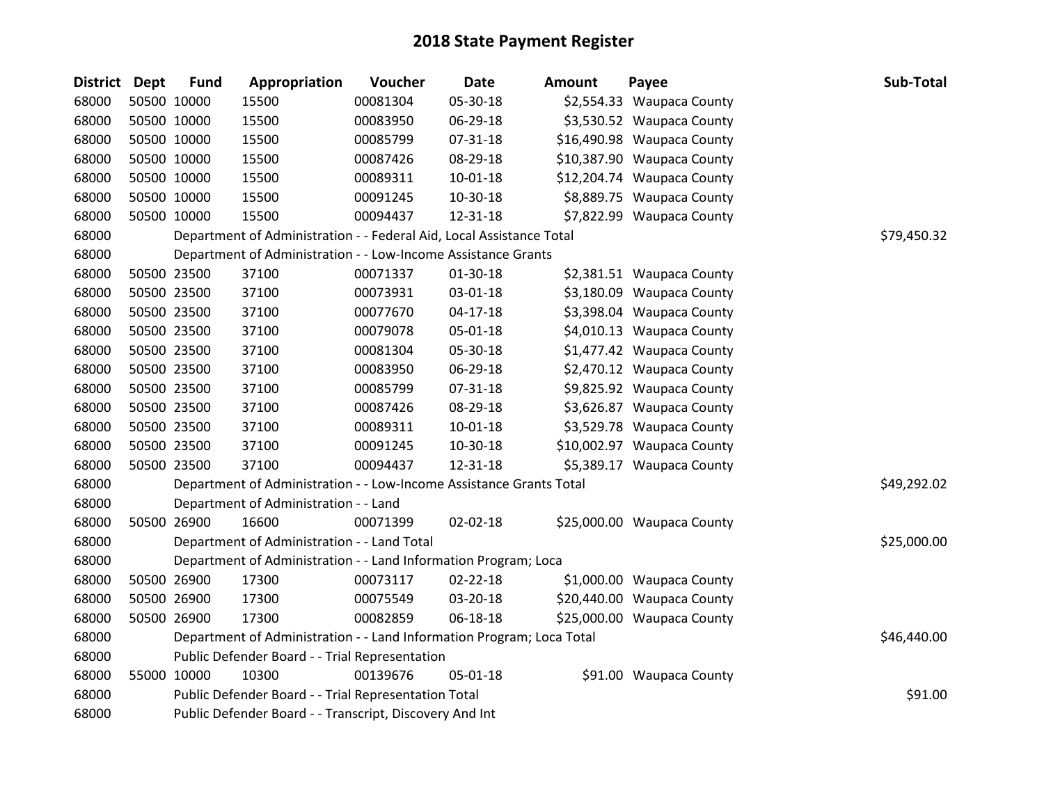| <b>District</b> | <b>Dept</b> | <b>Fund</b> | Appropriation                                                         | Voucher  | <b>Date</b>    | <b>Amount</b> | Payee                      | Sub-Total   |  |  |
|-----------------|-------------|-------------|-----------------------------------------------------------------------|----------|----------------|---------------|----------------------------|-------------|--|--|
| 68000           |             | 50500 10000 | 15500                                                                 | 00081304 | 05-30-18       |               | \$2,554.33 Waupaca County  |             |  |  |
| 68000           |             | 50500 10000 | 15500                                                                 | 00083950 | 06-29-18       |               | \$3,530.52 Waupaca County  |             |  |  |
| 68000           |             | 50500 10000 | 15500                                                                 | 00085799 | 07-31-18       |               | \$16,490.98 Waupaca County |             |  |  |
| 68000           |             | 50500 10000 | 15500                                                                 | 00087426 | 08-29-18       |               | \$10,387.90 Waupaca County |             |  |  |
| 68000           |             | 50500 10000 | 15500                                                                 | 00089311 | $10 - 01 - 18$ |               | \$12,204.74 Waupaca County |             |  |  |
| 68000           |             | 50500 10000 | 15500                                                                 | 00091245 | 10-30-18       |               | \$8,889.75 Waupaca County  |             |  |  |
| 68000           |             | 50500 10000 | 15500                                                                 | 00094437 | 12-31-18       |               | \$7,822.99 Waupaca County  |             |  |  |
| 68000           |             |             | Department of Administration - - Federal Aid, Local Assistance Total  |          |                |               |                            | \$79,450.32 |  |  |
| 68000           |             |             | Department of Administration - - Low-Income Assistance Grants         |          |                |               |                            |             |  |  |
| 68000           |             | 50500 23500 | 37100                                                                 | 00071337 | $01-30-18$     |               | \$2,381.51 Waupaca County  |             |  |  |
| 68000           |             | 50500 23500 | 37100                                                                 | 00073931 | 03-01-18       |               | \$3,180.09 Waupaca County  |             |  |  |
| 68000           |             | 50500 23500 | 37100                                                                 | 00077670 | $04-17-18$     |               | \$3,398.04 Waupaca County  |             |  |  |
| 68000           |             | 50500 23500 | 37100                                                                 | 00079078 | 05-01-18       |               | \$4,010.13 Waupaca County  |             |  |  |
| 68000           |             | 50500 23500 | 37100                                                                 | 00081304 | 05-30-18       |               | \$1,477.42 Waupaca County  |             |  |  |
| 68000           |             | 50500 23500 | 37100                                                                 | 00083950 | 06-29-18       |               | \$2,470.12 Waupaca County  |             |  |  |
| 68000           |             | 50500 23500 | 37100                                                                 | 00085799 | 07-31-18       |               | \$9,825.92 Waupaca County  |             |  |  |
| 68000           |             | 50500 23500 | 37100                                                                 | 00087426 | 08-29-18       |               | \$3,626.87 Waupaca County  |             |  |  |
| 68000           |             | 50500 23500 | 37100                                                                 | 00089311 | $10 - 01 - 18$ |               | \$3,529.78 Waupaca County  |             |  |  |
| 68000           |             | 50500 23500 | 37100                                                                 | 00091245 | 10-30-18       |               | \$10,002.97 Waupaca County |             |  |  |
| 68000           |             | 50500 23500 | 37100                                                                 | 00094437 | 12-31-18       |               | \$5,389.17 Waupaca County  |             |  |  |
| 68000           |             |             | Department of Administration - - Low-Income Assistance Grants Total   |          |                |               |                            | \$49,292.02 |  |  |
| 68000           |             |             | Department of Administration - - Land                                 |          |                |               |                            |             |  |  |
| 68000           |             | 50500 26900 | 16600                                                                 | 00071399 | 02-02-18       |               | \$25,000.00 Waupaca County |             |  |  |
| 68000           |             |             | Department of Administration - - Land Total                           |          |                |               |                            | \$25,000.00 |  |  |
| 68000           |             |             | Department of Administration - - Land Information Program; Loca       |          |                |               |                            |             |  |  |
| 68000           |             | 50500 26900 | 17300                                                                 | 00073117 | $02 - 22 - 18$ |               | \$1,000.00 Waupaca County  |             |  |  |
| 68000           |             | 50500 26900 | 17300                                                                 | 00075549 | 03-20-18       |               | \$20,440.00 Waupaca County |             |  |  |
| 68000           |             | 50500 26900 | 17300                                                                 | 00082859 | 06-18-18       |               | \$25,000.00 Waupaca County |             |  |  |
| 68000           |             |             | Department of Administration - - Land Information Program; Loca Total |          |                |               |                            | \$46,440.00 |  |  |
| 68000           |             |             | Public Defender Board - - Trial Representation                        |          |                |               |                            |             |  |  |
| 68000           |             | 55000 10000 | 10300                                                                 | 00139676 | 05-01-18       |               | \$91.00 Waupaca County     |             |  |  |
| 68000           |             |             | Public Defender Board - - Trial Representation Total                  |          |                |               |                            |             |  |  |
| 68000           |             |             | Public Defender Board - - Transcript, Discovery And Int               |          |                |               |                            |             |  |  |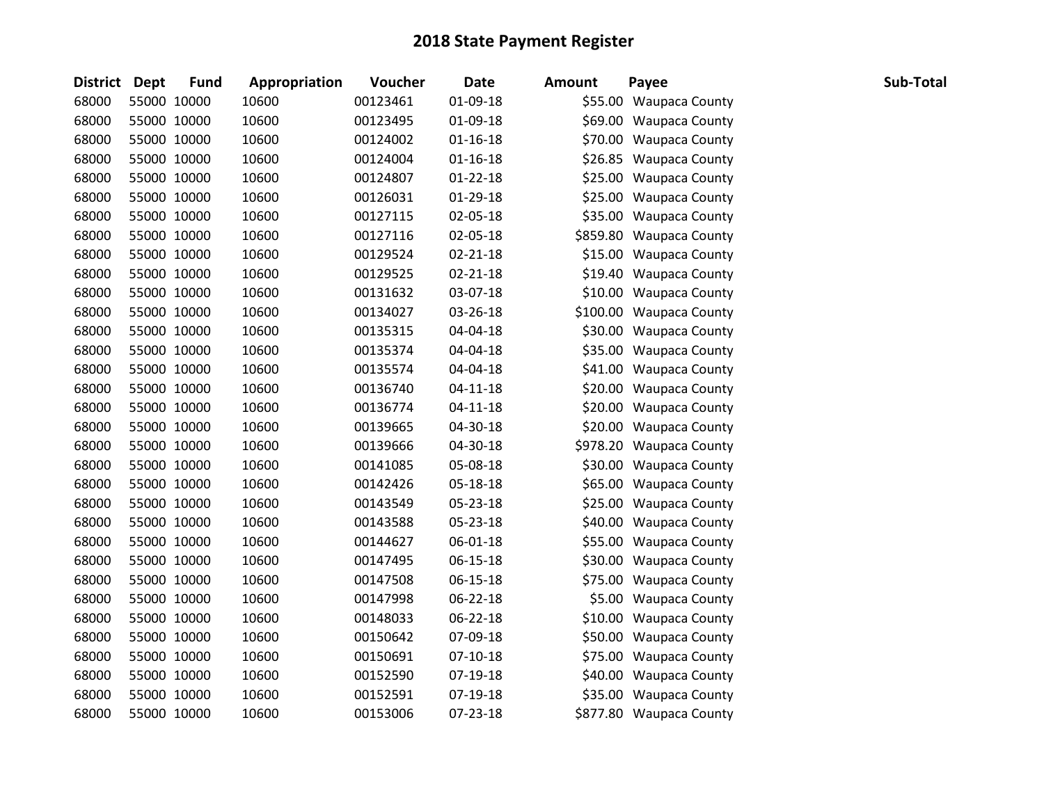| District Dept | <b>Fund</b> | Appropriation | Voucher  | <b>Date</b>    | <b>Amount</b> | Payee                   | Sub-Total |
|---------------|-------------|---------------|----------|----------------|---------------|-------------------------|-----------|
| 68000         | 55000 10000 | 10600         | 00123461 | 01-09-18       |               | \$55.00 Waupaca County  |           |
| 68000         | 55000 10000 | 10600         | 00123495 | 01-09-18       |               | \$69.00 Waupaca County  |           |
| 68000         | 55000 10000 | 10600         | 00124002 | $01 - 16 - 18$ |               | \$70.00 Waupaca County  |           |
| 68000         | 55000 10000 | 10600         | 00124004 | $01 - 16 - 18$ |               | \$26.85 Waupaca County  |           |
| 68000         | 55000 10000 | 10600         | 00124807 | $01 - 22 - 18$ |               | \$25.00 Waupaca County  |           |
| 68000         | 55000 10000 | 10600         | 00126031 | 01-29-18       |               | \$25.00 Waupaca County  |           |
| 68000         | 55000 10000 | 10600         | 00127115 | 02-05-18       |               | \$35.00 Waupaca County  |           |
| 68000         | 55000 10000 | 10600         | 00127116 | 02-05-18       |               | \$859.80 Waupaca County |           |
| 68000         | 55000 10000 | 10600         | 00129524 | $02 - 21 - 18$ |               | \$15.00 Waupaca County  |           |
| 68000         | 55000 10000 | 10600         | 00129525 | $02 - 21 - 18$ |               | \$19.40 Waupaca County  |           |
| 68000         | 55000 10000 | 10600         | 00131632 | 03-07-18       |               | \$10.00 Waupaca County  |           |
| 68000         | 55000 10000 | 10600         | 00134027 | 03-26-18       |               | \$100.00 Waupaca County |           |
| 68000         | 55000 10000 | 10600         | 00135315 | 04-04-18       |               | \$30.00 Waupaca County  |           |
| 68000         | 55000 10000 | 10600         | 00135374 | 04-04-18       |               | \$35.00 Waupaca County  |           |
| 68000         | 55000 10000 | 10600         | 00135574 | 04-04-18       |               | \$41.00 Waupaca County  |           |
| 68000         | 55000 10000 | 10600         | 00136740 | $04 - 11 - 18$ |               | \$20.00 Waupaca County  |           |
| 68000         | 55000 10000 | 10600         | 00136774 | $04 - 11 - 18$ |               | \$20.00 Waupaca County  |           |
| 68000         | 55000 10000 | 10600         | 00139665 | 04-30-18       |               | \$20.00 Waupaca County  |           |
| 68000         | 55000 10000 | 10600         | 00139666 | 04-30-18       |               | \$978.20 Waupaca County |           |
| 68000         | 55000 10000 | 10600         | 00141085 | 05-08-18       |               | \$30.00 Waupaca County  |           |
| 68000         | 55000 10000 | 10600         | 00142426 | 05-18-18       |               | \$65.00 Waupaca County  |           |
| 68000         | 55000 10000 | 10600         | 00143549 | 05-23-18       |               | \$25.00 Waupaca County  |           |
| 68000         | 55000 10000 | 10600         | 00143588 | 05-23-18       |               | \$40.00 Waupaca County  |           |
| 68000         | 55000 10000 | 10600         | 00144627 | 06-01-18       |               | \$55.00 Waupaca County  |           |
| 68000         | 55000 10000 | 10600         | 00147495 | 06-15-18       |               | \$30.00 Waupaca County  |           |
| 68000         | 55000 10000 | 10600         | 00147508 | 06-15-18       |               | \$75.00 Waupaca County  |           |
| 68000         | 55000 10000 | 10600         | 00147998 | 06-22-18       |               | \$5.00 Waupaca County   |           |
| 68000         | 55000 10000 | 10600         | 00148033 | 06-22-18       |               | \$10.00 Waupaca County  |           |
| 68000         | 55000 10000 | 10600         | 00150642 | 07-09-18       |               | \$50.00 Waupaca County  |           |
| 68000         | 55000 10000 | 10600         | 00150691 | $07-10-18$     |               | \$75.00 Waupaca County  |           |
| 68000         | 55000 10000 | 10600         | 00152590 | 07-19-18       |               | \$40.00 Waupaca County  |           |
| 68000         | 55000 10000 | 10600         | 00152591 | 07-19-18       |               | \$35.00 Waupaca County  |           |
| 68000         | 55000 10000 | 10600         | 00153006 | 07-23-18       |               | \$877.80 Waupaca County |           |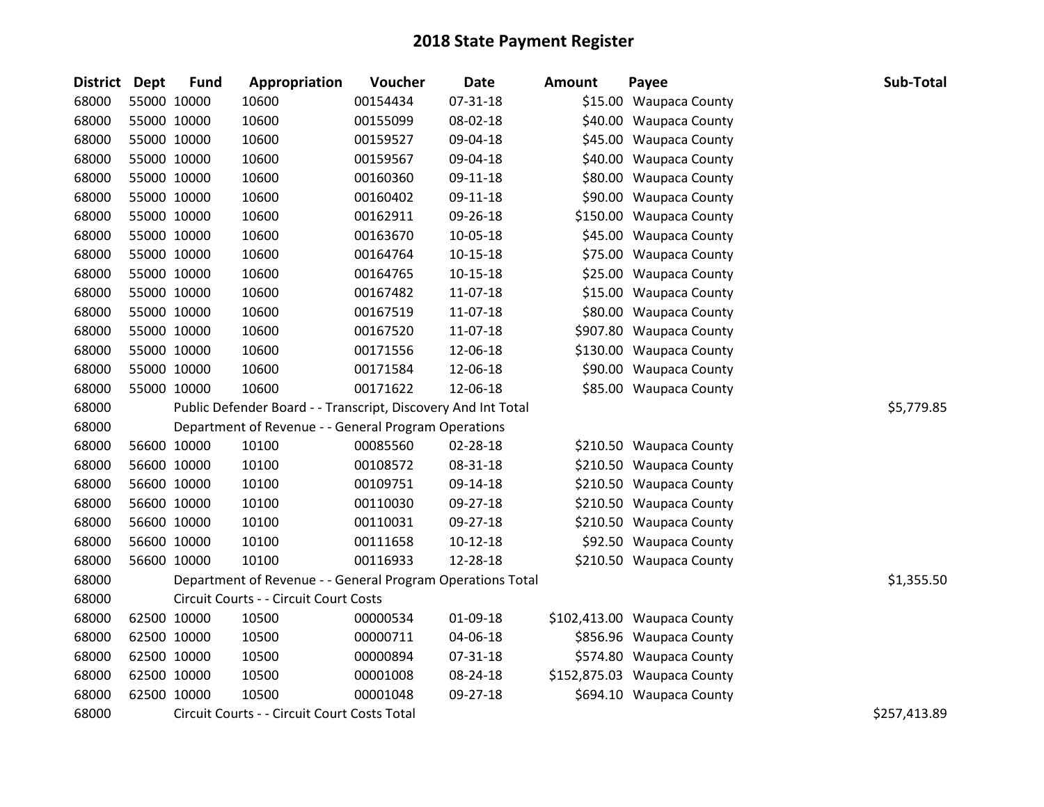| District Dept | <b>Fund</b> | Appropriation                                                 | Voucher  | <b>Date</b>    | <b>Amount</b> | Payee                       | Sub-Total    |
|---------------|-------------|---------------------------------------------------------------|----------|----------------|---------------|-----------------------------|--------------|
| 68000         | 55000 10000 | 10600                                                         | 00154434 | 07-31-18       |               | \$15.00 Waupaca County      |              |
| 68000         | 55000 10000 | 10600                                                         | 00155099 | 08-02-18       |               | \$40.00 Waupaca County      |              |
| 68000         | 55000 10000 | 10600                                                         | 00159527 | 09-04-18       |               | \$45.00 Waupaca County      |              |
| 68000         | 55000 10000 | 10600                                                         | 00159567 | 09-04-18       |               | \$40.00 Waupaca County      |              |
| 68000         | 55000 10000 | 10600                                                         | 00160360 | 09-11-18       |               | \$80.00 Waupaca County      |              |
| 68000         | 55000 10000 | 10600                                                         | 00160402 | 09-11-18       |               | \$90.00 Waupaca County      |              |
| 68000         | 55000 10000 | 10600                                                         | 00162911 | 09-26-18       |               | \$150.00 Waupaca County     |              |
| 68000         | 55000 10000 | 10600                                                         | 00163670 | 10-05-18       |               | \$45.00 Waupaca County      |              |
| 68000         | 55000 10000 | 10600                                                         | 00164764 | $10 - 15 - 18$ |               | \$75.00 Waupaca County      |              |
| 68000         | 55000 10000 | 10600                                                         | 00164765 | $10 - 15 - 18$ |               | \$25.00 Waupaca County      |              |
| 68000         | 55000 10000 | 10600                                                         | 00167482 | 11-07-18       |               | \$15.00 Waupaca County      |              |
| 68000         | 55000 10000 | 10600                                                         | 00167519 | 11-07-18       |               | \$80.00 Waupaca County      |              |
| 68000         | 55000 10000 | 10600                                                         | 00167520 | 11-07-18       |               | \$907.80 Waupaca County     |              |
| 68000         | 55000 10000 | 10600                                                         | 00171556 | 12-06-18       |               | \$130.00 Waupaca County     |              |
| 68000         | 55000 10000 | 10600                                                         | 00171584 | 12-06-18       |               | \$90.00 Waupaca County      |              |
| 68000         | 55000 10000 | 10600                                                         | 00171622 | 12-06-18       |               | \$85.00 Waupaca County      |              |
| 68000         |             | Public Defender Board - - Transcript, Discovery And Int Total |          |                |               |                             | \$5,779.85   |
| 68000         |             | Department of Revenue - - General Program Operations          |          |                |               |                             |              |
| 68000         | 56600 10000 | 10100                                                         | 00085560 | 02-28-18       |               | \$210.50 Waupaca County     |              |
| 68000         | 56600 10000 | 10100                                                         | 00108572 | 08-31-18       |               | \$210.50 Waupaca County     |              |
| 68000         | 56600 10000 | 10100                                                         | 00109751 | 09-14-18       |               | \$210.50 Waupaca County     |              |
| 68000         | 56600 10000 | 10100                                                         | 00110030 | 09-27-18       |               | \$210.50 Waupaca County     |              |
| 68000         | 56600 10000 | 10100                                                         | 00110031 | 09-27-18       |               | \$210.50 Waupaca County     |              |
| 68000         | 56600 10000 | 10100                                                         | 00111658 | $10-12-18$     |               | \$92.50 Waupaca County      |              |
| 68000         | 56600 10000 | 10100                                                         | 00116933 | 12-28-18       |               | \$210.50 Waupaca County     |              |
| 68000         |             | Department of Revenue - - General Program Operations Total    |          |                |               |                             | \$1,355.50   |
| 68000         |             | Circuit Courts - - Circuit Court Costs                        |          |                |               |                             |              |
| 68000         | 62500 10000 | 10500                                                         | 00000534 | 01-09-18       |               | \$102,413.00 Waupaca County |              |
| 68000         | 62500 10000 | 10500                                                         | 00000711 | 04-06-18       |               | \$856.96 Waupaca County     |              |
| 68000         | 62500 10000 | 10500                                                         | 00000894 | 07-31-18       |               | \$574.80 Waupaca County     |              |
| 68000         | 62500 10000 | 10500                                                         | 00001008 | 08-24-18       |               | \$152,875.03 Waupaca County |              |
| 68000         | 62500 10000 | 10500                                                         | 00001048 | 09-27-18       |               | \$694.10 Waupaca County     |              |
| 68000         |             | Circuit Courts - - Circuit Court Costs Total                  |          |                |               |                             | \$257,413.89 |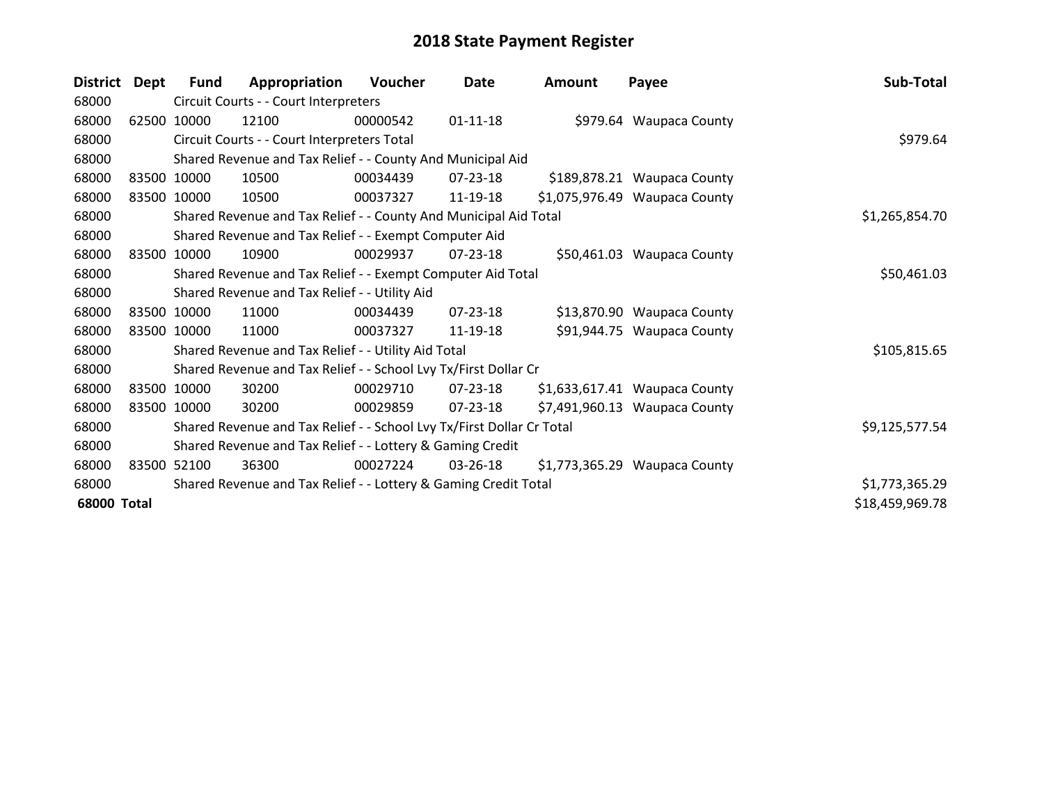| <b>District</b>    | Dept        | <b>Fund</b> | Appropriation                                                         | <b>Voucher</b> | Date           | Amount | Payee                         | Sub-Total       |
|--------------------|-------------|-------------|-----------------------------------------------------------------------|----------------|----------------|--------|-------------------------------|-----------------|
| 68000              |             |             | Circuit Courts - - Court Interpreters                                 |                |                |        |                               |                 |
| 68000              | 62500       | 10000       | 12100                                                                 | 00000542       | $01 - 11 - 18$ |        | \$979.64 Waupaca County       |                 |
| 68000              |             |             | Circuit Courts - - Court Interpreters Total                           |                |                |        |                               | \$979.64        |
| 68000              |             |             | Shared Revenue and Tax Relief - - County And Municipal Aid            |                |                |        |                               |                 |
| 68000              |             | 83500 10000 | 10500                                                                 | 00034439       | $07 - 23 - 18$ |        | \$189,878.21 Waupaca County   |                 |
| 68000              |             | 83500 10000 | 10500                                                                 | 00037327       | 11-19-18       |        | \$1,075,976.49 Waupaca County |                 |
| 68000              |             |             | Shared Revenue and Tax Relief - - County And Municipal Aid Total      |                | \$1,265,854.70 |        |                               |                 |
| 68000              |             |             | Shared Revenue and Tax Relief - - Exempt Computer Aid                 |                |                |        |                               |                 |
| 68000              | 83500 10000 |             | 10900                                                                 | 00029937       | $07 - 23 - 18$ |        | \$50,461.03 Waupaca County    |                 |
| 68000              |             |             | Shared Revenue and Tax Relief - - Exempt Computer Aid Total           |                | \$50,461.03    |        |                               |                 |
| 68000              |             |             | Shared Revenue and Tax Relief - - Utility Aid                         |                |                |        |                               |                 |
| 68000              |             | 83500 10000 | 11000                                                                 | 00034439       | $07 - 23 - 18$ |        | \$13,870.90 Waupaca County    |                 |
| 68000              |             | 83500 10000 | 11000                                                                 | 00037327       | 11-19-18       |        | \$91,944.75 Waupaca County    |                 |
| 68000              |             |             | Shared Revenue and Tax Relief - - Utility Aid Total                   |                |                |        |                               | \$105,815.65    |
| 68000              |             |             | Shared Revenue and Tax Relief - - School Lvy Tx/First Dollar Cr       |                |                |        |                               |                 |
| 68000              |             | 83500 10000 | 30200                                                                 | 00029710       | 07-23-18       |        | \$1,633,617.41 Waupaca County |                 |
| 68000              |             | 83500 10000 | 30200                                                                 | 00029859       | $07 - 23 - 18$ |        | \$7,491,960.13 Waupaca County |                 |
| 68000              |             |             | Shared Revenue and Tax Relief - - School Lvy Tx/First Dollar Cr Total |                |                |        |                               | \$9,125,577.54  |
| 68000              |             |             | Shared Revenue and Tax Relief - - Lottery & Gaming Credit             |                |                |        |                               |                 |
| 68000              | 83500       | 52100       | 36300                                                                 | 00027224       | 03-26-18       |        | \$1,773,365.29 Waupaca County |                 |
| 68000              |             |             | Shared Revenue and Tax Relief - - Lottery & Gaming Credit Total       |                |                |        |                               | \$1,773,365.29  |
| <b>68000 Total</b> |             |             |                                                                       |                |                |        |                               | \$18,459,969.78 |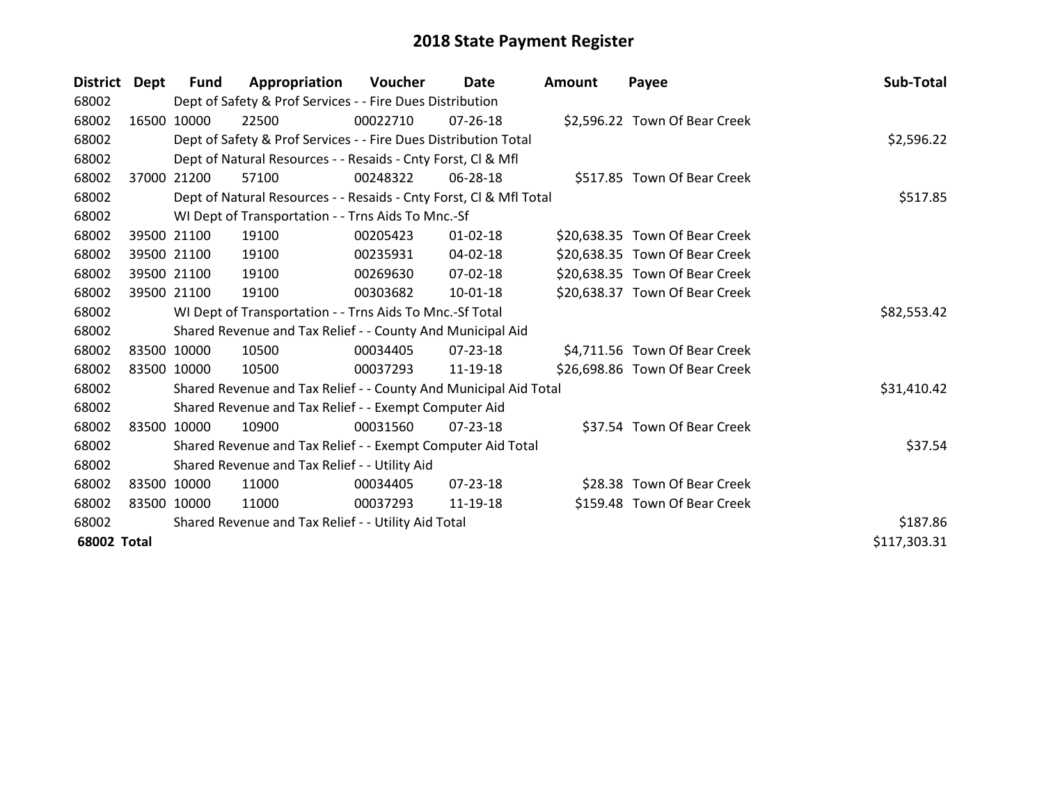| <b>District</b>    | Dept        | <b>Fund</b>                                         | Appropriation                                                      | Voucher  | Date           | Amount | Payee                          | Sub-Total    |
|--------------------|-------------|-----------------------------------------------------|--------------------------------------------------------------------|----------|----------------|--------|--------------------------------|--------------|
| 68002              |             |                                                     | Dept of Safety & Prof Services - - Fire Dues Distribution          |          |                |        |                                |              |
| 68002              |             | 16500 10000                                         | 22500                                                              | 00022710 | $07 - 26 - 18$ |        | \$2,596.22 Town Of Bear Creek  |              |
| 68002              |             |                                                     | Dept of Safety & Prof Services - - Fire Dues Distribution Total    |          |                |        |                                | \$2,596.22   |
| 68002              |             |                                                     | Dept of Natural Resources - - Resaids - Cnty Forst, CI & Mfl       |          |                |        |                                |              |
| 68002              | 37000       | 21200                                               | 57100                                                              | 00248322 | 06-28-18       |        | \$517.85 Town Of Bear Creek    |              |
| 68002              |             |                                                     | Dept of Natural Resources - - Resaids - Cnty Forst, CI & Mfl Total | \$517.85 |                |        |                                |              |
| 68002              |             |                                                     | WI Dept of Transportation - - Trns Aids To Mnc.-Sf                 |          |                |        |                                |              |
| 68002              |             | 39500 21100                                         | 19100                                                              | 00205423 | $01 - 02 - 18$ |        | \$20,638.35 Town Of Bear Creek |              |
| 68002              |             | 39500 21100                                         | 19100                                                              | 00235931 | 04-02-18       |        | \$20,638.35 Town Of Bear Creek |              |
| 68002              |             | 39500 21100                                         | 19100                                                              | 00269630 | 07-02-18       |        | \$20,638.35 Town Of Bear Creek |              |
| 68002              |             | 39500 21100                                         | 19100                                                              | 00303682 | 10-01-18       |        | \$20,638.37 Town Of Bear Creek |              |
| 68002              |             |                                                     | WI Dept of Transportation - - Trns Aids To Mnc.-Sf Total           |          |                |        |                                | \$82,553.42  |
| 68002              |             |                                                     | Shared Revenue and Tax Relief - - County And Municipal Aid         |          |                |        |                                |              |
| 68002              |             | 83500 10000                                         | 10500                                                              | 00034405 | $07 - 23 - 18$ |        | \$4,711.56 Town Of Bear Creek  |              |
| 68002              |             | 83500 10000                                         | 10500                                                              | 00037293 | 11-19-18       |        | \$26,698.86 Town Of Bear Creek |              |
| 68002              |             |                                                     | Shared Revenue and Tax Relief - - County And Municipal Aid Total   |          |                |        |                                | \$31,410.42  |
| 68002              |             |                                                     | Shared Revenue and Tax Relief - - Exempt Computer Aid              |          |                |        |                                |              |
| 68002              |             | 83500 10000                                         | 10900                                                              | 00031560 | $07 - 23 - 18$ |        | \$37.54 Town Of Bear Creek     |              |
| 68002              |             |                                                     | Shared Revenue and Tax Relief - - Exempt Computer Aid Total        |          |                |        |                                | \$37.54      |
| 68002              |             |                                                     | Shared Revenue and Tax Relief - - Utility Aid                      |          |                |        |                                |              |
| 68002              |             | 83500 10000                                         | 11000                                                              | 00034405 | $07 - 23 - 18$ |        | \$28.38 Town Of Bear Creek     |              |
| 68002              | 83500 10000 |                                                     | 11000                                                              | 00037293 | 11-19-18       |        | \$159.48 Town Of Bear Creek    |              |
| 68002              |             | Shared Revenue and Tax Relief - - Utility Aid Total |                                                                    |          |                |        |                                | \$187.86     |
| <b>68002 Total</b> |             |                                                     |                                                                    |          |                |        |                                | \$117,303.31 |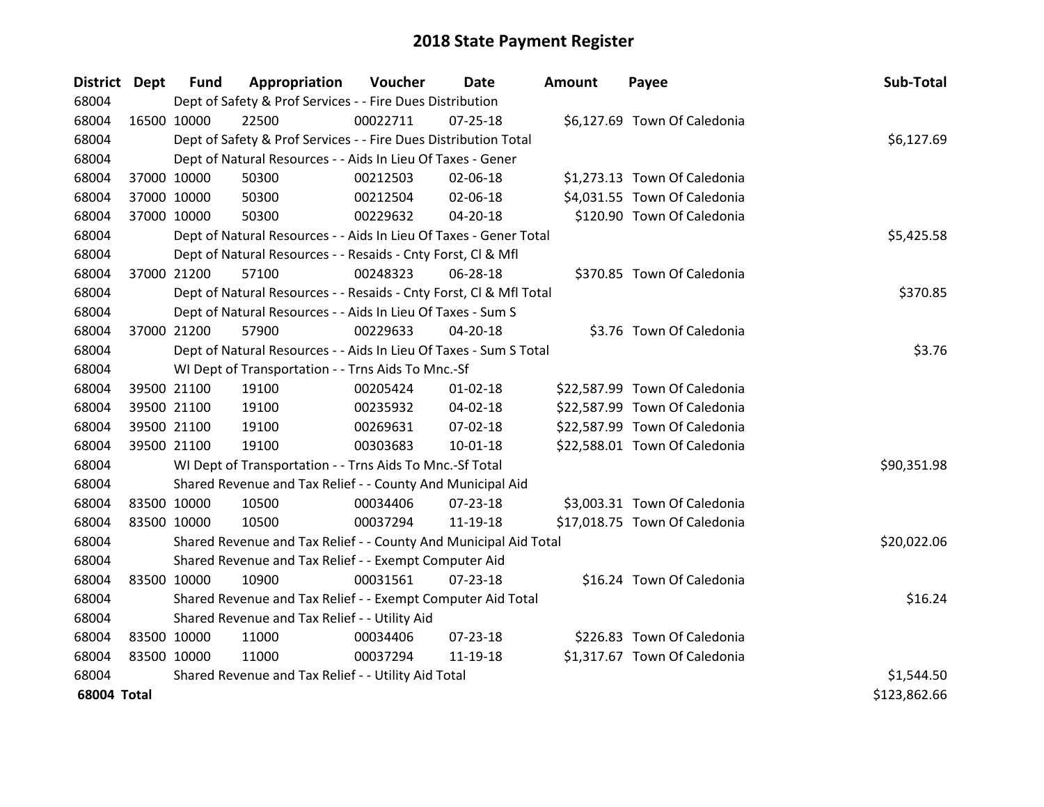| District Dept |             | <b>Fund</b> | Appropriation                                                      | Voucher  | Date           | Amount | Payee                         | Sub-Total    |
|---------------|-------------|-------------|--------------------------------------------------------------------|----------|----------------|--------|-------------------------------|--------------|
| 68004         |             |             | Dept of Safety & Prof Services - - Fire Dues Distribution          |          |                |        |                               |              |
| 68004         | 16500 10000 |             | 22500                                                              | 00022711 | 07-25-18       |        | \$6,127.69 Town Of Caledonia  |              |
| 68004         |             |             | Dept of Safety & Prof Services - - Fire Dues Distribution Total    |          |                |        |                               | \$6,127.69   |
| 68004         |             |             | Dept of Natural Resources - - Aids In Lieu Of Taxes - Gener        |          |                |        |                               |              |
| 68004         |             | 37000 10000 | 50300                                                              | 00212503 | 02-06-18       |        | \$1,273.13 Town Of Caledonia  |              |
| 68004         |             | 37000 10000 | 50300                                                              | 00212504 | 02-06-18       |        | \$4,031.55 Town Of Caledonia  |              |
| 68004         |             | 37000 10000 | 50300                                                              | 00229632 | $04 - 20 - 18$ |        | \$120.90 Town Of Caledonia    |              |
| 68004         |             |             | Dept of Natural Resources - - Aids In Lieu Of Taxes - Gener Total  |          | \$5,425.58     |        |                               |              |
| 68004         |             |             | Dept of Natural Resources - - Resaids - Cnty Forst, Cl & Mfl       |          |                |        |                               |              |
| 68004         |             | 37000 21200 | 57100                                                              | 00248323 | 06-28-18       |        | \$370.85 Town Of Caledonia    |              |
| 68004         |             |             | Dept of Natural Resources - - Resaids - Cnty Forst, Cl & Mfl Total |          |                |        |                               | \$370.85     |
| 68004         |             |             | Dept of Natural Resources - - Aids In Lieu Of Taxes - Sum S        |          |                |        |                               |              |
| 68004         |             | 37000 21200 | 57900                                                              | 00229633 | 04-20-18       |        | \$3.76 Town Of Caledonia      |              |
| 68004         |             |             | Dept of Natural Resources - - Aids In Lieu Of Taxes - Sum S Total  |          |                |        |                               | \$3.76       |
| 68004         |             |             | WI Dept of Transportation - - Trns Aids To Mnc.-Sf                 |          |                |        |                               |              |
| 68004         |             | 39500 21100 | 19100                                                              | 00205424 | $01 - 02 - 18$ |        | \$22,587.99 Town Of Caledonia |              |
| 68004         |             | 39500 21100 | 19100                                                              | 00235932 | 04-02-18       |        | \$22,587.99 Town Of Caledonia |              |
| 68004         |             | 39500 21100 | 19100                                                              | 00269631 | 07-02-18       |        | \$22,587.99 Town Of Caledonia |              |
| 68004         |             | 39500 21100 | 19100                                                              | 00303683 | $10 - 01 - 18$ |        | \$22,588.01 Town Of Caledonia |              |
| 68004         |             |             | WI Dept of Transportation - - Trns Aids To Mnc.-Sf Total           |          |                |        |                               | \$90,351.98  |
| 68004         |             |             | Shared Revenue and Tax Relief - - County And Municipal Aid         |          |                |        |                               |              |
| 68004         |             | 83500 10000 | 10500                                                              | 00034406 | 07-23-18       |        | \$3,003.31 Town Of Caledonia  |              |
| 68004         |             | 83500 10000 | 10500                                                              | 00037294 | 11-19-18       |        | \$17,018.75 Town Of Caledonia |              |
| 68004         |             |             | Shared Revenue and Tax Relief - - County And Municipal Aid Total   |          |                |        |                               | \$20,022.06  |
| 68004         |             |             | Shared Revenue and Tax Relief - - Exempt Computer Aid              |          |                |        |                               |              |
| 68004         | 83500 10000 |             | 10900                                                              | 00031561 | $07 - 23 - 18$ |        | \$16.24 Town Of Caledonia     |              |
| 68004         |             |             | Shared Revenue and Tax Relief - - Exempt Computer Aid Total        |          |                |        |                               | \$16.24      |
| 68004         |             |             | Shared Revenue and Tax Relief - - Utility Aid                      |          |                |        |                               |              |
| 68004         |             | 83500 10000 | 11000                                                              | 00034406 | 07-23-18       |        | \$226.83 Town Of Caledonia    |              |
| 68004         | 83500 10000 |             | 11000                                                              | 00037294 | 11-19-18       |        | \$1,317.67 Town Of Caledonia  |              |
| 68004         |             |             | Shared Revenue and Tax Relief - - Utility Aid Total                |          |                |        |                               | \$1,544.50   |
| 68004 Total   |             |             |                                                                    |          |                |        |                               | \$123,862.66 |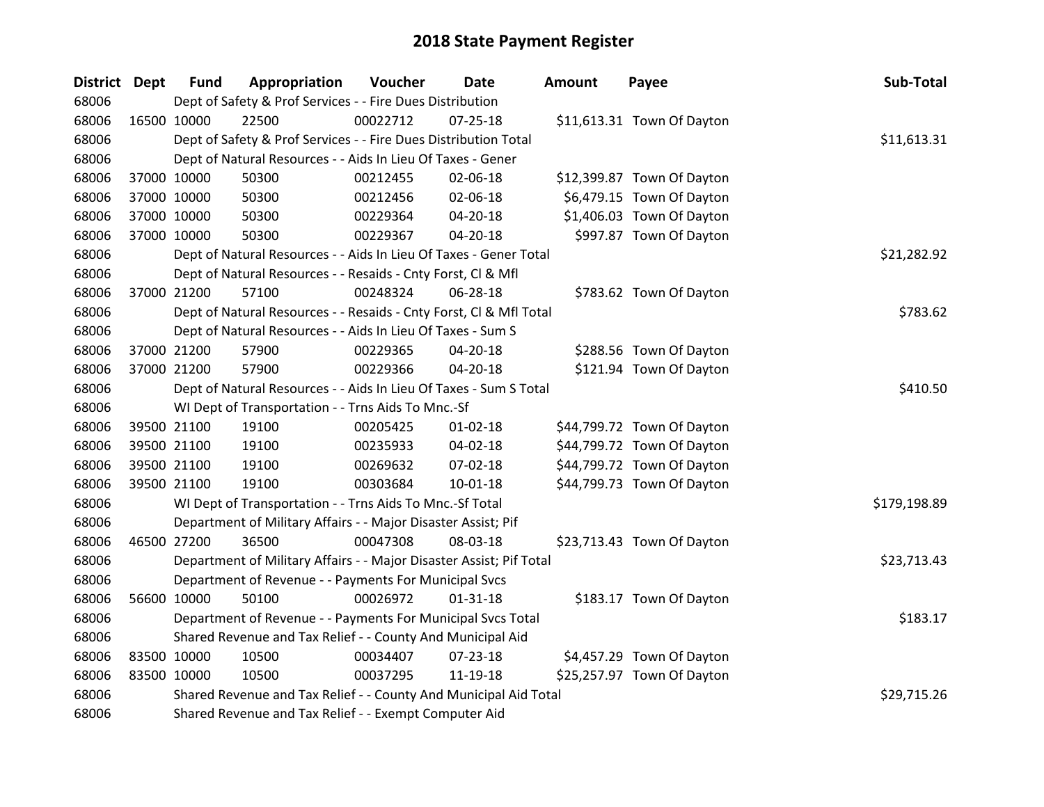| District Dept | <b>Fund</b>                                                | Appropriation                                                       | Voucher     | <b>Date</b>    | <b>Amount</b> | Payee                      | Sub-Total    |
|---------------|------------------------------------------------------------|---------------------------------------------------------------------|-------------|----------------|---------------|----------------------------|--------------|
| 68006         |                                                            | Dept of Safety & Prof Services - - Fire Dues Distribution           |             |                |               |                            |              |
| 68006         | 16500 10000                                                | 22500                                                               | 00022712    | $07 - 25 - 18$ |               | \$11,613.31 Town Of Dayton |              |
| 68006         |                                                            | Dept of Safety & Prof Services - - Fire Dues Distribution Total     |             |                |               |                            | \$11,613.31  |
| 68006         |                                                            | Dept of Natural Resources - - Aids In Lieu Of Taxes - Gener         |             |                |               |                            |              |
| 68006         | 37000 10000                                                | 50300                                                               | 00212455    | 02-06-18       |               | \$12,399.87 Town Of Dayton |              |
| 68006         | 37000 10000                                                | 50300                                                               | 00212456    | 02-06-18       |               | \$6,479.15 Town Of Dayton  |              |
| 68006         | 37000 10000                                                | 50300                                                               | 00229364    | 04-20-18       |               | \$1,406.03 Town Of Dayton  |              |
| 68006         | 37000 10000                                                | 50300                                                               | 00229367    | 04-20-18       |               | \$997.87 Town Of Dayton    |              |
| 68006         |                                                            | Dept of Natural Resources - - Aids In Lieu Of Taxes - Gener Total   | \$21,282.92 |                |               |                            |              |
| 68006         |                                                            | Dept of Natural Resources - - Resaids - Cnty Forst, Cl & Mfl        |             |                |               |                            |              |
| 68006         | 37000 21200                                                | 57100                                                               | 00248324    | 06-28-18       |               | \$783.62 Town Of Dayton    |              |
| 68006         |                                                            | Dept of Natural Resources - - Resaids - Cnty Forst, CI & Mfl Total  |             |                |               |                            | \$783.62     |
| 68006         |                                                            | Dept of Natural Resources - - Aids In Lieu Of Taxes - Sum S         |             |                |               |                            |              |
| 68006         | 37000 21200                                                | 57900                                                               | 00229365    | 04-20-18       |               | \$288.56 Town Of Dayton    |              |
| 68006         | 37000 21200                                                | 57900                                                               | 00229366    | 04-20-18       |               | \$121.94 Town Of Dayton    |              |
| 68006         |                                                            | Dept of Natural Resources - - Aids In Lieu Of Taxes - Sum S Total   | \$410.50    |                |               |                            |              |
| 68006         |                                                            | WI Dept of Transportation - - Trns Aids To Mnc.-Sf                  |             |                |               |                            |              |
| 68006         | 39500 21100                                                | 19100                                                               | 00205425    | $01 - 02 - 18$ |               | \$44,799.72 Town Of Dayton |              |
| 68006         | 39500 21100                                                | 19100                                                               | 00235933    | 04-02-18       |               | \$44,799.72 Town Of Dayton |              |
| 68006         | 39500 21100                                                | 19100                                                               | 00269632    | 07-02-18       |               | \$44,799.72 Town Of Dayton |              |
| 68006         | 39500 21100                                                | 19100                                                               | 00303684    | $10 - 01 - 18$ |               | \$44,799.73 Town Of Dayton |              |
| 68006         |                                                            | WI Dept of Transportation - - Trns Aids To Mnc.-Sf Total            |             |                |               |                            | \$179,198.89 |
| 68006         |                                                            | Department of Military Affairs - - Major Disaster Assist; Pif       |             |                |               |                            |              |
| 68006         | 46500 27200                                                | 36500                                                               | 00047308    | 08-03-18       |               | \$23,713.43 Town Of Dayton |              |
| 68006         |                                                            | Department of Military Affairs - - Major Disaster Assist; Pif Total |             |                |               |                            | \$23,713.43  |
| 68006         |                                                            | Department of Revenue - - Payments For Municipal Svcs               |             |                |               |                            |              |
| 68006         | 56600 10000                                                | 50100                                                               | 00026972    | $01 - 31 - 18$ |               | \$183.17 Town Of Dayton    |              |
| 68006         |                                                            | Department of Revenue - - Payments For Municipal Svcs Total         |             |                |               |                            | \$183.17     |
| 68006         | Shared Revenue and Tax Relief - - County And Municipal Aid |                                                                     |             |                |               |                            |              |
| 68006         | 83500 10000                                                | 10500                                                               | 00034407    | 07-23-18       |               | \$4,457.29 Town Of Dayton  |              |
| 68006         | 83500 10000                                                | 10500                                                               | 00037295    | 11-19-18       |               | \$25,257.97 Town Of Dayton |              |
| 68006         |                                                            | Shared Revenue and Tax Relief - - County And Municipal Aid Total    |             |                |               |                            | \$29,715.26  |
| 68006         |                                                            | Shared Revenue and Tax Relief - - Exempt Computer Aid               |             |                |               |                            |              |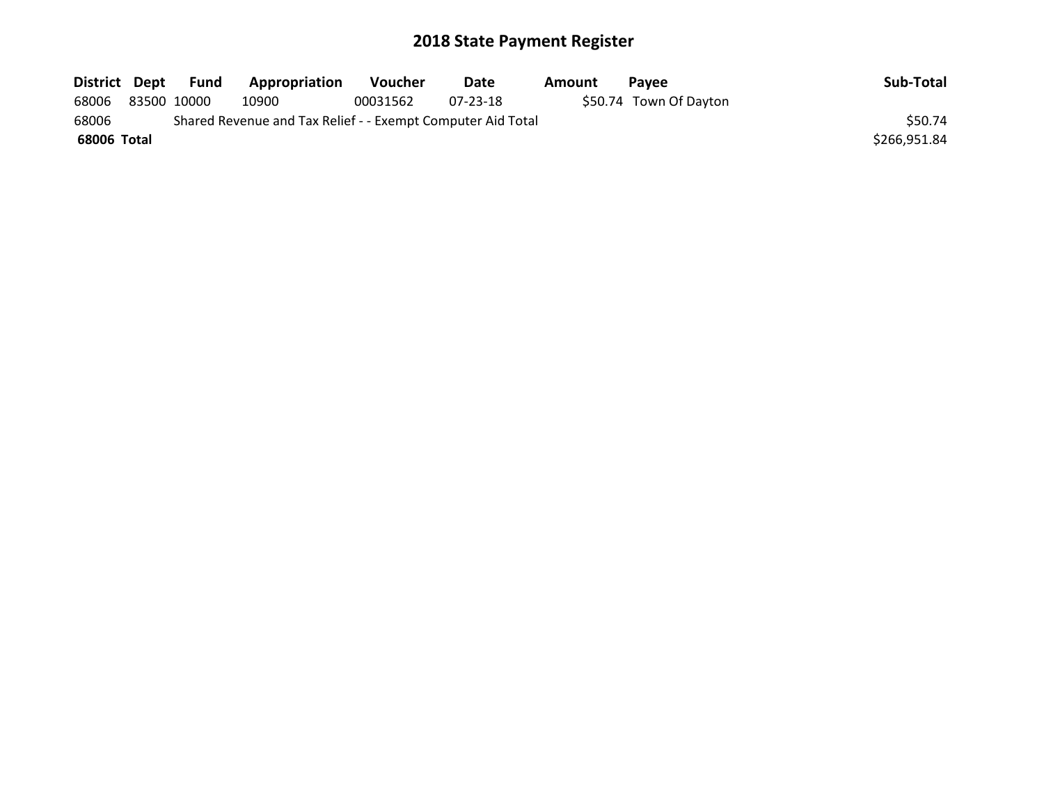| District Dept | Fund        | Appropriation                                               | <b>Voucher</b> | Date     | Amount | <b>Pavee</b>           | Sub-Total    |
|---------------|-------------|-------------------------------------------------------------|----------------|----------|--------|------------------------|--------------|
| 68006         | 83500 10000 | 10900                                                       | 00031562       | 07-23-18 |        | \$50.74 Town Of Dayton |              |
| 68006         |             | Shared Revenue and Tax Relief - - Exempt Computer Aid Total |                |          |        |                        | \$50.74      |
| 68006 Total   |             |                                                             |                |          |        |                        | \$266,951.84 |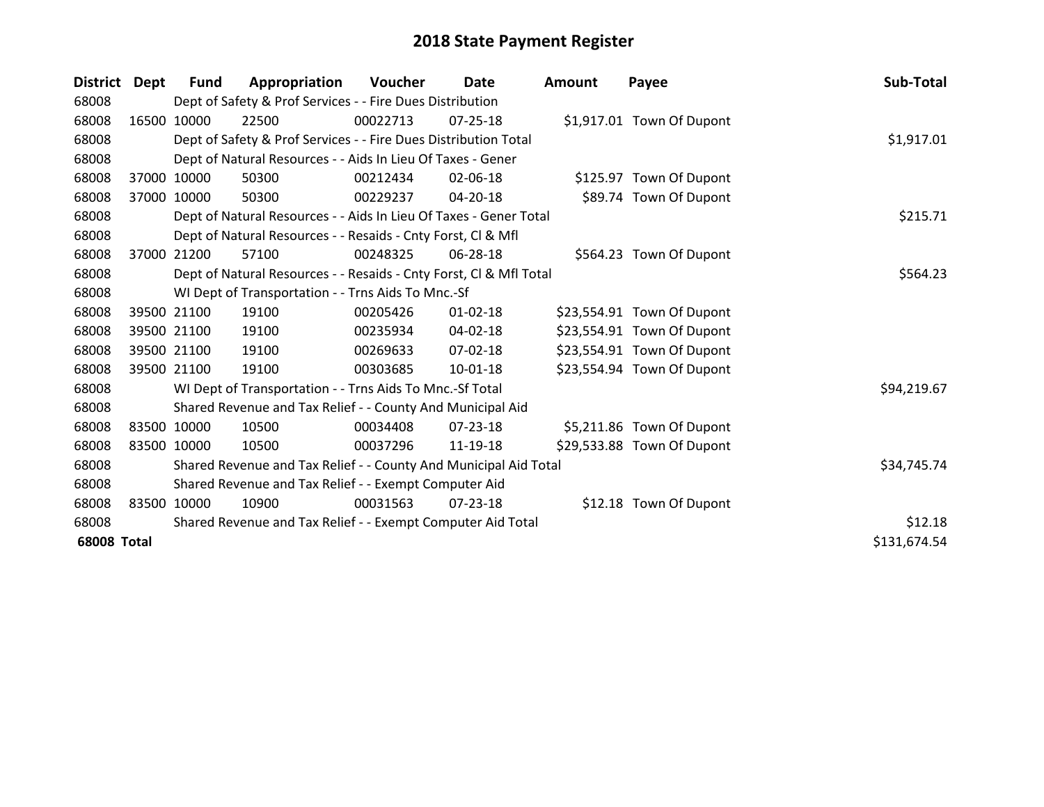| <b>District</b>    | Dept  | <b>Fund</b>                                                 | Appropriation                                                      | <b>Voucher</b> | Date           | <b>Amount</b> | Payee                      | Sub-Total    |
|--------------------|-------|-------------------------------------------------------------|--------------------------------------------------------------------|----------------|----------------|---------------|----------------------------|--------------|
| 68008              |       |                                                             | Dept of Safety & Prof Services - - Fire Dues Distribution          |                |                |               |                            |              |
| 68008              |       | 16500 10000                                                 | 22500                                                              | 00022713       | $07 - 25 - 18$ |               | \$1,917.01 Town Of Dupont  |              |
| 68008              |       |                                                             | Dept of Safety & Prof Services - - Fire Dues Distribution Total    |                |                |               |                            | \$1,917.01   |
| 68008              |       |                                                             | Dept of Natural Resources - - Aids In Lieu Of Taxes - Gener        |                |                |               |                            |              |
| 68008              | 37000 | 10000                                                       | 50300                                                              | 00212434       | 02-06-18       |               | \$125.97 Town Of Dupont    |              |
| 68008              |       | 37000 10000                                                 | 50300                                                              | 00229237       | 04-20-18       |               | \$89.74 Town Of Dupont     |              |
| 68008              |       |                                                             | Dept of Natural Resources - - Aids In Lieu Of Taxes - Gener Total  |                | \$215.71       |               |                            |              |
| 68008              |       |                                                             | Dept of Natural Resources - - Resaids - Cnty Forst, Cl & Mfl       |                |                |               |                            |              |
| 68008              | 37000 | 21200                                                       | 57100                                                              | 00248325       | 06-28-18       |               | \$564.23 Town Of Dupont    |              |
| 68008              |       |                                                             | Dept of Natural Resources - - Resaids - Cnty Forst, Cl & Mfl Total |                |                |               |                            | \$564.23     |
| 68008              |       |                                                             | WI Dept of Transportation - - Trns Aids To Mnc.-Sf                 |                |                |               |                            |              |
| 68008              |       | 39500 21100                                                 | 19100                                                              | 00205426       | $01 - 02 - 18$ |               | \$23,554.91 Town Of Dupont |              |
| 68008              |       | 39500 21100                                                 | 19100                                                              | 00235934       | 04-02-18       |               | \$23,554.91 Town Of Dupont |              |
| 68008              |       | 39500 21100                                                 | 19100                                                              | 00269633       | $07 - 02 - 18$ |               | \$23,554.91 Town Of Dupont |              |
| 68008              |       | 39500 21100                                                 | 19100                                                              | 00303685       | 10-01-18       |               | \$23,554.94 Town Of Dupont |              |
| 68008              |       |                                                             | WI Dept of Transportation - - Trns Aids To Mnc.-Sf Total           |                |                |               |                            | \$94,219.67  |
| 68008              |       |                                                             | Shared Revenue and Tax Relief - - County And Municipal Aid         |                |                |               |                            |              |
| 68008              |       | 83500 10000                                                 | 10500                                                              | 00034408       | 07-23-18       |               | \$5,211.86 Town Of Dupont  |              |
| 68008              |       | 83500 10000                                                 | 10500                                                              | 00037296       | 11-19-18       |               | \$29,533.88 Town Of Dupont |              |
| 68008              |       |                                                             | Shared Revenue and Tax Relief - - County And Municipal Aid Total   |                |                |               |                            | \$34,745.74  |
| 68008              |       | Shared Revenue and Tax Relief - - Exempt Computer Aid       |                                                                    |                |                |               |                            |              |
| 68008              |       | 83500 10000                                                 | 10900                                                              | 00031563       | $07 - 23 - 18$ |               | \$12.18 Town Of Dupont     |              |
| 68008              |       | Shared Revenue and Tax Relief - - Exempt Computer Aid Total |                                                                    |                |                |               |                            | \$12.18      |
| <b>68008 Total</b> |       |                                                             |                                                                    |                |                |               |                            | \$131,674.54 |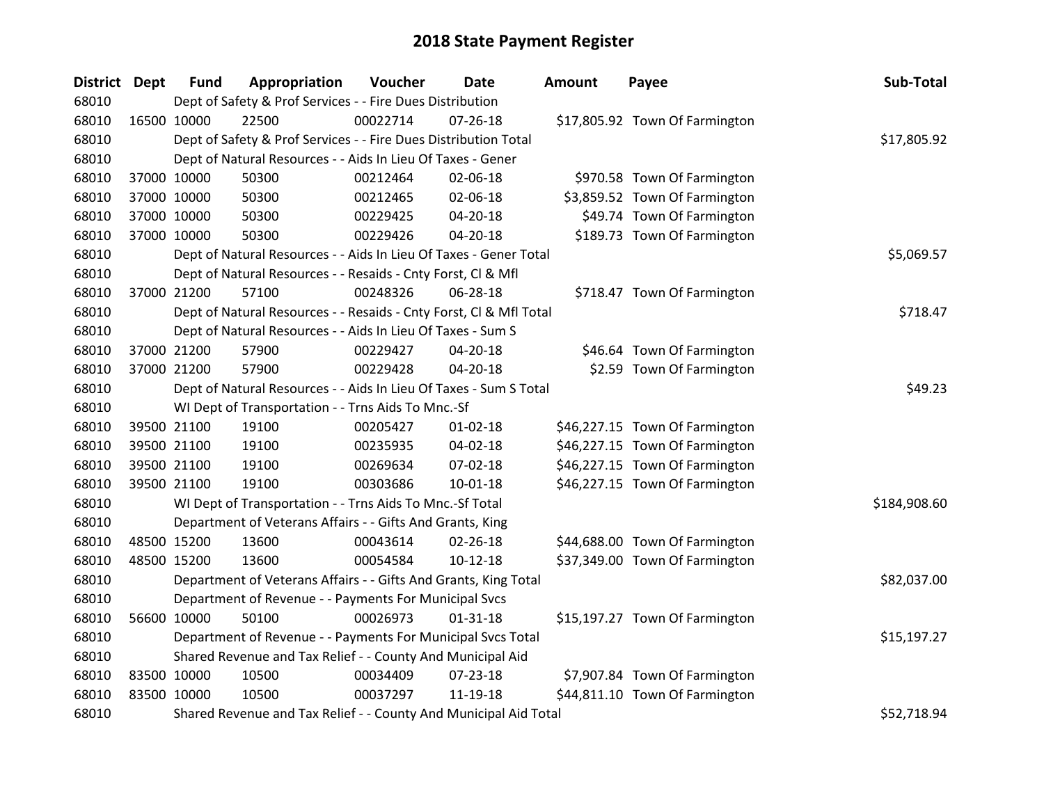| District Dept |             | <b>Fund</b> | Appropriation                                                      | Voucher  | Date           | <b>Amount</b> | Payee                          | Sub-Total    |
|---------------|-------------|-------------|--------------------------------------------------------------------|----------|----------------|---------------|--------------------------------|--------------|
| 68010         |             |             | Dept of Safety & Prof Services - - Fire Dues Distribution          |          |                |               |                                |              |
| 68010         |             | 16500 10000 | 22500                                                              | 00022714 | $07 - 26 - 18$ |               | \$17,805.92 Town Of Farmington |              |
| 68010         |             |             | Dept of Safety & Prof Services - - Fire Dues Distribution Total    |          |                |               |                                | \$17,805.92  |
| 68010         |             |             | Dept of Natural Resources - - Aids In Lieu Of Taxes - Gener        |          |                |               |                                |              |
| 68010         |             | 37000 10000 | 50300                                                              | 00212464 | 02-06-18       |               | \$970.58 Town Of Farmington    |              |
| 68010         |             | 37000 10000 | 50300                                                              | 00212465 | 02-06-18       |               | \$3,859.52 Town Of Farmington  |              |
| 68010         |             | 37000 10000 | 50300                                                              | 00229425 | $04 - 20 - 18$ |               | \$49.74 Town Of Farmington     |              |
| 68010         |             | 37000 10000 | 50300                                                              | 00229426 | 04-20-18       |               | \$189.73 Town Of Farmington    |              |
| 68010         |             |             | Dept of Natural Resources - - Aids In Lieu Of Taxes - Gener Total  |          | \$5,069.57     |               |                                |              |
| 68010         |             |             | Dept of Natural Resources - - Resaids - Cnty Forst, CI & Mfl       |          |                |               |                                |              |
| 68010         |             | 37000 21200 | 57100                                                              | 00248326 | 06-28-18       |               | \$718.47 Town Of Farmington    |              |
| 68010         |             |             | Dept of Natural Resources - - Resaids - Cnty Forst, Cl & Mfl Total |          |                |               |                                | \$718.47     |
| 68010         |             |             | Dept of Natural Resources - - Aids In Lieu Of Taxes - Sum S        |          |                |               |                                |              |
| 68010         |             | 37000 21200 | 57900                                                              | 00229427 | 04-20-18       |               | \$46.64 Town Of Farmington     |              |
| 68010         |             | 37000 21200 | 57900                                                              | 00229428 | 04-20-18       |               | \$2.59 Town Of Farmington      |              |
| 68010         |             |             | Dept of Natural Resources - - Aids In Lieu Of Taxes - Sum S Total  |          |                |               |                                | \$49.23      |
| 68010         |             |             | WI Dept of Transportation - - Trns Aids To Mnc.-Sf                 |          |                |               |                                |              |
| 68010         |             | 39500 21100 | 19100                                                              | 00205427 | $01 - 02 - 18$ |               | \$46,227.15 Town Of Farmington |              |
| 68010         |             | 39500 21100 | 19100                                                              | 00235935 | 04-02-18       |               | \$46,227.15 Town Of Farmington |              |
| 68010         |             | 39500 21100 | 19100                                                              | 00269634 | 07-02-18       |               | \$46,227.15 Town Of Farmington |              |
| 68010         |             | 39500 21100 | 19100                                                              | 00303686 | 10-01-18       |               | \$46,227.15 Town Of Farmington |              |
| 68010         |             |             | WI Dept of Transportation - - Trns Aids To Mnc.-Sf Total           |          |                |               |                                | \$184,908.60 |
| 68010         |             |             | Department of Veterans Affairs - - Gifts And Grants, King          |          |                |               |                                |              |
| 68010         |             | 48500 15200 | 13600                                                              | 00043614 | 02-26-18       |               | \$44,688.00 Town Of Farmington |              |
| 68010         |             | 48500 15200 | 13600                                                              | 00054584 | $10-12-18$     |               | \$37,349.00 Town Of Farmington |              |
| 68010         |             |             | Department of Veterans Affairs - - Gifts And Grants, King Total    |          |                |               |                                | \$82,037.00  |
| 68010         |             |             | Department of Revenue - - Payments For Municipal Svcs              |          |                |               |                                |              |
| 68010         |             | 56600 10000 | 50100                                                              | 00026973 | $01 - 31 - 18$ |               | \$15,197.27 Town Of Farmington |              |
| 68010         |             |             | Department of Revenue - - Payments For Municipal Svcs Total        |          |                |               |                                | \$15,197.27  |
| 68010         |             |             | Shared Revenue and Tax Relief - - County And Municipal Aid         |          |                |               |                                |              |
| 68010         | 83500 10000 |             | 10500                                                              | 00034409 | 07-23-18       |               | \$7,907.84 Town Of Farmington  |              |
| 68010         | 83500 10000 |             | 10500                                                              | 00037297 | 11-19-18       |               | \$44,811.10 Town Of Farmington |              |
| 68010         |             |             | Shared Revenue and Tax Relief - - County And Municipal Aid Total   |          |                |               |                                | \$52,718.94  |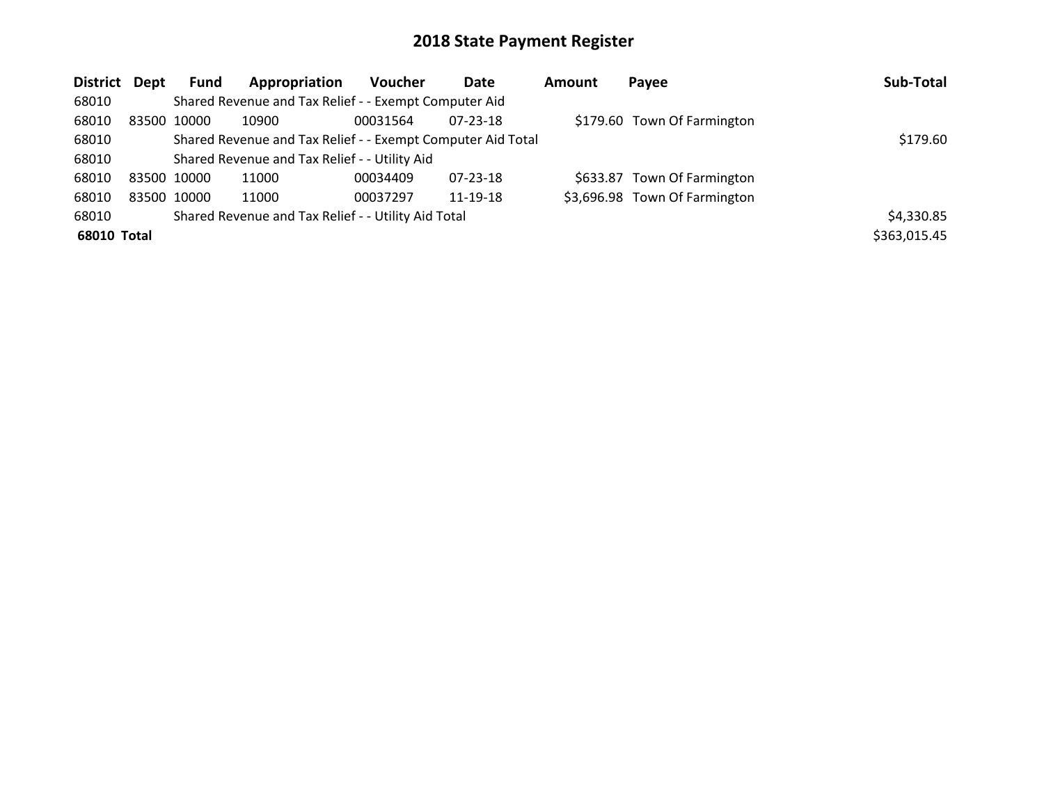| District Dept |             | <b>Fund</b>                                   | Appropriation                                               | <b>Voucher</b> | Date           | Amount | Payee                         | Sub-Total    |
|---------------|-------------|-----------------------------------------------|-------------------------------------------------------------|----------------|----------------|--------|-------------------------------|--------------|
| 68010         |             |                                               | Shared Revenue and Tax Relief - - Exempt Computer Aid       |                |                |        |                               |              |
| 68010         |             | 83500 10000                                   | 10900                                                       | 00031564       | $07 - 23 - 18$ |        | \$179.60 Town Of Farmington   |              |
| 68010         |             |                                               | Shared Revenue and Tax Relief - - Exempt Computer Aid Total |                |                |        |                               | \$179.60     |
| 68010         |             | Shared Revenue and Tax Relief - - Utility Aid |                                                             |                |                |        |                               |              |
| 68010         |             | 83500 10000                                   | 11000                                                       | 00034409       | 07-23-18       |        | \$633.87 Town Of Farmington   |              |
| 68010         | 83500 10000 |                                               | 11000                                                       | 00037297       | 11-19-18       |        | \$3,696.98 Town Of Farmington |              |
| 68010         |             |                                               | Shared Revenue and Tax Relief - - Utility Aid Total         |                |                |        |                               | \$4,330.85   |
| 68010 Total   |             |                                               |                                                             |                |                |        |                               | \$363,015.45 |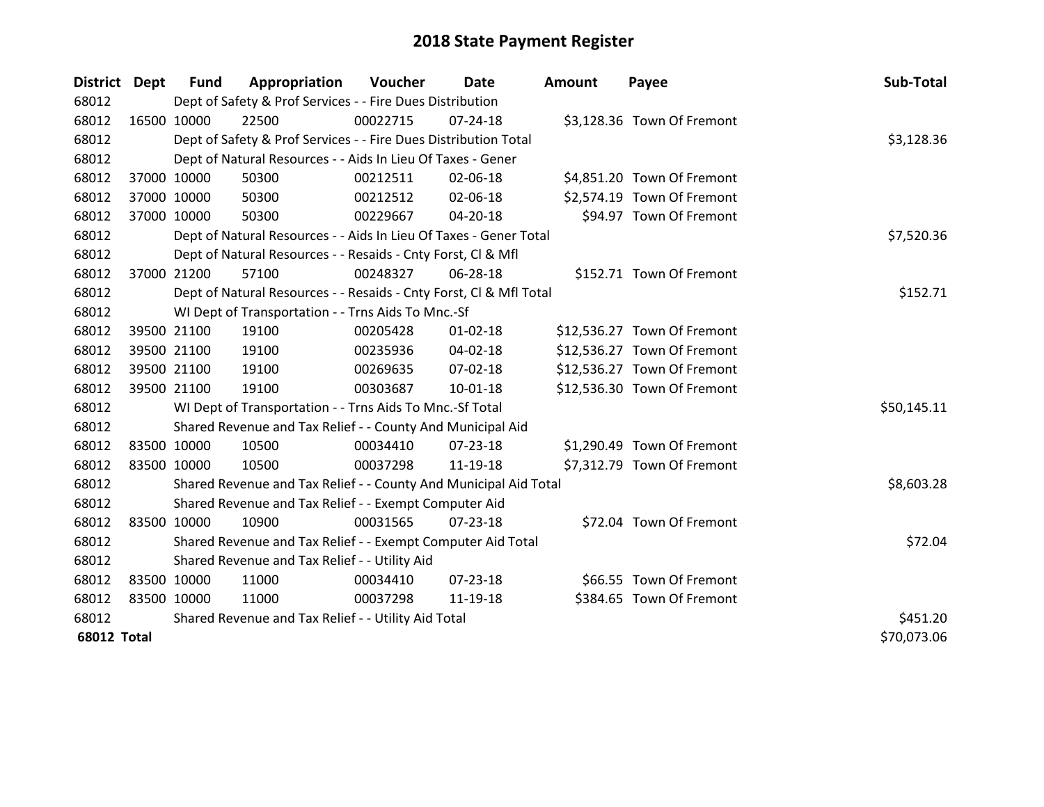| District Dept      |             | Fund                                                | Appropriation                                                      | <b>Voucher</b> | Date           | <b>Amount</b> | Payee                       | Sub-Total   |
|--------------------|-------------|-----------------------------------------------------|--------------------------------------------------------------------|----------------|----------------|---------------|-----------------------------|-------------|
| 68012              |             |                                                     | Dept of Safety & Prof Services - - Fire Dues Distribution          |                |                |               |                             |             |
| 68012              | 16500 10000 |                                                     | 22500                                                              | 00022715       | 07-24-18       |               | \$3,128.36 Town Of Fremont  |             |
| 68012              |             |                                                     | Dept of Safety & Prof Services - - Fire Dues Distribution Total    |                |                |               |                             | \$3,128.36  |
| 68012              |             |                                                     | Dept of Natural Resources - - Aids In Lieu Of Taxes - Gener        |                |                |               |                             |             |
| 68012              |             | 37000 10000                                         | 50300                                                              | 00212511       | 02-06-18       |               | \$4,851.20 Town Of Fremont  |             |
| 68012              |             | 37000 10000                                         | 50300                                                              | 00212512       | 02-06-18       |               | \$2,574.19 Town Of Fremont  |             |
| 68012              | 37000 10000 |                                                     | 50300                                                              | 00229667       | $04 - 20 - 18$ |               | \$94.97 Town Of Fremont     |             |
| 68012              |             |                                                     | Dept of Natural Resources - - Aids In Lieu Of Taxes - Gener Total  |                | \$7,520.36     |               |                             |             |
| 68012              |             |                                                     | Dept of Natural Resources - - Resaids - Cnty Forst, Cl & Mfl       |                |                |               |                             |             |
| 68012              |             | 37000 21200                                         | 57100                                                              | 00248327       | 06-28-18       |               | \$152.71 Town Of Fremont    |             |
| 68012              |             |                                                     | Dept of Natural Resources - - Resaids - Cnty Forst, CI & Mfl Total |                |                |               |                             | \$152.71    |
| 68012              |             |                                                     | WI Dept of Transportation - - Trns Aids To Mnc.-Sf                 |                |                |               |                             |             |
| 68012              |             | 39500 21100                                         | 19100                                                              | 00205428       | $01 - 02 - 18$ |               | \$12,536.27 Town Of Fremont |             |
| 68012              |             | 39500 21100                                         | 19100                                                              | 00235936       | $04 - 02 - 18$ |               | \$12,536.27 Town Of Fremont |             |
| 68012              |             | 39500 21100                                         | 19100                                                              | 00269635       | 07-02-18       |               | \$12,536.27 Town Of Fremont |             |
| 68012              |             | 39500 21100                                         | 19100                                                              | 00303687       | 10-01-18       |               | \$12,536.30 Town Of Fremont |             |
| 68012              |             |                                                     | WI Dept of Transportation - - Trns Aids To Mnc.-Sf Total           |                |                |               |                             | \$50,145.11 |
| 68012              |             |                                                     | Shared Revenue and Tax Relief - - County And Municipal Aid         |                |                |               |                             |             |
| 68012              |             | 83500 10000                                         | 10500                                                              | 00034410       | 07-23-18       |               | \$1,290.49 Town Of Fremont  |             |
| 68012              | 83500 10000 |                                                     | 10500                                                              | 00037298       | 11-19-18       |               | \$7,312.79 Town Of Fremont  |             |
| 68012              |             |                                                     | Shared Revenue and Tax Relief - - County And Municipal Aid Total   |                |                |               |                             | \$8,603.28  |
| 68012              |             |                                                     | Shared Revenue and Tax Relief - - Exempt Computer Aid              |                |                |               |                             |             |
| 68012              | 83500 10000 |                                                     | 10900                                                              | 00031565       | $07 - 23 - 18$ |               | \$72.04 Town Of Fremont     |             |
| 68012              |             |                                                     | Shared Revenue and Tax Relief - - Exempt Computer Aid Total        |                |                |               |                             | \$72.04     |
| 68012              |             |                                                     | Shared Revenue and Tax Relief - - Utility Aid                      |                |                |               |                             |             |
| 68012              | 83500 10000 |                                                     | 11000                                                              | 00034410       | 07-23-18       |               | \$66.55 Town Of Fremont     |             |
| 68012              | 83500 10000 |                                                     | 11000                                                              | 00037298       | 11-19-18       |               | \$384.65 Town Of Fremont    |             |
| 68012              |             | Shared Revenue and Tax Relief - - Utility Aid Total | \$451.20                                                           |                |                |               |                             |             |
| <b>68012 Total</b> |             |                                                     |                                                                    |                |                |               |                             | \$70,073.06 |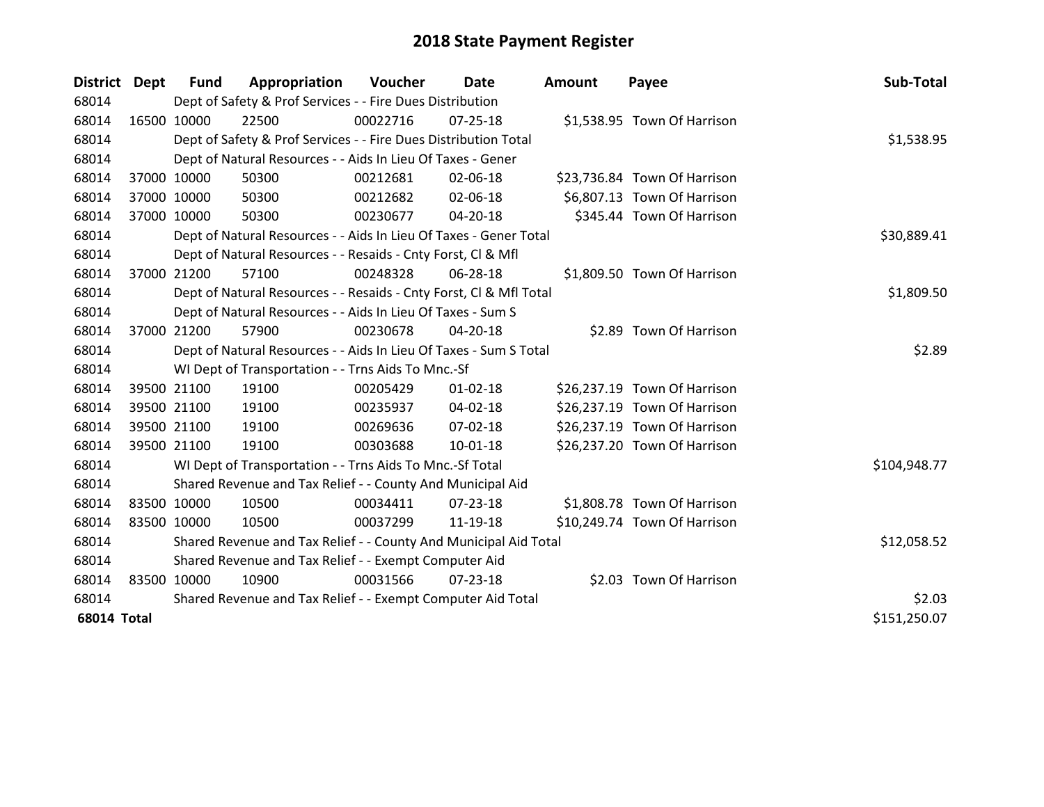| District           | Dept        | <b>Fund</b> | Appropriation                                                      | Voucher     | Date           | <b>Amount</b> | Payee                        | Sub-Total    |
|--------------------|-------------|-------------|--------------------------------------------------------------------|-------------|----------------|---------------|------------------------------|--------------|
| 68014              |             |             | Dept of Safety & Prof Services - - Fire Dues Distribution          |             |                |               |                              |              |
| 68014              | 16500 10000 |             | 22500                                                              | 00022716    | 07-25-18       |               | \$1,538.95 Town Of Harrison  |              |
| 68014              |             |             | Dept of Safety & Prof Services - - Fire Dues Distribution Total    |             |                |               |                              | \$1,538.95   |
| 68014              |             |             | Dept of Natural Resources - - Aids In Lieu Of Taxes - Gener        |             |                |               |                              |              |
| 68014              | 37000 10000 |             | 50300                                                              | 00212681    | 02-06-18       |               | \$23,736.84 Town Of Harrison |              |
| 68014              | 37000 10000 |             | 50300                                                              | 00212682    | 02-06-18       |               | \$6,807.13 Town Of Harrison  |              |
| 68014              | 37000 10000 |             | 50300                                                              | 00230677    | 04-20-18       |               | \$345.44 Town Of Harrison    |              |
| 68014              |             |             | Dept of Natural Resources - - Aids In Lieu Of Taxes - Gener Total  |             | \$30,889.41    |               |                              |              |
| 68014              |             |             | Dept of Natural Resources - - Resaids - Cnty Forst, Cl & Mfl       |             |                |               |                              |              |
| 68014              | 37000 21200 |             | 57100                                                              | 00248328    | 06-28-18       |               | \$1,809.50 Town Of Harrison  |              |
| 68014              |             |             | Dept of Natural Resources - - Resaids - Cnty Forst, Cl & Mfl Total |             |                |               |                              | \$1,809.50   |
| 68014              |             |             | Dept of Natural Resources - - Aids In Lieu Of Taxes - Sum S        |             |                |               |                              |              |
| 68014              | 37000 21200 |             | 57900                                                              | 00230678    | 04-20-18       |               | \$2.89 Town Of Harrison      |              |
| 68014              |             |             | Dept of Natural Resources - - Aids In Lieu Of Taxes - Sum S Total  |             |                |               |                              | \$2.89       |
| 68014              |             |             | WI Dept of Transportation - - Trns Aids To Mnc.-Sf                 |             |                |               |                              |              |
| 68014              |             | 39500 21100 | 19100                                                              | 00205429    | $01 - 02 - 18$ |               | \$26,237.19 Town Of Harrison |              |
| 68014              |             | 39500 21100 | 19100                                                              | 00235937    | 04-02-18       |               | \$26,237.19 Town Of Harrison |              |
| 68014              |             | 39500 21100 | 19100                                                              | 00269636    | 07-02-18       |               | \$26,237.19 Town Of Harrison |              |
| 68014              | 39500 21100 |             | 19100                                                              | 00303688    | 10-01-18       |               | \$26,237.20 Town Of Harrison |              |
| 68014              |             |             | WI Dept of Transportation - - Trns Aids To Mnc.-Sf Total           |             |                |               |                              | \$104,948.77 |
| 68014              |             |             | Shared Revenue and Tax Relief - - County And Municipal Aid         |             |                |               |                              |              |
| 68014              | 83500 10000 |             | 10500                                                              | 00034411    | 07-23-18       |               | \$1,808.78 Town Of Harrison  |              |
| 68014              | 83500 10000 |             | 10500                                                              | 00037299    | 11-19-18       |               | \$10,249.74 Town Of Harrison |              |
| 68014              |             |             | Shared Revenue and Tax Relief - - County And Municipal Aid Total   | \$12,058.52 |                |               |                              |              |
| 68014              |             |             | Shared Revenue and Tax Relief - - Exempt Computer Aid              |             |                |               |                              |              |
| 68014              | 83500 10000 |             | 10900                                                              | 00031566    | $07 - 23 - 18$ |               | \$2.03 Town Of Harrison      |              |
| 68014              |             |             | Shared Revenue and Tax Relief - - Exempt Computer Aid Total        | \$2.03      |                |               |                              |              |
| <b>68014 Total</b> |             |             |                                                                    |             |                |               |                              | \$151,250.07 |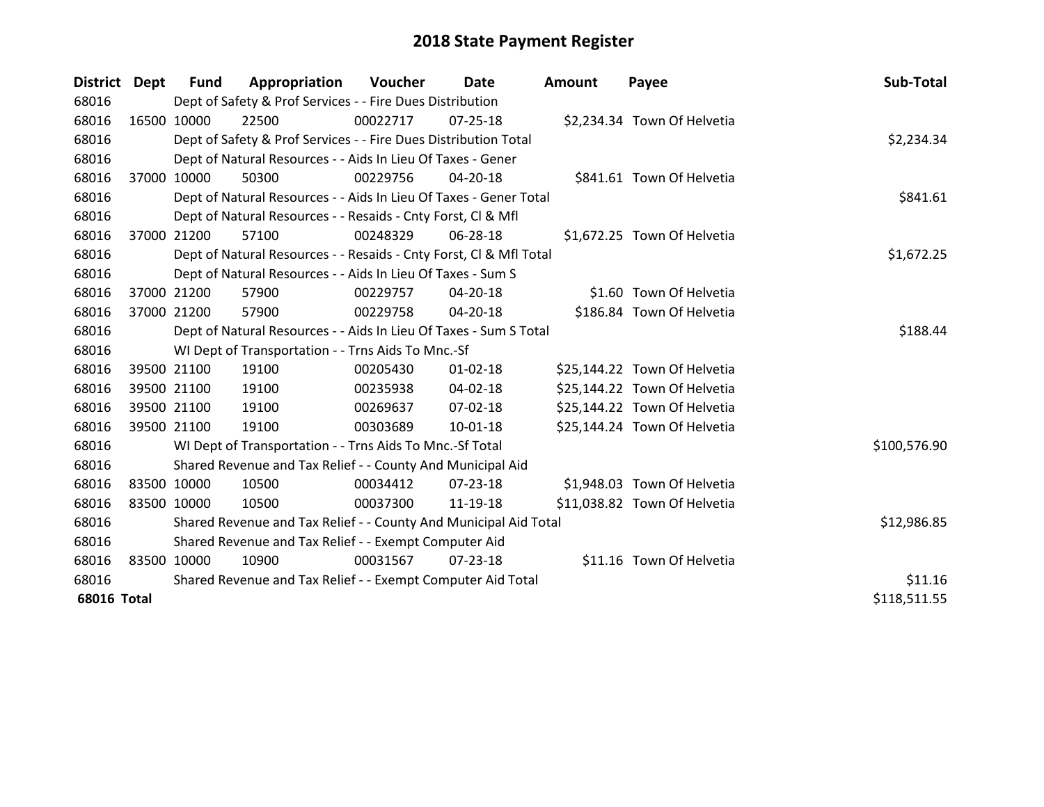| District Dept      | <b>Fund</b>  | Appropriation                                                      | Voucher  | Date           | <b>Amount</b> | Payee                        | Sub-Total    |
|--------------------|--------------|--------------------------------------------------------------------|----------|----------------|---------------|------------------------------|--------------|
| 68016              |              | Dept of Safety & Prof Services - - Fire Dues Distribution          |          |                |               |                              |              |
| 68016              | 16500 10000  | 22500                                                              | 00022717 | 07-25-18       |               | \$2,234.34 Town Of Helvetia  |              |
| 68016              |              | Dept of Safety & Prof Services - - Fire Dues Distribution Total    |          |                |               |                              | \$2,234.34   |
| 68016              |              | Dept of Natural Resources - - Aids In Lieu Of Taxes - Gener        |          |                |               |                              |              |
| 68016              | 37000 10000  | 50300                                                              | 00229756 | 04-20-18       |               | \$841.61 Town Of Helvetia    |              |
| 68016              |              | Dept of Natural Resources - - Aids In Lieu Of Taxes - Gener Total  |          |                |               |                              | \$841.61     |
| 68016              |              | Dept of Natural Resources - - Resaids - Cnty Forst, CI & Mfl       |          |                |               |                              |              |
| 68016              | 37000 21200  | 57100                                                              | 00248329 | 06-28-18       |               | \$1,672.25 Town Of Helvetia  |              |
| 68016              |              | Dept of Natural Resources - - Resaids - Cnty Forst, Cl & Mfl Total |          | \$1,672.25     |               |                              |              |
| 68016              |              | Dept of Natural Resources - - Aids In Lieu Of Taxes - Sum S        |          |                |               |                              |              |
| 68016              | 37000 21200  | 57900                                                              | 00229757 | 04-20-18       |               | \$1.60 Town Of Helvetia      |              |
| 68016              | 37000 21200  | 57900                                                              | 00229758 | 04-20-18       |               | \$186.84 Town Of Helvetia    |              |
| 68016              |              | Dept of Natural Resources - - Aids In Lieu Of Taxes - Sum S Total  | \$188.44 |                |               |                              |              |
| 68016              |              | WI Dept of Transportation - - Trns Aids To Mnc.-Sf                 |          |                |               |                              |              |
| 68016              | 39500 21100  | 19100                                                              | 00205430 | $01 - 02 - 18$ |               | \$25,144.22 Town Of Helvetia |              |
| 68016              | 39500 21100  | 19100                                                              | 00235938 | 04-02-18       |               | \$25,144.22 Town Of Helvetia |              |
| 68016              | 39500 21100  | 19100                                                              | 00269637 | $07 - 02 - 18$ |               | \$25,144.22 Town Of Helvetia |              |
| 68016              | 39500 21100  | 19100                                                              | 00303689 | $10 - 01 - 18$ |               | \$25,144.24 Town Of Helvetia |              |
| 68016              |              | WI Dept of Transportation - - Trns Aids To Mnc.-Sf Total           |          |                |               |                              | \$100,576.90 |
| 68016              |              | Shared Revenue and Tax Relief - - County And Municipal Aid         |          |                |               |                              |              |
| 68016              | 83500 10000  | 10500                                                              | 00034412 | 07-23-18       |               | \$1,948.03 Town Of Helvetia  |              |
| 68016              | 83500 10000  | 10500                                                              | 00037300 | 11-19-18       |               | \$11,038.82 Town Of Helvetia |              |
| 68016              |              | Shared Revenue and Tax Relief - - County And Municipal Aid Total   |          |                |               |                              | \$12,986.85  |
| 68016              |              | Shared Revenue and Tax Relief - - Exempt Computer Aid              |          |                |               |                              |              |
| 68016              | 83500 10000  | 10900                                                              | 00031567 | $07 - 23 - 18$ |               | \$11.16 Town Of Helvetia     |              |
| 68016              |              | Shared Revenue and Tax Relief - - Exempt Computer Aid Total        |          | \$11.16        |               |                              |              |
| <b>68016 Total</b> | \$118,511.55 |                                                                    |          |                |               |                              |              |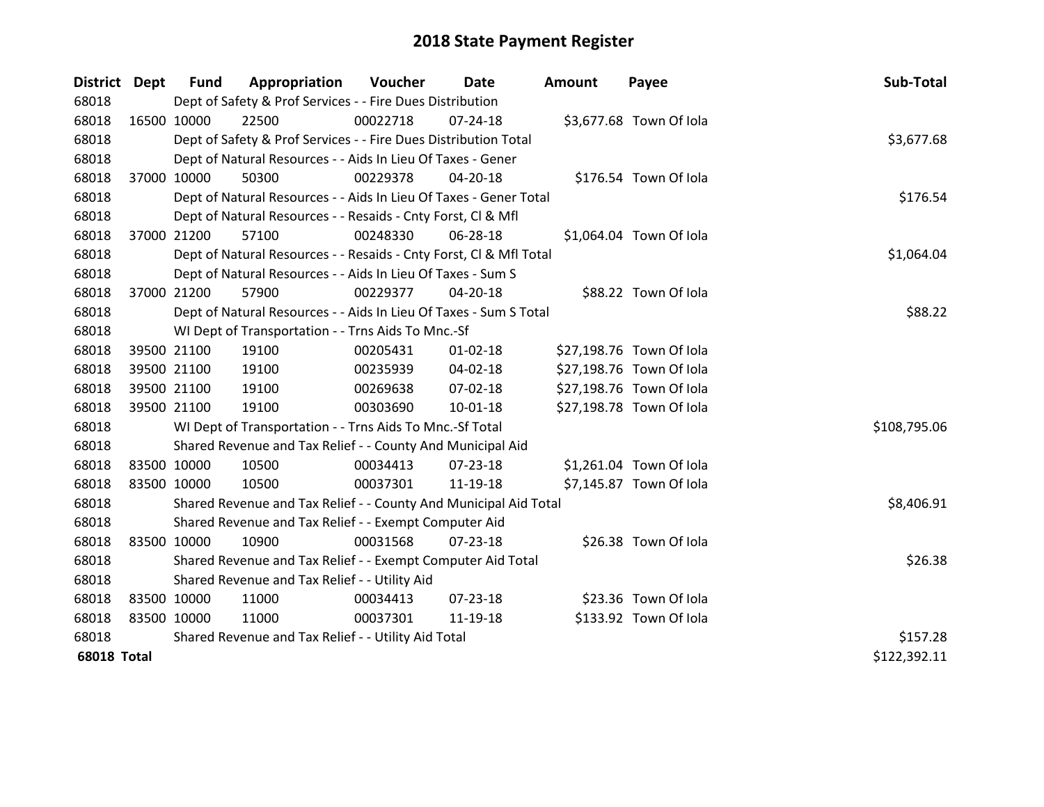| District Dept      |             | <b>Fund</b> | Appropriation                                                      | Voucher  | Date           | <b>Amount</b> | Payee                    | Sub-Total    |
|--------------------|-------------|-------------|--------------------------------------------------------------------|----------|----------------|---------------|--------------------------|--------------|
| 68018              |             |             | Dept of Safety & Prof Services - - Fire Dues Distribution          |          |                |               |                          |              |
| 68018              | 16500 10000 |             | 22500                                                              | 00022718 | $07 - 24 - 18$ |               | \$3,677.68 Town Of Iola  |              |
| 68018              |             |             | Dept of Safety & Prof Services - - Fire Dues Distribution Total    |          |                |               |                          | \$3,677.68   |
| 68018              |             |             | Dept of Natural Resources - - Aids In Lieu Of Taxes - Gener        |          |                |               |                          |              |
| 68018              |             | 37000 10000 | 50300                                                              | 00229378 | 04-20-18       |               | \$176.54 Town Of Iola    |              |
| 68018              |             |             | Dept of Natural Resources - - Aids In Lieu Of Taxes - Gener Total  |          |                |               |                          | \$176.54     |
| 68018              |             |             | Dept of Natural Resources - - Resaids - Cnty Forst, Cl & Mfl       |          |                |               |                          |              |
| 68018              |             | 37000 21200 | 57100                                                              | 00248330 | 06-28-18       |               | \$1,064.04 Town Of Iola  |              |
| 68018              |             |             | Dept of Natural Resources - - Resaids - Cnty Forst, CI & Mfl Total |          |                |               |                          | \$1,064.04   |
| 68018              |             |             | Dept of Natural Resources - - Aids In Lieu Of Taxes - Sum S        |          |                |               |                          |              |
| 68018              |             | 37000 21200 | 57900                                                              | 00229377 | 04-20-18       |               | \$88.22 Town Of Iola     |              |
| 68018              |             |             | Dept of Natural Resources - - Aids In Lieu Of Taxes - Sum S Total  |          |                |               |                          | \$88.22      |
| 68018              |             |             | WI Dept of Transportation - - Trns Aids To Mnc.-Sf                 |          |                |               |                          |              |
| 68018              |             | 39500 21100 | 19100                                                              | 00205431 | $01 - 02 - 18$ |               | \$27,198.76 Town Of Iola |              |
| 68018              |             | 39500 21100 | 19100                                                              | 00235939 | 04-02-18       |               | \$27,198.76 Town Of Iola |              |
| 68018              |             | 39500 21100 | 19100                                                              | 00269638 | 07-02-18       |               | \$27,198.76 Town Of Iola |              |
| 68018              |             | 39500 21100 | 19100                                                              | 00303690 | $10 - 01 - 18$ |               | \$27,198.78 Town Of Iola |              |
| 68018              |             |             | WI Dept of Transportation - - Trns Aids To Mnc.-Sf Total           |          |                |               |                          | \$108,795.06 |
| 68018              |             |             | Shared Revenue and Tax Relief - - County And Municipal Aid         |          |                |               |                          |              |
| 68018              |             | 83500 10000 | 10500                                                              | 00034413 | 07-23-18       |               | \$1,261.04 Town Of Iola  |              |
| 68018              | 83500 10000 |             | 10500                                                              | 00037301 | 11-19-18       |               | \$7,145.87 Town Of Iola  |              |
| 68018              |             |             | Shared Revenue and Tax Relief - - County And Municipal Aid Total   |          |                |               |                          | \$8,406.91   |
| 68018              |             |             | Shared Revenue and Tax Relief - - Exempt Computer Aid              |          |                |               |                          |              |
| 68018              | 83500 10000 |             | 10900                                                              | 00031568 | $07 - 23 - 18$ |               | \$26.38 Town Of Iola     |              |
| 68018              |             |             | Shared Revenue and Tax Relief - - Exempt Computer Aid Total        |          |                |               |                          | \$26.38      |
| 68018              |             |             | Shared Revenue and Tax Relief - - Utility Aid                      |          |                |               |                          |              |
| 68018              | 83500 10000 |             | 11000                                                              | 00034413 | $07 - 23 - 18$ |               | \$23.36 Town Of Iola     |              |
| 68018              | 83500 10000 |             | 11000                                                              | 00037301 | 11-19-18       |               | \$133.92 Town Of Iola    |              |
| 68018              |             |             | Shared Revenue and Tax Relief - - Utility Aid Total                |          |                |               |                          | \$157.28     |
| <b>68018 Total</b> |             |             |                                                                    |          |                |               |                          | \$122,392.11 |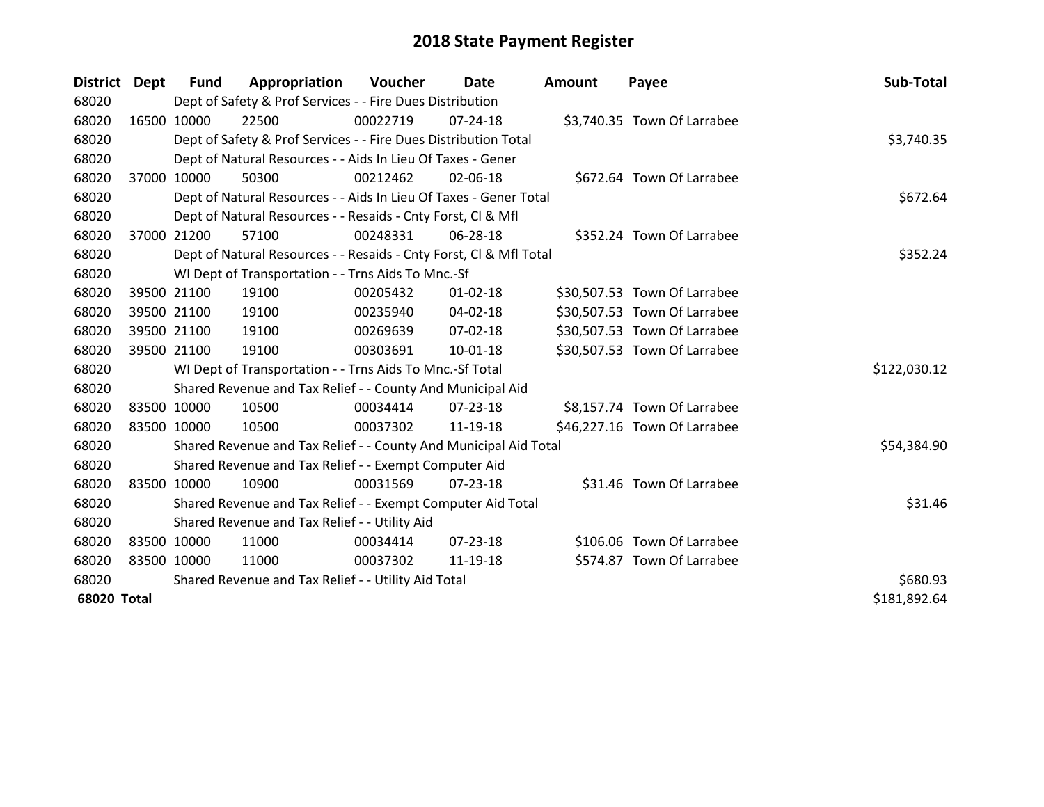| District Dept      | <b>Fund</b>                                         | Appropriation                                                      | Voucher  | Date           | <b>Amount</b> | Payee                        | Sub-Total    |
|--------------------|-----------------------------------------------------|--------------------------------------------------------------------|----------|----------------|---------------|------------------------------|--------------|
| 68020              |                                                     | Dept of Safety & Prof Services - - Fire Dues Distribution          |          |                |               |                              |              |
| 68020              | 16500 10000                                         | 22500                                                              | 00022719 | $07 - 24 - 18$ |               | \$3,740.35 Town Of Larrabee  |              |
| 68020              |                                                     | Dept of Safety & Prof Services - - Fire Dues Distribution Total    |          |                |               |                              | \$3,740.35   |
| 68020              |                                                     | Dept of Natural Resources - - Aids In Lieu Of Taxes - Gener        |          |                |               |                              |              |
| 68020              | 37000 10000                                         | 50300                                                              | 00212462 | 02-06-18       |               | \$672.64 Town Of Larrabee    |              |
| 68020              |                                                     | Dept of Natural Resources - - Aids In Lieu Of Taxes - Gener Total  |          | \$672.64       |               |                              |              |
| 68020              |                                                     | Dept of Natural Resources - - Resaids - Cnty Forst, CI & Mfl       |          |                |               |                              |              |
| 68020              | 37000 21200                                         | 57100                                                              | 00248331 | 06-28-18       |               | \$352.24 Town Of Larrabee    |              |
| 68020              |                                                     | Dept of Natural Resources - - Resaids - Cnty Forst, CI & Mfl Total |          |                |               |                              | \$352.24     |
| 68020              |                                                     | WI Dept of Transportation - - Trns Aids To Mnc.-Sf                 |          |                |               |                              |              |
| 68020              | 39500 21100                                         | 19100                                                              | 00205432 | $01 - 02 - 18$ |               | \$30,507.53 Town Of Larrabee |              |
| 68020              | 39500 21100                                         | 19100                                                              | 00235940 | 04-02-18       |               | \$30,507.53 Town Of Larrabee |              |
| 68020              | 39500 21100                                         | 19100                                                              | 00269639 | 07-02-18       |               | \$30,507.53 Town Of Larrabee |              |
| 68020              | 39500 21100                                         | 19100                                                              | 00303691 | $10 - 01 - 18$ |               | \$30,507.53 Town Of Larrabee |              |
| 68020              |                                                     | WI Dept of Transportation - - Trns Aids To Mnc.-Sf Total           |          |                |               |                              | \$122,030.12 |
| 68020              |                                                     | Shared Revenue and Tax Relief - - County And Municipal Aid         |          |                |               |                              |              |
| 68020              | 83500 10000                                         | 10500                                                              | 00034414 | $07 - 23 - 18$ |               | \$8,157.74 Town Of Larrabee  |              |
| 68020              | 83500 10000                                         | 10500                                                              | 00037302 | 11-19-18       |               | \$46,227.16 Town Of Larrabee |              |
| 68020              |                                                     | Shared Revenue and Tax Relief - - County And Municipal Aid Total   |          |                |               |                              | \$54,384.90  |
| 68020              |                                                     | Shared Revenue and Tax Relief - - Exempt Computer Aid              |          |                |               |                              |              |
| 68020              | 83500 10000                                         | 10900                                                              | 00031569 | $07 - 23 - 18$ |               | \$31.46 Town Of Larrabee     |              |
| 68020              |                                                     | Shared Revenue and Tax Relief - - Exempt Computer Aid Total        |          |                |               |                              | \$31.46      |
| 68020              |                                                     | Shared Revenue and Tax Relief - - Utility Aid                      |          |                |               |                              |              |
| 68020              | 83500 10000                                         | 11000                                                              | 00034414 | $07 - 23 - 18$ |               | \$106.06 Town Of Larrabee    |              |
| 68020              | 83500 10000                                         | 11000                                                              | 00037302 | 11-19-18       |               | \$574.87 Town Of Larrabee    |              |
| 68020              | Shared Revenue and Tax Relief - - Utility Aid Total | \$680.93                                                           |          |                |               |                              |              |
| <b>68020 Total</b> |                                                     |                                                                    |          |                |               |                              | \$181,892.64 |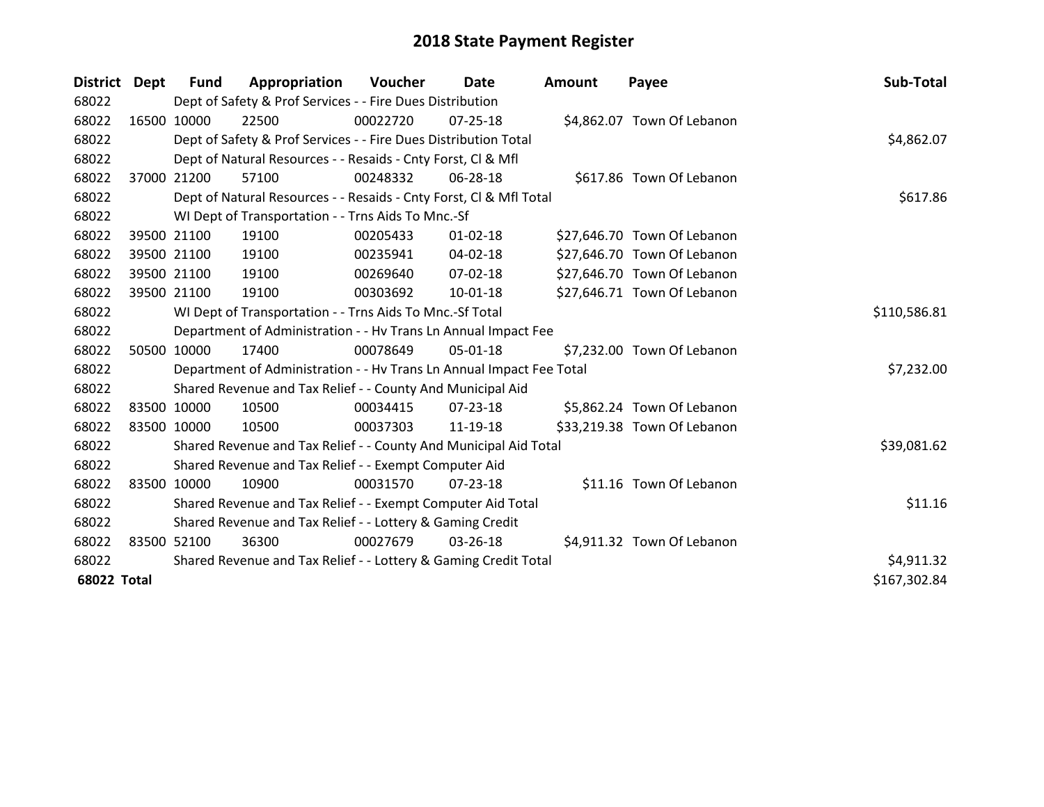| District Dept      |             | <b>Fund</b> | Appropriation                                                        | Voucher  | Date           | <b>Amount</b> | Payee                       | Sub-Total    |
|--------------------|-------------|-------------|----------------------------------------------------------------------|----------|----------------|---------------|-----------------------------|--------------|
| 68022              |             |             | Dept of Safety & Prof Services - - Fire Dues Distribution            |          |                |               |                             |              |
| 68022              |             | 16500 10000 | 22500                                                                | 00022720 | $07 - 25 - 18$ |               | \$4,862.07 Town Of Lebanon  |              |
| 68022              |             |             | Dept of Safety & Prof Services - - Fire Dues Distribution Total      |          |                |               |                             | \$4,862.07   |
| 68022              |             |             | Dept of Natural Resources - - Resaids - Cnty Forst, CI & Mfl         |          |                |               |                             |              |
| 68022              |             | 37000 21200 | 57100                                                                | 00248332 | 06-28-18       |               | \$617.86 Town Of Lebanon    |              |
| 68022              |             |             | Dept of Natural Resources - - Resaids - Cnty Forst, Cl & Mfl Total   |          |                |               |                             | \$617.86     |
| 68022              |             |             | WI Dept of Transportation - - Trns Aids To Mnc.-Sf                   |          |                |               |                             |              |
| 68022              |             | 39500 21100 | 19100                                                                | 00205433 | $01 - 02 - 18$ |               | \$27,646.70 Town Of Lebanon |              |
| 68022              |             | 39500 21100 | 19100                                                                | 00235941 | 04-02-18       |               | \$27,646.70 Town Of Lebanon |              |
| 68022              |             | 39500 21100 | 19100                                                                | 00269640 | 07-02-18       |               | \$27,646.70 Town Of Lebanon |              |
| 68022              |             | 39500 21100 | 19100                                                                | 00303692 | 10-01-18       |               | \$27,646.71 Town Of Lebanon |              |
| 68022              |             |             | WI Dept of Transportation - - Trns Aids To Mnc.-Sf Total             |          |                |               |                             | \$110,586.81 |
| 68022              |             |             | Department of Administration - - Hv Trans Ln Annual Impact Fee       |          |                |               |                             |              |
| 68022              |             | 50500 10000 | 17400                                                                | 00078649 | 05-01-18       |               | \$7,232.00 Town Of Lebanon  |              |
| 68022              |             |             | Department of Administration - - Hv Trans Ln Annual Impact Fee Total |          |                |               |                             | \$7,232.00   |
| 68022              |             |             | Shared Revenue and Tax Relief - - County And Municipal Aid           |          |                |               |                             |              |
| 68022              |             | 83500 10000 | 10500                                                                | 00034415 | 07-23-18       |               | \$5,862.24 Town Of Lebanon  |              |
| 68022              | 83500 10000 |             | 10500                                                                | 00037303 | 11-19-18       |               | \$33,219.38 Town Of Lebanon |              |
| 68022              |             |             | Shared Revenue and Tax Relief - - County And Municipal Aid Total     |          |                |               |                             | \$39,081.62  |
| 68022              |             |             | Shared Revenue and Tax Relief - - Exempt Computer Aid                |          |                |               |                             |              |
| 68022              |             | 83500 10000 | 10900                                                                | 00031570 | $07 - 23 - 18$ |               | \$11.16 Town Of Lebanon     |              |
| 68022              |             |             | Shared Revenue and Tax Relief - - Exempt Computer Aid Total          |          |                |               |                             | \$11.16      |
| 68022              |             |             | Shared Revenue and Tax Relief - - Lottery & Gaming Credit            |          |                |               |                             |              |
| 68022              |             | 83500 52100 | 36300                                                                | 00027679 | 03-26-18       |               | \$4,911.32 Town Of Lebanon  |              |
| 68022              |             |             | Shared Revenue and Tax Relief - - Lottery & Gaming Credit Total      |          |                |               |                             | \$4,911.32   |
| <b>68022 Total</b> |             |             |                                                                      |          |                |               |                             | \$167,302.84 |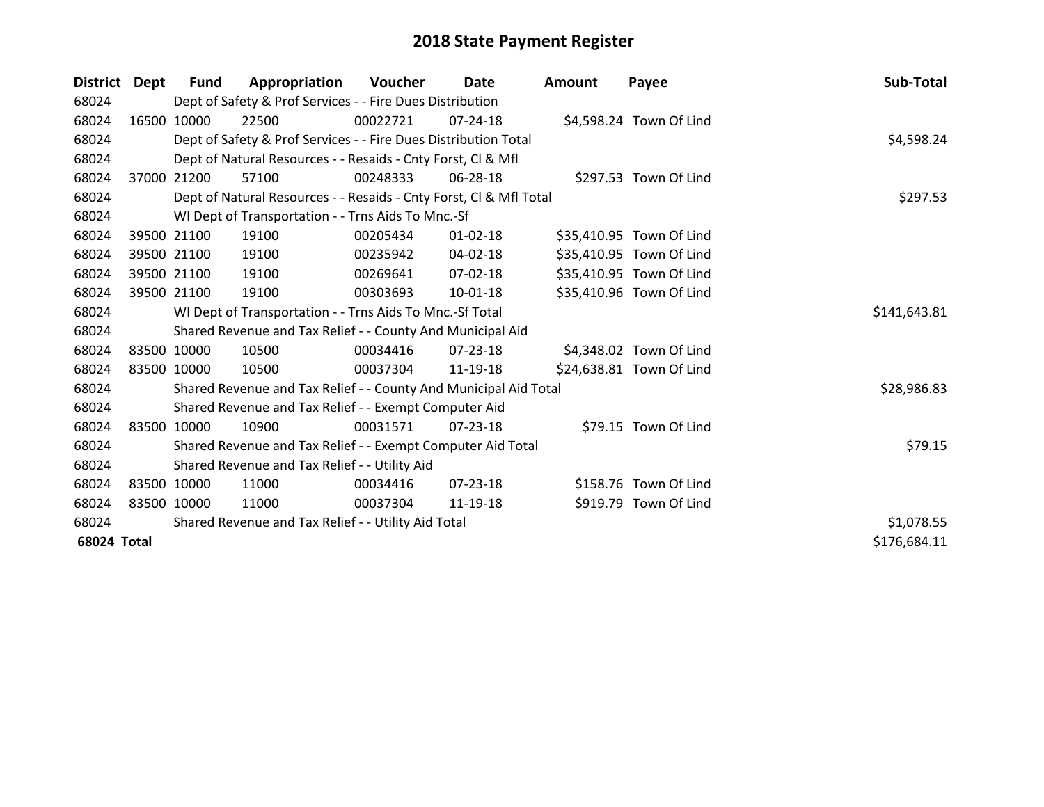| District Dept      |       | <b>Fund</b> | Appropriation                                                      | Voucher  | Date           | Amount | Payee                    | Sub-Total    |
|--------------------|-------|-------------|--------------------------------------------------------------------|----------|----------------|--------|--------------------------|--------------|
| 68024              |       |             | Dept of Safety & Prof Services - - Fire Dues Distribution          |          |                |        |                          |              |
| 68024              |       | 16500 10000 | 22500                                                              | 00022721 | $07 - 24 - 18$ |        | \$4,598.24 Town Of Lind  |              |
| 68024              |       |             | Dept of Safety & Prof Services - - Fire Dues Distribution Total    |          |                |        |                          | \$4,598.24   |
| 68024              |       |             | Dept of Natural Resources - - Resaids - Cnty Forst, CI & Mfl       |          |                |        |                          |              |
| 68024              | 37000 | 21200       | 57100                                                              | 00248333 | 06-28-18       |        | \$297.53 Town Of Lind    |              |
| 68024              |       |             | Dept of Natural Resources - - Resaids - Cnty Forst, Cl & Mfl Total |          |                |        |                          | \$297.53     |
| 68024              |       |             | WI Dept of Transportation - - Trns Aids To Mnc.-Sf                 |          |                |        |                          |              |
| 68024              |       | 39500 21100 | 19100                                                              | 00205434 | $01 - 02 - 18$ |        | \$35,410.95 Town Of Lind |              |
| 68024              |       | 39500 21100 | 19100                                                              | 00235942 | 04-02-18       |        | \$35,410.95 Town Of Lind |              |
| 68024              |       | 39500 21100 | 19100                                                              | 00269641 | $07 - 02 - 18$ |        | \$35,410.95 Town Of Lind |              |
| 68024              |       | 39500 21100 | 19100                                                              | 00303693 | 10-01-18       |        | \$35,410.96 Town Of Lind |              |
| 68024              |       |             | WI Dept of Transportation - - Trns Aids To Mnc.-Sf Total           |          |                |        |                          | \$141,643.81 |
| 68024              |       |             | Shared Revenue and Tax Relief - - County And Municipal Aid         |          |                |        |                          |              |
| 68024              |       | 83500 10000 | 10500                                                              | 00034416 | 07-23-18       |        | \$4,348.02 Town Of Lind  |              |
| 68024              |       | 83500 10000 | 10500                                                              | 00037304 | 11-19-18       |        | \$24,638.81 Town Of Lind |              |
| 68024              |       |             | Shared Revenue and Tax Relief - - County And Municipal Aid Total   |          |                |        |                          | \$28,986.83  |
| 68024              |       |             | Shared Revenue and Tax Relief - - Exempt Computer Aid              |          |                |        |                          |              |
| 68024              |       | 83500 10000 | 10900                                                              | 00031571 | 07-23-18       |        | \$79.15 Town Of Lind     |              |
| 68024              |       |             | Shared Revenue and Tax Relief - - Exempt Computer Aid Total        |          |                |        |                          | \$79.15      |
| 68024              |       |             | Shared Revenue and Tax Relief - - Utility Aid                      |          |                |        |                          |              |
| 68024              |       | 83500 10000 | 11000                                                              | 00034416 | $07 - 23 - 18$ |        | \$158.76 Town Of Lind    |              |
| 68024              |       | 83500 10000 | 11000                                                              | 00037304 | 11-19-18       |        | \$919.79 Town Of Lind    |              |
| 68024              |       |             | Shared Revenue and Tax Relief - - Utility Aid Total                |          |                |        |                          | \$1,078.55   |
| <b>68024 Total</b> |       |             |                                                                    |          |                |        |                          | \$176,684.11 |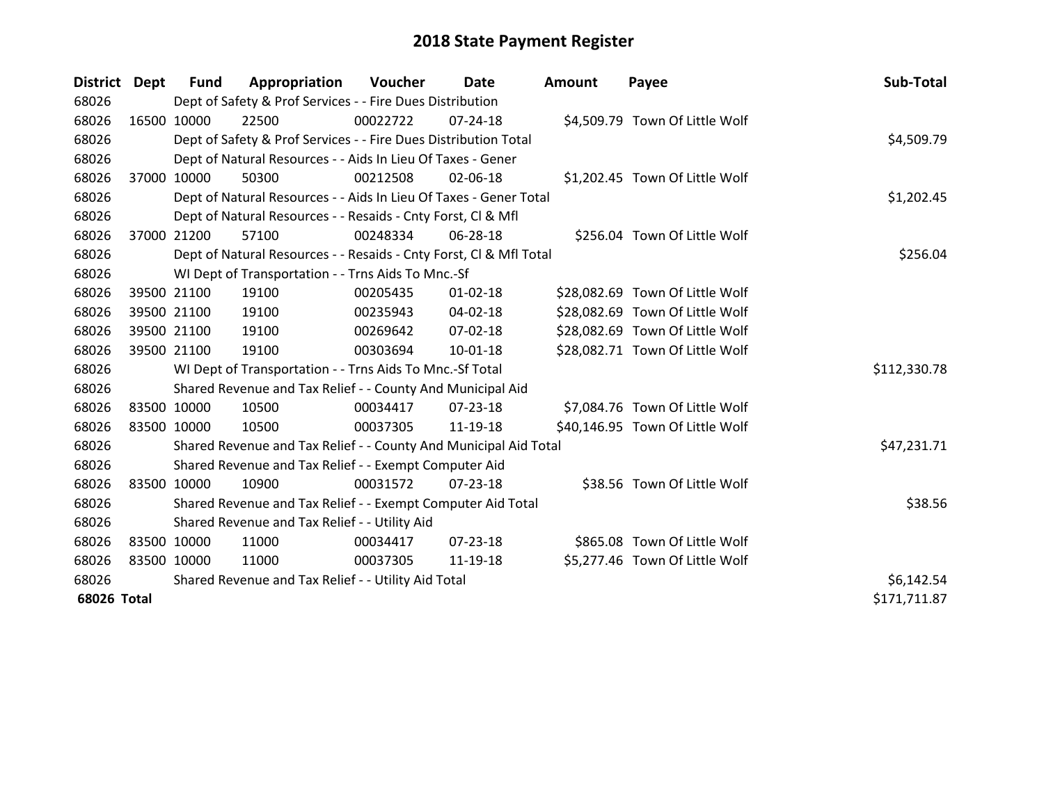| District Dept | <b>Fund</b>                                   | Appropriation                                                      | Voucher    | Date           | <b>Amount</b> | Payee                           | Sub-Total    |
|---------------|-----------------------------------------------|--------------------------------------------------------------------|------------|----------------|---------------|---------------------------------|--------------|
| 68026         |                                               | Dept of Safety & Prof Services - - Fire Dues Distribution          |            |                |               |                                 |              |
| 68026         | 16500 10000                                   | 22500                                                              | 00022722   | $07 - 24 - 18$ |               | \$4,509.79 Town Of Little Wolf  |              |
| 68026         |                                               | Dept of Safety & Prof Services - - Fire Dues Distribution Total    |            |                |               |                                 | \$4,509.79   |
| 68026         |                                               | Dept of Natural Resources - - Aids In Lieu Of Taxes - Gener        |            |                |               |                                 |              |
| 68026         | 37000 10000                                   | 50300                                                              | 00212508   | 02-06-18       |               | \$1,202.45 Town Of Little Wolf  |              |
| 68026         |                                               | Dept of Natural Resources - - Aids In Lieu Of Taxes - Gener Total  | \$1,202.45 |                |               |                                 |              |
| 68026         |                                               | Dept of Natural Resources - - Resaids - Cnty Forst, Cl & Mfl       |            |                |               |                                 |              |
| 68026         | 37000 21200                                   | 57100                                                              | 00248334   | 06-28-18       |               | \$256.04 Town Of Little Wolf    |              |
| 68026         |                                               | Dept of Natural Resources - - Resaids - Cnty Forst, Cl & Mfl Total |            |                |               |                                 | \$256.04     |
| 68026         |                                               | WI Dept of Transportation - - Trns Aids To Mnc.-Sf                 |            |                |               |                                 |              |
| 68026         | 39500 21100                                   | 19100                                                              | 00205435   | $01 - 02 - 18$ |               | \$28,082.69 Town Of Little Wolf |              |
| 68026         | 39500 21100                                   | 19100                                                              | 00235943   | $04 - 02 - 18$ |               | \$28,082.69 Town Of Little Wolf |              |
| 68026         | 39500 21100                                   | 19100                                                              | 00269642   | 07-02-18       |               | \$28,082.69 Town Of Little Wolf |              |
| 68026         | 39500 21100                                   | 19100                                                              | 00303694   | $10 - 01 - 18$ |               | \$28,082.71 Town Of Little Wolf |              |
| 68026         |                                               | WI Dept of Transportation - - Trns Aids To Mnc.-Sf Total           |            |                |               |                                 | \$112,330.78 |
| 68026         |                                               | Shared Revenue and Tax Relief - - County And Municipal Aid         |            |                |               |                                 |              |
| 68026         | 83500 10000                                   | 10500                                                              | 00034417   | 07-23-18       |               | \$7,084.76 Town Of Little Wolf  |              |
| 68026         | 83500 10000                                   | 10500                                                              | 00037305   | 11-19-18       |               | \$40,146.95 Town Of Little Wolf |              |
| 68026         |                                               | Shared Revenue and Tax Relief - - County And Municipal Aid Total   |            |                |               |                                 | \$47,231.71  |
| 68026         |                                               | Shared Revenue and Tax Relief - - Exempt Computer Aid              |            |                |               |                                 |              |
| 68026         | 83500 10000                                   | 10900                                                              | 00031572   | 07-23-18       |               | \$38.56 Town Of Little Wolf     |              |
| 68026         |                                               | Shared Revenue and Tax Relief - - Exempt Computer Aid Total        |            |                |               |                                 | \$38.56      |
| 68026         | Shared Revenue and Tax Relief - - Utility Aid |                                                                    |            |                |               |                                 |              |
| 68026         | 83500 10000                                   | 11000                                                              | 00034417   | $07 - 23 - 18$ |               | \$865.08 Town Of Little Wolf    |              |
| 68026         | 83500 10000                                   | 11000                                                              | 00037305   | 11-19-18       |               | \$5,277.46 Town Of Little Wolf  |              |
| 68026         |                                               | Shared Revenue and Tax Relief - - Utility Aid Total                |            |                |               |                                 | \$6,142.54   |
| 68026 Total   |                                               |                                                                    |            |                |               |                                 | \$171,711.87 |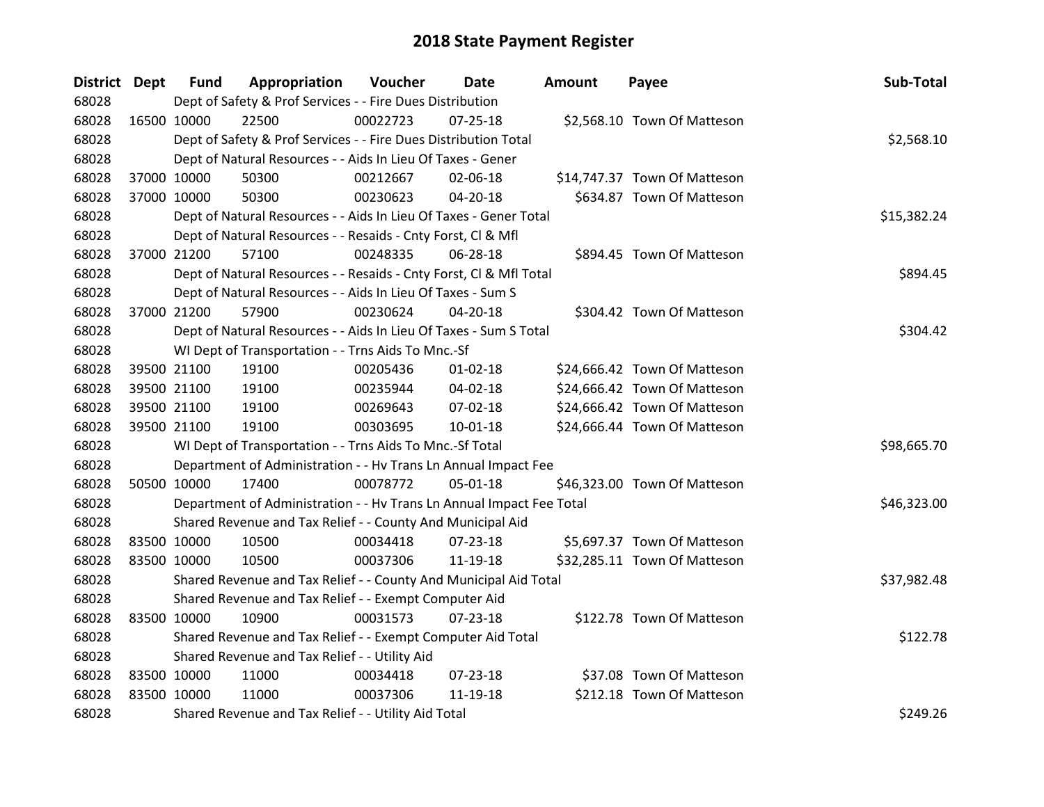| District Dept |             | <b>Fund</b> | Appropriation                                                        | Voucher  | Date           | <b>Amount</b> | Payee                        | Sub-Total   |
|---------------|-------------|-------------|----------------------------------------------------------------------|----------|----------------|---------------|------------------------------|-------------|
| 68028         |             |             | Dept of Safety & Prof Services - - Fire Dues Distribution            |          |                |               |                              |             |
| 68028         | 16500 10000 |             | 22500                                                                | 00022723 | $07 - 25 - 18$ |               | \$2,568.10 Town Of Matteson  |             |
| 68028         |             |             | Dept of Safety & Prof Services - - Fire Dues Distribution Total      |          |                |               |                              | \$2,568.10  |
| 68028         |             |             | Dept of Natural Resources - - Aids In Lieu Of Taxes - Gener          |          |                |               |                              |             |
| 68028         |             | 37000 10000 | 50300                                                                | 00212667 | 02-06-18       |               | \$14,747.37 Town Of Matteson |             |
| 68028         |             | 37000 10000 | 50300                                                                | 00230623 | $04 - 20 - 18$ |               | \$634.87 Town Of Matteson    |             |
| 68028         |             |             | Dept of Natural Resources - - Aids In Lieu Of Taxes - Gener Total    |          |                |               |                              | \$15,382.24 |
| 68028         |             |             | Dept of Natural Resources - - Resaids - Cnty Forst, Cl & Mfl         |          |                |               |                              |             |
| 68028         |             | 37000 21200 | 57100                                                                | 00248335 | 06-28-18       |               | \$894.45 Town Of Matteson    |             |
| 68028         |             |             | Dept of Natural Resources - - Resaids - Cnty Forst, CI & Mfl Total   |          |                |               |                              | \$894.45    |
| 68028         |             |             | Dept of Natural Resources - - Aids In Lieu Of Taxes - Sum S          |          |                |               |                              |             |
| 68028         |             | 37000 21200 | 57900                                                                | 00230624 | 04-20-18       |               | \$304.42 Town Of Matteson    |             |
| 68028         |             |             | Dept of Natural Resources - - Aids In Lieu Of Taxes - Sum S Total    |          |                |               |                              | \$304.42    |
| 68028         |             |             | WI Dept of Transportation - - Trns Aids To Mnc.-Sf                   |          |                |               |                              |             |
| 68028         |             | 39500 21100 | 19100                                                                | 00205436 | 01-02-18       |               | \$24,666.42 Town Of Matteson |             |
| 68028         |             | 39500 21100 | 19100                                                                | 00235944 | 04-02-18       |               | \$24,666.42 Town Of Matteson |             |
| 68028         |             | 39500 21100 | 19100                                                                | 00269643 | 07-02-18       |               | \$24,666.42 Town Of Matteson |             |
| 68028         |             | 39500 21100 | 19100                                                                | 00303695 | $10-01-18$     |               | \$24,666.44 Town Of Matteson |             |
| 68028         |             |             | WI Dept of Transportation - - Trns Aids To Mnc.-Sf Total             |          |                |               |                              | \$98,665.70 |
| 68028         |             |             | Department of Administration - - Hv Trans Ln Annual Impact Fee       |          |                |               |                              |             |
| 68028         | 50500 10000 |             | 17400                                                                | 00078772 | $05-01-18$     |               | \$46,323.00 Town Of Matteson |             |
| 68028         |             |             | Department of Administration - - Hv Trans Ln Annual Impact Fee Total |          |                |               |                              | \$46,323.00 |
| 68028         |             |             | Shared Revenue and Tax Relief - - County And Municipal Aid           |          |                |               |                              |             |
| 68028         |             | 83500 10000 | 10500                                                                | 00034418 | 07-23-18       |               | \$5,697.37 Town Of Matteson  |             |
| 68028         |             | 83500 10000 | 10500                                                                | 00037306 | 11-19-18       |               | \$32,285.11 Town Of Matteson |             |
| 68028         |             |             | Shared Revenue and Tax Relief - - County And Municipal Aid Total     |          |                |               |                              | \$37,982.48 |
| 68028         |             |             | Shared Revenue and Tax Relief - - Exempt Computer Aid                |          |                |               |                              |             |
| 68028         | 83500 10000 |             | 10900                                                                | 00031573 | 07-23-18       |               | \$122.78 Town Of Matteson    |             |
| 68028         |             |             | Shared Revenue and Tax Relief - - Exempt Computer Aid Total          |          |                |               |                              | \$122.78    |
| 68028         |             |             | Shared Revenue and Tax Relief - - Utility Aid                        |          |                |               |                              |             |
| 68028         | 83500 10000 |             | 11000                                                                | 00034418 | 07-23-18       |               | \$37.08 Town Of Matteson     |             |
| 68028         | 83500 10000 |             | 11000                                                                | 00037306 | 11-19-18       |               | \$212.18 Town Of Matteson    |             |
| 68028         |             |             | Shared Revenue and Tax Relief - - Utility Aid Total                  |          |                |               |                              | \$249.26    |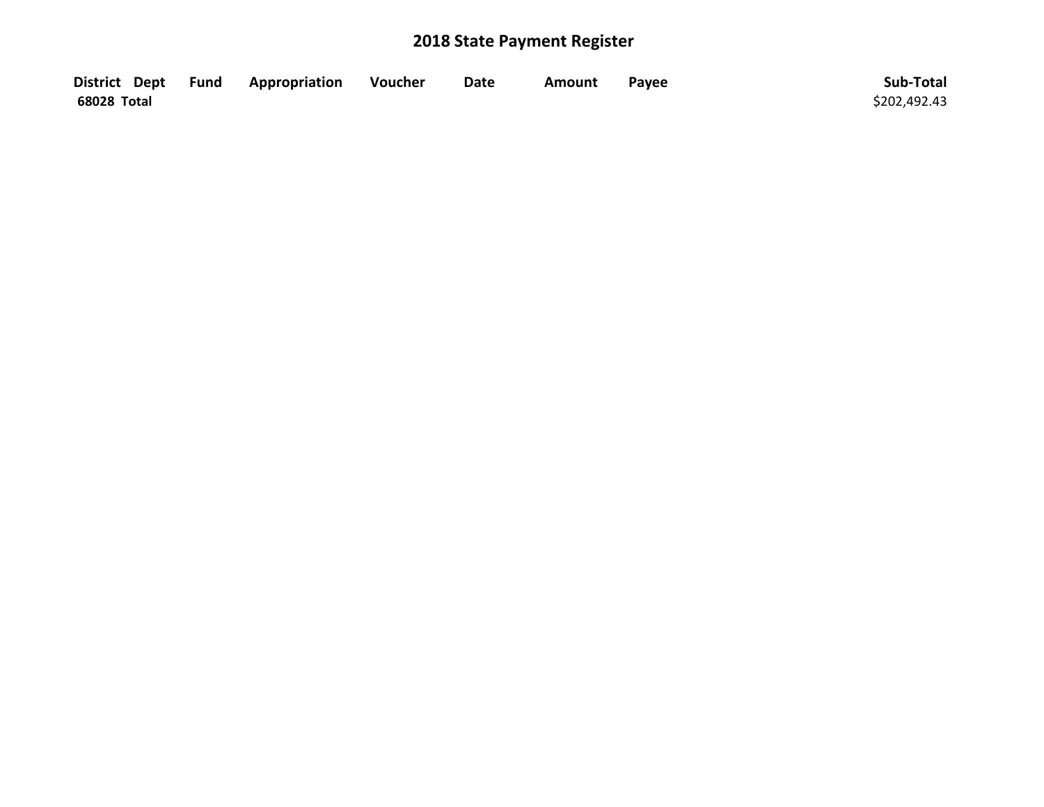|             | District Dept Fund Appropriation | Voucher | Date | <b>Amount</b> | Payee | Sub-Total    |
|-------------|----------------------------------|---------|------|---------------|-------|--------------|
| 68028 Total |                                  |         |      |               |       | \$202,492.43 |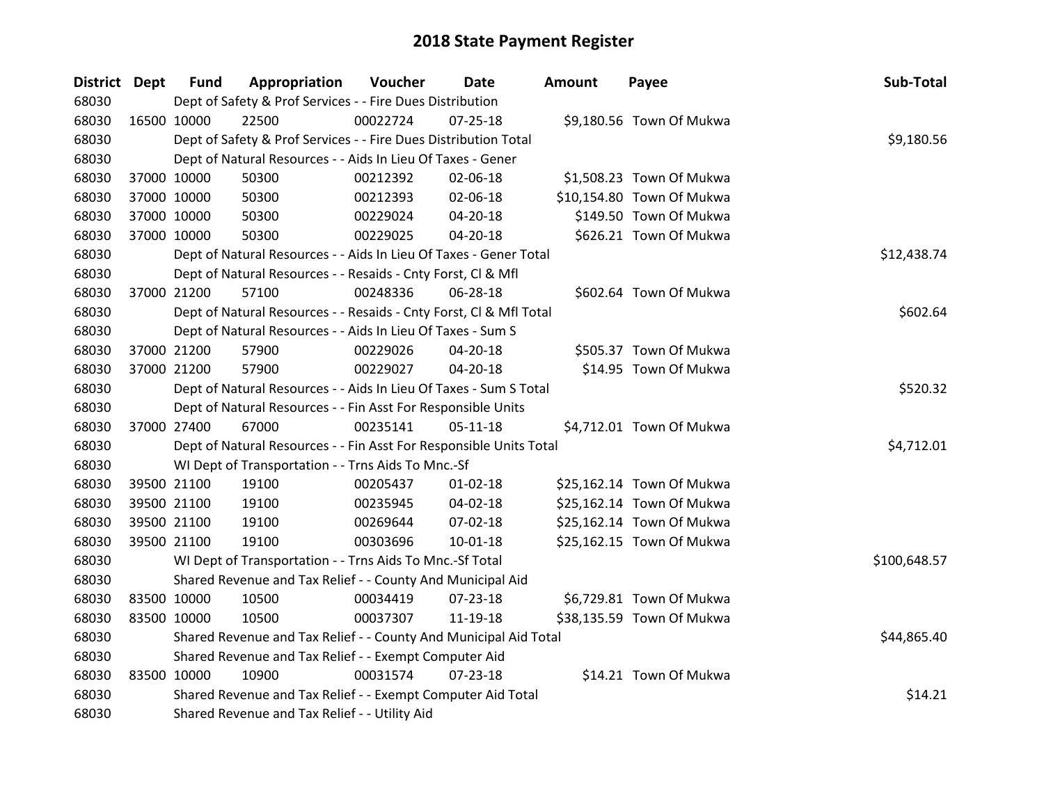| District Dept |             | <b>Fund</b> | Appropriation                                                      | Voucher  | Date           | <b>Amount</b> | Payee                     | Sub-Total    |
|---------------|-------------|-------------|--------------------------------------------------------------------|----------|----------------|---------------|---------------------------|--------------|
| 68030         |             |             | Dept of Safety & Prof Services - - Fire Dues Distribution          |          |                |               |                           |              |
| 68030         |             | 16500 10000 | 22500                                                              | 00022724 | $07 - 25 - 18$ |               | \$9,180.56 Town Of Mukwa  |              |
| 68030         |             |             | Dept of Safety & Prof Services - - Fire Dues Distribution Total    |          |                |               |                           | \$9,180.56   |
| 68030         |             |             | Dept of Natural Resources - - Aids In Lieu Of Taxes - Gener        |          |                |               |                           |              |
| 68030         |             | 37000 10000 | 50300                                                              | 00212392 | 02-06-18       |               | \$1,508.23 Town Of Mukwa  |              |
| 68030         |             | 37000 10000 | 50300                                                              | 00212393 | 02-06-18       |               | \$10,154.80 Town Of Mukwa |              |
| 68030         |             | 37000 10000 | 50300                                                              | 00229024 | 04-20-18       |               | \$149.50 Town Of Mukwa    |              |
| 68030         |             | 37000 10000 | 50300                                                              | 00229025 | $04 - 20 - 18$ |               | \$626.21 Town Of Mukwa    |              |
| 68030         |             |             | Dept of Natural Resources - - Aids In Lieu Of Taxes - Gener Total  |          |                |               |                           | \$12,438.74  |
| 68030         |             |             | Dept of Natural Resources - - Resaids - Cnty Forst, Cl & Mfl       |          |                |               |                           |              |
| 68030         |             | 37000 21200 | 57100                                                              | 00248336 | 06-28-18       |               | \$602.64 Town Of Mukwa    |              |
| 68030         |             |             | Dept of Natural Resources - - Resaids - Cnty Forst, CI & Mfl Total |          |                |               |                           | \$602.64     |
| 68030         |             |             | Dept of Natural Resources - - Aids In Lieu Of Taxes - Sum S        |          |                |               |                           |              |
| 68030         |             | 37000 21200 | 57900                                                              | 00229026 | 04-20-18       |               | \$505.37 Town Of Mukwa    |              |
| 68030         |             | 37000 21200 | 57900                                                              | 00229027 | 04-20-18       |               | \$14.95 Town Of Mukwa     |              |
| 68030         |             |             | Dept of Natural Resources - - Aids In Lieu Of Taxes - Sum S Total  |          |                |               |                           | \$520.32     |
| 68030         |             |             | Dept of Natural Resources - - Fin Asst For Responsible Units       |          |                |               |                           |              |
| 68030         |             | 37000 27400 | 67000                                                              | 00235141 | $05 - 11 - 18$ |               | \$4,712.01 Town Of Mukwa  |              |
| 68030         |             |             | Dept of Natural Resources - - Fin Asst For Responsible Units Total |          |                |               |                           | \$4,712.01   |
| 68030         |             |             | WI Dept of Transportation - - Trns Aids To Mnc.-Sf                 |          |                |               |                           |              |
| 68030         |             | 39500 21100 | 19100                                                              | 00205437 | $01 - 02 - 18$ |               | \$25,162.14 Town Of Mukwa |              |
| 68030         |             | 39500 21100 | 19100                                                              | 00235945 | 04-02-18       |               | \$25,162.14 Town Of Mukwa |              |
| 68030         |             | 39500 21100 | 19100                                                              | 00269644 | 07-02-18       |               | \$25,162.14 Town Of Mukwa |              |
| 68030         |             | 39500 21100 | 19100                                                              | 00303696 | $10 - 01 - 18$ |               | \$25,162.15 Town Of Mukwa |              |
| 68030         |             |             | WI Dept of Transportation - - Trns Aids To Mnc.-Sf Total           |          |                |               |                           | \$100,648.57 |
| 68030         |             |             | Shared Revenue and Tax Relief - - County And Municipal Aid         |          |                |               |                           |              |
| 68030         |             | 83500 10000 | 10500                                                              | 00034419 | 07-23-18       |               | \$6,729.81 Town Of Mukwa  |              |
| 68030         |             | 83500 10000 | 10500                                                              | 00037307 | 11-19-18       |               | \$38,135.59 Town Of Mukwa |              |
| 68030         |             |             | Shared Revenue and Tax Relief - - County And Municipal Aid Total   |          |                |               |                           | \$44,865.40  |
| 68030         |             |             | Shared Revenue and Tax Relief - - Exempt Computer Aid              |          |                |               |                           |              |
| 68030         | 83500 10000 |             | 10900                                                              | 00031574 | $07 - 23 - 18$ |               | \$14.21 Town Of Mukwa     |              |
| 68030         |             |             | Shared Revenue and Tax Relief - - Exempt Computer Aid Total        |          |                |               |                           | \$14.21      |
| 68030         |             |             | Shared Revenue and Tax Relief - - Utility Aid                      |          |                |               |                           |              |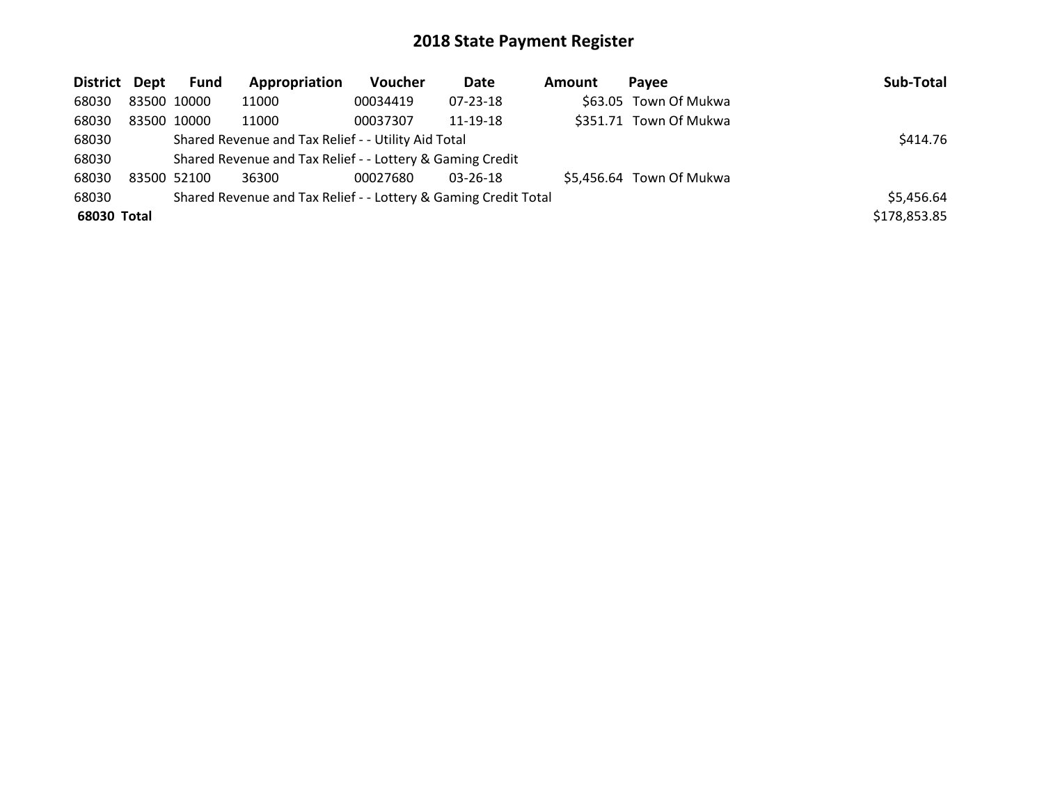| District Dept | <b>Fund</b> | Appropriation                                                   | <b>Voucher</b> | Date           | Amount | <b>Pavee</b>             | Sub-Total    |
|---------------|-------------|-----------------------------------------------------------------|----------------|----------------|--------|--------------------------|--------------|
| 68030         | 83500 10000 | 11000                                                           | 00034419       | 07-23-18       |        | \$63.05 Town Of Mukwa    |              |
| 68030         | 83500 10000 | 11000                                                           | 00037307       | 11-19-18       |        | \$351.71 Town Of Mukwa   |              |
| 68030         |             | Shared Revenue and Tax Relief - - Utility Aid Total             |                |                |        |                          | \$414.76     |
| 68030         |             | Shared Revenue and Tax Relief - - Lottery & Gaming Credit       |                |                |        |                          |              |
| 68030         | 83500 52100 | 36300                                                           | 00027680       | $03 - 26 - 18$ |        | \$5,456.64 Town Of Mukwa |              |
| 68030         |             | Shared Revenue and Tax Relief - - Lottery & Gaming Credit Total |                |                |        |                          | \$5,456.64   |
| 68030 Total   |             |                                                                 |                |                |        |                          | \$178,853.85 |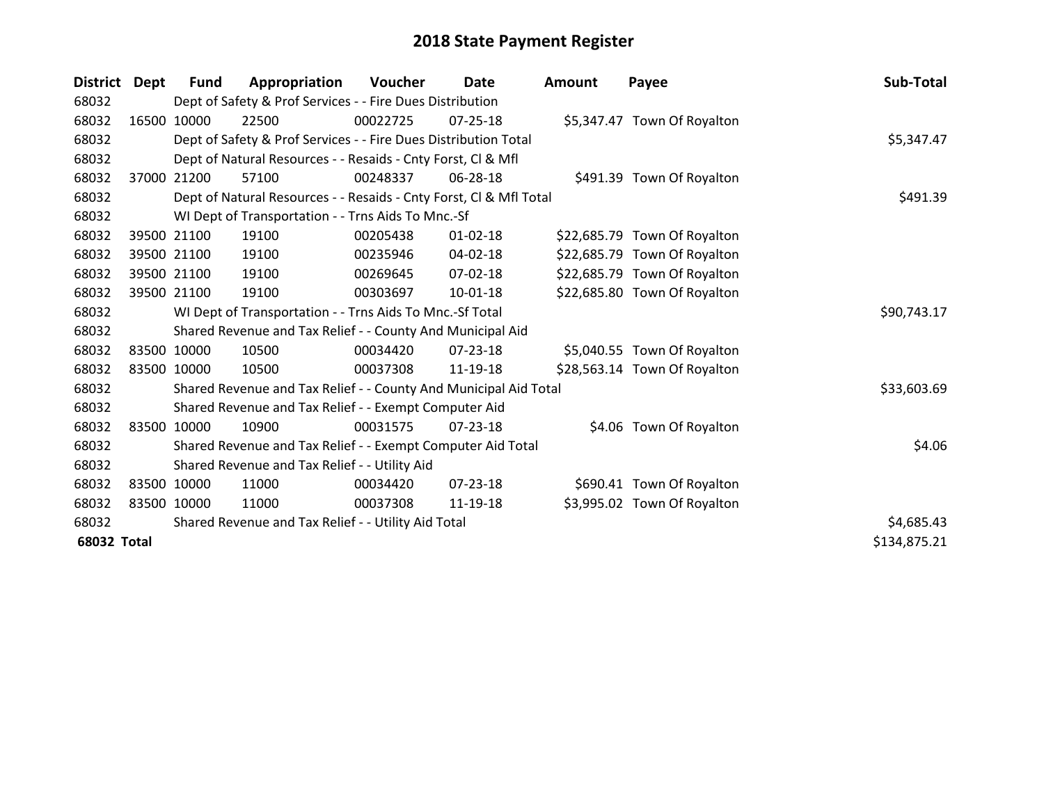| <b>District</b>    | Dept        | <b>Fund</b> | Appropriation                                                      | Voucher  | <b>Date</b>    | <b>Amount</b> | Payee                        | Sub-Total    |
|--------------------|-------------|-------------|--------------------------------------------------------------------|----------|----------------|---------------|------------------------------|--------------|
| 68032              |             |             | Dept of Safety & Prof Services - - Fire Dues Distribution          |          |                |               |                              |              |
| 68032              |             | 16500 10000 | 22500                                                              | 00022725 | $07 - 25 - 18$ |               | \$5,347.47 Town Of Royalton  |              |
| 68032              |             |             | Dept of Safety & Prof Services - - Fire Dues Distribution Total    |          |                |               |                              | \$5,347.47   |
| 68032              |             |             | Dept of Natural Resources - - Resaids - Cnty Forst, Cl & Mfl       |          |                |               |                              |              |
| 68032              | 37000       | 21200       | 57100                                                              | 00248337 | 06-28-18       |               | \$491.39 Town Of Royalton    |              |
| 68032              |             |             | Dept of Natural Resources - - Resaids - Cnty Forst, Cl & Mfl Total |          |                |               |                              | \$491.39     |
| 68032              |             |             | WI Dept of Transportation - - Trns Aids To Mnc.-Sf                 |          |                |               |                              |              |
| 68032              |             | 39500 21100 | 19100                                                              | 00205438 | $01 - 02 - 18$ |               | \$22,685.79 Town Of Royalton |              |
| 68032              |             | 39500 21100 | 19100                                                              | 00235946 | $04 - 02 - 18$ |               | \$22,685.79 Town Of Royalton |              |
| 68032              |             | 39500 21100 | 19100                                                              | 00269645 | $07 - 02 - 18$ |               | \$22,685.79 Town Of Royalton |              |
| 68032              |             | 39500 21100 | 19100                                                              | 00303697 | 10-01-18       |               | \$22,685.80 Town Of Royalton |              |
| 68032              |             |             | WI Dept of Transportation - - Trns Aids To Mnc.-Sf Total           |          |                |               |                              | \$90,743.17  |
| 68032              |             |             | Shared Revenue and Tax Relief - - County And Municipal Aid         |          |                |               |                              |              |
| 68032              |             | 83500 10000 | 10500                                                              | 00034420 | 07-23-18       |               | \$5,040.55 Town Of Royalton  |              |
| 68032              |             | 83500 10000 | 10500                                                              | 00037308 | 11-19-18       |               | \$28,563.14 Town Of Royalton |              |
| 68032              |             |             | Shared Revenue and Tax Relief - - County And Municipal Aid Total   |          |                |               |                              | \$33,603.69  |
| 68032              |             |             | Shared Revenue and Tax Relief - - Exempt Computer Aid              |          |                |               |                              |              |
| 68032              |             | 83500 10000 | 10900                                                              | 00031575 | $07 - 23 - 18$ |               | \$4.06 Town Of Royalton      |              |
| 68032              |             |             | Shared Revenue and Tax Relief - - Exempt Computer Aid Total        |          |                |               |                              | \$4.06       |
| 68032              |             |             | Shared Revenue and Tax Relief - - Utility Aid                      |          |                |               |                              |              |
| 68032              |             | 83500 10000 | 11000                                                              | 00034420 | $07 - 23 - 18$ |               | \$690.41 Town Of Royalton    |              |
| 68032              | 83500 10000 |             | 11000                                                              | 00037308 | 11-19-18       |               | \$3,995.02 Town Of Royalton  |              |
| 68032              |             |             | Shared Revenue and Tax Relief - - Utility Aid Total                |          |                |               |                              | \$4,685.43   |
| <b>68032 Total</b> |             |             |                                                                    |          |                |               |                              | \$134,875.21 |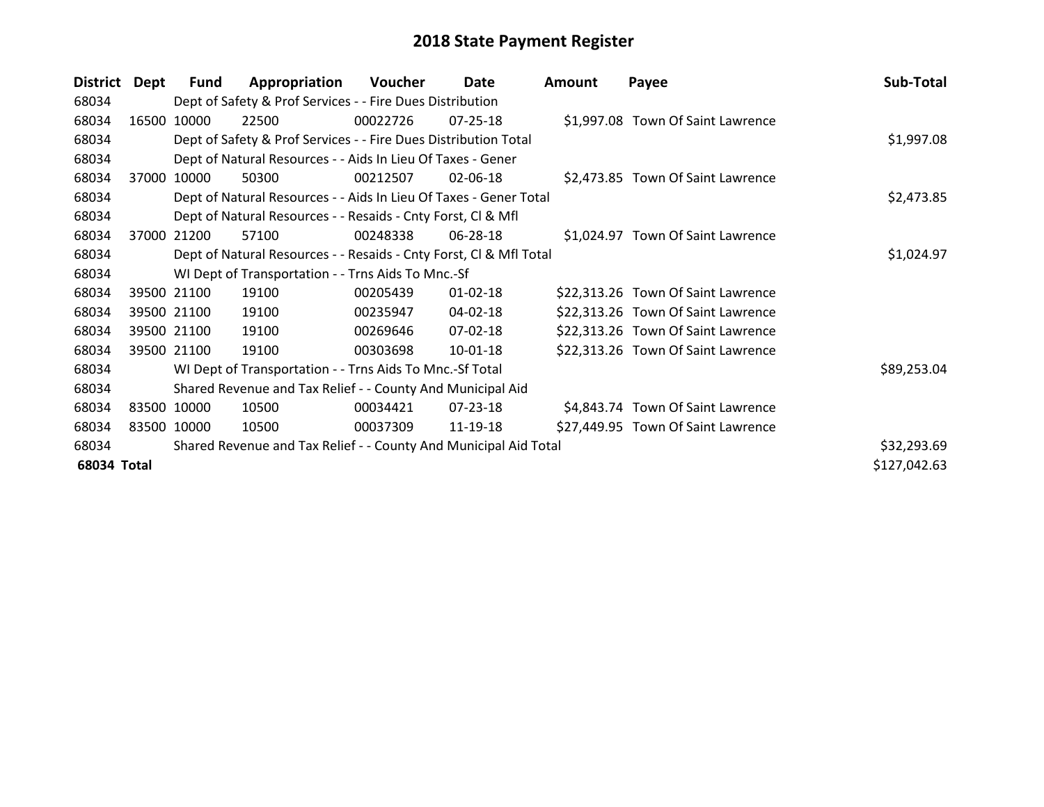| <b>District</b> | Dept  | Fund        | Appropriation                                                      | <b>Voucher</b> | Date           | <b>Amount</b> | Payee                              | Sub-Total    |
|-----------------|-------|-------------|--------------------------------------------------------------------|----------------|----------------|---------------|------------------------------------|--------------|
| 68034           |       |             | Dept of Safety & Prof Services - - Fire Dues Distribution          |                |                |               |                                    |              |
| 68034           | 16500 | 10000       | 22500                                                              | 00022726       | $07 - 25 - 18$ |               | \$1,997.08 Town Of Saint Lawrence  |              |
| 68034           |       |             | Dept of Safety & Prof Services - - Fire Dues Distribution Total    |                |                |               |                                    | \$1,997.08   |
| 68034           |       |             | Dept of Natural Resources - - Aids In Lieu Of Taxes - Gener        |                |                |               |                                    |              |
| 68034           | 37000 | 10000       | 50300                                                              | 00212507       | 02-06-18       |               | \$2,473.85 Town Of Saint Lawrence  |              |
| 68034           |       |             | Dept of Natural Resources - - Aids In Lieu Of Taxes - Gener Total  |                |                |               |                                    | \$2,473.85   |
| 68034           |       |             | Dept of Natural Resources - - Resaids - Cnty Forst, CI & Mfl       |                |                |               |                                    |              |
| 68034           | 37000 | 21200       | 57100                                                              | 00248338       | 06-28-18       |               | \$1,024.97 Town Of Saint Lawrence  |              |
| 68034           |       |             | Dept of Natural Resources - - Resaids - Cnty Forst, Cl & Mfl Total |                | \$1,024.97     |               |                                    |              |
| 68034           |       |             | WI Dept of Transportation - - Trns Aids To Mnc.-Sf                 |                |                |               |                                    |              |
| 68034           |       | 39500 21100 | 19100                                                              | 00205439       | $01 - 02 - 18$ |               | \$22,313.26 Town Of Saint Lawrence |              |
| 68034           |       | 39500 21100 | 19100                                                              | 00235947       | 04-02-18       |               | \$22,313.26 Town Of Saint Lawrence |              |
| 68034           |       | 39500 21100 | 19100                                                              | 00269646       | 07-02-18       |               | \$22,313.26 Town Of Saint Lawrence |              |
| 68034           |       | 39500 21100 | 19100                                                              | 00303698       | 10-01-18       |               | \$22,313.26 Town Of Saint Lawrence |              |
| 68034           |       |             | WI Dept of Transportation - - Trns Aids To Mnc.-Sf Total           |                |                |               |                                    | \$89,253.04  |
| 68034           |       |             | Shared Revenue and Tax Relief - - County And Municipal Aid         |                |                |               |                                    |              |
| 68034           |       | 83500 10000 | 10500                                                              | 00034421       | 07-23-18       |               | \$4,843.74 Town Of Saint Lawrence  |              |
| 68034           |       | 83500 10000 | 10500                                                              | 00037309       | 11-19-18       |               | \$27,449.95 Town Of Saint Lawrence |              |
| 68034           |       |             | Shared Revenue and Tax Relief - - County And Municipal Aid Total   |                |                |               |                                    | \$32,293.69  |
| 68034 Total     |       |             |                                                                    |                |                |               |                                    | \$127,042.63 |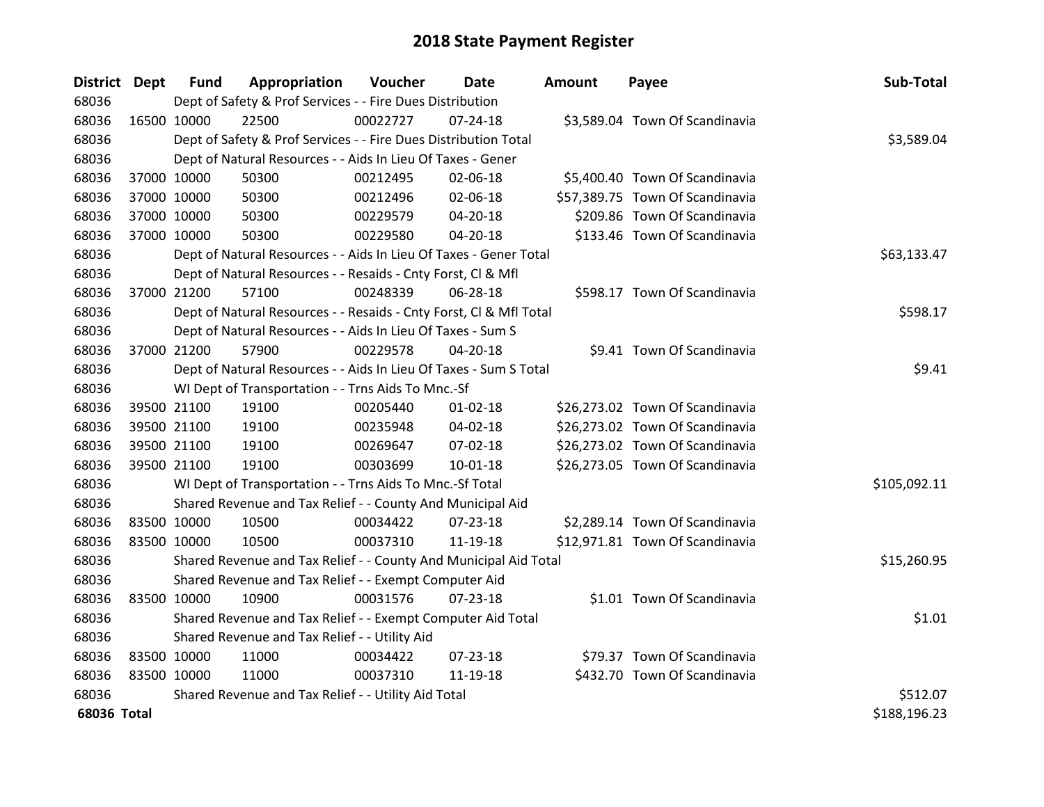| District Dept |             | <b>Fund</b> | Appropriation                                                      | Voucher     | Date           | Amount | Payee                           | Sub-Total    |  |  |  |
|---------------|-------------|-------------|--------------------------------------------------------------------|-------------|----------------|--------|---------------------------------|--------------|--|--|--|
| 68036         |             |             | Dept of Safety & Prof Services - - Fire Dues Distribution          |             |                |        |                                 |              |  |  |  |
| 68036         | 16500 10000 |             | 22500                                                              | 00022727    | $07 - 24 - 18$ |        | \$3,589.04 Town Of Scandinavia  |              |  |  |  |
| 68036         |             |             | Dept of Safety & Prof Services - - Fire Dues Distribution Total    |             |                |        |                                 | \$3,589.04   |  |  |  |
| 68036         |             |             | Dept of Natural Resources - - Aids In Lieu Of Taxes - Gener        |             |                |        |                                 |              |  |  |  |
| 68036         |             | 37000 10000 | 50300                                                              | 00212495    | 02-06-18       |        | \$5,400.40 Town Of Scandinavia  |              |  |  |  |
| 68036         |             | 37000 10000 | 50300                                                              | 00212496    | 02-06-18       |        | \$57,389.75 Town Of Scandinavia |              |  |  |  |
| 68036         |             | 37000 10000 | 50300                                                              | 00229579    | 04-20-18       |        | \$209.86 Town Of Scandinavia    |              |  |  |  |
| 68036         | 37000 10000 |             | 50300                                                              | 00229580    | $04 - 20 - 18$ |        | \$133.46 Town Of Scandinavia    |              |  |  |  |
| 68036         |             |             | Dept of Natural Resources - - Aids In Lieu Of Taxes - Gener Total  | \$63,133.47 |                |        |                                 |              |  |  |  |
| 68036         |             |             | Dept of Natural Resources - - Resaids - Cnty Forst, Cl & Mfl       |             |                |        |                                 |              |  |  |  |
| 68036         |             | 37000 21200 | 57100                                                              | 00248339    | 06-28-18       |        | \$598.17 Town Of Scandinavia    |              |  |  |  |
| 68036         |             |             | Dept of Natural Resources - - Resaids - Cnty Forst, CI & Mfl Total |             |                |        |                                 | \$598.17     |  |  |  |
| 68036         |             |             | Dept of Natural Resources - - Aids In Lieu Of Taxes - Sum S        |             |                |        |                                 |              |  |  |  |
| 68036         |             | 37000 21200 | 57900                                                              | 00229578    | 04-20-18       |        | \$9.41 Town Of Scandinavia      |              |  |  |  |
| 68036         |             |             | Dept of Natural Resources - - Aids In Lieu Of Taxes - Sum S Total  |             |                |        |                                 | \$9.41       |  |  |  |
| 68036         |             |             | WI Dept of Transportation - - Trns Aids To Mnc.-Sf                 |             |                |        |                                 |              |  |  |  |
| 68036         |             | 39500 21100 | 19100                                                              | 00205440    | $01 - 02 - 18$ |        | \$26,273.02 Town Of Scandinavia |              |  |  |  |
| 68036         |             | 39500 21100 | 19100                                                              | 00235948    | 04-02-18       |        | \$26,273.02 Town Of Scandinavia |              |  |  |  |
| 68036         |             | 39500 21100 | 19100                                                              | 00269647    | 07-02-18       |        | \$26,273.02 Town Of Scandinavia |              |  |  |  |
| 68036         |             | 39500 21100 | 19100                                                              | 00303699    | $10 - 01 - 18$ |        | \$26,273.05 Town Of Scandinavia |              |  |  |  |
| 68036         |             |             | WI Dept of Transportation - - Trns Aids To Mnc.-Sf Total           |             |                |        |                                 | \$105,092.11 |  |  |  |
| 68036         |             |             | Shared Revenue and Tax Relief - - County And Municipal Aid         |             |                |        |                                 |              |  |  |  |
| 68036         | 83500 10000 |             | 10500                                                              | 00034422    | $07 - 23 - 18$ |        | \$2,289.14 Town Of Scandinavia  |              |  |  |  |
| 68036         | 83500 10000 |             | 10500                                                              | 00037310    | 11-19-18       |        | \$12,971.81 Town Of Scandinavia |              |  |  |  |
| 68036         |             |             | Shared Revenue and Tax Relief - - County And Municipal Aid Total   |             |                |        |                                 | \$15,260.95  |  |  |  |
| 68036         |             |             | Shared Revenue and Tax Relief - - Exempt Computer Aid              |             |                |        |                                 |              |  |  |  |
| 68036         | 83500 10000 |             | 10900                                                              | 00031576    | 07-23-18       |        | \$1.01 Town Of Scandinavia      |              |  |  |  |
| 68036         |             |             | Shared Revenue and Tax Relief - - Exempt Computer Aid Total        |             |                |        |                                 | \$1.01       |  |  |  |
| 68036         |             |             | Shared Revenue and Tax Relief - - Utility Aid                      |             |                |        |                                 |              |  |  |  |
| 68036         | 83500 10000 |             | 11000                                                              | 00034422    | $07 - 23 - 18$ |        | \$79.37 Town Of Scandinavia     |              |  |  |  |
| 68036         | 83500 10000 |             | 11000                                                              | 00037310    | 11-19-18       |        | \$432.70 Town Of Scandinavia    |              |  |  |  |
| 68036         |             |             | Shared Revenue and Tax Relief - - Utility Aid Total                |             |                |        |                                 | \$512.07     |  |  |  |
| 68036 Total   |             |             |                                                                    |             |                |        |                                 | \$188,196.23 |  |  |  |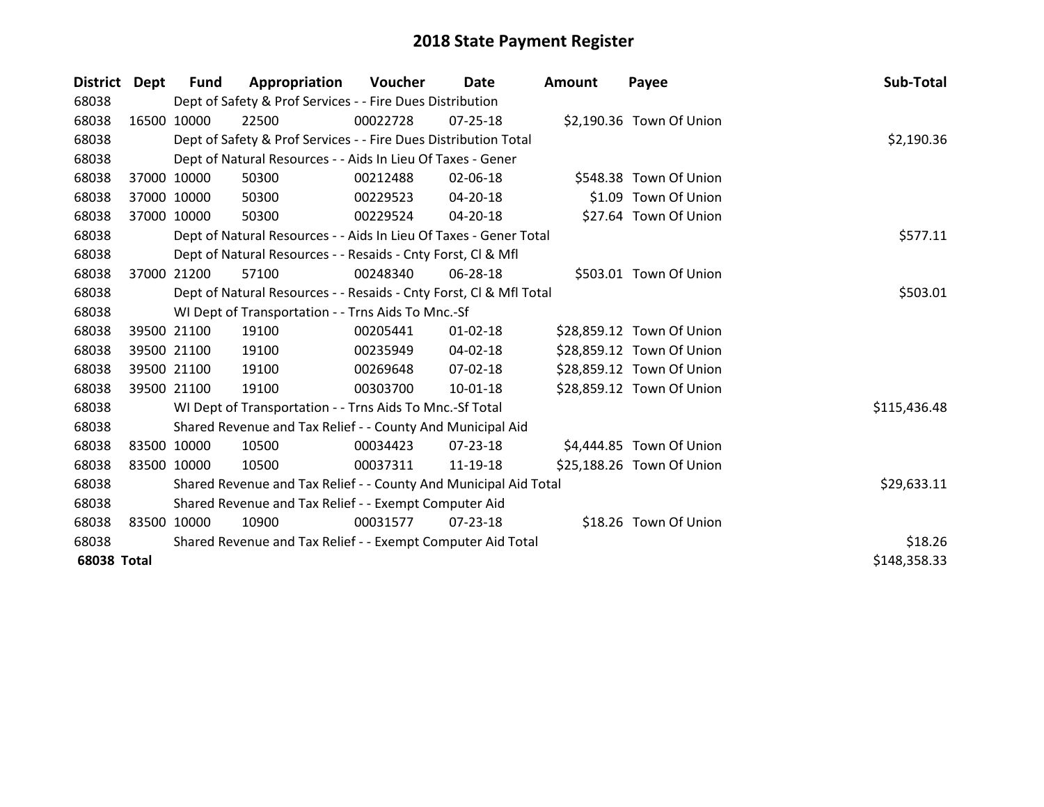| District Dept      |             | Fund        | Appropriation                                                      | <b>Voucher</b> | Date           | <b>Amount</b> | Payee                     | Sub-Total    |
|--------------------|-------------|-------------|--------------------------------------------------------------------|----------------|----------------|---------------|---------------------------|--------------|
| 68038              |             |             | Dept of Safety & Prof Services - - Fire Dues Distribution          |                |                |               |                           |              |
| 68038              |             | 16500 10000 | 22500                                                              | 00022728       | 07-25-18       |               | \$2,190.36 Town Of Union  |              |
| 68038              |             |             | Dept of Safety & Prof Services - - Fire Dues Distribution Total    |                |                |               |                           | \$2,190.36   |
| 68038              |             |             | Dept of Natural Resources - - Aids In Lieu Of Taxes - Gener        |                |                |               |                           |              |
| 68038              |             | 37000 10000 | 50300                                                              | 00212488       | 02-06-18       |               | \$548.38 Town Of Union    |              |
| 68038              |             | 37000 10000 | 50300                                                              | 00229523       | $04 - 20 - 18$ |               | \$1.09 Town Of Union      |              |
| 68038              |             | 37000 10000 | 50300                                                              | 00229524       | $04 - 20 - 18$ |               | \$27.64 Town Of Union     |              |
| 68038              |             |             | Dept of Natural Resources - - Aids In Lieu Of Taxes - Gener Total  | \$577.11       |                |               |                           |              |
| 68038              |             |             | Dept of Natural Resources - - Resaids - Cnty Forst, CI & Mfl       |                |                |               |                           |              |
| 68038              |             | 37000 21200 | 57100                                                              | 00248340       | 06-28-18       |               | \$503.01 Town Of Union    |              |
| 68038              |             |             | Dept of Natural Resources - - Resaids - Cnty Forst, CI & Mfl Total | \$503.01       |                |               |                           |              |
| 68038              |             |             | WI Dept of Transportation - - Trns Aids To Mnc.-Sf                 |                |                |               |                           |              |
| 68038              |             | 39500 21100 | 19100                                                              | 00205441       | $01 - 02 - 18$ |               | \$28,859.12 Town Of Union |              |
| 68038              |             | 39500 21100 | 19100                                                              | 00235949       | $04 - 02 - 18$ |               | \$28,859.12 Town Of Union |              |
| 68038              |             | 39500 21100 | 19100                                                              | 00269648       | $07 - 02 - 18$ |               | \$28,859.12 Town Of Union |              |
| 68038              |             | 39500 21100 | 19100                                                              | 00303700       | $10 - 01 - 18$ |               | \$28,859.12 Town Of Union |              |
| 68038              |             |             | WI Dept of Transportation - - Trns Aids To Mnc.-Sf Total           |                |                |               |                           | \$115,436.48 |
| 68038              |             |             | Shared Revenue and Tax Relief - - County And Municipal Aid         |                |                |               |                           |              |
| 68038              |             | 83500 10000 | 10500                                                              | 00034423       | 07-23-18       |               | \$4,444.85 Town Of Union  |              |
| 68038              | 83500 10000 |             | 10500                                                              | 00037311       | 11-19-18       |               | \$25,188.26 Town Of Union |              |
| 68038              |             |             | Shared Revenue and Tax Relief - - County And Municipal Aid Total   |                |                |               |                           | \$29,633.11  |
| 68038              |             |             | Shared Revenue and Tax Relief - - Exempt Computer Aid              |                |                |               |                           |              |
| 68038              |             | 83500 10000 | 10900                                                              | 00031577       | 07-23-18       |               | \$18.26 Town Of Union     |              |
| 68038              |             |             | Shared Revenue and Tax Relief - - Exempt Computer Aid Total        |                |                |               |                           | \$18.26      |
| <b>68038 Total</b> |             |             |                                                                    |                |                |               |                           | \$148,358.33 |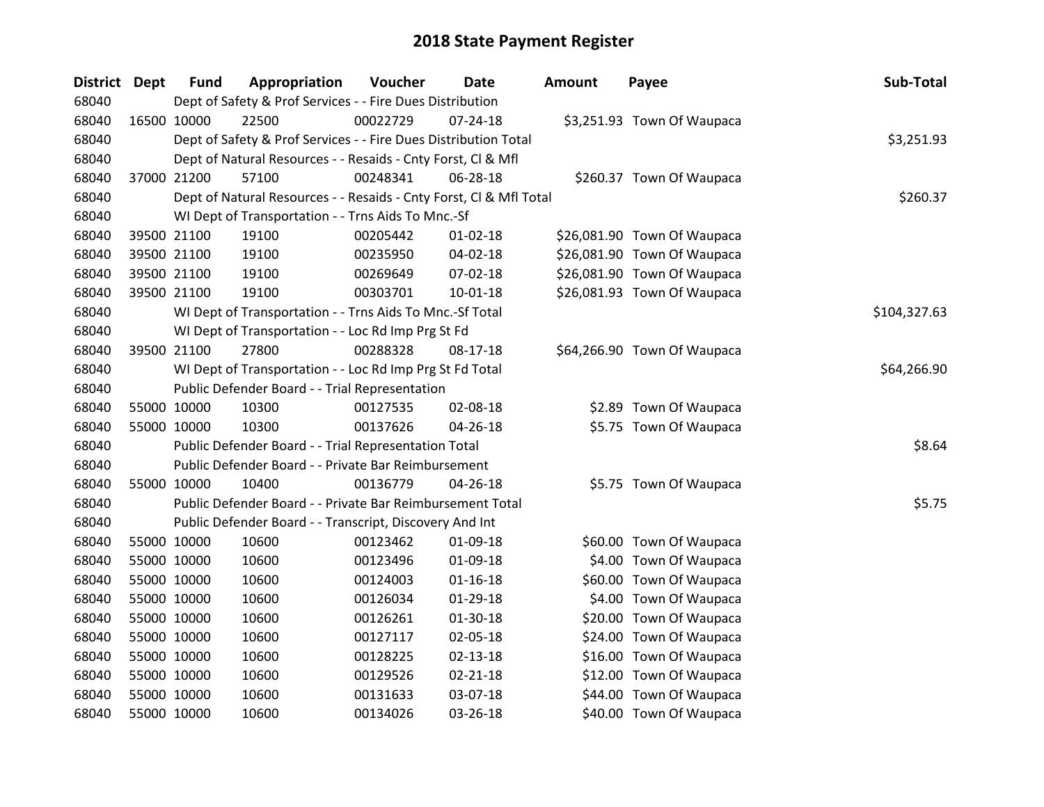| District Dept |             | <b>Fund</b> | Appropriation                                                      | Voucher  | Date           | <b>Amount</b> | Payee                       | Sub-Total    |  |  |
|---------------|-------------|-------------|--------------------------------------------------------------------|----------|----------------|---------------|-----------------------------|--------------|--|--|
| 68040         |             |             | Dept of Safety & Prof Services - - Fire Dues Distribution          |          |                |               |                             |              |  |  |
| 68040         | 16500 10000 |             | 22500                                                              | 00022729 | $07 - 24 - 18$ |               | \$3,251.93 Town Of Waupaca  |              |  |  |
| 68040         |             |             | Dept of Safety & Prof Services - - Fire Dues Distribution Total    |          |                |               |                             |              |  |  |
| 68040         |             |             | Dept of Natural Resources - - Resaids - Cnty Forst, CI & Mfl       |          |                |               |                             |              |  |  |
| 68040         |             | 37000 21200 | 57100                                                              | 00248341 | 06-28-18       |               | \$260.37 Town Of Waupaca    |              |  |  |
| 68040         |             |             | Dept of Natural Resources - - Resaids - Cnty Forst, Cl & Mfl Total |          |                |               |                             | \$260.37     |  |  |
| 68040         |             |             | WI Dept of Transportation - - Trns Aids To Mnc.-Sf                 |          |                |               |                             |              |  |  |
| 68040         |             | 39500 21100 | 19100                                                              | 00205442 | $01 - 02 - 18$ |               | \$26,081.90 Town Of Waupaca |              |  |  |
| 68040         |             | 39500 21100 | 19100                                                              | 00235950 | 04-02-18       |               | \$26,081.90 Town Of Waupaca |              |  |  |
| 68040         |             | 39500 21100 | 19100                                                              | 00269649 | 07-02-18       |               | \$26,081.90 Town Of Waupaca |              |  |  |
| 68040         |             | 39500 21100 | 19100                                                              | 00303701 | 10-01-18       |               | \$26,081.93 Town Of Waupaca |              |  |  |
| 68040         |             |             | WI Dept of Transportation - - Trns Aids To Mnc.-Sf Total           |          |                |               |                             | \$104,327.63 |  |  |
| 68040         |             |             | WI Dept of Transportation - - Loc Rd Imp Prg St Fd                 |          |                |               |                             |              |  |  |
| 68040         |             | 39500 21100 | 27800                                                              | 00288328 | 08-17-18       |               | \$64,266.90 Town Of Waupaca |              |  |  |
| 68040         |             |             | WI Dept of Transportation - - Loc Rd Imp Prg St Fd Total           |          |                |               |                             | \$64,266.90  |  |  |
| 68040         |             |             | Public Defender Board - - Trial Representation                     |          |                |               |                             |              |  |  |
| 68040         | 55000 10000 |             | 10300                                                              | 00127535 | 02-08-18       |               | \$2.89 Town Of Waupaca      |              |  |  |
| 68040         |             | 55000 10000 | 10300                                                              | 00137626 | 04-26-18       |               | \$5.75 Town Of Waupaca      |              |  |  |
| 68040         |             |             | Public Defender Board - - Trial Representation Total               |          |                |               |                             | \$8.64       |  |  |
| 68040         |             |             | Public Defender Board - - Private Bar Reimbursement                |          |                |               |                             |              |  |  |
| 68040         | 55000 10000 |             | 10400                                                              | 00136779 | 04-26-18       |               | \$5.75 Town Of Waupaca      |              |  |  |
| 68040         |             |             | Public Defender Board - - Private Bar Reimbursement Total          |          |                |               |                             | \$5.75       |  |  |
| 68040         |             |             | Public Defender Board - - Transcript, Discovery And Int            |          |                |               |                             |              |  |  |
| 68040         |             | 55000 10000 | 10600                                                              | 00123462 | 01-09-18       |               | \$60.00 Town Of Waupaca     |              |  |  |
| 68040         | 55000 10000 |             | 10600                                                              | 00123496 | 01-09-18       |               | \$4.00 Town Of Waupaca      |              |  |  |
| 68040         | 55000 10000 |             | 10600                                                              | 00124003 | $01 - 16 - 18$ |               | \$60.00 Town Of Waupaca     |              |  |  |
| 68040         |             | 55000 10000 | 10600                                                              | 00126034 | 01-29-18       |               | \$4.00 Town Of Waupaca      |              |  |  |
| 68040         | 55000 10000 |             | 10600                                                              | 00126261 | 01-30-18       |               | \$20.00 Town Of Waupaca     |              |  |  |
| 68040         | 55000 10000 |             | 10600                                                              | 00127117 | 02-05-18       |               | \$24.00 Town Of Waupaca     |              |  |  |
| 68040         | 55000 10000 |             | 10600                                                              | 00128225 | $02 - 13 - 18$ |               | \$16.00 Town Of Waupaca     |              |  |  |
| 68040         | 55000 10000 |             | 10600                                                              | 00129526 | $02 - 21 - 18$ |               | \$12.00 Town Of Waupaca     |              |  |  |
| 68040         |             | 55000 10000 | 10600                                                              | 00131633 | 03-07-18       |               | \$44.00 Town Of Waupaca     |              |  |  |
| 68040         | 55000 10000 |             | 10600                                                              | 00134026 | 03-26-18       |               | \$40.00 Town Of Waupaca     |              |  |  |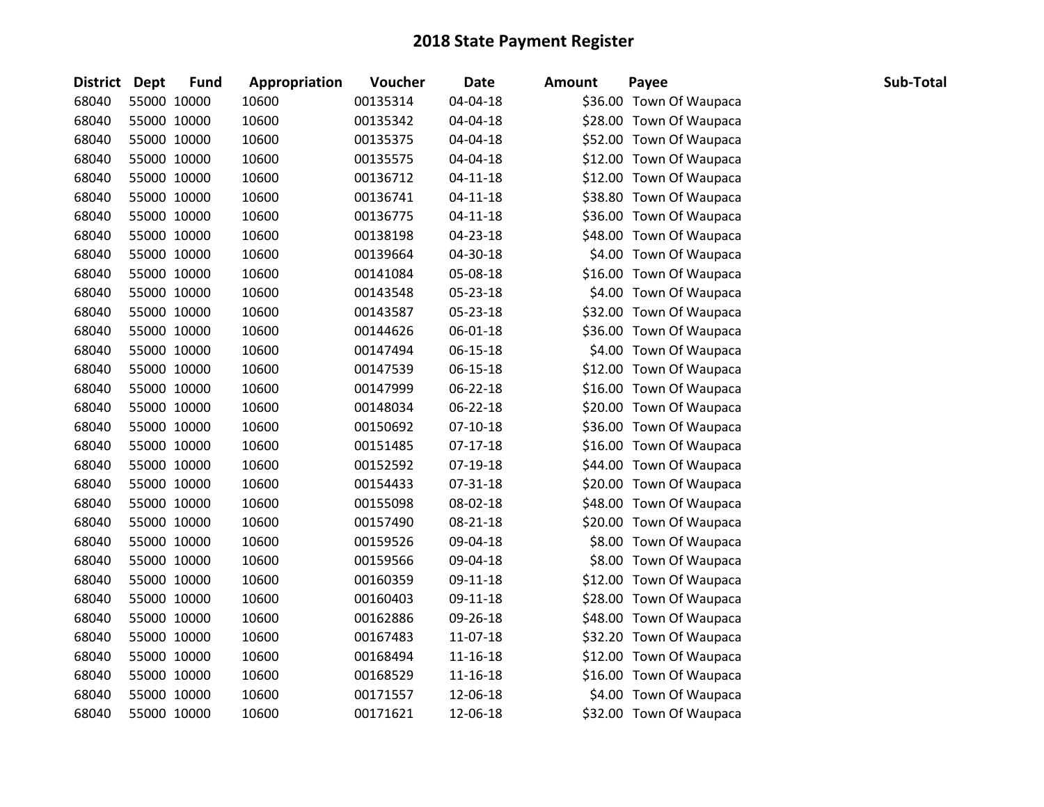| District Dept | <b>Fund</b> | Appropriation | <b>Voucher</b> | <b>Date</b>    | <b>Amount</b> | Payee                   | Sub-Total |
|---------------|-------------|---------------|----------------|----------------|---------------|-------------------------|-----------|
| 68040         | 55000 10000 | 10600         | 00135314       | 04-04-18       |               | \$36.00 Town Of Waupaca |           |
| 68040         | 55000 10000 | 10600         | 00135342       | 04-04-18       |               | \$28.00 Town Of Waupaca |           |
| 68040         | 55000 10000 | 10600         | 00135375       | 04-04-18       |               | \$52.00 Town Of Waupaca |           |
| 68040         | 55000 10000 | 10600         | 00135575       | 04-04-18       |               | \$12.00 Town Of Waupaca |           |
| 68040         | 55000 10000 | 10600         | 00136712       | $04 - 11 - 18$ |               | \$12.00 Town Of Waupaca |           |
| 68040         | 55000 10000 | 10600         | 00136741       | $04 - 11 - 18$ |               | \$38.80 Town Of Waupaca |           |
| 68040         | 55000 10000 | 10600         | 00136775       | $04 - 11 - 18$ |               | \$36.00 Town Of Waupaca |           |
| 68040         | 55000 10000 | 10600         | 00138198       | $04 - 23 - 18$ |               | \$48.00 Town Of Waupaca |           |
| 68040         | 55000 10000 | 10600         | 00139664       | 04-30-18       |               | \$4.00 Town Of Waupaca  |           |
| 68040         | 55000 10000 | 10600         | 00141084       | 05-08-18       |               | \$16.00 Town Of Waupaca |           |
| 68040         | 55000 10000 | 10600         | 00143548       | 05-23-18       |               | \$4.00 Town Of Waupaca  |           |
| 68040         | 55000 10000 | 10600         | 00143587       | 05-23-18       |               | \$32.00 Town Of Waupaca |           |
| 68040         | 55000 10000 | 10600         | 00144626       | 06-01-18       |               | \$36.00 Town Of Waupaca |           |
| 68040         | 55000 10000 | 10600         | 00147494       | $06 - 15 - 18$ |               | \$4.00 Town Of Waupaca  |           |
| 68040         | 55000 10000 | 10600         | 00147539       | 06-15-18       |               | \$12.00 Town Of Waupaca |           |
| 68040         | 55000 10000 | 10600         | 00147999       | 06-22-18       |               | \$16.00 Town Of Waupaca |           |
| 68040         | 55000 10000 | 10600         | 00148034       | 06-22-18       |               | \$20.00 Town Of Waupaca |           |
| 68040         | 55000 10000 | 10600         | 00150692       | $07-10-18$     |               | \$36.00 Town Of Waupaca |           |
| 68040         | 55000 10000 | 10600         | 00151485       | $07-17-18$     |               | \$16.00 Town Of Waupaca |           |
| 68040         | 55000 10000 | 10600         | 00152592       | 07-19-18       |               | \$44.00 Town Of Waupaca |           |
| 68040         | 55000 10000 | 10600         | 00154433       | 07-31-18       |               | \$20.00 Town Of Waupaca |           |
| 68040         | 55000 10000 | 10600         | 00155098       | 08-02-18       |               | \$48.00 Town Of Waupaca |           |
| 68040         | 55000 10000 | 10600         | 00157490       | 08-21-18       |               | \$20.00 Town Of Waupaca |           |
| 68040         | 55000 10000 | 10600         | 00159526       | 09-04-18       |               | \$8.00 Town Of Waupaca  |           |
| 68040         | 55000 10000 | 10600         | 00159566       | 09-04-18       |               | \$8.00 Town Of Waupaca  |           |
| 68040         | 55000 10000 | 10600         | 00160359       | 09-11-18       |               | \$12.00 Town Of Waupaca |           |
| 68040         | 55000 10000 | 10600         | 00160403       | 09-11-18       |               | \$28.00 Town Of Waupaca |           |
| 68040         | 55000 10000 | 10600         | 00162886       | 09-26-18       |               | \$48.00 Town Of Waupaca |           |
| 68040         | 55000 10000 | 10600         | 00167483       | 11-07-18       |               | \$32.20 Town Of Waupaca |           |
| 68040         | 55000 10000 | 10600         | 00168494       | 11-16-18       |               | \$12.00 Town Of Waupaca |           |
| 68040         | 55000 10000 | 10600         | 00168529       | 11-16-18       |               | \$16.00 Town Of Waupaca |           |
| 68040         | 55000 10000 | 10600         | 00171557       | 12-06-18       |               | \$4.00 Town Of Waupaca  |           |
| 68040         | 55000 10000 | 10600         | 00171621       | 12-06-18       |               | \$32.00 Town Of Waupaca |           |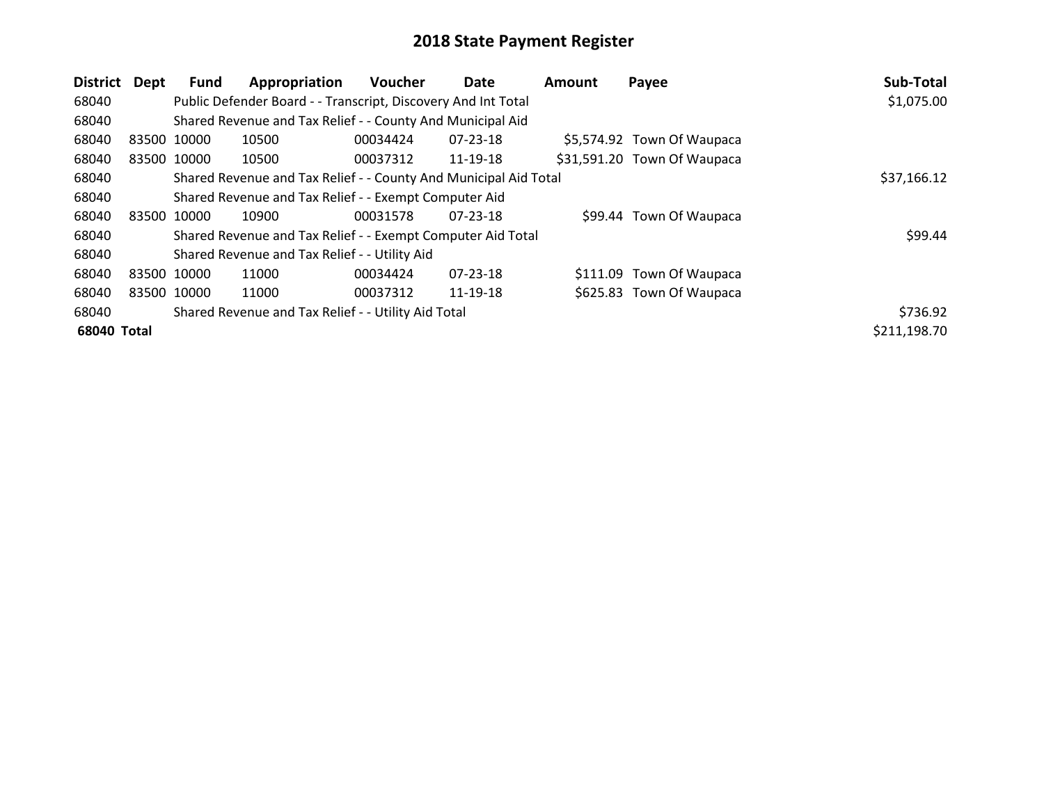| District    | Dept | Fund        | Appropriation                                                    | <b>Voucher</b> | Date           | <b>Amount</b> | Payee                       | Sub-Total    |
|-------------|------|-------------|------------------------------------------------------------------|----------------|----------------|---------------|-----------------------------|--------------|
| 68040       |      |             | Public Defender Board - - Transcript, Discovery And Int Total    |                |                |               |                             | \$1,075.00   |
| 68040       |      |             | Shared Revenue and Tax Relief - - County And Municipal Aid       |                |                |               |                             |              |
| 68040       |      | 83500 10000 | 10500                                                            | 00034424       | $07 - 23 - 18$ |               | \$5,574.92 Town Of Waupaca  |              |
| 68040       |      | 83500 10000 | 10500                                                            | 00037312       | 11-19-18       |               | \$31,591.20 Town Of Waupaca |              |
| 68040       |      |             | Shared Revenue and Tax Relief - - County And Municipal Aid Total |                |                |               |                             | \$37,166.12  |
| 68040       |      |             | Shared Revenue and Tax Relief - - Exempt Computer Aid            |                |                |               |                             |              |
| 68040       |      | 83500 10000 | 10900                                                            | 00031578       | $07 - 23 - 18$ |               | \$99.44 Town Of Waupaca     |              |
| 68040       |      |             | Shared Revenue and Tax Relief - - Exempt Computer Aid Total      |                |                |               |                             | \$99.44      |
| 68040       |      |             | Shared Revenue and Tax Relief - - Utility Aid                    |                |                |               |                             |              |
| 68040       |      | 83500 10000 | 11000                                                            | 00034424       | 07-23-18       |               | \$111.09 Town Of Waupaca    |              |
| 68040       |      | 83500 10000 | 11000                                                            | 00037312       | 11-19-18       |               | \$625.83 Town Of Waupaca    |              |
| 68040       |      |             | Shared Revenue and Tax Relief - - Utility Aid Total              |                |                |               |                             | \$736.92     |
| 68040 Total |      |             |                                                                  |                |                |               |                             | \$211,198.70 |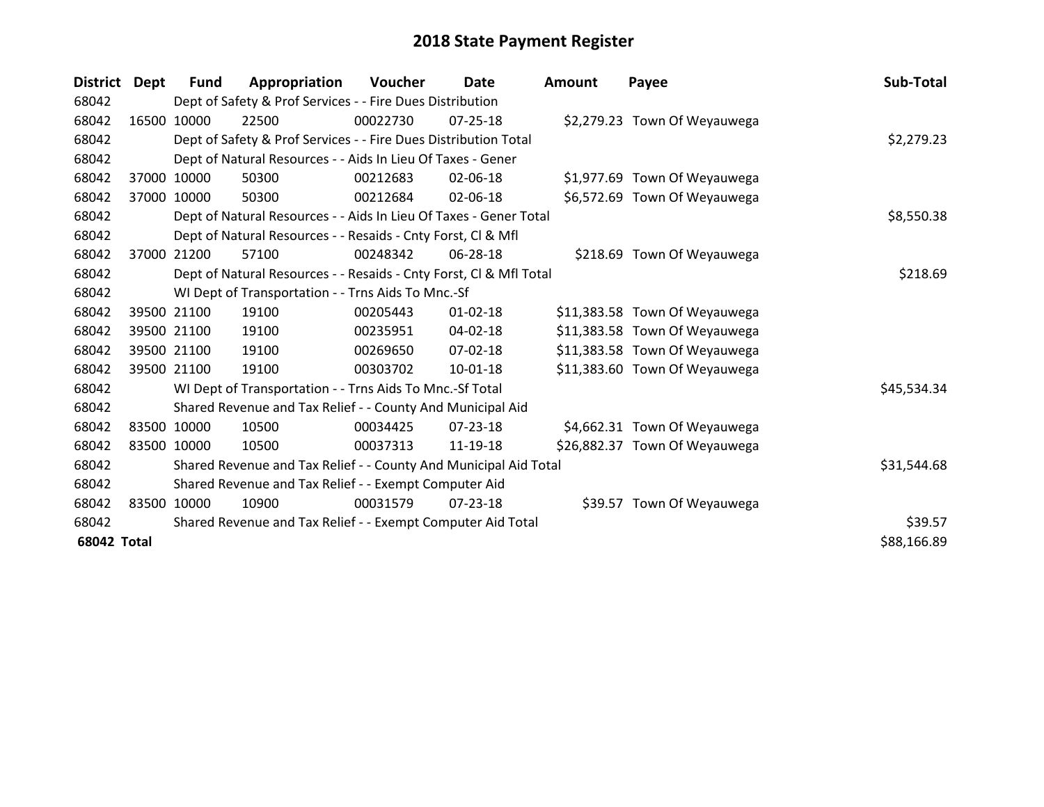| <b>District</b>    | Dept  | <b>Fund</b> | Appropriation                                                      | Voucher  | Date           | <b>Amount</b> | Payee                         | Sub-Total   |
|--------------------|-------|-------------|--------------------------------------------------------------------|----------|----------------|---------------|-------------------------------|-------------|
| 68042              |       |             | Dept of Safety & Prof Services - - Fire Dues Distribution          |          |                |               |                               |             |
| 68042              |       | 16500 10000 | 22500                                                              | 00022730 | 07-25-18       |               | \$2,279.23 Town Of Weyauwega  |             |
| 68042              |       |             | Dept of Safety & Prof Services - - Fire Dues Distribution Total    |          |                |               |                               | \$2,279.23  |
| 68042              |       |             | Dept of Natural Resources - - Aids In Lieu Of Taxes - Gener        |          |                |               |                               |             |
| 68042              | 37000 | 10000       | 50300                                                              | 00212683 | 02-06-18       |               | \$1,977.69 Town Of Weyauwega  |             |
| 68042              |       | 37000 10000 | 50300                                                              | 00212684 | 02-06-18       |               | \$6,572.69 Town Of Weyauwega  |             |
| 68042              |       |             | Dept of Natural Resources - - Aids In Lieu Of Taxes - Gener Total  |          |                |               |                               | \$8,550.38  |
| 68042              |       |             | Dept of Natural Resources - - Resaids - Cnty Forst, CI & Mfl       |          |                |               |                               |             |
| 68042              | 37000 | 21200       | 57100                                                              | 00248342 | 06-28-18       |               | \$218.69 Town Of Weyauwega    |             |
| 68042              |       |             | Dept of Natural Resources - - Resaids - Cnty Forst, Cl & Mfl Total |          |                |               |                               | \$218.69    |
| 68042              |       |             | WI Dept of Transportation - - Trns Aids To Mnc.-Sf                 |          |                |               |                               |             |
| 68042              |       | 39500 21100 | 19100                                                              | 00205443 | $01 - 02 - 18$ |               | \$11,383.58 Town Of Weyauwega |             |
| 68042              |       | 39500 21100 | 19100                                                              | 00235951 | 04-02-18       |               | \$11,383.58 Town Of Weyauwega |             |
| 68042              |       | 39500 21100 | 19100                                                              | 00269650 | 07-02-18       |               | \$11,383.58 Town Of Weyauwega |             |
| 68042              |       | 39500 21100 | 19100                                                              | 00303702 | 10-01-18       |               | \$11,383.60 Town Of Weyauwega |             |
| 68042              |       |             | WI Dept of Transportation - - Trns Aids To Mnc.-Sf Total           |          |                |               |                               | \$45,534.34 |
| 68042              |       |             | Shared Revenue and Tax Relief - - County And Municipal Aid         |          |                |               |                               |             |
| 68042              |       | 83500 10000 | 10500                                                              | 00034425 | $07 - 23 - 18$ |               | \$4,662.31 Town Of Weyauwega  |             |
| 68042              |       | 83500 10000 | 10500                                                              | 00037313 | 11-19-18       |               | \$26,882.37 Town Of Weyauwega |             |
| 68042              |       |             | Shared Revenue and Tax Relief - - County And Municipal Aid Total   |          |                |               |                               | \$31,544.68 |
| 68042              |       |             | Shared Revenue and Tax Relief - - Exempt Computer Aid              |          |                |               |                               |             |
| 68042              |       | 83500 10000 | 10900                                                              | 00031579 | $07 - 23 - 18$ |               | \$39.57 Town Of Weyauwega     |             |
| 68042              |       |             | Shared Revenue and Tax Relief - - Exempt Computer Aid Total        |          |                |               |                               | \$39.57     |
| <b>68042 Total</b> |       |             |                                                                    |          |                |               |                               | \$88,166.89 |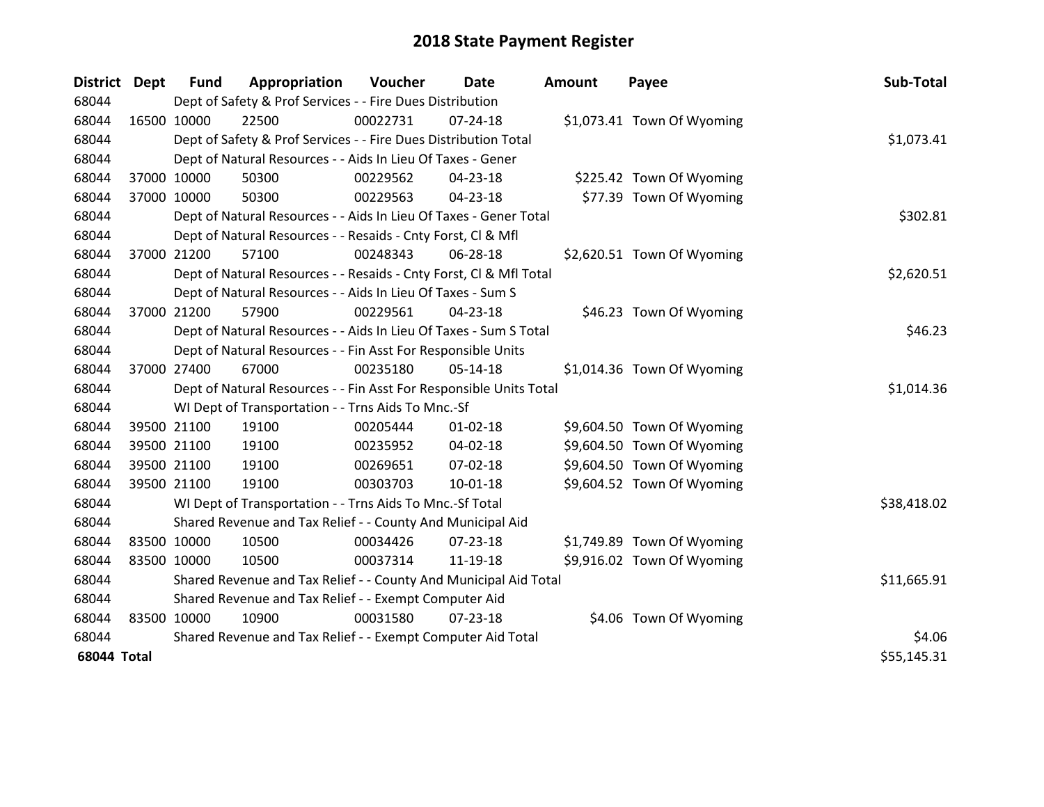| <b>District</b>    | <b>Dept</b> | <b>Fund</b>                                                 | Appropriation                                                      | Voucher  | Date           | <b>Amount</b> | Payee                      | Sub-Total   |
|--------------------|-------------|-------------------------------------------------------------|--------------------------------------------------------------------|----------|----------------|---------------|----------------------------|-------------|
| 68044              |             |                                                             | Dept of Safety & Prof Services - - Fire Dues Distribution          |          |                |               |                            |             |
| 68044              | 16500 10000 |                                                             | 22500                                                              | 00022731 | $07 - 24 - 18$ |               | \$1,073.41 Town Of Wyoming |             |
| 68044              |             |                                                             | Dept of Safety & Prof Services - - Fire Dues Distribution Total    |          |                |               |                            | \$1,073.41  |
| 68044              |             |                                                             | Dept of Natural Resources - - Aids In Lieu Of Taxes - Gener        |          |                |               |                            |             |
| 68044              | 37000 10000 |                                                             | 50300                                                              | 00229562 | 04-23-18       |               | \$225.42 Town Of Wyoming   |             |
| 68044              | 37000 10000 |                                                             | 50300                                                              | 00229563 | 04-23-18       |               | \$77.39 Town Of Wyoming    |             |
| 68044              |             |                                                             | Dept of Natural Resources - - Aids In Lieu Of Taxes - Gener Total  |          |                |               |                            | \$302.81    |
| 68044              |             |                                                             | Dept of Natural Resources - - Resaids - Cnty Forst, Cl & Mfl       |          |                |               |                            |             |
| 68044              | 37000 21200 |                                                             | 57100                                                              | 00248343 | 06-28-18       |               | \$2,620.51 Town Of Wyoming |             |
| 68044              |             |                                                             | Dept of Natural Resources - - Resaids - Cnty Forst, Cl & Mfl Total |          |                |               |                            | \$2,620.51  |
| 68044              |             |                                                             | Dept of Natural Resources - - Aids In Lieu Of Taxes - Sum S        |          |                |               |                            |             |
| 68044              | 37000 21200 |                                                             | 57900                                                              | 00229561 | 04-23-18       |               | \$46.23 Town Of Wyoming    |             |
| 68044              |             |                                                             | Dept of Natural Resources - - Aids In Lieu Of Taxes - Sum S Total  |          |                |               |                            | \$46.23     |
| 68044              |             |                                                             | Dept of Natural Resources - - Fin Asst For Responsible Units       |          |                |               |                            |             |
| 68044              | 37000 27400 |                                                             | 67000                                                              | 00235180 | $05-14-18$     |               | \$1,014.36 Town Of Wyoming |             |
| 68044              |             |                                                             | Dept of Natural Resources - - Fin Asst For Responsible Units Total |          |                |               |                            | \$1,014.36  |
| 68044              |             |                                                             | WI Dept of Transportation - - Trns Aids To Mnc.-Sf                 |          |                |               |                            |             |
| 68044              | 39500 21100 |                                                             | 19100                                                              | 00205444 | $01 - 02 - 18$ |               | \$9,604.50 Town Of Wyoming |             |
| 68044              | 39500 21100 |                                                             | 19100                                                              | 00235952 | 04-02-18       |               | \$9,604.50 Town Of Wyoming |             |
| 68044              | 39500 21100 |                                                             | 19100                                                              | 00269651 | 07-02-18       |               | \$9,604.50 Town Of Wyoming |             |
| 68044              | 39500 21100 |                                                             | 19100                                                              | 00303703 | $10-01-18$     |               | \$9,604.52 Town Of Wyoming |             |
| 68044              |             |                                                             | WI Dept of Transportation - - Trns Aids To Mnc.-Sf Total           |          |                |               |                            | \$38,418.02 |
| 68044              |             |                                                             | Shared Revenue and Tax Relief - - County And Municipal Aid         |          |                |               |                            |             |
| 68044              | 83500 10000 |                                                             | 10500                                                              | 00034426 | $07 - 23 - 18$ |               | \$1,749.89 Town Of Wyoming |             |
| 68044              | 83500 10000 |                                                             | 10500                                                              | 00037314 | 11-19-18       |               | \$9,916.02 Town Of Wyoming |             |
| 68044              |             |                                                             | Shared Revenue and Tax Relief - - County And Municipal Aid Total   |          |                |               |                            | \$11,665.91 |
| 68044              |             |                                                             | Shared Revenue and Tax Relief - - Exempt Computer Aid              |          |                |               |                            |             |
| 68044              | 83500 10000 |                                                             | 10900                                                              | 00031580 | $07 - 23 - 18$ |               | \$4.06 Town Of Wyoming     |             |
| 68044              |             | Shared Revenue and Tax Relief - - Exempt Computer Aid Total |                                                                    |          |                |               |                            | \$4.06      |
| <b>68044 Total</b> |             |                                                             |                                                                    |          |                |               |                            | \$55,145.31 |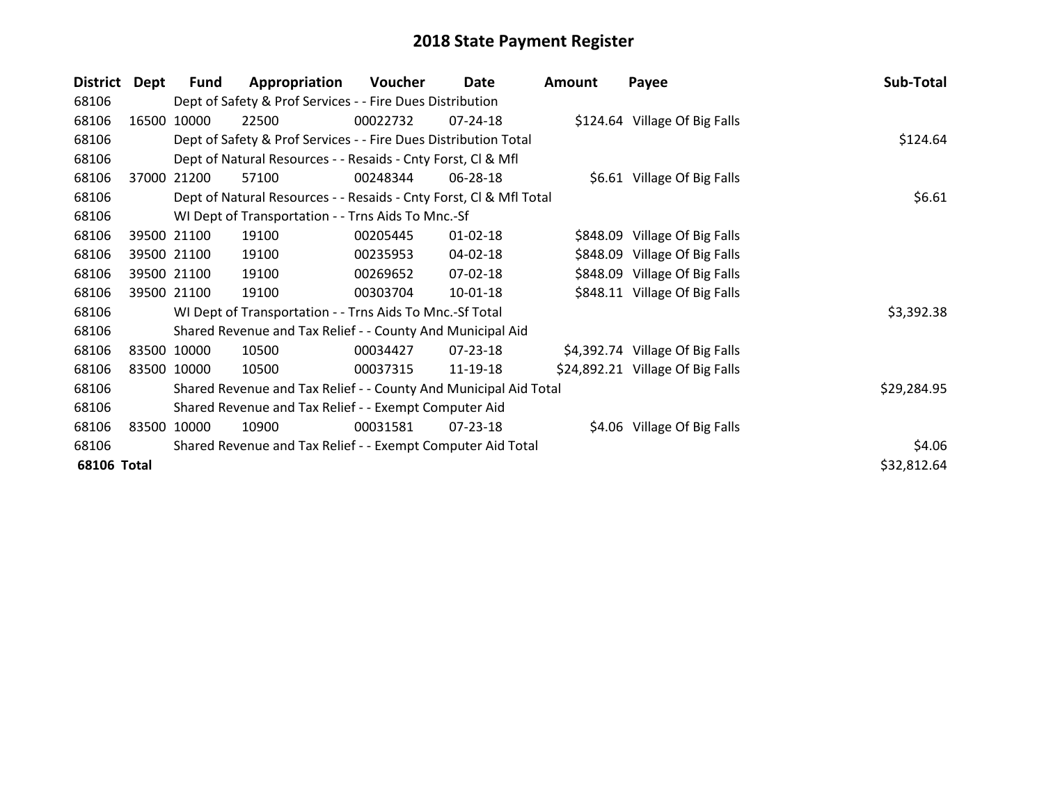| <b>District</b>    | Dept        | Fund        | Appropriation                                                      | Voucher  | Date           | <b>Amount</b> | Payee                            | Sub-Total   |
|--------------------|-------------|-------------|--------------------------------------------------------------------|----------|----------------|---------------|----------------------------------|-------------|
| 68106              |             |             | Dept of Safety & Prof Services - - Fire Dues Distribution          |          |                |               |                                  |             |
| 68106              | 16500       | 10000       | 22500                                                              | 00022732 | 07-24-18       |               | \$124.64 Village Of Big Falls    |             |
| 68106              |             |             | Dept of Safety & Prof Services - - Fire Dues Distribution Total    | \$124.64 |                |               |                                  |             |
| 68106              |             |             | Dept of Natural Resources - - Resaids - Cnty Forst, Cl & Mfl       |          |                |               |                                  |             |
| 68106              | 37000       | 21200       | 57100                                                              | 00248344 | 06-28-18       |               | \$6.61 Village Of Big Falls      |             |
| 68106              |             |             | Dept of Natural Resources - - Resaids - Cnty Forst, CI & Mfl Total |          | \$6.61         |               |                                  |             |
| 68106              |             |             | WI Dept of Transportation - - Trns Aids To Mnc.-Sf                 |          |                |               |                                  |             |
| 68106              |             | 39500 21100 | 19100                                                              | 00205445 | $01 - 02 - 18$ |               | \$848.09 Village Of Big Falls    |             |
| 68106              |             | 39500 21100 | 19100                                                              | 00235953 | 04-02-18       |               | \$848.09 Village Of Big Falls    |             |
| 68106              |             | 39500 21100 | 19100                                                              | 00269652 | 07-02-18       |               | \$848.09 Village Of Big Falls    |             |
| 68106              |             | 39500 21100 | 19100                                                              | 00303704 | $10-01-18$     |               | \$848.11 Village Of Big Falls    |             |
| 68106              |             |             | WI Dept of Transportation - - Trns Aids To Mnc.-Sf Total           |          |                |               |                                  | \$3,392.38  |
| 68106              |             |             | Shared Revenue and Tax Relief - - County And Municipal Aid         |          |                |               |                                  |             |
| 68106              | 83500 10000 |             | 10500                                                              | 00034427 | 07-23-18       |               | \$4,392.74 Village Of Big Falls  |             |
| 68106              |             | 83500 10000 | 10500                                                              | 00037315 | 11-19-18       |               | \$24,892.21 Village Of Big Falls |             |
| 68106              |             |             | Shared Revenue and Tax Relief - - County And Municipal Aid Total   |          |                |               |                                  | \$29,284.95 |
| 68106              |             |             | Shared Revenue and Tax Relief - - Exempt Computer Aid              |          |                |               |                                  |             |
| 68106              | 83500       | 10000       | 10900                                                              | 00031581 | 07-23-18       |               | \$4.06 Village Of Big Falls      |             |
| 68106              |             |             | Shared Revenue and Tax Relief - - Exempt Computer Aid Total        |          |                |               |                                  | \$4.06      |
| <b>68106 Total</b> |             |             |                                                                    |          |                |               |                                  | \$32,812.64 |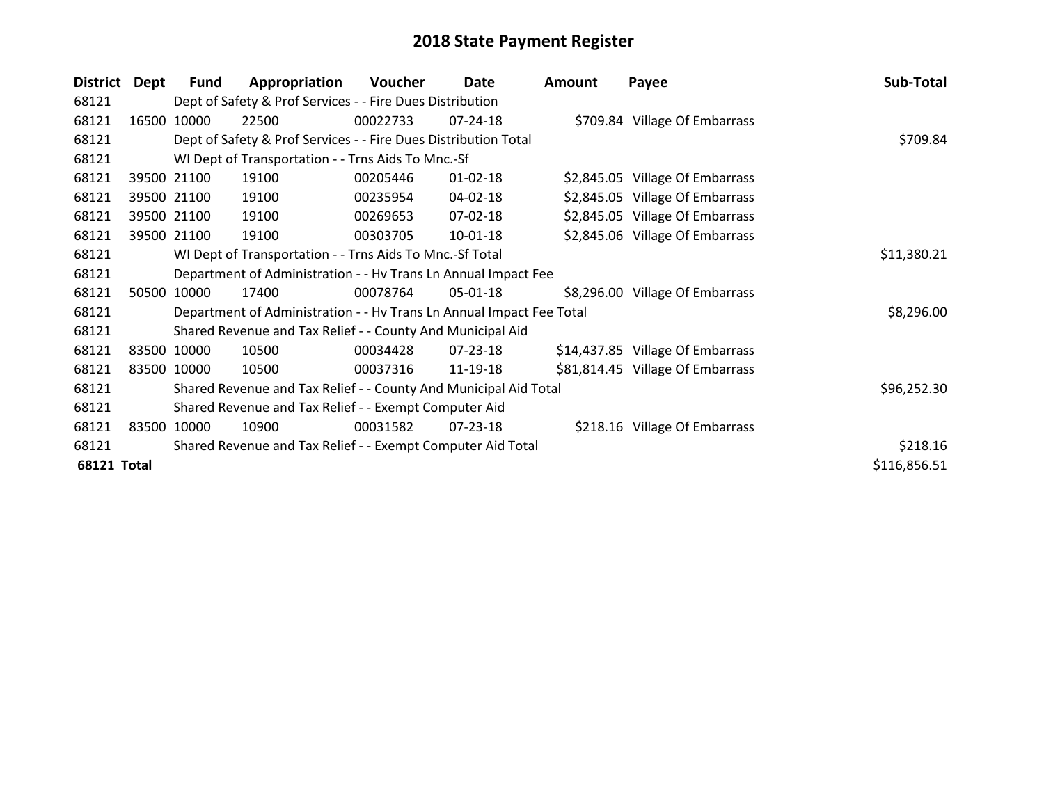| <b>District</b>    | <b>Dept</b> | Fund        | Appropriation                                                        | <b>Voucher</b> | Date           | <b>Amount</b> | Payee                            | Sub-Total    |
|--------------------|-------------|-------------|----------------------------------------------------------------------|----------------|----------------|---------------|----------------------------------|--------------|
| 68121              |             |             | Dept of Safety & Prof Services - - Fire Dues Distribution            |                |                |               |                                  |              |
| 68121              |             | 16500 10000 | 22500                                                                | 00022733       | $07 - 24 - 18$ |               | \$709.84 Village Of Embarrass    |              |
| 68121              |             |             | Dept of Safety & Prof Services - - Fire Dues Distribution Total      |                |                |               |                                  | \$709.84     |
| 68121              |             |             | WI Dept of Transportation - - Trns Aids To Mnc.-Sf                   |                |                |               |                                  |              |
| 68121              |             | 39500 21100 | 19100                                                                | 00205446       | $01 - 02 - 18$ |               | \$2,845.05 Village Of Embarrass  |              |
| 68121              |             | 39500 21100 | 19100                                                                | 00235954       | 04-02-18       |               | \$2,845.05 Village Of Embarrass  |              |
| 68121              |             | 39500 21100 | 19100                                                                | 00269653       | 07-02-18       |               | \$2,845.05 Village Of Embarrass  |              |
| 68121              |             | 39500 21100 | 19100                                                                | 00303705       | $10-01-18$     |               | \$2,845.06 Village Of Embarrass  |              |
| 68121              |             |             | WI Dept of Transportation - - Trns Aids To Mnc.-Sf Total             |                |                |               |                                  | \$11,380.21  |
| 68121              |             |             | Department of Administration - - Hv Trans Ln Annual Impact Fee       |                |                |               |                                  |              |
| 68121              | 50500       | 10000       | 17400                                                                | 00078764       | 05-01-18       |               | \$8,296.00 Village Of Embarrass  |              |
| 68121              |             |             | Department of Administration - - Hv Trans Ln Annual Impact Fee Total |                |                |               |                                  | \$8,296.00   |
| 68121              |             |             | Shared Revenue and Tax Relief - - County And Municipal Aid           |                |                |               |                                  |              |
| 68121              |             | 83500 10000 | 10500                                                                | 00034428       | 07-23-18       |               | \$14,437.85 Village Of Embarrass |              |
| 68121              |             | 83500 10000 | 10500                                                                | 00037316       | 11-19-18       |               | \$81,814.45 Village Of Embarrass |              |
| 68121              |             |             | Shared Revenue and Tax Relief - - County And Municipal Aid Total     |                |                |               |                                  | \$96,252.30  |
| 68121              |             |             | Shared Revenue and Tax Relief - - Exempt Computer Aid                |                |                |               |                                  |              |
| 68121              |             | 83500 10000 | 10900                                                                | 00031582       | 07-23-18       |               | \$218.16 Village Of Embarrass    |              |
| 68121              |             |             | Shared Revenue and Tax Relief - - Exempt Computer Aid Total          |                | \$218.16       |               |                                  |              |
| <b>68121 Total</b> |             |             |                                                                      |                |                |               |                                  | \$116,856.51 |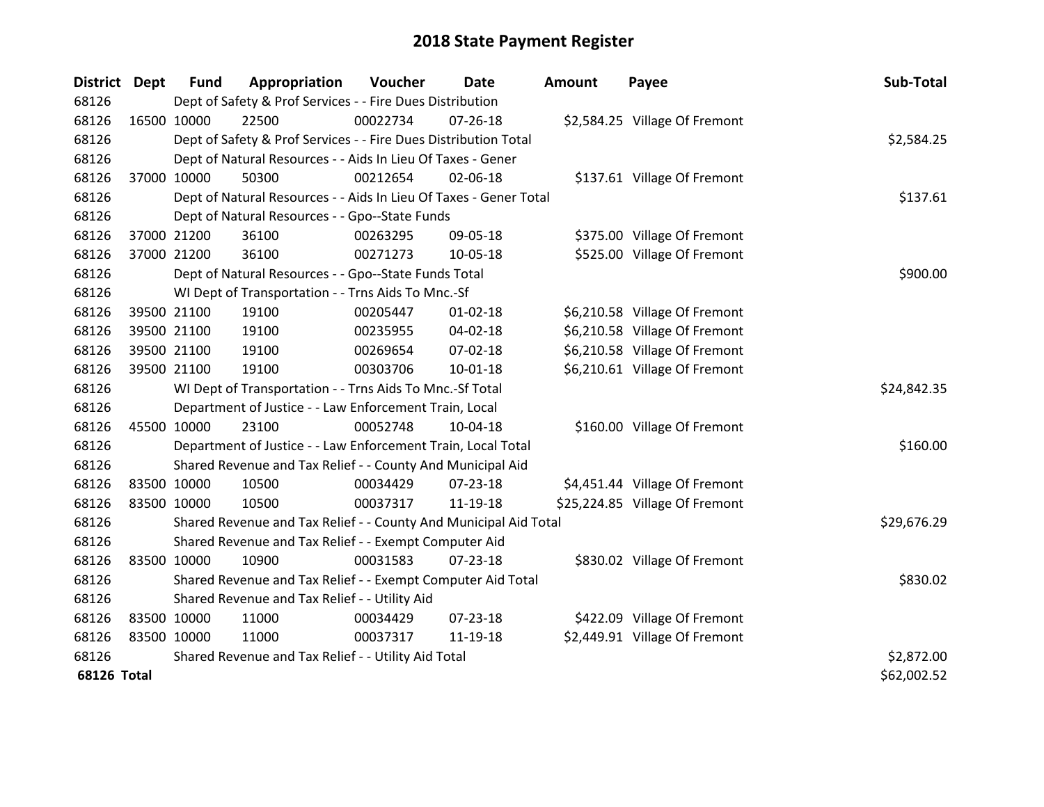| District Dept      |             | <b>Fund</b>                                         | Appropriation                                                     | Voucher  | Date           | <b>Amount</b> | Payee                          | Sub-Total   |
|--------------------|-------------|-----------------------------------------------------|-------------------------------------------------------------------|----------|----------------|---------------|--------------------------------|-------------|
| 68126              |             |                                                     | Dept of Safety & Prof Services - - Fire Dues Distribution         |          |                |               |                                |             |
| 68126              | 16500 10000 |                                                     | 22500                                                             | 00022734 | $07 - 26 - 18$ |               | \$2,584.25 Village Of Fremont  |             |
| 68126              |             |                                                     | Dept of Safety & Prof Services - - Fire Dues Distribution Total   |          |                |               |                                | \$2,584.25  |
| 68126              |             |                                                     | Dept of Natural Resources - - Aids In Lieu Of Taxes - Gener       |          |                |               |                                |             |
| 68126              | 37000 10000 |                                                     | 50300                                                             | 00212654 | 02-06-18       |               | \$137.61 Village Of Fremont    |             |
| 68126              |             |                                                     | Dept of Natural Resources - - Aids In Lieu Of Taxes - Gener Total |          | \$137.61       |               |                                |             |
| 68126              |             |                                                     | Dept of Natural Resources - - Gpo--State Funds                    |          |                |               |                                |             |
| 68126              |             | 37000 21200                                         | 36100                                                             | 00263295 | 09-05-18       |               | \$375.00 Village Of Fremont    |             |
| 68126              |             | 37000 21200                                         | 36100                                                             | 00271273 | 10-05-18       |               | \$525.00 Village Of Fremont    |             |
| 68126              |             |                                                     | Dept of Natural Resources - - Gpo--State Funds Total              |          |                |               |                                | \$900.00    |
| 68126              |             |                                                     | WI Dept of Transportation - - Trns Aids To Mnc.-Sf                |          |                |               |                                |             |
| 68126              |             | 39500 21100                                         | 19100                                                             | 00205447 | $01 - 02 - 18$ |               | \$6,210.58 Village Of Fremont  |             |
| 68126              |             | 39500 21100                                         | 19100                                                             | 00235955 | 04-02-18       |               | \$6,210.58 Village Of Fremont  |             |
| 68126              | 39500 21100 |                                                     | 19100                                                             | 00269654 | $07 - 02 - 18$ |               | \$6,210.58 Village Of Fremont  |             |
| 68126              |             | 39500 21100                                         | 19100                                                             | 00303706 | 10-01-18       |               | \$6,210.61 Village Of Fremont  |             |
| 68126              |             |                                                     | WI Dept of Transportation - - Trns Aids To Mnc.-Sf Total          |          |                |               |                                | \$24,842.35 |
| 68126              |             |                                                     | Department of Justice - - Law Enforcement Train, Local            |          |                |               |                                |             |
| 68126              | 45500 10000 |                                                     | 23100                                                             | 00052748 | 10-04-18       |               | \$160.00 Village Of Fremont    |             |
| 68126              |             |                                                     | Department of Justice - - Law Enforcement Train, Local Total      |          |                |               |                                | \$160.00    |
| 68126              |             |                                                     | Shared Revenue and Tax Relief - - County And Municipal Aid        |          |                |               |                                |             |
| 68126              | 83500 10000 |                                                     | 10500                                                             | 00034429 | 07-23-18       |               | \$4,451.44 Village Of Fremont  |             |
| 68126              | 83500 10000 |                                                     | 10500                                                             | 00037317 | 11-19-18       |               | \$25,224.85 Village Of Fremont |             |
| 68126              |             |                                                     | Shared Revenue and Tax Relief - - County And Municipal Aid Total  |          |                |               |                                | \$29,676.29 |
| 68126              |             |                                                     | Shared Revenue and Tax Relief - - Exempt Computer Aid             |          |                |               |                                |             |
| 68126              | 83500 10000 |                                                     | 10900                                                             | 00031583 | $07 - 23 - 18$ |               | \$830.02 Village Of Fremont    |             |
| 68126              |             |                                                     | Shared Revenue and Tax Relief - - Exempt Computer Aid Total       |          |                |               |                                | \$830.02    |
| 68126              |             | Shared Revenue and Tax Relief - - Utility Aid       |                                                                   |          |                |               |                                |             |
| 68126              | 83500 10000 |                                                     | 11000                                                             | 00034429 | 07-23-18       |               | \$422.09 Village Of Fremont    |             |
| 68126              | 83500 10000 |                                                     | 11000                                                             | 00037317 | 11-19-18       |               | \$2,449.91 Village Of Fremont  |             |
| 68126              |             | Shared Revenue and Tax Relief - - Utility Aid Total |                                                                   |          |                |               |                                | \$2,872.00  |
| <b>68126 Total</b> |             |                                                     |                                                                   |          |                |               |                                | \$62,002.52 |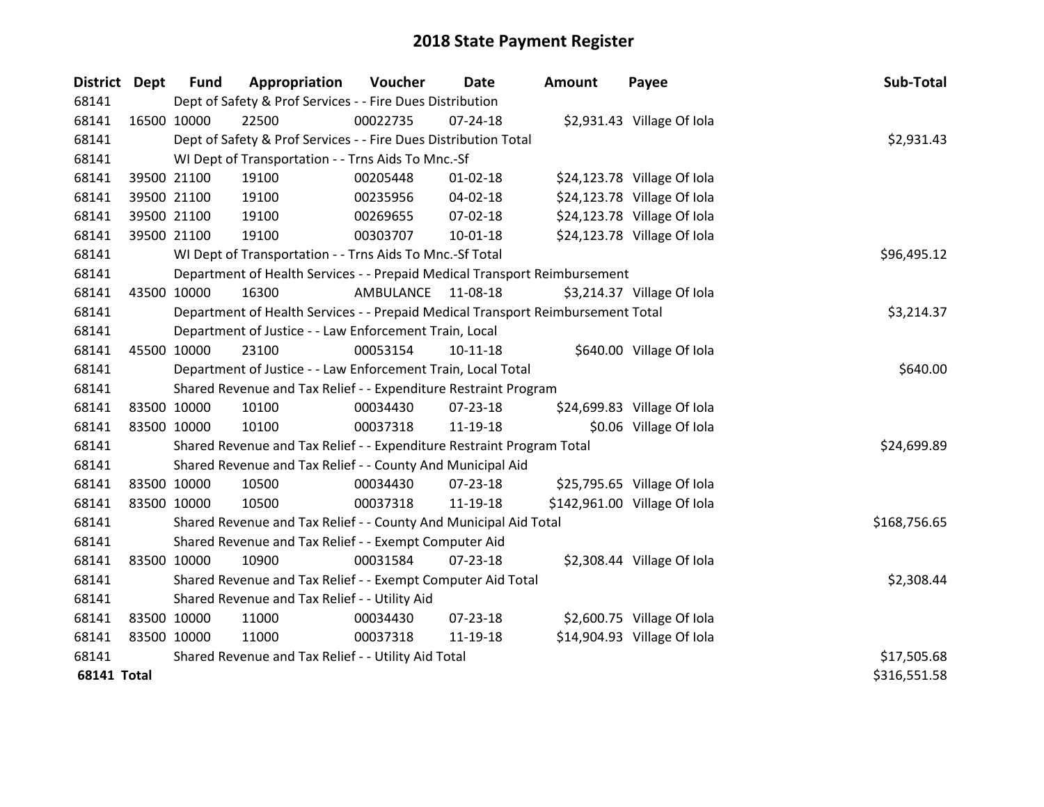| <b>District</b>    | <b>Dept</b> | <b>Fund</b> | Appropriation                                                                   | Voucher   | Date           | <b>Amount</b> | Payee                        | Sub-Total    |
|--------------------|-------------|-------------|---------------------------------------------------------------------------------|-----------|----------------|---------------|------------------------------|--------------|
| 68141              |             |             | Dept of Safety & Prof Services - - Fire Dues Distribution                       |           |                |               |                              |              |
| 68141              |             | 16500 10000 | 22500                                                                           | 00022735  | 07-24-18       |               | \$2,931.43 Village Of Iola   |              |
| 68141              |             |             | Dept of Safety & Prof Services - - Fire Dues Distribution Total                 |           |                |               |                              | \$2,931.43   |
| 68141              |             |             | WI Dept of Transportation - - Trns Aids To Mnc.-Sf                              |           |                |               |                              |              |
| 68141              |             | 39500 21100 | 19100                                                                           | 00205448  | 01-02-18       |               | \$24,123.78 Village Of Iola  |              |
| 68141              |             | 39500 21100 | 19100                                                                           | 00235956  | 04-02-18       |               | \$24,123.78 Village Of Iola  |              |
| 68141              |             | 39500 21100 | 19100                                                                           | 00269655  | 07-02-18       |               | \$24,123.78 Village Of Iola  |              |
| 68141              |             | 39500 21100 | 19100                                                                           | 00303707  | 10-01-18       |               | \$24,123.78 Village Of Iola  |              |
| 68141              |             |             | WI Dept of Transportation - - Trns Aids To Mnc.-Sf Total                        |           | \$96,495.12    |               |                              |              |
| 68141              |             |             | Department of Health Services - - Prepaid Medical Transport Reimbursement       |           |                |               |                              |              |
| 68141              |             | 43500 10000 | 16300                                                                           | AMBULANCE | 11-08-18       |               | \$3,214.37 Village Of Iola   |              |
| 68141              |             |             | Department of Health Services - - Prepaid Medical Transport Reimbursement Total |           |                |               |                              | \$3,214.37   |
| 68141              |             |             | Department of Justice - - Law Enforcement Train, Local                          |           |                |               |                              |              |
| 68141              |             | 45500 10000 | 23100                                                                           | 00053154  | 10-11-18       |               | \$640.00 Village Of Iola     |              |
| 68141              |             |             | Department of Justice - - Law Enforcement Train, Local Total                    |           |                |               |                              | \$640.00     |
| 68141              |             |             | Shared Revenue and Tax Relief - - Expenditure Restraint Program                 |           |                |               |                              |              |
| 68141              |             | 83500 10000 | 10100                                                                           | 00034430  | 07-23-18       |               | \$24,699.83 Village Of Iola  |              |
| 68141              |             | 83500 10000 | 10100                                                                           | 00037318  | 11-19-18       |               | \$0.06 Village Of Iola       |              |
| 68141              |             |             | Shared Revenue and Tax Relief - - Expenditure Restraint Program Total           |           |                |               |                              | \$24,699.89  |
| 68141              |             |             | Shared Revenue and Tax Relief - - County And Municipal Aid                      |           |                |               |                              |              |
| 68141              |             | 83500 10000 | 10500                                                                           | 00034430  | 07-23-18       |               | \$25,795.65 Village Of Iola  |              |
| 68141              |             | 83500 10000 | 10500                                                                           | 00037318  | 11-19-18       |               | \$142,961.00 Village Of Iola |              |
| 68141              |             |             | Shared Revenue and Tax Relief - - County And Municipal Aid Total                |           |                |               |                              | \$168,756.65 |
| 68141              |             |             | Shared Revenue and Tax Relief - - Exempt Computer Aid                           |           |                |               |                              |              |
| 68141              | 83500 10000 |             | 10900                                                                           | 00031584  | $07 - 23 - 18$ |               | \$2,308.44 Village Of Iola   |              |
| 68141              |             |             | Shared Revenue and Tax Relief - - Exempt Computer Aid Total                     |           |                |               |                              | \$2,308.44   |
| 68141              |             |             | Shared Revenue and Tax Relief - - Utility Aid                                   |           |                |               |                              |              |
| 68141              | 83500 10000 |             | 11000                                                                           | 00034430  | 07-23-18       |               | \$2,600.75 Village Of Iola   |              |
| 68141              | 83500 10000 |             | 11000                                                                           | 00037318  | 11-19-18       |               | \$14,904.93 Village Of Iola  |              |
| 68141              |             |             | Shared Revenue and Tax Relief - - Utility Aid Total                             |           | \$17,505.68    |               |                              |              |
| <b>68141 Total</b> |             |             |                                                                                 |           |                |               |                              | \$316,551.58 |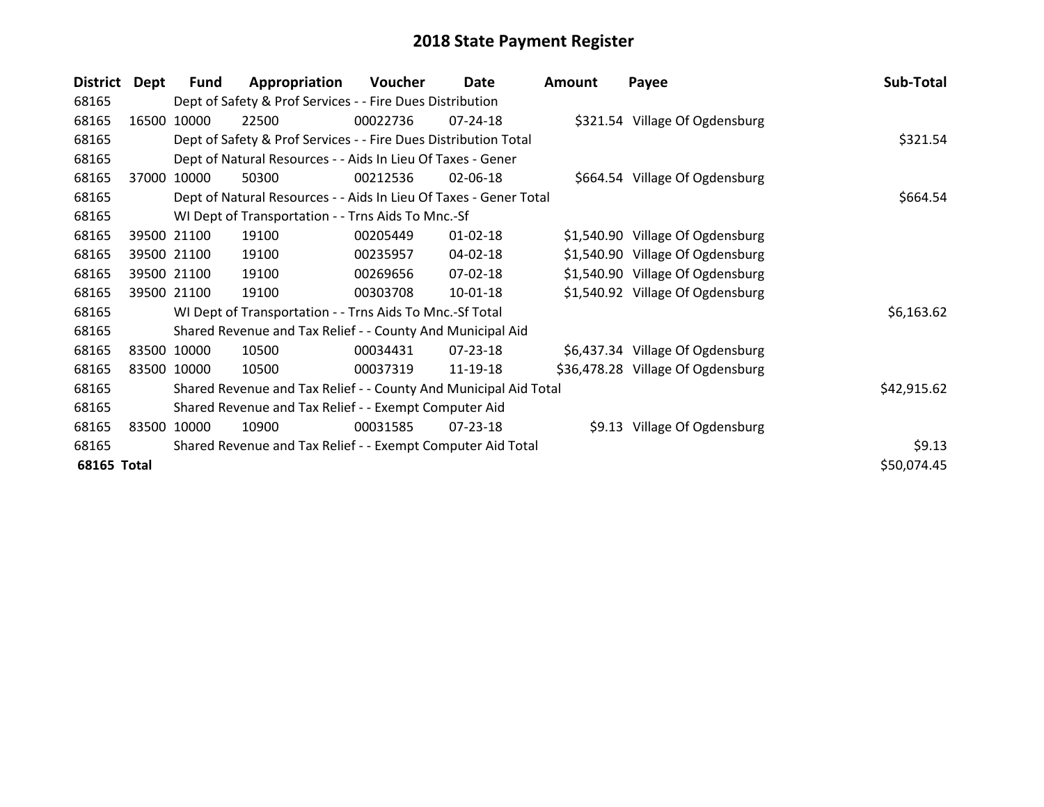| <b>District</b>    | <b>Dept</b> | <b>Fund</b> | Appropriation                                                     | Voucher  | Date           | <b>Amount</b> | Payee                             | Sub-Total   |
|--------------------|-------------|-------------|-------------------------------------------------------------------|----------|----------------|---------------|-----------------------------------|-------------|
| 68165              |             |             | Dept of Safety & Prof Services - - Fire Dues Distribution         |          |                |               |                                   |             |
| 68165              | 16500       | 10000       | 22500                                                             | 00022736 | $07 - 24 - 18$ |               | \$321.54 Village Of Ogdensburg    |             |
| 68165              |             |             | Dept of Safety & Prof Services - - Fire Dues Distribution Total   |          |                |               |                                   | \$321.54    |
| 68165              |             |             | Dept of Natural Resources - - Aids In Lieu Of Taxes - Gener       |          |                |               |                                   |             |
| 68165              | 37000       | 10000       | 50300                                                             | 00212536 | 02-06-18       |               | \$664.54 Village Of Ogdensburg    |             |
| 68165              |             |             | Dept of Natural Resources - - Aids In Lieu Of Taxes - Gener Total |          |                |               |                                   | \$664.54    |
| 68165              |             |             | WI Dept of Transportation - - Trns Aids To Mnc.-Sf                |          |                |               |                                   |             |
| 68165              |             | 39500 21100 | 19100                                                             | 00205449 | $01 - 02 - 18$ |               | \$1,540.90 Village Of Ogdensburg  |             |
| 68165              |             | 39500 21100 | 19100                                                             | 00235957 | 04-02-18       |               | \$1,540.90 Village Of Ogdensburg  |             |
| 68165              |             | 39500 21100 | 19100                                                             | 00269656 | 07-02-18       |               | \$1,540.90 Village Of Ogdensburg  |             |
| 68165              |             | 39500 21100 | 19100                                                             | 00303708 | 10-01-18       |               | \$1,540.92 Village Of Ogdensburg  |             |
| 68165              |             |             | WI Dept of Transportation - - Trns Aids To Mnc.-Sf Total          |          |                |               |                                   | \$6,163.62  |
| 68165              |             |             | Shared Revenue and Tax Relief - - County And Municipal Aid        |          |                |               |                                   |             |
| 68165              |             | 83500 10000 | 10500                                                             | 00034431 | 07-23-18       |               | \$6,437.34 Village Of Ogdensburg  |             |
| 68165              |             | 83500 10000 | 10500                                                             | 00037319 | 11-19-18       |               | \$36,478.28 Village Of Ogdensburg |             |
| 68165              |             |             | Shared Revenue and Tax Relief - - County And Municipal Aid Total  |          |                |               |                                   | \$42,915.62 |
| 68165              |             |             | Shared Revenue and Tax Relief - - Exempt Computer Aid             |          |                |               |                                   |             |
| 68165              |             | 83500 10000 | 10900                                                             | 00031585 | 07-23-18       |               | \$9.13 Village Of Ogdensburg      |             |
| 68165              |             |             | Shared Revenue and Tax Relief - - Exempt Computer Aid Total       |          |                |               |                                   | \$9.13      |
| <b>68165 Total</b> |             |             |                                                                   |          |                |               |                                   | \$50,074.45 |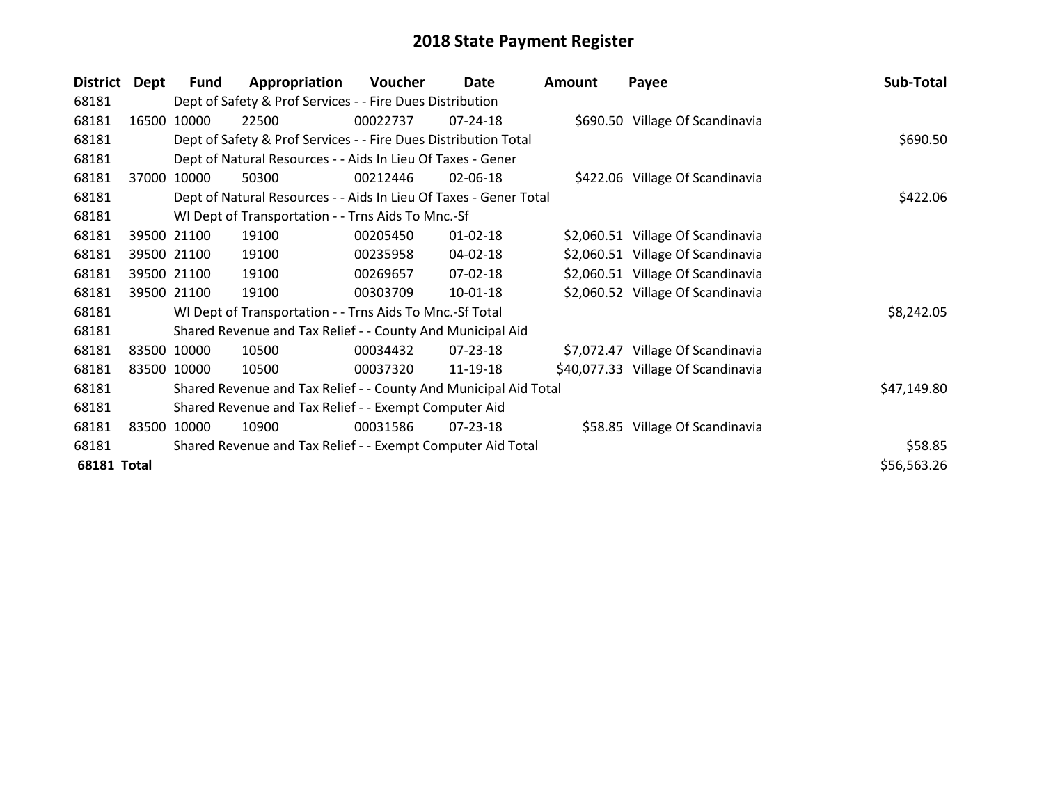| <b>District</b>    | <b>Dept</b> | <b>Fund</b>                                                 | Appropriation                                                     | Voucher  | Date           | <b>Amount</b> | Payee                              | Sub-Total   |
|--------------------|-------------|-------------------------------------------------------------|-------------------------------------------------------------------|----------|----------------|---------------|------------------------------------|-------------|
| 68181              |             |                                                             | Dept of Safety & Prof Services - - Fire Dues Distribution         |          |                |               |                                    |             |
| 68181              | 16500       | 10000                                                       | 22500                                                             | 00022737 | $07 - 24 - 18$ |               | \$690.50 Village Of Scandinavia    |             |
| 68181              |             |                                                             | Dept of Safety & Prof Services - - Fire Dues Distribution Total   |          | \$690.50       |               |                                    |             |
| 68181              |             |                                                             | Dept of Natural Resources - - Aids In Lieu Of Taxes - Gener       |          |                |               |                                    |             |
| 68181              | 37000       | 10000                                                       | 50300                                                             | 00212446 | 02-06-18       |               | \$422.06 Village Of Scandinavia    |             |
| 68181              |             |                                                             | Dept of Natural Resources - - Aids In Lieu Of Taxes - Gener Total |          | \$422.06       |               |                                    |             |
| 68181              |             |                                                             | WI Dept of Transportation - - Trns Aids To Mnc.-Sf                |          |                |               |                                    |             |
| 68181              |             | 39500 21100                                                 | 19100                                                             | 00205450 | $01 - 02 - 18$ |               | \$2,060.51 Village Of Scandinavia  |             |
| 68181              |             | 39500 21100                                                 | 19100                                                             | 00235958 | 04-02-18       |               | \$2,060.51 Village Of Scandinavia  |             |
| 68181              |             | 39500 21100                                                 | 19100                                                             | 00269657 | 07-02-18       |               | \$2,060.51 Village Of Scandinavia  |             |
| 68181              |             | 39500 21100                                                 | 19100                                                             | 00303709 | 10-01-18       |               | \$2,060.52 Village Of Scandinavia  |             |
| 68181              |             |                                                             | WI Dept of Transportation - - Trns Aids To Mnc.-Sf Total          |          |                |               |                                    | \$8,242.05  |
| 68181              |             |                                                             | Shared Revenue and Tax Relief - - County And Municipal Aid        |          |                |               |                                    |             |
| 68181              |             | 83500 10000                                                 | 10500                                                             | 00034432 | 07-23-18       |               | \$7,072.47 Village Of Scandinavia  |             |
| 68181              |             | 83500 10000                                                 | 10500                                                             | 00037320 | 11-19-18       |               | \$40,077.33 Village Of Scandinavia |             |
| 68181              |             |                                                             | Shared Revenue and Tax Relief - - County And Municipal Aid Total  |          |                |               |                                    | \$47,149.80 |
| 68181              |             |                                                             | Shared Revenue and Tax Relief - - Exempt Computer Aid             |          |                |               |                                    |             |
| 68181              |             | 83500 10000                                                 | 10900                                                             | 00031586 | 07-23-18       |               | \$58.85 Village Of Scandinavia     |             |
| 68181              |             | Shared Revenue and Tax Relief - - Exempt Computer Aid Total | \$58.85                                                           |          |                |               |                                    |             |
| <b>68181 Total</b> |             |                                                             |                                                                   |          |                |               |                                    | \$56,563.26 |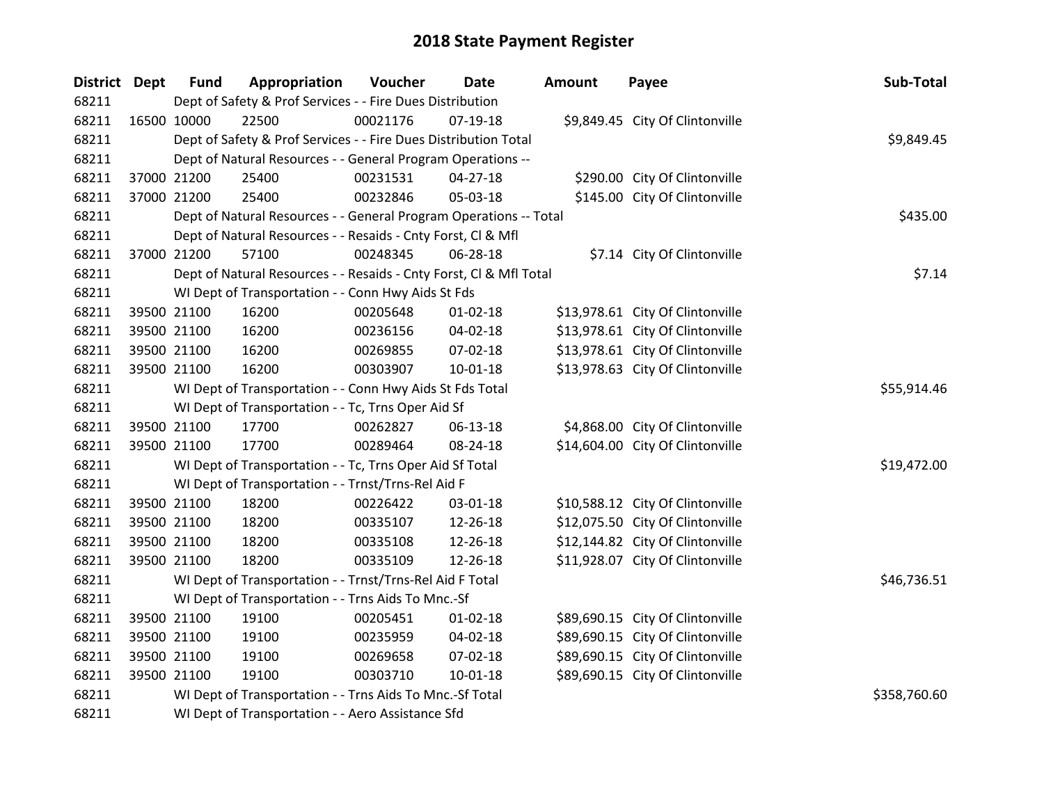| District Dept | <b>Fund</b> | Appropriation                                                      | Voucher  | <b>Date</b>    | <b>Amount</b> | Payee                            | Sub-Total    |
|---------------|-------------|--------------------------------------------------------------------|----------|----------------|---------------|----------------------------------|--------------|
| 68211         |             | Dept of Safety & Prof Services - - Fire Dues Distribution          |          |                |               |                                  |              |
| 68211         | 16500 10000 | 22500                                                              | 00021176 | $07-19-18$     |               | \$9,849.45 City Of Clintonville  |              |
| 68211         |             | Dept of Safety & Prof Services - - Fire Dues Distribution Total    |          |                |               |                                  | \$9,849.45   |
| 68211         |             | Dept of Natural Resources - - General Program Operations --        |          |                |               |                                  |              |
| 68211         | 37000 21200 | 25400                                                              | 00231531 | $04 - 27 - 18$ |               | \$290.00 City Of Clintonville    |              |
| 68211         | 37000 21200 | 25400                                                              | 00232846 | 05-03-18       |               | \$145.00 City Of Clintonville    |              |
| 68211         |             | Dept of Natural Resources - - General Program Operations -- Total  |          |                |               |                                  | \$435.00     |
| 68211         |             | Dept of Natural Resources - - Resaids - Cnty Forst, Cl & Mfl       |          |                |               |                                  |              |
| 68211         | 37000 21200 | 57100                                                              | 00248345 | 06-28-18       |               | \$7.14 City Of Clintonville      |              |
| 68211         |             | Dept of Natural Resources - - Resaids - Cnty Forst, Cl & Mfl Total |          |                |               |                                  | \$7.14       |
| 68211         |             | WI Dept of Transportation - - Conn Hwy Aids St Fds                 |          |                |               |                                  |              |
| 68211         | 39500 21100 | 16200                                                              | 00205648 | $01 - 02 - 18$ |               | \$13,978.61 City Of Clintonville |              |
| 68211         | 39500 21100 | 16200                                                              | 00236156 | 04-02-18       |               | \$13,978.61 City Of Clintonville |              |
| 68211         | 39500 21100 | 16200                                                              | 00269855 | 07-02-18       |               | \$13,978.61 City Of Clintonville |              |
| 68211         | 39500 21100 | 16200                                                              | 00303907 | 10-01-18       |               | \$13,978.63 City Of Clintonville |              |
| 68211         |             | WI Dept of Transportation - - Conn Hwy Aids St Fds Total           |          |                |               |                                  | \$55,914.46  |
| 68211         |             | WI Dept of Transportation - - Tc, Trns Oper Aid Sf                 |          |                |               |                                  |              |
| 68211         | 39500 21100 | 17700                                                              | 00262827 | 06-13-18       |               | \$4,868.00 City Of Clintonville  |              |
| 68211         | 39500 21100 | 17700                                                              | 00289464 | 08-24-18       |               | \$14,604.00 City Of Clintonville |              |
| 68211         |             | WI Dept of Transportation - - Tc, Trns Oper Aid Sf Total           |          |                |               |                                  | \$19,472.00  |
| 68211         |             | WI Dept of Transportation - - Trnst/Trns-Rel Aid F                 |          |                |               |                                  |              |
| 68211         | 39500 21100 | 18200                                                              | 00226422 | 03-01-18       |               | \$10,588.12 City Of Clintonville |              |
| 68211         | 39500 21100 | 18200                                                              | 00335107 | 12-26-18       |               | \$12,075.50 City Of Clintonville |              |
| 68211         | 39500 21100 | 18200                                                              | 00335108 | 12-26-18       |               | \$12,144.82 City Of Clintonville |              |
| 68211         | 39500 21100 | 18200                                                              | 00335109 | 12-26-18       |               | \$11,928.07 City Of Clintonville |              |
| 68211         |             | WI Dept of Transportation - - Trnst/Trns-Rel Aid F Total           |          |                |               |                                  | \$46,736.51  |
| 68211         |             | WI Dept of Transportation - - Trns Aids To Mnc.-Sf                 |          |                |               |                                  |              |
| 68211         | 39500 21100 | 19100                                                              | 00205451 | $01 - 02 - 18$ |               | \$89,690.15 City Of Clintonville |              |
| 68211         | 39500 21100 | 19100                                                              | 00235959 | 04-02-18       |               | \$89,690.15 City Of Clintonville |              |
| 68211         | 39500 21100 | 19100                                                              | 00269658 | 07-02-18       |               | \$89,690.15 City Of Clintonville |              |
| 68211         | 39500 21100 | 19100                                                              | 00303710 | $10 - 01 - 18$ |               | \$89,690.15 City Of Clintonville |              |
| 68211         |             | WI Dept of Transportation - - Trns Aids To Mnc.-Sf Total           |          |                |               |                                  | \$358,760.60 |
| 68211         |             | WI Dept of Transportation - - Aero Assistance Sfd                  |          |                |               |                                  |              |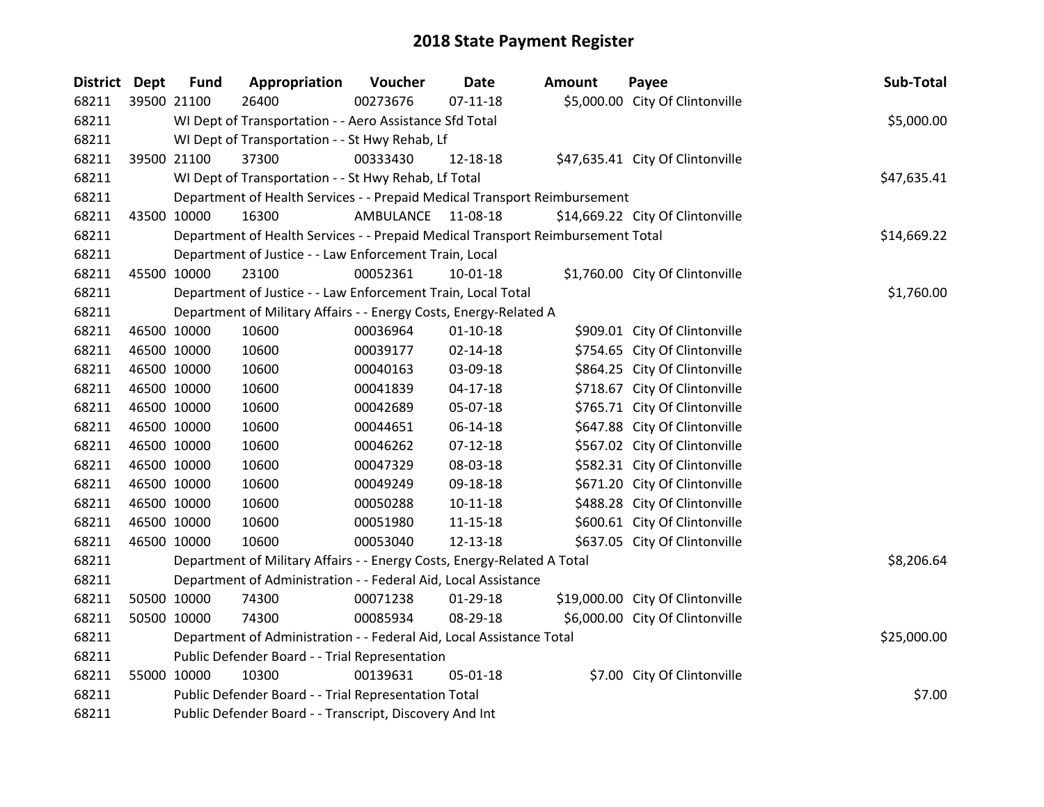| District Dept |             | <b>Fund</b> | Appropriation                                                                   | Voucher   | Date           | <b>Amount</b> | Payee                            | Sub-Total   |
|---------------|-------------|-------------|---------------------------------------------------------------------------------|-----------|----------------|---------------|----------------------------------|-------------|
| 68211         | 39500 21100 |             | 26400                                                                           | 00273676  | $07 - 11 - 18$ |               | \$5,000.00 City Of Clintonville  |             |
| 68211         |             |             | WI Dept of Transportation - - Aero Assistance Sfd Total                         |           |                |               |                                  | \$5,000.00  |
| 68211         |             |             | WI Dept of Transportation - - St Hwy Rehab, Lf                                  |           |                |               |                                  |             |
| 68211         | 39500 21100 |             | 37300                                                                           | 00333430  | 12-18-18       |               | \$47,635.41 City Of Clintonville |             |
| 68211         |             |             | WI Dept of Transportation - - St Hwy Rehab, Lf Total                            |           |                |               |                                  | \$47,635.41 |
| 68211         |             |             | Department of Health Services - - Prepaid Medical Transport Reimbursement       |           |                |               |                                  |             |
| 68211         | 43500 10000 |             | 16300                                                                           | AMBULANCE | 11-08-18       |               | \$14,669.22 City Of Clintonville |             |
| 68211         |             |             | Department of Health Services - - Prepaid Medical Transport Reimbursement Total |           | \$14,669.22    |               |                                  |             |
| 68211         |             |             | Department of Justice - - Law Enforcement Train, Local                          |           |                |               |                                  |             |
| 68211         | 45500 10000 |             | 23100                                                                           | 00052361  | 10-01-18       |               | \$1,760.00 City Of Clintonville  |             |
| 68211         |             |             | Department of Justice - - Law Enforcement Train, Local Total                    |           |                |               |                                  | \$1,760.00  |
| 68211         |             |             | Department of Military Affairs - - Energy Costs, Energy-Related A               |           |                |               |                                  |             |
| 68211         | 46500 10000 |             | 10600                                                                           | 00036964  | $01-10-18$     |               | \$909.01 City Of Clintonville    |             |
| 68211         | 46500 10000 |             | 10600                                                                           | 00039177  | $02 - 14 - 18$ |               | \$754.65 City Of Clintonville    |             |
| 68211         | 46500 10000 |             | 10600                                                                           | 00040163  | 03-09-18       |               | \$864.25 City Of Clintonville    |             |
| 68211         | 46500 10000 |             | 10600                                                                           | 00041839  | $04 - 17 - 18$ |               | \$718.67 City Of Clintonville    |             |
| 68211         | 46500 10000 |             | 10600                                                                           | 00042689  | 05-07-18       |               | \$765.71 City Of Clintonville    |             |
| 68211         | 46500 10000 |             | 10600                                                                           | 00044651  | 06-14-18       |               | \$647.88 City Of Clintonville    |             |
| 68211         | 46500 10000 |             | 10600                                                                           | 00046262  | $07-12-18$     |               | \$567.02 City Of Clintonville    |             |
| 68211         | 46500 10000 |             | 10600                                                                           | 00047329  | 08-03-18       |               | \$582.31 City Of Clintonville    |             |
| 68211         | 46500 10000 |             | 10600                                                                           | 00049249  | 09-18-18       |               | \$671.20 City Of Clintonville    |             |
| 68211         | 46500 10000 |             | 10600                                                                           | 00050288  | $10 - 11 - 18$ |               | \$488.28 City Of Clintonville    |             |
| 68211         | 46500 10000 |             | 10600                                                                           | 00051980  | 11-15-18       |               | \$600.61 City Of Clintonville    |             |
| 68211         | 46500 10000 |             | 10600                                                                           | 00053040  | 12-13-18       |               | \$637.05 City Of Clintonville    |             |
| 68211         |             |             | Department of Military Affairs - - Energy Costs, Energy-Related A Total         |           |                |               |                                  | \$8,206.64  |
| 68211         |             |             | Department of Administration - - Federal Aid, Local Assistance                  |           |                |               |                                  |             |
| 68211         | 50500 10000 |             | 74300                                                                           | 00071238  | 01-29-18       |               | \$19,000.00 City Of Clintonville |             |
| 68211         | 50500 10000 |             | 74300                                                                           | 00085934  | 08-29-18       |               | \$6,000.00 City Of Clintonville  |             |
| 68211         |             |             | Department of Administration - - Federal Aid, Local Assistance Total            |           |                |               |                                  | \$25,000.00 |
| 68211         |             |             | Public Defender Board - - Trial Representation                                  |           |                |               |                                  |             |
| 68211         | 55000 10000 |             | 10300                                                                           | 00139631  | 05-01-18       |               | \$7.00 City Of Clintonville      |             |
| 68211         |             |             | Public Defender Board - - Trial Representation Total                            |           |                |               |                                  | \$7.00      |
| 68211         |             |             | Public Defender Board - - Transcript, Discovery And Int                         |           |                |               |                                  |             |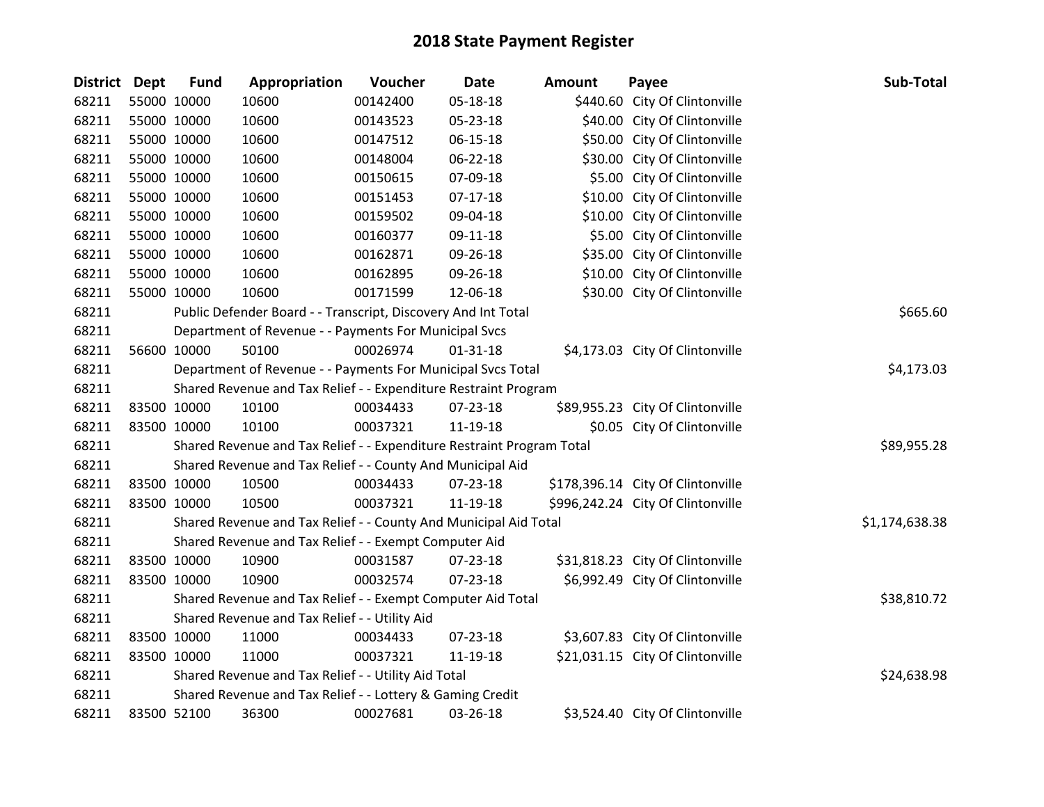| District Dept | <b>Fund</b> | Appropriation                                                         | Voucher  | <b>Date</b>    | <b>Amount</b> | Payee                             | Sub-Total      |
|---------------|-------------|-----------------------------------------------------------------------|----------|----------------|---------------|-----------------------------------|----------------|
| 68211         | 55000 10000 | 10600                                                                 | 00142400 | 05-18-18       |               | \$440.60 City Of Clintonville     |                |
| 68211         | 55000 10000 | 10600                                                                 | 00143523 | 05-23-18       |               | \$40.00 City Of Clintonville      |                |
| 68211         | 55000 10000 | 10600                                                                 | 00147512 | 06-15-18       |               | \$50.00 City Of Clintonville      |                |
| 68211         | 55000 10000 | 10600                                                                 | 00148004 | 06-22-18       |               | \$30.00 City Of Clintonville      |                |
| 68211         | 55000 10000 | 10600                                                                 | 00150615 | 07-09-18       |               | \$5.00 City Of Clintonville       |                |
| 68211         | 55000 10000 | 10600                                                                 | 00151453 | $07 - 17 - 18$ |               | \$10.00 City Of Clintonville      |                |
| 68211         | 55000 10000 | 10600                                                                 | 00159502 | 09-04-18       |               | \$10.00 City Of Clintonville      |                |
| 68211         | 55000 10000 | 10600                                                                 | 00160377 | 09-11-18       |               | \$5.00 City Of Clintonville       |                |
| 68211         | 55000 10000 | 10600                                                                 | 00162871 | 09-26-18       |               | \$35.00 City Of Clintonville      |                |
| 68211         | 55000 10000 | 10600                                                                 | 00162895 | 09-26-18       |               | \$10.00 City Of Clintonville      |                |
| 68211         | 55000 10000 | 10600                                                                 | 00171599 | 12-06-18       |               | \$30.00 City Of Clintonville      |                |
| 68211         |             | Public Defender Board - - Transcript, Discovery And Int Total         |          |                |               |                                   | \$665.60       |
| 68211         |             | Department of Revenue - - Payments For Municipal Svcs                 |          |                |               |                                   |                |
| 68211         | 56600 10000 | 50100                                                                 | 00026974 | $01 - 31 - 18$ |               | \$4,173.03 City Of Clintonville   |                |
| 68211         |             | Department of Revenue - - Payments For Municipal Svcs Total           |          |                |               |                                   | \$4,173.03     |
| 68211         |             | Shared Revenue and Tax Relief - - Expenditure Restraint Program       |          |                |               |                                   |                |
| 68211         | 83500 10000 | 10100                                                                 | 00034433 | 07-23-18       |               | \$89,955.23 City Of Clintonville  |                |
| 68211         | 83500 10000 | 10100                                                                 | 00037321 | 11-19-18       |               | \$0.05 City Of Clintonville       |                |
| 68211         |             | Shared Revenue and Tax Relief - - Expenditure Restraint Program Total |          |                |               |                                   | \$89,955.28    |
| 68211         |             | Shared Revenue and Tax Relief - - County And Municipal Aid            |          |                |               |                                   |                |
| 68211         | 83500 10000 | 10500                                                                 | 00034433 | 07-23-18       |               | \$178,396.14 City Of Clintonville |                |
| 68211         | 83500 10000 | 10500                                                                 | 00037321 | 11-19-18       |               | \$996,242.24 City Of Clintonville |                |
| 68211         |             | Shared Revenue and Tax Relief - - County And Municipal Aid Total      |          |                |               |                                   | \$1,174,638.38 |
| 68211         |             | Shared Revenue and Tax Relief - - Exempt Computer Aid                 |          |                |               |                                   |                |
| 68211         | 83500 10000 | 10900                                                                 | 00031587 | 07-23-18       |               | \$31,818.23 City Of Clintonville  |                |
| 68211         | 83500 10000 | 10900                                                                 | 00032574 | 07-23-18       |               | \$6,992.49 City Of Clintonville   |                |
| 68211         |             | Shared Revenue and Tax Relief - - Exempt Computer Aid Total           |          |                |               |                                   | \$38,810.72    |
| 68211         |             | Shared Revenue and Tax Relief - - Utility Aid                         |          |                |               |                                   |                |
| 68211         | 83500 10000 | 11000                                                                 | 00034433 | 07-23-18       |               | \$3,607.83 City Of Clintonville   |                |
| 68211         | 83500 10000 | 11000                                                                 | 00037321 | 11-19-18       |               | \$21,031.15 City Of Clintonville  |                |
| 68211         |             | Shared Revenue and Tax Relief - - Utility Aid Total                   |          |                |               |                                   | \$24,638.98    |
| 68211         |             | Shared Revenue and Tax Relief - - Lottery & Gaming Credit             |          |                |               |                                   |                |
| 68211         | 83500 52100 | 36300                                                                 | 00027681 | 03-26-18       |               | \$3,524.40 City Of Clintonville   |                |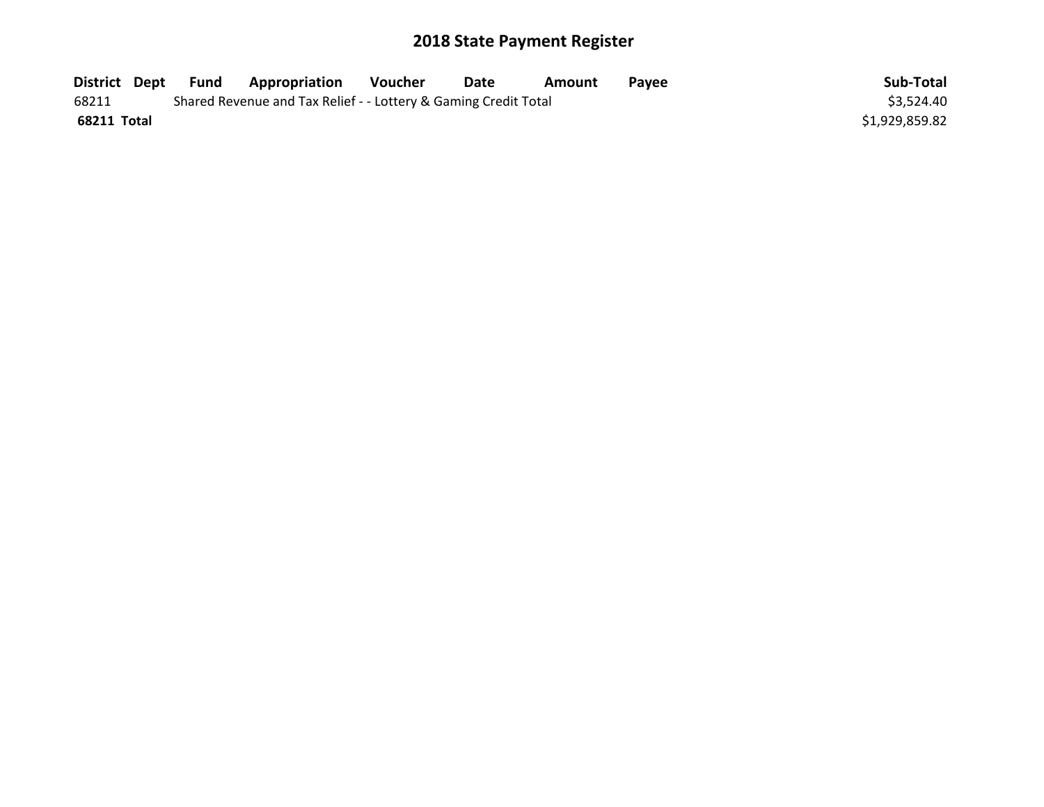| District Dept | Fund | Appropriation                                                   | Voucher | Date | Amount | Pavee | Sub-Total      |
|---------------|------|-----------------------------------------------------------------|---------|------|--------|-------|----------------|
| 68211         |      | Shared Revenue and Tax Relief - - Lottery & Gaming Credit Total |         |      |        |       | \$3,524.40     |
| 68211 Total   |      |                                                                 |         |      |        |       | \$1,929,859.82 |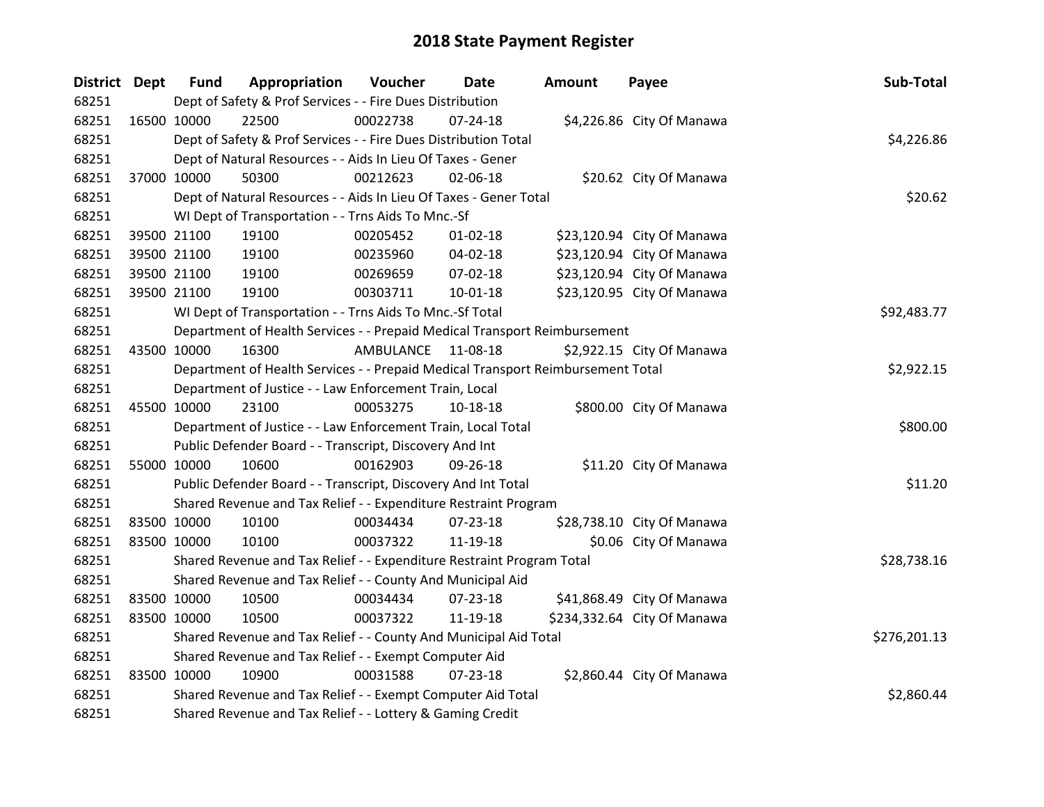| District Dept |             | <b>Fund</b> | Appropriation                                                                   | Voucher   | Date           | <b>Amount</b> | Payee                       | Sub-Total    |
|---------------|-------------|-------------|---------------------------------------------------------------------------------|-----------|----------------|---------------|-----------------------------|--------------|
| 68251         |             |             | Dept of Safety & Prof Services - - Fire Dues Distribution                       |           |                |               |                             |              |
| 68251         | 16500 10000 |             | 22500                                                                           | 00022738  | $07 - 24 - 18$ |               | \$4,226.86 City Of Manawa   |              |
| 68251         |             |             | Dept of Safety & Prof Services - - Fire Dues Distribution Total                 |           |                |               |                             | \$4,226.86   |
| 68251         |             |             | Dept of Natural Resources - - Aids In Lieu Of Taxes - Gener                     |           |                |               |                             |              |
| 68251         | 37000 10000 |             | 50300                                                                           | 00212623  | 02-06-18       |               | \$20.62 City Of Manawa      |              |
| 68251         |             |             | Dept of Natural Resources - - Aids In Lieu Of Taxes - Gener Total               |           |                |               |                             | \$20.62      |
| 68251         |             |             | WI Dept of Transportation - - Trns Aids To Mnc.-Sf                              |           |                |               |                             |              |
| 68251         |             | 39500 21100 | 19100                                                                           | 00205452  | $01 - 02 - 18$ |               | \$23,120.94 City Of Manawa  |              |
| 68251         |             | 39500 21100 | 19100                                                                           | 00235960  | 04-02-18       |               | \$23,120.94 City Of Manawa  |              |
| 68251         |             | 39500 21100 | 19100                                                                           | 00269659  | 07-02-18       |               | \$23,120.94 City Of Manawa  |              |
| 68251         |             | 39500 21100 | 19100                                                                           | 00303711  | 10-01-18       |               | \$23,120.95 City Of Manawa  |              |
| 68251         |             |             | WI Dept of Transportation - - Trns Aids To Mnc.-Sf Total                        |           |                |               |                             | \$92,483.77  |
| 68251         |             |             | Department of Health Services - - Prepaid Medical Transport Reimbursement       |           |                |               |                             |              |
| 68251         | 43500 10000 |             | 16300                                                                           | AMBULANCE | 11-08-18       |               | \$2,922.15 City Of Manawa   |              |
| 68251         |             |             | Department of Health Services - - Prepaid Medical Transport Reimbursement Total |           |                |               |                             | \$2,922.15   |
| 68251         |             |             | Department of Justice - - Law Enforcement Train, Local                          |           |                |               |                             |              |
| 68251         | 45500 10000 |             | 23100                                                                           | 00053275  | $10 - 18 - 18$ |               | \$800.00 City Of Manawa     |              |
| 68251         |             |             | Department of Justice - - Law Enforcement Train, Local Total                    |           |                |               |                             | \$800.00     |
| 68251         |             |             | Public Defender Board - - Transcript, Discovery And Int                         |           |                |               |                             |              |
| 68251         | 55000 10000 |             | 10600                                                                           | 00162903  | 09-26-18       |               | \$11.20 City Of Manawa      |              |
| 68251         |             |             | Public Defender Board - - Transcript, Discovery And Int Total                   |           |                |               |                             | \$11.20      |
| 68251         |             |             | Shared Revenue and Tax Relief - - Expenditure Restraint Program                 |           |                |               |                             |              |
| 68251         | 83500 10000 |             | 10100                                                                           | 00034434  | 07-23-18       |               | \$28,738.10 City Of Manawa  |              |
| 68251         | 83500 10000 |             | 10100                                                                           | 00037322  | 11-19-18       |               | \$0.06 City Of Manawa       |              |
| 68251         |             |             | Shared Revenue and Tax Relief - - Expenditure Restraint Program Total           |           |                |               |                             | \$28,738.16  |
| 68251         |             |             | Shared Revenue and Tax Relief - - County And Municipal Aid                      |           |                |               |                             |              |
| 68251         | 83500 10000 |             | 10500                                                                           | 00034434  | 07-23-18       |               | \$41,868.49 City Of Manawa  |              |
| 68251         | 83500 10000 |             | 10500                                                                           | 00037322  | 11-19-18       |               | \$234,332.64 City Of Manawa |              |
| 68251         |             |             | Shared Revenue and Tax Relief - - County And Municipal Aid Total                |           |                |               |                             | \$276,201.13 |
| 68251         |             |             | Shared Revenue and Tax Relief - - Exempt Computer Aid                           |           |                |               |                             |              |
| 68251         | 83500 10000 |             | 10900                                                                           | 00031588  | $07 - 23 - 18$ |               | \$2,860.44 City Of Manawa   |              |
| 68251         |             |             | Shared Revenue and Tax Relief - - Exempt Computer Aid Total                     |           |                |               |                             | \$2,860.44   |
| 68251         |             |             | Shared Revenue and Tax Relief - - Lottery & Gaming Credit                       |           |                |               |                             |              |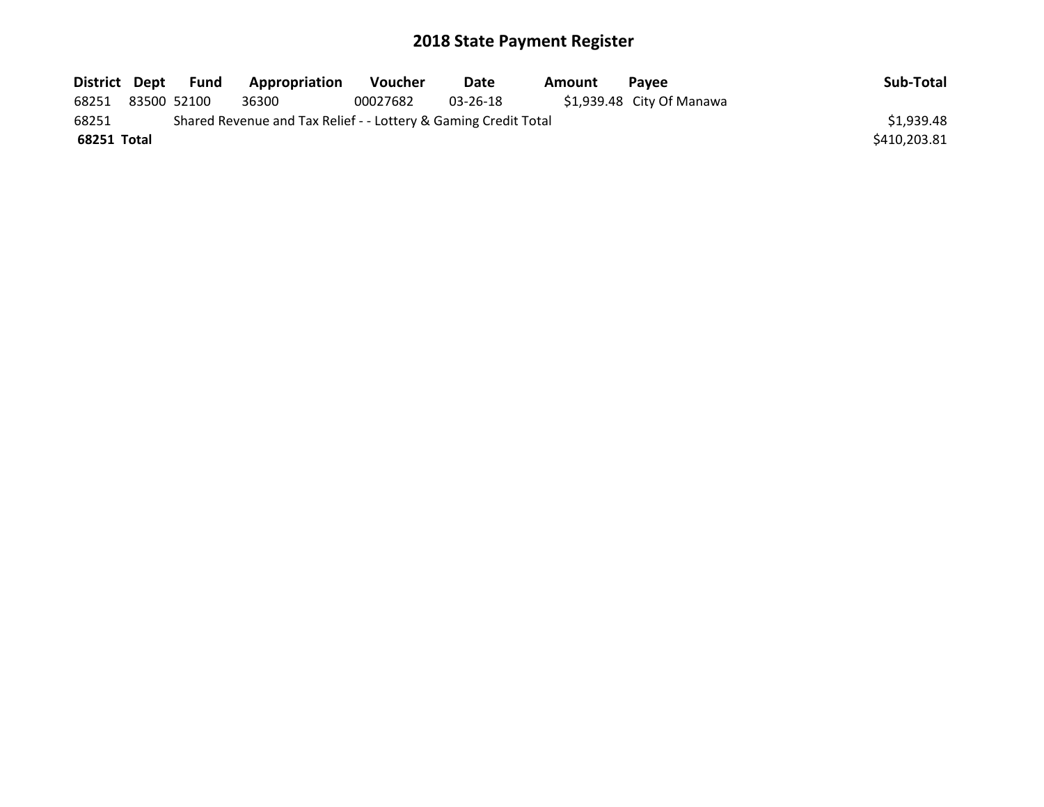| District Dept |             | Fund | <b>Appropriation</b>                                            | <b>Voucher</b> | Date     | Amount | <b>Pavee</b>              | Sub-Total    |
|---------------|-------------|------|-----------------------------------------------------------------|----------------|----------|--------|---------------------------|--------------|
| 68251         | 83500 52100 |      | 36300                                                           | 00027682       | 03-26-18 |        | \$1,939.48 City Of Manawa |              |
| 68251         |             |      | Shared Revenue and Tax Relief - - Lottery & Gaming Credit Total |                |          |        |                           | \$1,939.48   |
| 68251 Total   |             |      |                                                                 |                |          |        |                           | \$410,203.81 |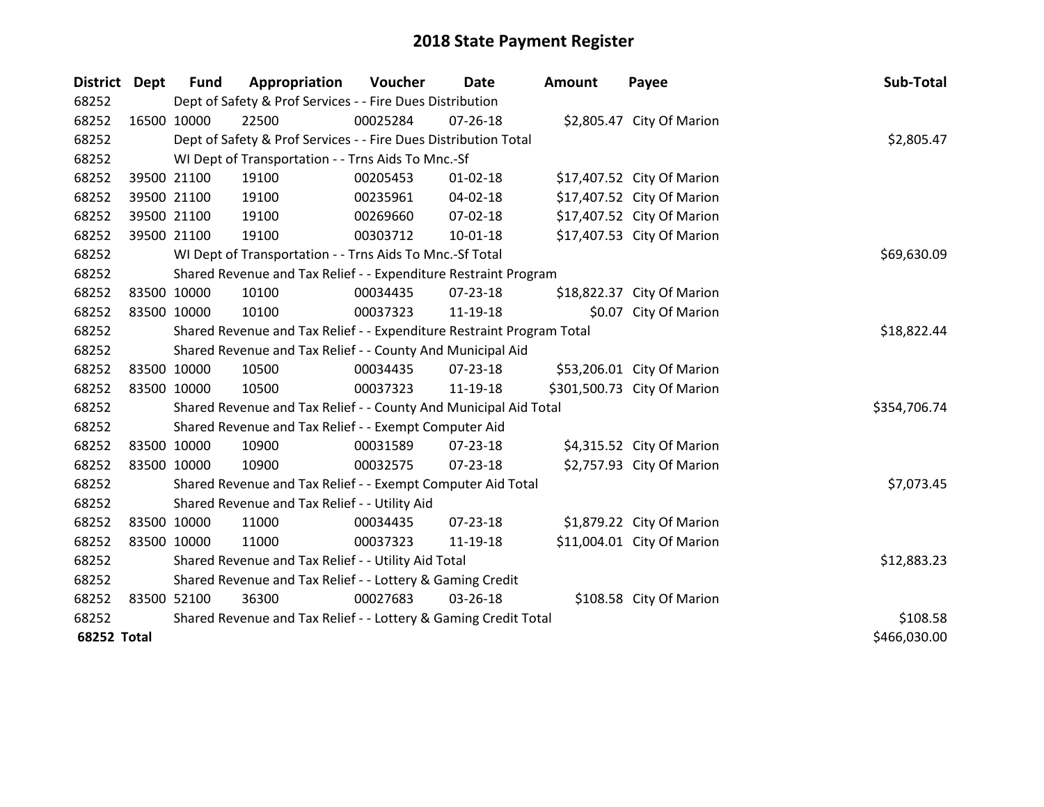| <b>District</b>    | Dept        | <b>Fund</b> | Appropriation                                                         | Voucher     | Date           | <b>Amount</b> | Payee                       | Sub-Total    |
|--------------------|-------------|-------------|-----------------------------------------------------------------------|-------------|----------------|---------------|-----------------------------|--------------|
| 68252              |             |             | Dept of Safety & Prof Services - - Fire Dues Distribution             |             |                |               |                             |              |
| 68252              |             | 16500 10000 | 22500                                                                 | 00025284    | $07 - 26 - 18$ |               | \$2,805.47 City Of Marion   |              |
| 68252              |             |             | Dept of Safety & Prof Services - - Fire Dues Distribution Total       |             |                |               |                             | \$2,805.47   |
| 68252              |             |             | WI Dept of Transportation - - Trns Aids To Mnc.-Sf                    |             |                |               |                             |              |
| 68252              |             | 39500 21100 | 19100                                                                 | 00205453    | $01 - 02 - 18$ |               | \$17,407.52 City Of Marion  |              |
| 68252              |             | 39500 21100 | 19100                                                                 | 00235961    | $04 - 02 - 18$ |               | \$17,407.52 City Of Marion  |              |
| 68252              |             | 39500 21100 | 19100                                                                 | 00269660    | $07 - 02 - 18$ |               | \$17,407.52 City Of Marion  |              |
| 68252              |             | 39500 21100 | 19100                                                                 | 00303712    | $10 - 01 - 18$ |               | \$17,407.53 City Of Marion  |              |
| 68252              |             |             | WI Dept of Transportation - - Trns Aids To Mnc.-Sf Total              |             | \$69,630.09    |               |                             |              |
| 68252              |             |             | Shared Revenue and Tax Relief - - Expenditure Restraint Program       |             |                |               |                             |              |
| 68252              | 83500 10000 |             | 10100                                                                 | 00034435    | $07 - 23 - 18$ |               | \$18,822.37 City Of Marion  |              |
| 68252              |             | 83500 10000 | 10100                                                                 | 00037323    | 11-19-18       |               | \$0.07 City Of Marion       |              |
| 68252              |             |             | Shared Revenue and Tax Relief - - Expenditure Restraint Program Total | \$18,822.44 |                |               |                             |              |
| 68252              |             |             | Shared Revenue and Tax Relief - - County And Municipal Aid            |             |                |               |                             |              |
| 68252              | 83500 10000 |             | 10500                                                                 | 00034435    | 07-23-18       |               | \$53,206.01 City Of Marion  |              |
| 68252              | 83500 10000 |             | 10500                                                                 | 00037323    | 11-19-18       |               | \$301,500.73 City Of Marion |              |
| 68252              |             |             | Shared Revenue and Tax Relief - - County And Municipal Aid Total      |             |                |               |                             | \$354,706.74 |
| 68252              |             |             | Shared Revenue and Tax Relief - - Exempt Computer Aid                 |             |                |               |                             |              |
| 68252              | 83500 10000 |             | 10900                                                                 | 00031589    | 07-23-18       |               | \$4,315.52 City Of Marion   |              |
| 68252              | 83500 10000 |             | 10900                                                                 | 00032575    | $07 - 23 - 18$ |               | \$2,757.93 City Of Marion   |              |
| 68252              |             |             | Shared Revenue and Tax Relief - - Exempt Computer Aid Total           |             |                |               |                             | \$7,073.45   |
| 68252              |             |             | Shared Revenue and Tax Relief - - Utility Aid                         |             |                |               |                             |              |
| 68252              |             | 83500 10000 | 11000                                                                 | 00034435    | $07 - 23 - 18$ |               | \$1,879.22 City Of Marion   |              |
| 68252              |             | 83500 10000 | 11000                                                                 | 00037323    | 11-19-18       |               | \$11,004.01 City Of Marion  |              |
| 68252              |             |             | Shared Revenue and Tax Relief - - Utility Aid Total                   |             |                |               |                             | \$12,883.23  |
| 68252              |             |             | Shared Revenue and Tax Relief - - Lottery & Gaming Credit             |             |                |               |                             |              |
| 68252              | 83500 52100 |             | 36300                                                                 | 00027683    | 03-26-18       |               | \$108.58 City Of Marion     |              |
| 68252              |             |             | Shared Revenue and Tax Relief - - Lottery & Gaming Credit Total       | \$108.58    |                |               |                             |              |
| <b>68252 Total</b> |             |             |                                                                       |             |                |               |                             | \$466,030.00 |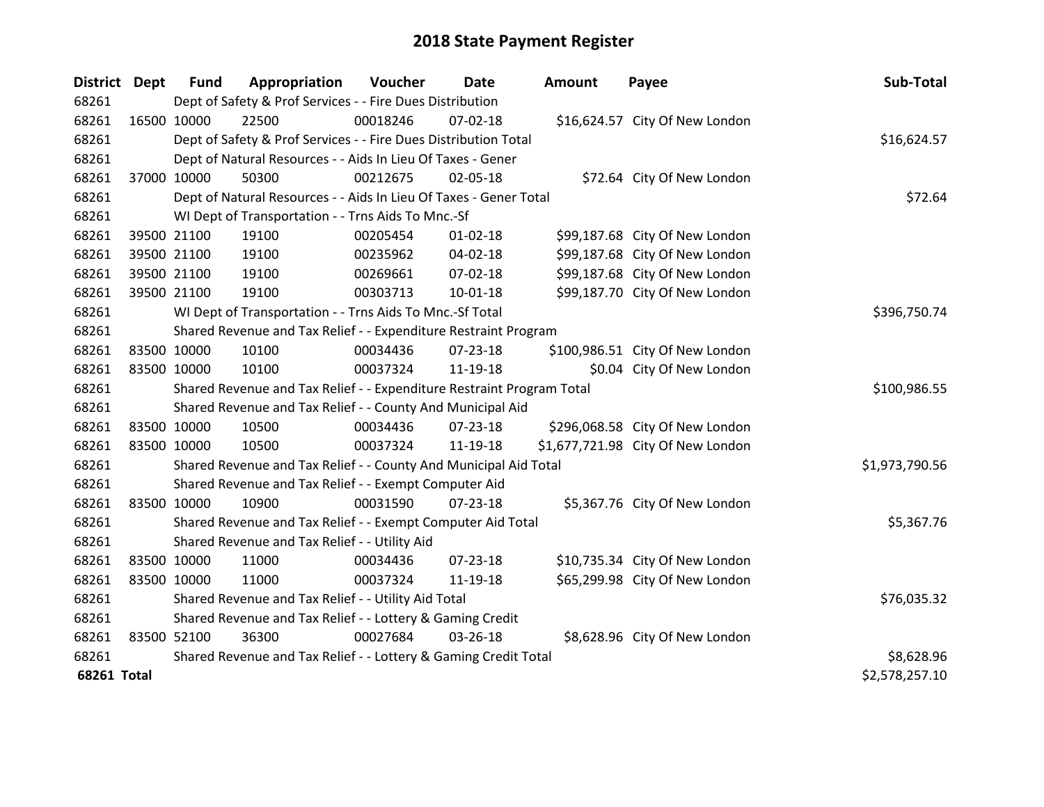| <b>District Dept</b> |             | <b>Fund</b> | Appropriation                                                         | Voucher    | Date           | <b>Amount</b> | Payee                             | Sub-Total      |
|----------------------|-------------|-------------|-----------------------------------------------------------------------|------------|----------------|---------------|-----------------------------------|----------------|
| 68261                |             |             | Dept of Safety & Prof Services - - Fire Dues Distribution             |            |                |               |                                   |                |
| 68261                | 16500 10000 |             | 22500                                                                 | 00018246   | 07-02-18       |               | \$16,624.57 City Of New London    |                |
| 68261                |             |             | Dept of Safety & Prof Services - - Fire Dues Distribution Total       |            |                |               |                                   | \$16,624.57    |
| 68261                |             |             | Dept of Natural Resources - - Aids In Lieu Of Taxes - Gener           |            |                |               |                                   |                |
| 68261                | 37000 10000 |             | 50300                                                                 | 00212675   | 02-05-18       |               | \$72.64 City Of New London        |                |
| 68261                |             |             | Dept of Natural Resources - - Aids In Lieu Of Taxes - Gener Total     |            | \$72.64        |               |                                   |                |
| 68261                |             |             | WI Dept of Transportation - - Trns Aids To Mnc.-Sf                    |            |                |               |                                   |                |
| 68261                |             | 39500 21100 | 19100                                                                 | 00205454   | $01 - 02 - 18$ |               | \$99,187.68 City Of New London    |                |
| 68261                |             | 39500 21100 | 19100                                                                 | 00235962   | 04-02-18       |               | \$99,187.68 City Of New London    |                |
| 68261                |             | 39500 21100 | 19100                                                                 | 00269661   | 07-02-18       |               | \$99,187.68 City Of New London    |                |
| 68261                |             | 39500 21100 | 19100                                                                 | 00303713   | $10 - 01 - 18$ |               | \$99,187.70 City Of New London    |                |
| 68261                |             |             | WI Dept of Transportation - - Trns Aids To Mnc.-Sf Total              |            |                |               |                                   | \$396,750.74   |
| 68261                |             |             | Shared Revenue and Tax Relief - - Expenditure Restraint Program       |            |                |               |                                   |                |
| 68261                | 83500 10000 |             | 10100                                                                 | 00034436   | $07 - 23 - 18$ |               | \$100,986.51 City Of New London   |                |
| 68261                | 83500 10000 |             | 10100                                                                 | 00037324   | 11-19-18       |               | \$0.04 City Of New London         |                |
| 68261                |             |             | Shared Revenue and Tax Relief - - Expenditure Restraint Program Total |            |                |               |                                   | \$100,986.55   |
| 68261                |             |             | Shared Revenue and Tax Relief - - County And Municipal Aid            |            |                |               |                                   |                |
| 68261                | 83500 10000 |             | 10500                                                                 | 00034436   | $07 - 23 - 18$ |               | \$296,068.58 City Of New London   |                |
| 68261                | 83500 10000 |             | 10500                                                                 | 00037324   | 11-19-18       |               | \$1,677,721.98 City Of New London |                |
| 68261                |             |             | Shared Revenue and Tax Relief - - County And Municipal Aid Total      |            |                |               |                                   | \$1,973,790.56 |
| 68261                |             |             | Shared Revenue and Tax Relief - - Exempt Computer Aid                 |            |                |               |                                   |                |
| 68261                | 83500 10000 |             | 10900                                                                 | 00031590   | $07 - 23 - 18$ |               | \$5,367.76 City Of New London     |                |
| 68261                |             |             | Shared Revenue and Tax Relief - - Exempt Computer Aid Total           |            |                |               |                                   | \$5,367.76     |
| 68261                |             |             | Shared Revenue and Tax Relief - - Utility Aid                         |            |                |               |                                   |                |
| 68261                | 83500 10000 |             | 11000                                                                 | 00034436   | $07 - 23 - 18$ |               | \$10,735.34 City Of New London    |                |
| 68261                | 83500 10000 |             | 11000                                                                 | 00037324   | 11-19-18       |               | \$65,299.98 City Of New London    |                |
| 68261                |             |             | Shared Revenue and Tax Relief - - Utility Aid Total                   |            |                |               |                                   | \$76,035.32    |
| 68261                |             |             | Shared Revenue and Tax Relief - - Lottery & Gaming Credit             |            |                |               |                                   |                |
| 68261                | 83500 52100 |             | 36300                                                                 | 00027684   | 03-26-18       |               | \$8,628.96 City Of New London     |                |
| 68261                |             |             | Shared Revenue and Tax Relief - - Lottery & Gaming Credit Total       | \$8,628.96 |                |               |                                   |                |
| <b>68261 Total</b>   |             |             |                                                                       |            |                |               |                                   | \$2,578,257.10 |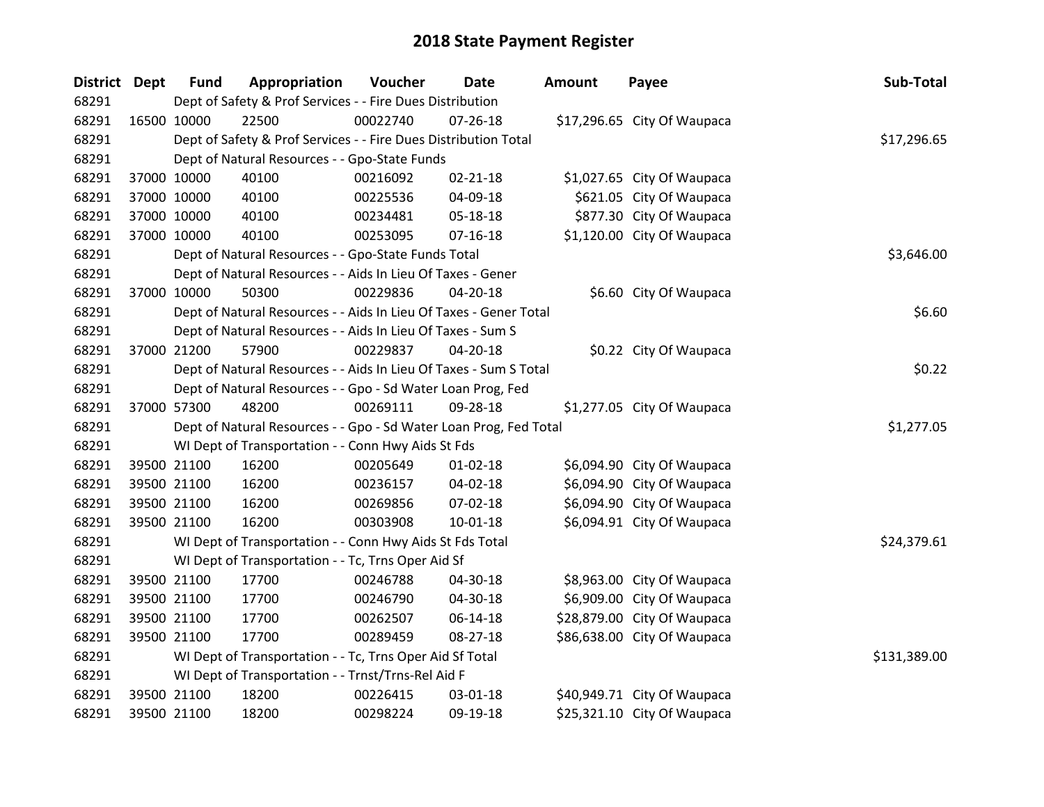| District Dept | <b>Fund</b> | Appropriation                                                     | Voucher  | Date           | Amount | Payee                       | Sub-Total    |
|---------------|-------------|-------------------------------------------------------------------|----------|----------------|--------|-----------------------------|--------------|
| 68291         |             | Dept of Safety & Prof Services - - Fire Dues Distribution         |          |                |        |                             |              |
| 68291         | 16500 10000 | 22500                                                             | 00022740 | $07 - 26 - 18$ |        | \$17,296.65 City Of Waupaca |              |
| 68291         |             | Dept of Safety & Prof Services - - Fire Dues Distribution Total   |          |                |        |                             | \$17,296.65  |
| 68291         |             | Dept of Natural Resources - - Gpo-State Funds                     |          |                |        |                             |              |
| 68291         | 37000 10000 | 40100                                                             | 00216092 | $02 - 21 - 18$ |        | \$1,027.65 City Of Waupaca  |              |
| 68291         | 37000 10000 | 40100                                                             | 00225536 | 04-09-18       |        | \$621.05 City Of Waupaca    |              |
| 68291         | 37000 10000 | 40100                                                             | 00234481 | 05-18-18       |        | \$877.30 City Of Waupaca    |              |
| 68291         | 37000 10000 | 40100                                                             | 00253095 | $07 - 16 - 18$ |        | \$1,120.00 City Of Waupaca  |              |
| 68291         |             | Dept of Natural Resources - - Gpo-State Funds Total               |          | \$3,646.00     |        |                             |              |
| 68291         |             | Dept of Natural Resources - - Aids In Lieu Of Taxes - Gener       |          |                |        |                             |              |
| 68291         | 37000 10000 | 50300                                                             | 00229836 | 04-20-18       |        | \$6.60 City Of Waupaca      |              |
| 68291         |             | Dept of Natural Resources - - Aids In Lieu Of Taxes - Gener Total |          |                |        |                             | \$6.60       |
| 68291         |             | Dept of Natural Resources - - Aids In Lieu Of Taxes - Sum S       |          |                |        |                             |              |
| 68291         | 37000 21200 | 57900                                                             | 00229837 | 04-20-18       |        | \$0.22 City Of Waupaca      |              |
| 68291         |             | Dept of Natural Resources - - Aids In Lieu Of Taxes - Sum S Total |          |                |        |                             | \$0.22       |
| 68291         |             | Dept of Natural Resources - - Gpo - Sd Water Loan Prog, Fed       |          |                |        |                             |              |
| 68291         | 37000 57300 | 48200                                                             | 00269111 | 09-28-18       |        | \$1,277.05 City Of Waupaca  |              |
| 68291         |             | Dept of Natural Resources - - Gpo - Sd Water Loan Prog, Fed Total |          |                |        |                             | \$1,277.05   |
| 68291         |             | WI Dept of Transportation - - Conn Hwy Aids St Fds                |          |                |        |                             |              |
| 68291         | 39500 21100 | 16200                                                             | 00205649 | $01 - 02 - 18$ |        | \$6,094.90 City Of Waupaca  |              |
| 68291         | 39500 21100 | 16200                                                             | 00236157 | 04-02-18       |        | \$6,094.90 City Of Waupaca  |              |
| 68291         | 39500 21100 | 16200                                                             | 00269856 | 07-02-18       |        | \$6,094.90 City Of Waupaca  |              |
| 68291         | 39500 21100 | 16200                                                             | 00303908 | 10-01-18       |        | \$6,094.91 City Of Waupaca  |              |
| 68291         |             | WI Dept of Transportation - - Conn Hwy Aids St Fds Total          |          |                |        |                             | \$24,379.61  |
| 68291         |             | WI Dept of Transportation - - Tc, Trns Oper Aid Sf                |          |                |        |                             |              |
| 68291         | 39500 21100 | 17700                                                             | 00246788 | 04-30-18       |        | \$8,963.00 City Of Waupaca  |              |
| 68291         | 39500 21100 | 17700                                                             | 00246790 | 04-30-18       |        | \$6,909.00 City Of Waupaca  |              |
| 68291         | 39500 21100 | 17700                                                             | 00262507 | 06-14-18       |        | \$28,879.00 City Of Waupaca |              |
| 68291         | 39500 21100 | 17700                                                             | 00289459 | 08-27-18       |        | \$86,638.00 City Of Waupaca |              |
| 68291         |             | WI Dept of Transportation - - Tc, Trns Oper Aid Sf Total          |          |                |        |                             | \$131,389.00 |
| 68291         |             | WI Dept of Transportation - - Trnst/Trns-Rel Aid F                |          |                |        |                             |              |
| 68291         | 39500 21100 | 18200                                                             | 00226415 | 03-01-18       |        | \$40,949.71 City Of Waupaca |              |
| 68291         | 39500 21100 | 18200                                                             | 00298224 | 09-19-18       |        | \$25,321.10 City Of Waupaca |              |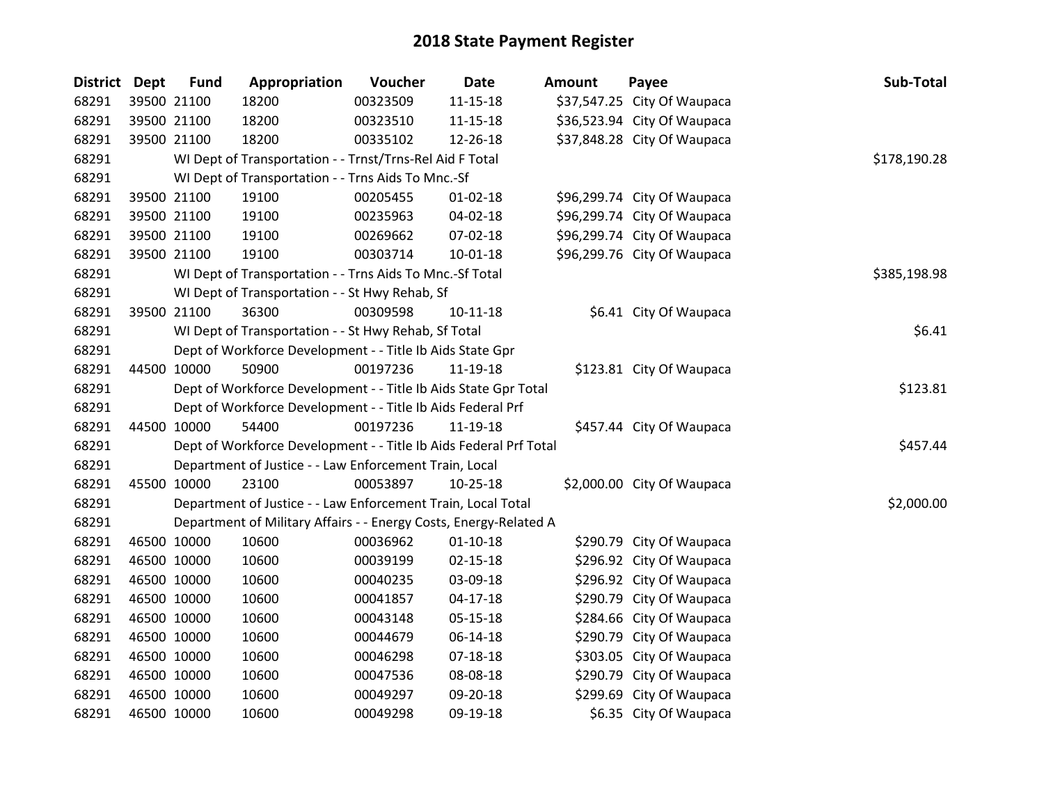| District Dept |             | <b>Fund</b> | Appropriation                                                     | Voucher  | <b>Date</b>    | <b>Amount</b> | Payee                       | Sub-Total    |
|---------------|-------------|-------------|-------------------------------------------------------------------|----------|----------------|---------------|-----------------------------|--------------|
| 68291         |             | 39500 21100 | 18200                                                             | 00323509 | $11 - 15 - 18$ |               | \$37,547.25 City Of Waupaca |              |
| 68291         |             | 39500 21100 | 18200                                                             | 00323510 | $11 - 15 - 18$ |               | \$36,523.94 City Of Waupaca |              |
| 68291         |             | 39500 21100 | 18200                                                             | 00335102 | 12-26-18       |               | \$37,848.28 City Of Waupaca |              |
| 68291         |             |             | WI Dept of Transportation - - Trnst/Trns-Rel Aid F Total          |          |                |               |                             | \$178,190.28 |
| 68291         |             |             | WI Dept of Transportation - - Trns Aids To Mnc.-Sf                |          |                |               |                             |              |
| 68291         |             | 39500 21100 | 19100                                                             | 00205455 | $01 - 02 - 18$ |               | \$96,299.74 City Of Waupaca |              |
| 68291         |             | 39500 21100 | 19100                                                             | 00235963 | 04-02-18       |               | \$96,299.74 City Of Waupaca |              |
| 68291         |             | 39500 21100 | 19100                                                             | 00269662 | 07-02-18       |               | \$96,299.74 City Of Waupaca |              |
| 68291         |             | 39500 21100 | 19100                                                             | 00303714 | $10 - 01 - 18$ |               | \$96,299.76 City Of Waupaca |              |
| 68291         |             |             | WI Dept of Transportation - - Trns Aids To Mnc.-Sf Total          |          |                |               |                             | \$385,198.98 |
| 68291         |             |             | WI Dept of Transportation - - St Hwy Rehab, Sf                    |          |                |               |                             |              |
| 68291         |             | 39500 21100 | 36300                                                             | 00309598 | $10 - 11 - 18$ |               | \$6.41 City Of Waupaca      |              |
| 68291         |             |             | WI Dept of Transportation - - St Hwy Rehab, Sf Total              |          |                |               |                             | \$6.41       |
| 68291         |             |             | Dept of Workforce Development - - Title Ib Aids State Gpr         |          |                |               |                             |              |
| 68291         |             | 44500 10000 | 50900                                                             | 00197236 | 11-19-18       |               | \$123.81 City Of Waupaca    |              |
| 68291         |             |             | Dept of Workforce Development - - Title Ib Aids State Gpr Total   |          |                |               |                             | \$123.81     |
| 68291         |             |             | Dept of Workforce Development - - Title Ib Aids Federal Prf       |          |                |               |                             |              |
| 68291         |             | 44500 10000 | 54400                                                             | 00197236 | 11-19-18       |               | \$457.44 City Of Waupaca    |              |
| 68291         |             |             | Dept of Workforce Development - - Title Ib Aids Federal Prf Total |          |                |               |                             | \$457.44     |
| 68291         |             |             | Department of Justice - - Law Enforcement Train, Local            |          |                |               |                             |              |
| 68291         | 45500 10000 |             | 23100                                                             | 00053897 | $10-25-18$     |               | \$2,000.00 City Of Waupaca  |              |
| 68291         |             |             | Department of Justice - - Law Enforcement Train, Local Total      |          |                |               |                             | \$2,000.00   |
| 68291         |             |             | Department of Military Affairs - - Energy Costs, Energy-Related A |          |                |               |                             |              |
| 68291         |             | 46500 10000 | 10600                                                             | 00036962 | $01 - 10 - 18$ |               | \$290.79 City Of Waupaca    |              |
| 68291         |             | 46500 10000 | 10600                                                             | 00039199 | $02 - 15 - 18$ |               | \$296.92 City Of Waupaca    |              |
| 68291         |             | 46500 10000 | 10600                                                             | 00040235 | 03-09-18       |               | \$296.92 City Of Waupaca    |              |
| 68291         |             | 46500 10000 | 10600                                                             | 00041857 | $04 - 17 - 18$ |               | \$290.79 City Of Waupaca    |              |
| 68291         |             | 46500 10000 | 10600                                                             | 00043148 | 05-15-18       |               | \$284.66 City Of Waupaca    |              |
| 68291         |             | 46500 10000 | 10600                                                             | 00044679 | 06-14-18       |               | \$290.79 City Of Waupaca    |              |
| 68291         |             | 46500 10000 | 10600                                                             | 00046298 | 07-18-18       |               | \$303.05 City Of Waupaca    |              |
| 68291         |             | 46500 10000 | 10600                                                             | 00047536 | 08-08-18       |               | \$290.79 City Of Waupaca    |              |
| 68291         |             | 46500 10000 | 10600                                                             | 00049297 | 09-20-18       |               | \$299.69 City Of Waupaca    |              |
| 68291         |             | 46500 10000 | 10600                                                             | 00049298 | 09-19-18       |               | \$6.35 City Of Waupaca      |              |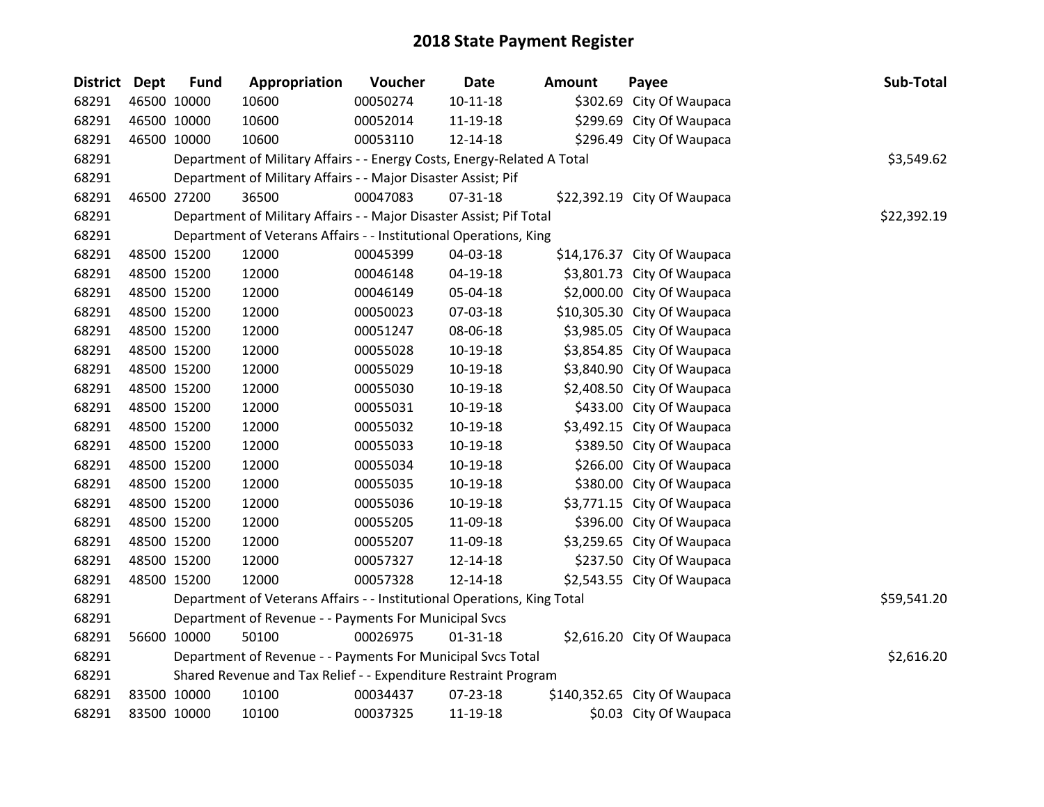| District Dept | <b>Fund</b> | Appropriation                                                           | Voucher  | Date           | <b>Amount</b> | Payee                        | Sub-Total   |
|---------------|-------------|-------------------------------------------------------------------------|----------|----------------|---------------|------------------------------|-------------|
| 68291         | 46500 10000 | 10600                                                                   | 00050274 | $10 - 11 - 18$ |               | \$302.69 City Of Waupaca     |             |
| 68291         | 46500 10000 | 10600                                                                   | 00052014 | 11-19-18       |               | \$299.69 City Of Waupaca     |             |
| 68291         | 46500 10000 | 10600                                                                   | 00053110 | 12-14-18       |               | \$296.49 City Of Waupaca     |             |
| 68291         |             | Department of Military Affairs - - Energy Costs, Energy-Related A Total |          |                |               |                              | \$3,549.62  |
| 68291         |             | Department of Military Affairs - - Major Disaster Assist; Pif           |          |                |               |                              |             |
| 68291         | 46500 27200 | 36500                                                                   | 00047083 | 07-31-18       |               | \$22,392.19 City Of Waupaca  |             |
| 68291         |             | Department of Military Affairs - - Major Disaster Assist; Pif Total     |          |                |               |                              | \$22,392.19 |
| 68291         |             | Department of Veterans Affairs - - Institutional Operations, King       |          |                |               |                              |             |
| 68291         | 48500 15200 | 12000                                                                   | 00045399 | 04-03-18       |               | \$14,176.37 City Of Waupaca  |             |
| 68291         | 48500 15200 | 12000                                                                   | 00046148 | 04-19-18       |               | \$3,801.73 City Of Waupaca   |             |
| 68291         | 48500 15200 | 12000                                                                   | 00046149 | 05-04-18       |               | \$2,000.00 City Of Waupaca   |             |
| 68291         | 48500 15200 | 12000                                                                   | 00050023 | 07-03-18       |               | \$10,305.30 City Of Waupaca  |             |
| 68291         | 48500 15200 | 12000                                                                   | 00051247 | 08-06-18       |               | \$3,985.05 City Of Waupaca   |             |
| 68291         | 48500 15200 | 12000                                                                   | 00055028 | 10-19-18       |               | \$3,854.85 City Of Waupaca   |             |
| 68291         | 48500 15200 | 12000                                                                   | 00055029 | 10-19-18       |               | \$3,840.90 City Of Waupaca   |             |
| 68291         | 48500 15200 | 12000                                                                   | 00055030 | 10-19-18       |               | \$2,408.50 City Of Waupaca   |             |
| 68291         | 48500 15200 | 12000                                                                   | 00055031 | 10-19-18       |               | \$433.00 City Of Waupaca     |             |
| 68291         | 48500 15200 | 12000                                                                   | 00055032 | 10-19-18       |               | \$3,492.15 City Of Waupaca   |             |
| 68291         | 48500 15200 | 12000                                                                   | 00055033 | 10-19-18       |               | \$389.50 City Of Waupaca     |             |
| 68291         | 48500 15200 | 12000                                                                   | 00055034 | 10-19-18       |               | \$266.00 City Of Waupaca     |             |
| 68291         | 48500 15200 | 12000                                                                   | 00055035 | 10-19-18       |               | \$380.00 City Of Waupaca     |             |
| 68291         | 48500 15200 | 12000                                                                   | 00055036 | 10-19-18       |               | \$3,771.15 City Of Waupaca   |             |
| 68291         | 48500 15200 | 12000                                                                   | 00055205 | 11-09-18       |               | \$396.00 City Of Waupaca     |             |
| 68291         | 48500 15200 | 12000                                                                   | 00055207 | 11-09-18       |               | \$3,259.65 City Of Waupaca   |             |
| 68291         | 48500 15200 | 12000                                                                   | 00057327 | 12-14-18       |               | \$237.50 City Of Waupaca     |             |
| 68291         | 48500 15200 | 12000                                                                   | 00057328 | 12-14-18       |               | \$2,543.55 City Of Waupaca   |             |
| 68291         |             | Department of Veterans Affairs - - Institutional Operations, King Total |          |                |               |                              | \$59,541.20 |
| 68291         |             | Department of Revenue - - Payments For Municipal Svcs                   |          |                |               |                              |             |
| 68291         | 56600 10000 | 50100                                                                   | 00026975 | $01 - 31 - 18$ |               | \$2,616.20 City Of Waupaca   |             |
| 68291         |             | Department of Revenue - - Payments For Municipal Svcs Total             |          |                |               |                              | \$2,616.20  |
| 68291         |             | Shared Revenue and Tax Relief - - Expenditure Restraint Program         |          |                |               |                              |             |
| 68291         | 83500 10000 | 10100                                                                   | 00034437 | 07-23-18       |               | \$140,352.65 City Of Waupaca |             |
| 68291         | 83500 10000 | 10100                                                                   | 00037325 | 11-19-18       |               | \$0.03 City Of Waupaca       |             |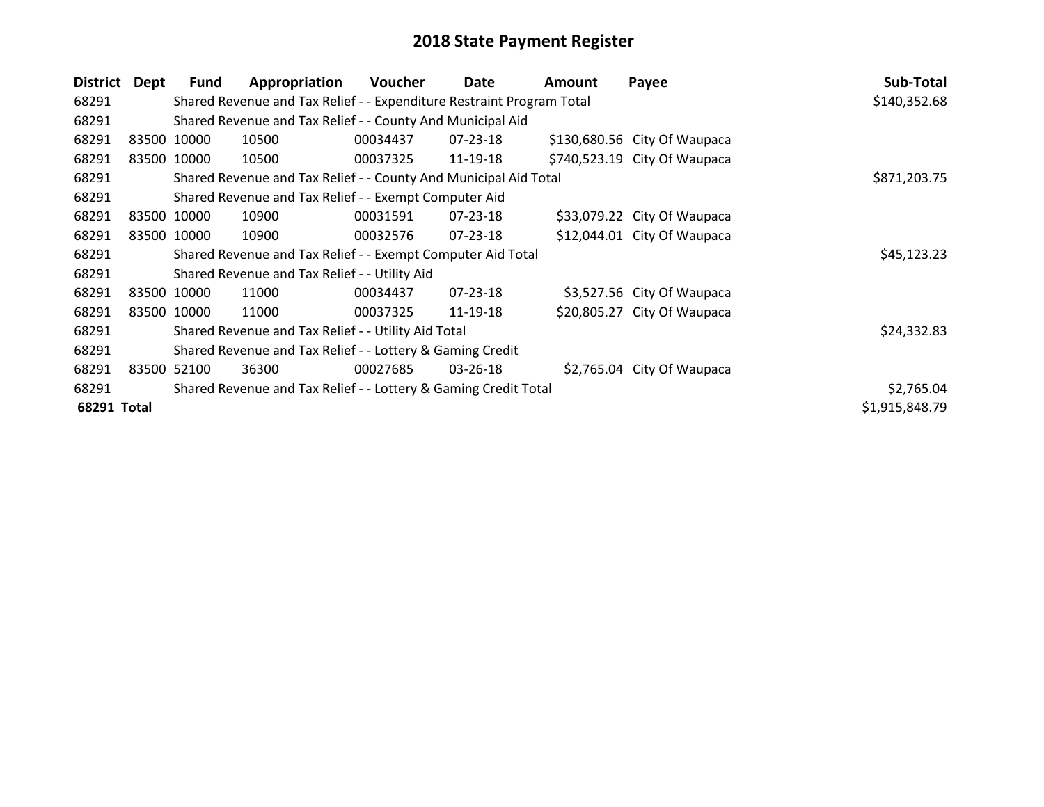| <b>District</b> | Dept  | <b>Fund</b> | Appropriation                                                         | Voucher      | Date           | <b>Amount</b> | Payee                        | Sub-Total      |
|-----------------|-------|-------------|-----------------------------------------------------------------------|--------------|----------------|---------------|------------------------------|----------------|
| 68291           |       |             | Shared Revenue and Tax Relief - - Expenditure Restraint Program Total | \$140,352.68 |                |               |                              |                |
| 68291           |       |             | Shared Revenue and Tax Relief - - County And Municipal Aid            |              |                |               |                              |                |
| 68291           |       | 83500 10000 | 10500                                                                 | 00034437     | $07 - 23 - 18$ |               | \$130,680.56 City Of Waupaca |                |
| 68291           |       | 83500 10000 | 10500                                                                 | 00037325     | 11-19-18       |               | \$740,523.19 City Of Waupaca |                |
| 68291           |       |             | Shared Revenue and Tax Relief - - County And Municipal Aid Total      |              |                |               |                              | \$871,203.75   |
| 68291           |       |             | Shared Revenue and Tax Relief - - Exempt Computer Aid                 |              |                |               |                              |                |
| 68291           |       | 83500 10000 | 10900                                                                 | 00031591     | $07 - 23 - 18$ |               | \$33,079.22 City Of Waupaca  |                |
| 68291           |       | 83500 10000 | 10900                                                                 | 00032576     | 07-23-18       |               | \$12,044.01 City Of Waupaca  |                |
| 68291           |       |             | Shared Revenue and Tax Relief - - Exempt Computer Aid Total           |              |                |               |                              | \$45,123.23    |
| 68291           |       |             | Shared Revenue and Tax Relief - - Utility Aid                         |              |                |               |                              |                |
| 68291           |       | 83500 10000 | 11000                                                                 | 00034437     | 07-23-18       |               | \$3,527.56 City Of Waupaca   |                |
| 68291           |       | 83500 10000 | 11000                                                                 | 00037325     | 11-19-18       |               | \$20,805.27 City Of Waupaca  |                |
| 68291           |       |             | Shared Revenue and Tax Relief - - Utility Aid Total                   |              |                |               |                              | \$24,332.83    |
| 68291           |       |             | Shared Revenue and Tax Relief - - Lottery & Gaming Credit             |              |                |               |                              |                |
| 68291           | 83500 | 52100       | 36300                                                                 | 00027685     | $03 - 26 - 18$ |               | \$2,765.04 City Of Waupaca   |                |
| 68291           |       |             | Shared Revenue and Tax Relief - - Lottery & Gaming Credit Total       |              |                |               |                              | \$2,765.04     |
| 68291 Total     |       |             |                                                                       |              |                |               |                              | \$1,915,848.79 |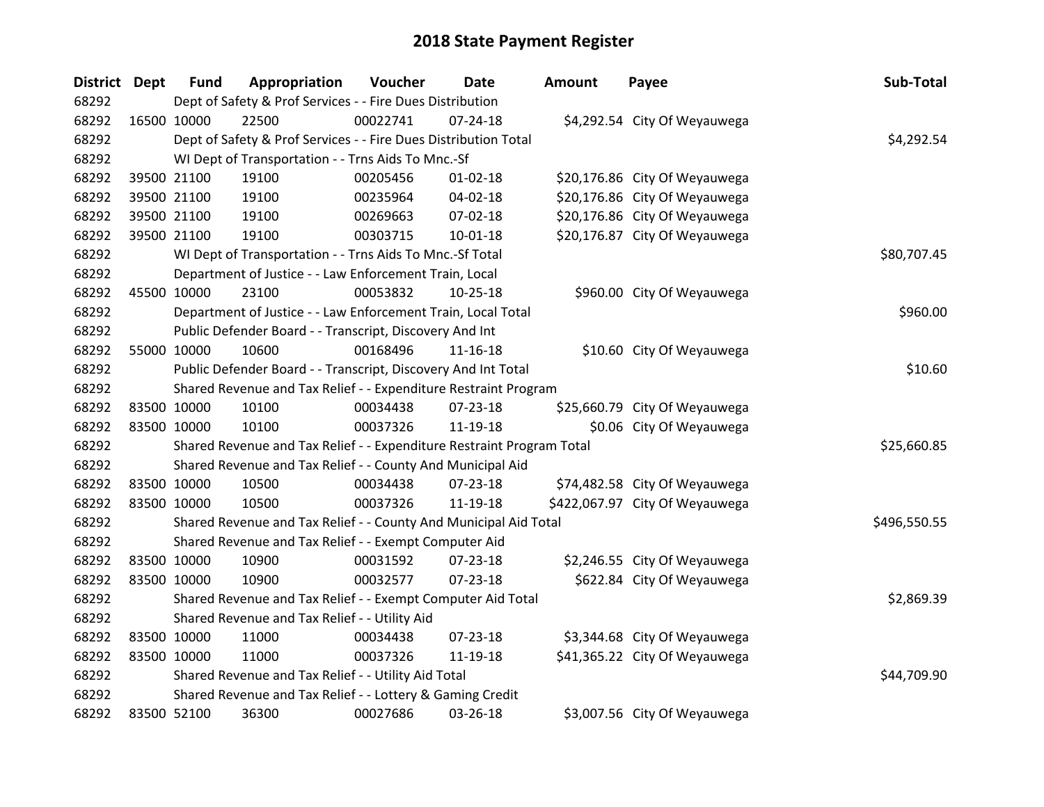| District Dept |             | <b>Fund</b>                                                     | Appropriation                                                         | Voucher  | Date           | Amount | Payee                          | Sub-Total    |
|---------------|-------------|-----------------------------------------------------------------|-----------------------------------------------------------------------|----------|----------------|--------|--------------------------------|--------------|
| 68292         |             | Dept of Safety & Prof Services - - Fire Dues Distribution       |                                                                       |          |                |        |                                |              |
| 68292         |             | 16500 10000                                                     | 22500                                                                 | 00022741 | $07 - 24 - 18$ |        | \$4,292.54 City Of Weyauwega   |              |
| 68292         |             | Dept of Safety & Prof Services - - Fire Dues Distribution Total | \$4,292.54                                                            |          |                |        |                                |              |
| 68292         |             |                                                                 | WI Dept of Transportation - - Trns Aids To Mnc.-Sf                    |          |                |        |                                |              |
| 68292         |             | 39500 21100                                                     | 19100                                                                 | 00205456 | $01 - 02 - 18$ |        | \$20,176.86 City Of Weyauwega  |              |
| 68292         |             | 39500 21100                                                     | 19100                                                                 | 00235964 | 04-02-18       |        | \$20,176.86 City Of Weyauwega  |              |
| 68292         |             | 39500 21100                                                     | 19100                                                                 | 00269663 | 07-02-18       |        | \$20,176.86 City Of Weyauwega  |              |
| 68292         |             | 39500 21100                                                     | 19100                                                                 | 00303715 | 10-01-18       |        | \$20,176.87 City Of Weyauwega  |              |
| 68292         |             |                                                                 | WI Dept of Transportation - - Trns Aids To Mnc.-Sf Total              |          |                |        |                                | \$80,707.45  |
| 68292         |             |                                                                 | Department of Justice - - Law Enforcement Train, Local                |          |                |        |                                |              |
| 68292         |             | 45500 10000                                                     | 23100                                                                 | 00053832 | $10-25-18$     |        | \$960.00 City Of Weyauwega     |              |
| 68292         |             |                                                                 | Department of Justice - - Law Enforcement Train, Local Total          |          |                |        |                                | \$960.00     |
| 68292         |             |                                                                 | Public Defender Board - - Transcript, Discovery And Int               |          |                |        |                                |              |
| 68292         |             | 55000 10000                                                     | 10600                                                                 | 00168496 | 11-16-18       |        | \$10.60 City Of Weyauwega      |              |
| 68292         |             |                                                                 | Public Defender Board - - Transcript, Discovery And Int Total         |          |                |        |                                | \$10.60      |
| 68292         |             |                                                                 | Shared Revenue and Tax Relief - - Expenditure Restraint Program       |          |                |        |                                |              |
| 68292         | 83500 10000 |                                                                 | 10100                                                                 | 00034438 | 07-23-18       |        | \$25,660.79 City Of Weyauwega  |              |
| 68292         |             | 83500 10000                                                     | 10100                                                                 | 00037326 | 11-19-18       |        | \$0.06 City Of Weyauwega       |              |
| 68292         |             |                                                                 | Shared Revenue and Tax Relief - - Expenditure Restraint Program Total |          |                |        |                                | \$25,660.85  |
| 68292         |             |                                                                 | Shared Revenue and Tax Relief - - County And Municipal Aid            |          |                |        |                                |              |
| 68292         |             | 83500 10000                                                     | 10500                                                                 | 00034438 | $07 - 23 - 18$ |        | \$74,482.58 City Of Weyauwega  |              |
| 68292         |             | 83500 10000                                                     | 10500                                                                 | 00037326 | 11-19-18       |        | \$422,067.97 City Of Weyauwega |              |
| 68292         |             |                                                                 | Shared Revenue and Tax Relief - - County And Municipal Aid Total      |          |                |        |                                | \$496,550.55 |
| 68292         |             |                                                                 | Shared Revenue and Tax Relief - - Exempt Computer Aid                 |          |                |        |                                |              |
| 68292         |             | 83500 10000                                                     | 10900                                                                 | 00031592 | 07-23-18       |        | \$2,246.55 City Of Weyauwega   |              |
| 68292         |             | 83500 10000                                                     | 10900                                                                 | 00032577 | 07-23-18       |        | \$622.84 City Of Weyauwega     |              |
| 68292         |             |                                                                 | Shared Revenue and Tax Relief - - Exempt Computer Aid Total           |          |                |        |                                | \$2,869.39   |
| 68292         |             |                                                                 | Shared Revenue and Tax Relief - - Utility Aid                         |          |                |        |                                |              |
| 68292         |             | 83500 10000                                                     | 11000                                                                 | 00034438 | 07-23-18       |        | \$3,344.68 City Of Weyauwega   |              |
| 68292         |             | 83500 10000                                                     | 11000                                                                 | 00037326 | 11-19-18       |        | \$41,365.22 City Of Weyauwega  |              |
| 68292         |             |                                                                 | Shared Revenue and Tax Relief - - Utility Aid Total                   |          |                |        |                                | \$44,709.90  |
| 68292         |             |                                                                 | Shared Revenue and Tax Relief - - Lottery & Gaming Credit             |          |                |        |                                |              |
| 68292         |             | 83500 52100                                                     | 36300                                                                 | 00027686 | 03-26-18       |        | \$3,007.56 City Of Weyauwega   |              |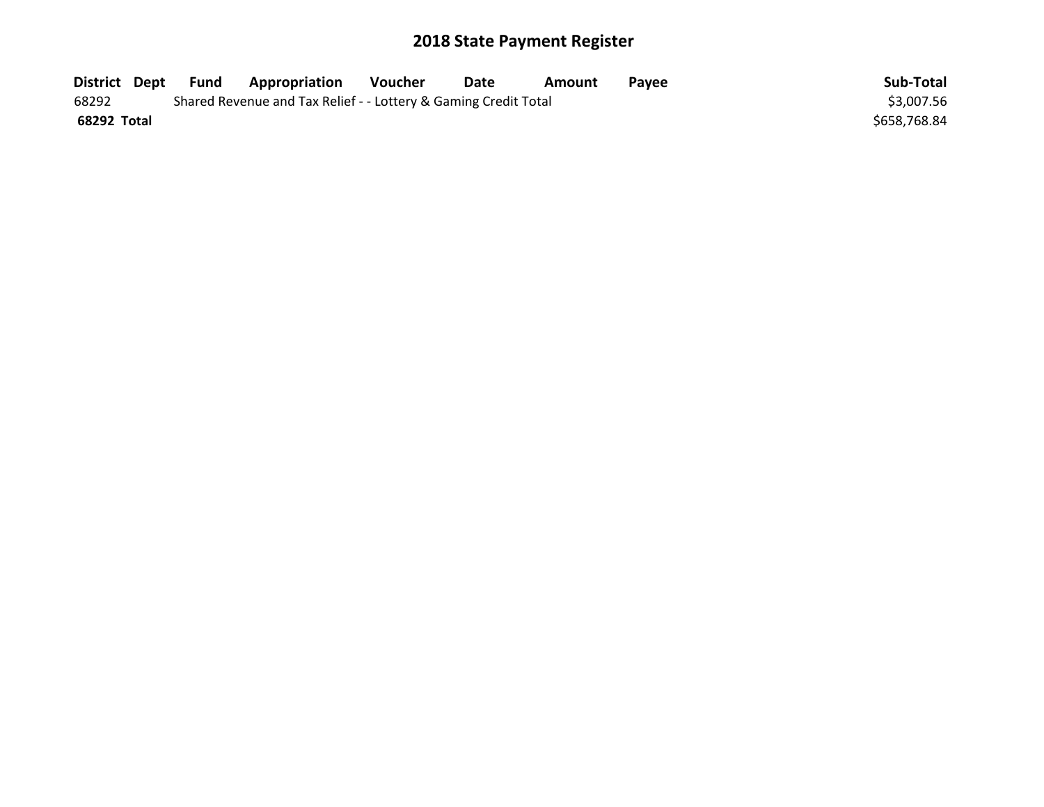| District Dept | Fund | Appropriation                                                   | Voucher | <b>Date</b> | Amount | Pavee | Sub-Total    |
|---------------|------|-----------------------------------------------------------------|---------|-------------|--------|-------|--------------|
| 68292         |      | Shared Revenue and Tax Relief - - Lottery & Gaming Credit Total |         |             |        |       | \$3,007.56   |
| 68292 Total   |      |                                                                 |         |             |        |       | \$658,768.84 |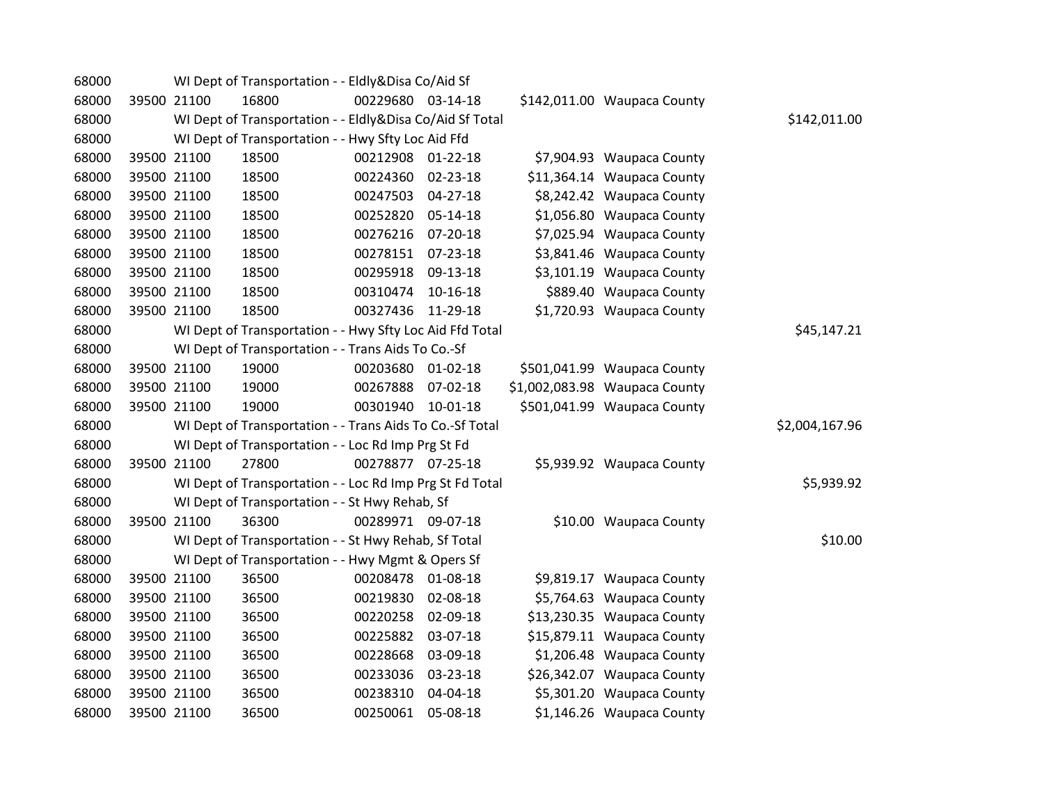| 68000 |             | WI Dept of Transportation - - Eldly&Disa Co/Aid Sf       |                   |          |                               |                |
|-------|-------------|----------------------------------------------------------|-------------------|----------|-------------------------------|----------------|
| 68000 | 39500 21100 | 16800                                                    | 00229680 03-14-18 |          | \$142,011.00 Waupaca County   |                |
| 68000 |             | WI Dept of Transportation - - Eldly&Disa Co/Aid Sf Total |                   |          |                               | \$142,011.00   |
| 68000 |             | WI Dept of Transportation - - Hwy Sfty Loc Aid Ffd       |                   |          |                               |                |
| 68000 | 39500 21100 | 18500                                                    | 00212908 01-22-18 |          | \$7,904.93 Waupaca County     |                |
| 68000 | 39500 21100 | 18500                                                    | 00224360 02-23-18 |          | \$11,364.14 Waupaca County    |                |
| 68000 | 39500 21100 | 18500                                                    | 00247503 04-27-18 |          | \$8,242.42 Waupaca County     |                |
| 68000 | 39500 21100 | 18500                                                    | 00252820          | 05-14-18 | \$1,056.80 Waupaca County     |                |
| 68000 | 39500 21100 | 18500                                                    | 00276216          | 07-20-18 | \$7,025.94 Waupaca County     |                |
| 68000 | 39500 21100 | 18500                                                    | 00278151 07-23-18 |          | \$3,841.46 Waupaca County     |                |
| 68000 | 39500 21100 | 18500                                                    | 00295918 09-13-18 |          | \$3,101.19 Waupaca County     |                |
| 68000 | 39500 21100 | 18500                                                    | 00310474          | 10-16-18 | \$889.40 Waupaca County       |                |
| 68000 | 39500 21100 | 18500                                                    | 00327436          | 11-29-18 | \$1,720.93 Waupaca County     |                |
| 68000 |             | WI Dept of Transportation - - Hwy Sfty Loc Aid Ffd Total |                   |          |                               | \$45,147.21    |
| 68000 |             | WI Dept of Transportation - - Trans Aids To Co.-Sf       |                   |          |                               |                |
| 68000 | 39500 21100 | 19000                                                    | 00203680 01-02-18 |          | \$501,041.99 Waupaca County   |                |
| 68000 | 39500 21100 | 19000                                                    | 00267888 07-02-18 |          | \$1,002,083.98 Waupaca County |                |
| 68000 | 39500 21100 | 19000                                                    | 00301940 10-01-18 |          | \$501,041.99 Waupaca County   |                |
| 68000 |             | WI Dept of Transportation - - Trans Aids To Co.-Sf Total |                   |          |                               | \$2,004,167.96 |
| 68000 |             | WI Dept of Transportation - - Loc Rd Imp Prg St Fd       |                   |          |                               |                |
| 68000 | 39500 21100 | 27800                                                    | 00278877 07-25-18 |          | \$5,939.92 Waupaca County     |                |
| 68000 |             | WI Dept of Transportation - - Loc Rd Imp Prg St Fd Total |                   |          |                               | \$5,939.92     |
| 68000 |             | WI Dept of Transportation - - St Hwy Rehab, Sf           |                   |          |                               |                |
| 68000 | 39500 21100 | 36300                                                    | 00289971 09-07-18 |          | \$10.00 Waupaca County        |                |
| 68000 |             | WI Dept of Transportation - - St Hwy Rehab, Sf Total     |                   |          |                               | \$10.00        |
| 68000 |             | WI Dept of Transportation - - Hwy Mgmt & Opers Sf        |                   |          |                               |                |
| 68000 | 39500 21100 | 36500                                                    | 00208478 01-08-18 |          | \$9,819.17 Waupaca County     |                |
| 68000 | 39500 21100 | 36500                                                    | 00219830          | 02-08-18 | \$5,764.63 Waupaca County     |                |
| 68000 | 39500 21100 | 36500                                                    | 00220258          | 02-09-18 | \$13,230.35 Waupaca County    |                |
| 68000 | 39500 21100 | 36500                                                    | 00225882          | 03-07-18 | \$15,879.11 Waupaca County    |                |
| 68000 | 39500 21100 | 36500                                                    | 00228668          | 03-09-18 | \$1,206.48 Waupaca County     |                |
| 68000 | 39500 21100 | 36500                                                    | 00233036          | 03-23-18 | \$26,342.07 Waupaca County    |                |
| 68000 | 39500 21100 | 36500                                                    | 00238310          | 04-04-18 | \$5,301.20 Waupaca County     |                |
| 68000 | 39500 21100 | 36500                                                    | 00250061          | 05-08-18 | \$1,146.26 Waupaca County     |                |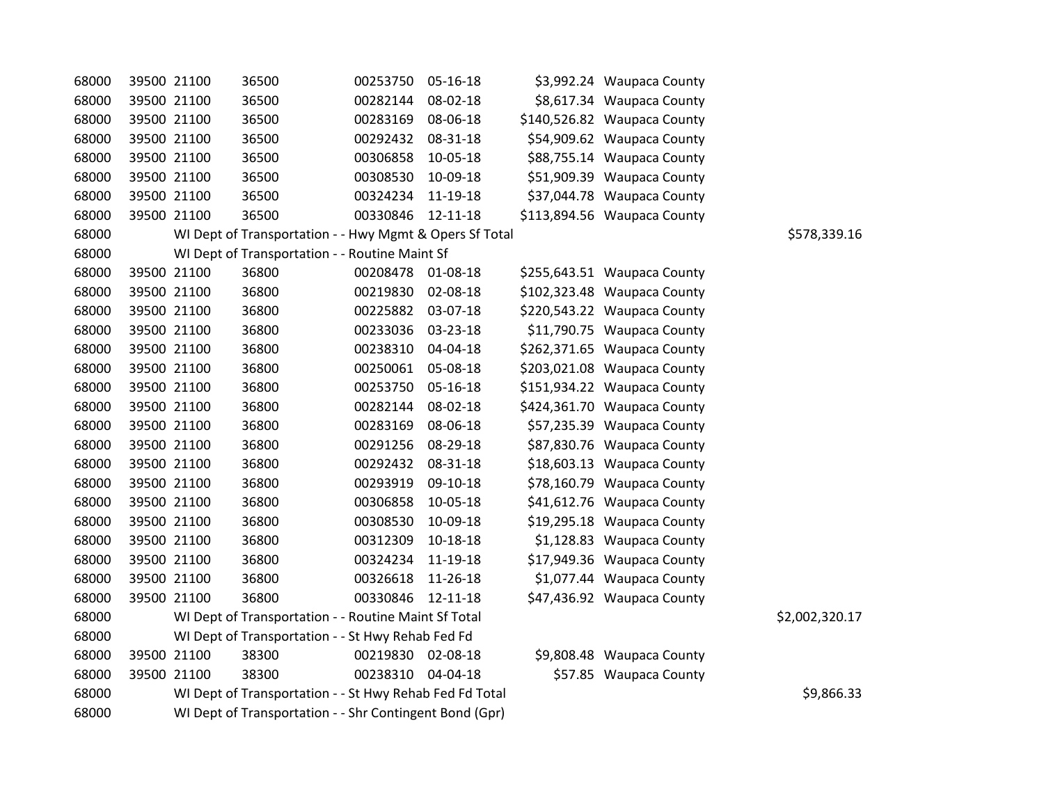| 68000 | 39500 21100 | 36500                                                   | 00253750          | 05-16-18       | \$3,992.24 Waupaca County   |                |
|-------|-------------|---------------------------------------------------------|-------------------|----------------|-----------------------------|----------------|
| 68000 | 39500 21100 | 36500                                                   | 00282144          | 08-02-18       | \$8,617.34 Waupaca County   |                |
| 68000 | 39500 21100 | 36500                                                   | 00283169          | 08-06-18       | \$140,526.82 Waupaca County |                |
| 68000 | 39500 21100 | 36500                                                   | 00292432          | 08-31-18       | \$54,909.62 Waupaca County  |                |
| 68000 | 39500 21100 | 36500                                                   | 00306858          | 10-05-18       | \$88,755.14 Waupaca County  |                |
| 68000 | 39500 21100 | 36500                                                   | 00308530          | 10-09-18       | \$51,909.39 Waupaca County  |                |
| 68000 | 39500 21100 | 36500                                                   | 00324234          | 11-19-18       | \$37,044.78 Waupaca County  |                |
| 68000 | 39500 21100 | 36500                                                   | 00330846          | 12-11-18       | \$113,894.56 Waupaca County |                |
| 68000 |             | WI Dept of Transportation - - Hwy Mgmt & Opers Sf Total |                   |                |                             | \$578,339.16   |
| 68000 |             | WI Dept of Transportation - - Routine Maint Sf          |                   |                |                             |                |
| 68000 | 39500 21100 | 36800                                                   | 00208478 01-08-18 |                | \$255,643.51 Waupaca County |                |
| 68000 | 39500 21100 | 36800                                                   | 00219830          | 02-08-18       | \$102,323.48 Waupaca County |                |
| 68000 | 39500 21100 | 36800                                                   | 00225882          | 03-07-18       | \$220,543.22 Waupaca County |                |
| 68000 | 39500 21100 | 36800                                                   | 00233036          | 03-23-18       | \$11,790.75 Waupaca County  |                |
| 68000 | 39500 21100 | 36800                                                   | 00238310          | 04-04-18       | \$262,371.65 Waupaca County |                |
| 68000 | 39500 21100 | 36800                                                   | 00250061 05-08-18 |                | \$203,021.08 Waupaca County |                |
| 68000 | 39500 21100 | 36800                                                   | 00253750          | 05-16-18       | \$151,934.22 Waupaca County |                |
| 68000 | 39500 21100 | 36800                                                   | 00282144          | 08-02-18       | \$424,361.70 Waupaca County |                |
| 68000 | 39500 21100 | 36800                                                   | 00283169          | 08-06-18       | \$57,235.39 Waupaca County  |                |
| 68000 | 39500 21100 | 36800                                                   | 00291256          | 08-29-18       | \$87,830.76 Waupaca County  |                |
| 68000 | 39500 21100 | 36800                                                   | 00292432          | 08-31-18       | \$18,603.13 Waupaca County  |                |
| 68000 | 39500 21100 | 36800                                                   | 00293919          | 09-10-18       | \$78,160.79 Waupaca County  |                |
| 68000 | 39500 21100 | 36800                                                   | 00306858          | 10-05-18       | \$41,612.76 Waupaca County  |                |
| 68000 | 39500 21100 | 36800                                                   | 00308530          | 10-09-18       | \$19,295.18 Waupaca County  |                |
| 68000 | 39500 21100 | 36800                                                   | 00312309          | $10 - 18 - 18$ | \$1,128.83 Waupaca County   |                |
| 68000 | 39500 21100 | 36800                                                   | 00324234          | 11-19-18       | \$17,949.36 Waupaca County  |                |
| 68000 | 39500 21100 | 36800                                                   | 00326618          | 11-26-18       | \$1,077.44 Waupaca County   |                |
| 68000 | 39500 21100 | 36800                                                   | 00330846          | 12-11-18       | \$47,436.92 Waupaca County  |                |
| 68000 |             | WI Dept of Transportation - - Routine Maint Sf Total    |                   |                |                             | \$2,002,320.17 |
| 68000 |             | WI Dept of Transportation - - St Hwy Rehab Fed Fd       |                   |                |                             |                |
| 68000 | 39500 21100 | 38300                                                   | 00219830 02-08-18 |                | \$9,808.48 Waupaca County   |                |
| 68000 | 39500 21100 | 38300                                                   | 00238310 04-04-18 |                | \$57.85 Waupaca County      |                |
| 68000 |             | WI Dept of Transportation - - St Hwy Rehab Fed Fd Total |                   |                |                             | \$9,866.33     |
| 68000 |             | WI Dept of Transportation - - Shr Contingent Bond (Gpr) |                   |                |                             |                |
|       |             |                                                         |                   |                |                             |                |